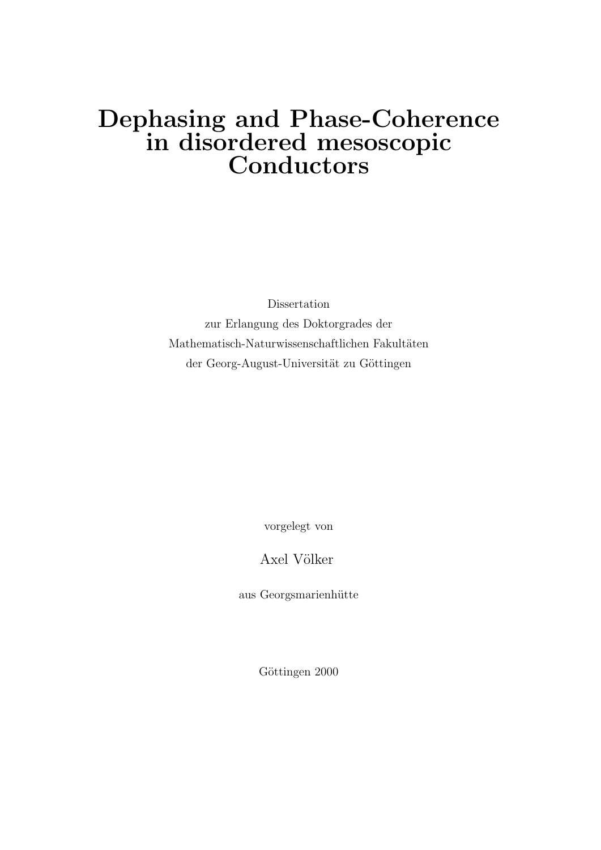## Dephasing and Phase-Coherence in disordered mesoscopic Conductors

Dissertation zur Erlangung des Doktorgrades der Mathematisch-Naturwissenschaftlichen Fakultäten der Georg-August-Universität zu Göttingen

vorgelegt von

Axel Völker

aus Georgsmarienhütte

Göttingen 2000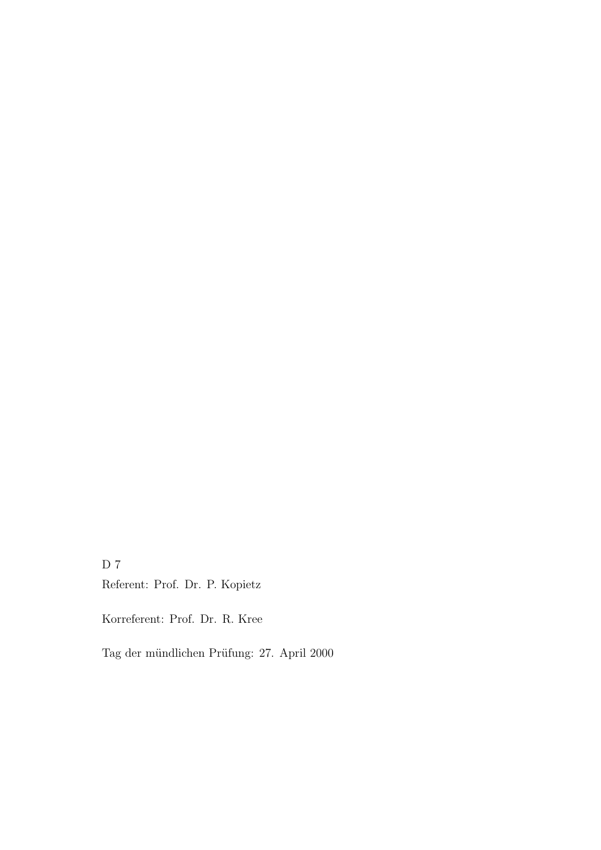D 7 Referent: Prof. Dr. P. Kopietz

Korreferent: Prof. Dr. R. Kree

Tag der mündlichen Prüfung: 27. April 2000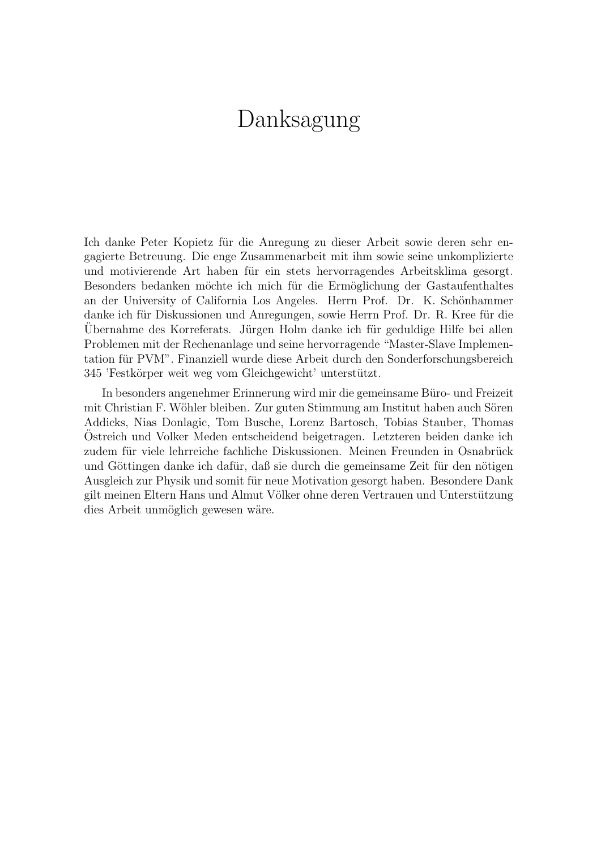## Danksagung

Ich danke Peter Kopietz für die Anregung zu dieser Arbeit sowie deren sehr engagierte Betreuung. Die enge Zusammenarbeit mit ihm sowie seine unkomplizierte und motivierende Art haben für ein stets hervorragendes Arbeitsklima gesorgt. Besonders bedanken möchte ich mich für die Ermöglichung der Gastaufenthaltes an der University of California Los Angeles. Herrn Prof. Dr. K. Schönhammer danke ich für Diskussionen und Anregungen, sowie Herrn Prof. Dr. R. Kree für die Ubernahme des Korreferats. Jürgen Holm danke ich für geduldige Hilfe bei allen Problemen mit der Rechenanlage und seine hervorragende "Master-Slave Implementation für PVM". Finanziell wurde diese Arbeit durch den Sonderforschungsbereich 345 'Festkörper weit weg vom Gleichgewicht' unterstützt.

In besonders angenehmer Erinnerung wird mir die gemeinsame Büro- und Freizeit mit Christian F. Wöhler bleiben. Zur guten Stimmung am Institut haben auch Sören Addicks, Nias Donlagic, Tom Busche, Lorenz Bartosch, Tobias Stauber, Thomas Ostreich und Volker Meden entscheidend beigetragen. Letzteren beiden danke ich ¨ zudem für viele lehrreiche fachliche Diskussionen. Meinen Freunden in Osnabrück und Göttingen danke ich dafür, daß sie durch die gemeinsame Zeit für den nötigen Ausgleich zur Physik und somit für neue Motivation gesorgt haben. Besondere Dank gilt meinen Eltern Hans und Almut Völker ohne deren Vertrauen und Unterstützung dies Arbeit unmöglich gewesen wäre.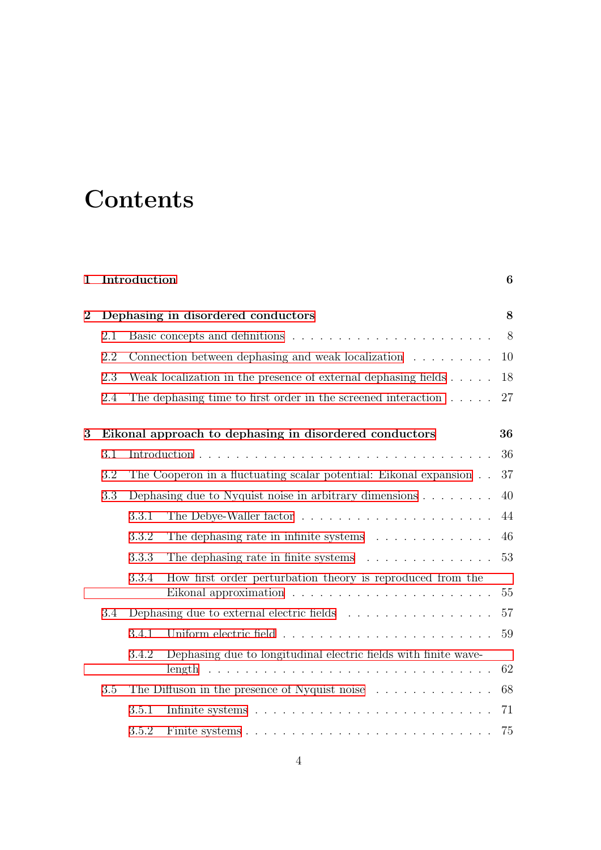# **Contents**

| $\mathbf{1}$   |                                                        | Introduction                                                           |                                                                           | 6  |  |
|----------------|--------------------------------------------------------|------------------------------------------------------------------------|---------------------------------------------------------------------------|----|--|
| $\overline{2}$ | Dephasing in disordered conductors                     |                                                                        |                                                                           |    |  |
|                | 2.1                                                    |                                                                        |                                                                           | 8  |  |
|                | 2.2                                                    |                                                                        | Connection between dephasing and weak localization $\ldots \ldots \ldots$ | 10 |  |
|                | 2.3                                                    |                                                                        | Weak localization in the presence of external dephasing fields $\ldots$ . | 18 |  |
|                | 2.4                                                    |                                                                        | The dephasing time to first order in the screened interaction $\dots$ .   | 27 |  |
| 3              | Eikonal approach to dephasing in disordered conductors |                                                                        |                                                                           |    |  |
|                | 3.1                                                    |                                                                        |                                                                           | 36 |  |
|                | 3.2                                                    |                                                                        | The Cooperon in a fluctuating scalar potential: Eikonal expansion         | 37 |  |
|                | 3.3                                                    | Dephasing due to Nyquist noise in arbitrary dimensions $\ldots \ldots$ |                                                                           |    |  |
|                |                                                        | 3.3.1                                                                  |                                                                           | 44 |  |
|                |                                                        | 3.3.2                                                                  | The dephasing rate in infinite systems $\ldots \ldots \ldots \ldots$      | 46 |  |
|                |                                                        | 3.3.3                                                                  | The dephasing rate in finite systems                                      | 53 |  |
|                |                                                        | 3.3.4                                                                  | How first order perturbation theory is reproduced from the                | 55 |  |
|                | $3.4\,$                                                |                                                                        | Dephasing due to external electric fields                                 | 57 |  |
|                |                                                        | 3.4.1                                                                  |                                                                           | 59 |  |
|                |                                                        | 3.4.2                                                                  | Dephasing due to longitudinal electric fields with finite wave-           | 62 |  |
|                | $3.5\,$                                                |                                                                        | The Diffuson in the presence of Nyquist noise                             | 68 |  |
|                |                                                        | 3.5.1                                                                  |                                                                           | 71 |  |
|                |                                                        | 3.5.2                                                                  |                                                                           | 75 |  |
|                |                                                        |                                                                        |                                                                           |    |  |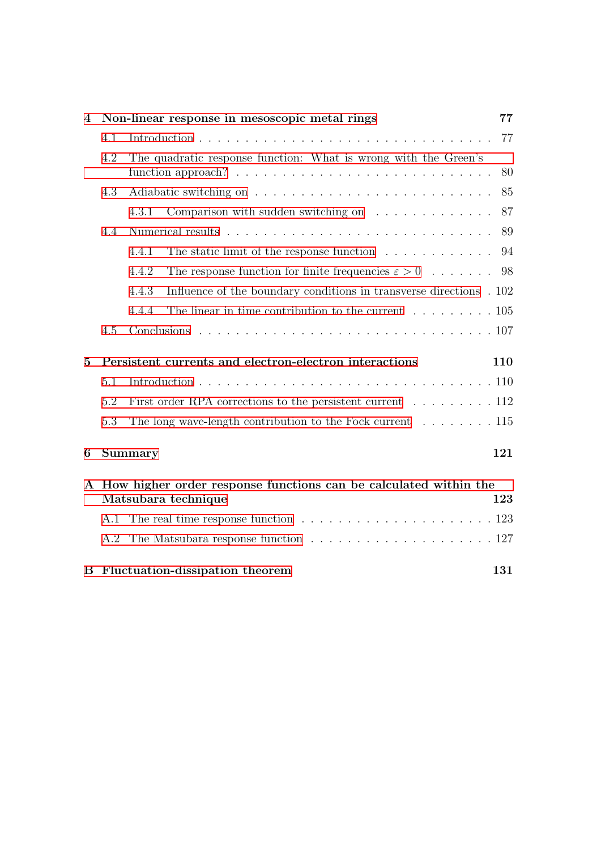| $\overline{4}$ | Non-linear response in mesoscopic metal rings                    |                                                                                       |    |  |  |  |
|----------------|------------------------------------------------------------------|---------------------------------------------------------------------------------------|----|--|--|--|
|                | 4.1                                                              |                                                                                       | 77 |  |  |  |
|                | 4.2                                                              | The quadratic response function: What is wrong with the Green's                       |    |  |  |  |
|                |                                                                  |                                                                                       |    |  |  |  |
|                | 4.3                                                              |                                                                                       |    |  |  |  |
|                |                                                                  | Comparison with sudden switching on $\dots \dots \dots \dots$<br>4.3.1                | 87 |  |  |  |
|                | 4.4                                                              |                                                                                       | 89 |  |  |  |
|                |                                                                  | The static limit of the response function $\dots \dots \dots \dots$<br>4.4.1          | 94 |  |  |  |
|                |                                                                  | The response function for finite frequencies $\varepsilon > 0$<br>4.4.2               | 98 |  |  |  |
|                |                                                                  | Influence of the boundary conditions in transverse directions . 102<br>4.4.3          |    |  |  |  |
|                |                                                                  | 4.4.4<br>The linear in time contribution to the current $\dots \dots \dots \dots 105$ |    |  |  |  |
|                | 4.5                                                              |                                                                                       |    |  |  |  |
| $\bf{5}$       | Persistent currents and electron-electron interactions<br>110    |                                                                                       |    |  |  |  |
|                | 5.1                                                              |                                                                                       |    |  |  |  |
|                | 5.2                                                              | First order RPA corrections to the persistent current $\dots \dots \dots 112$         |    |  |  |  |
|                | 5.3                                                              | The long wave-length contribution to the Fock current $\dots \dots \dots 115$         |    |  |  |  |
| 6              |                                                                  | 121<br>Summary                                                                        |    |  |  |  |
| ${\bf A}$      | How higher order response functions can be calculated within the |                                                                                       |    |  |  |  |
|                | Matsubara technique                                              |                                                                                       |    |  |  |  |
|                |                                                                  |                                                                                       |    |  |  |  |
|                | A.2                                                              |                                                                                       |    |  |  |  |
|                |                                                                  | <b>B</b> Fluctuation-dissipation theorem<br>131                                       |    |  |  |  |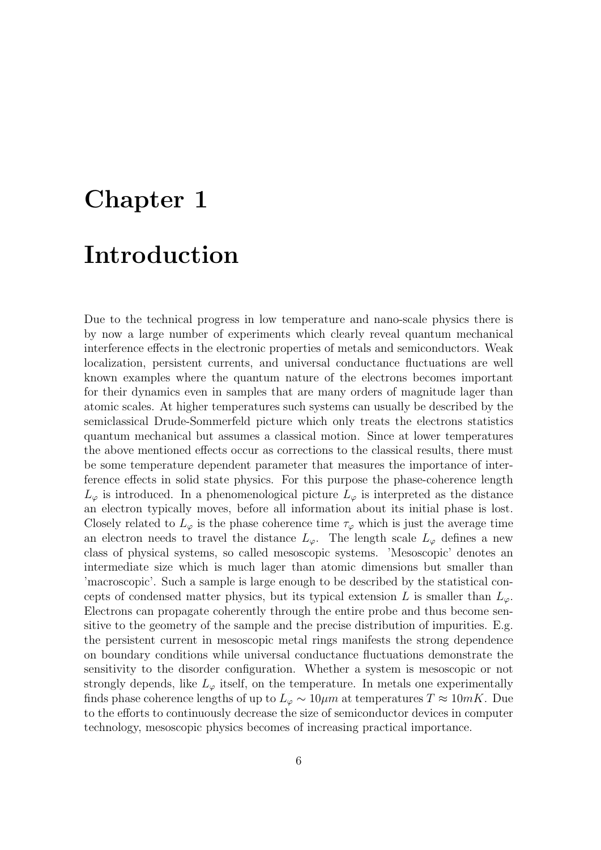# <span id="page-5-0"></span>Chapter 1 Introduction

Due to the technical progress in low temperature and nano-scale physics there is by now a large number of experiments which clearly reveal quantum mechanical interference effects in the electronic properties of metals and semiconductors. Weak localization, persistent currents, and universal conductance fluctuations are well known examples where the quantum nature of the electrons becomes important for their dynamics even in samples that are many orders of magnitude lager than atomic scales. At higher temperatures such systems can usually be described by the semiclassical Drude-Sommerfeld picture which only treats the electrons statistics quantum mechanical but assumes a classical motion. Since at lower temperatures the above mentioned effects occur as corrections to the classical results, there must be some temperature dependent parameter that measures the importance of interference effects in solid state physics. For this purpose the phase-coherence length  $L_{\varphi}$  is introduced. In a phenomenological picture  $L_{\varphi}$  is interpreted as the distance an electron typically moves, before all information about its initial phase is lost. Closely related to  $L_{\varphi}$  is the phase coherence time  $\tau_{\varphi}$  which is just the average time an electron needs to travel the distance  $L_{\varphi}$ . The length scale  $L_{\varphi}$  defines a new class of physical systems, so called mesoscopic systems. 'Mesoscopic' denotes an intermediate size which is much lager than atomic dimensions but smaller than 'macroscopic'. Such a sample is large enough to be described by the statistical concepts of condensed matter physics, but its typical extension L is smaller than  $L_{\varphi}$ . Electrons can propagate coherently through the entire probe and thus become sensitive to the geometry of the sample and the precise distribution of impurities. E.g. the persistent current in mesoscopic metal rings manifests the strong dependence on boundary conditions while universal conductance fluctuations demonstrate the sensitivity to the disorder configuration. Whether a system is mesoscopic or not strongly depends, like  $L_{\varphi}$  itself, on the temperature. In metals one experimentally finds phase coherence lengths of up to  $L_{\varphi} \sim 10 \mu m$  at temperatures  $T \approx 10 mK$ . Due to the efforts to continuously decrease the size of semiconductor devices in computer technology, mesoscopic physics becomes of increasing practical importance.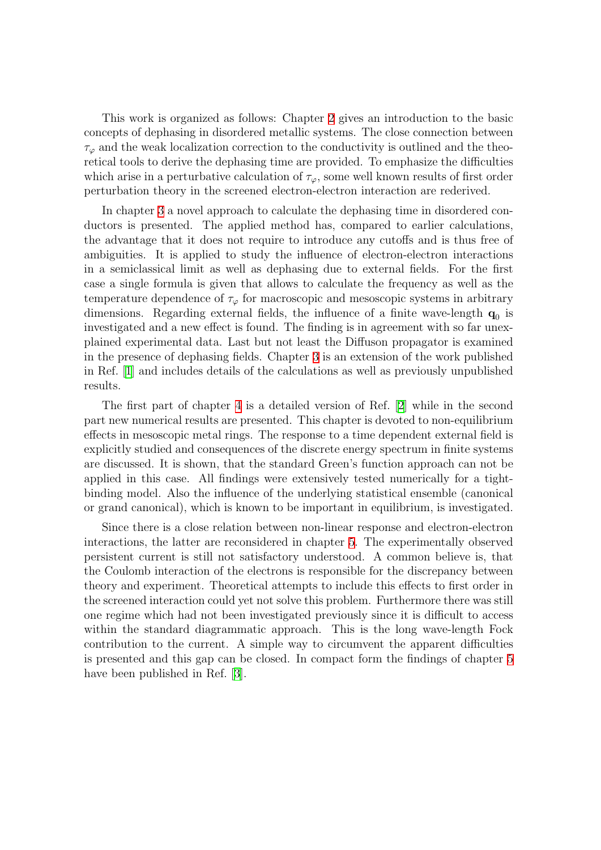This work is organized as follows: Chapter [2](#page-7-0) gives an introduction to the basic concepts of dephasing in disordered metallic systems. The close connection between  $\tau_{\varphi}$  and the weak localization correction to the conductivity is outlined and the theoretical tools to derive the dephasing time are provided. To emphasize the difficulties which arise in a perturbative calculation of  $\tau_{\varphi}$ , some well known results of first order perturbation theory in the screened electron-electron interaction are rederived.

In chapter [3](#page-35-0) a novel approach to calculate the dephasing time in disordered conductors is presented. The applied method has, compared to earlier calculations, the advantage that it does not require to introduce any cutoffs and is thus free of ambiguities. It is applied to study the influence of electron-electron interactions in a semiclassical limit as well as dephasing due to external fields. For the first case a single formula is given that allows to calculate the frequency as well as the temperature dependence of  $\tau_{\varphi}$  for macroscopic and mesoscopic systems in arbitrary dimensions. Regarding external fields, the influence of a finite wave-length  $q_0$  is investigated and a new effect is found. The finding is in agreement with so far unexplained experimental data. Last but not least the Diffuson propagator is examined in the presence of dephasing fields. Chapter [3](#page-35-0) is an extension of the work published in Ref.[[1](#page-133-0)] and includes details of the calculations as well as previously unpublished results.

The first part of chapter [4](#page-76-0) is a detailed version of Ref. [\[2](#page-133-1)] while in the second part new numerical results are presented. This chapter is devoted to non-equilibrium effects in mesoscopic metal rings. The response to a time dependent external field is explicitly studied and consequences of the discrete energy spectrum in finite systems are discussed. It is shown, that the standard Green's function approach can not be applied in this case. All findings were extensively tested numerically for a tightbinding model. Also the influence of the underlying statistical ensemble (canonical or grand canonical), which is known to be important in equilibrium, is investigated.

Since there is a close relation between non-linear response and electron-electron interactions, the latter are reconsidered in chapter [5](#page-109-0). The experimentally observed persistent current is still not satisfactory understood. A common believe is, that the Coulomb interaction of the electrons is responsible for the discrepancy between theory and experiment. Theoretical attempts to include this effects to first order in the screened interaction could yet not solve this problem. Furthermore there was still one regime which had not been investigated previously since it is difficult to access within the standard diagrammatic approach. This is the long wave-length Fock contribution to the current. A simple way to circumvent the apparent difficulties is presented and this gap can be closed. In compact form the findings of chapter [5](#page-109-0) have been published in Ref. [\[3](#page-133-2)].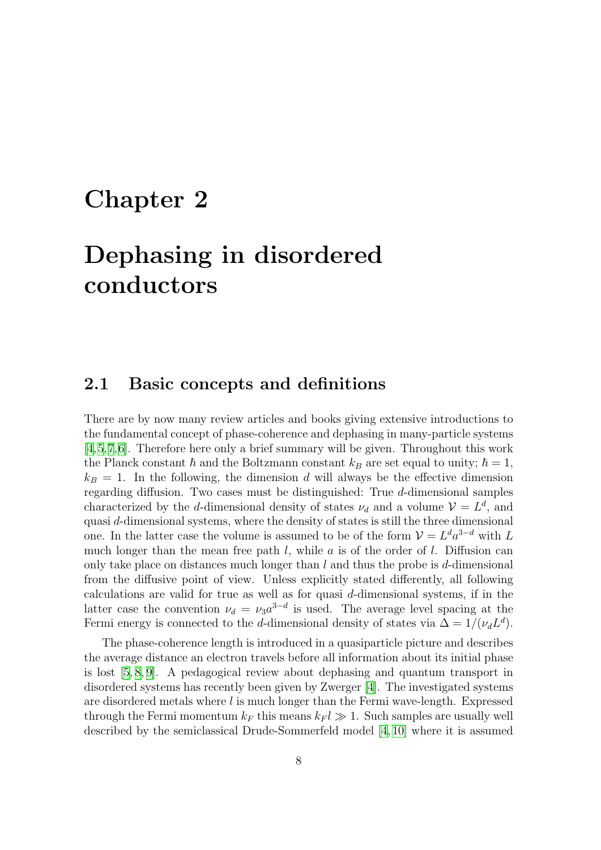## <span id="page-7-0"></span>Chapter 2

# Dephasing in disordered conductors

#### <span id="page-7-1"></span>2.1 Basic concepts and definitions

There are by now many review articles and books giving extensive introductions to the fundamental concept of phase-coherence and dephasing in many-particle systems [[4](#page-133-3),[5,](#page-133-4)[7](#page-133-5),[6](#page-133-6)]. Therefore here only a brief summary will be given. Throughout this work the Planck constant  $\hbar$  and the Boltzmann constant  $k_B$  are set equal to unity;  $\hbar = 1$ ,  $k_B = 1$ . In the following, the dimension d will always be the effective dimension regarding diffusion. Two cases must be distinguished: True d-dimensional samples characterized by the d-dimensional density of states  $\nu_d$  and a volume  $\mathcal{V} = L^d$ , and quasi d-dimensional systems, where the density of states is still the three dimensional one. In the latter case the volume is assumed to be of the form  $\mathcal{V} = L^d a^{3-d}$  with L much longer than the mean free path  $l$ , while  $a$  is of the order of  $l$ . Diffusion can only take place on distances much longer than  $l$  and thus the probe is  $d$ -dimensional from the diffusive point of view. Unless explicitly stated differently, all following calculations are valid for true as well as for quasi d-dimensional systems, if in the latter case the convention  $\nu_d = \nu_3 a^{3-d}$  is used. The average level spacing at the Fermi energy is connected to the d-dimensional density of states via  $\Delta = 1/(\nu_d L^d)$ .

The phase-coherence length is introduced in a quasiparticle picture and describes the average distance an electron travels before all information about its initial phase is lost[[5](#page-133-4), [8,](#page-133-7) [9\]](#page-133-8). A pedagogical review about dephasing and quantum transport in disordered systems has recently been given by Zwerger [\[4](#page-133-3)]. The investigated systems are disordered metals where  $l$  is much longer than the Fermi wave-length. Expressed through the Fermi momentum  $k_F$  this means  $k_F l \gg 1$ . Such samples are usually well described by the semiclassical Drude-Sommerfeld model[[4,](#page-133-3) [10](#page-133-9)] where it is assumed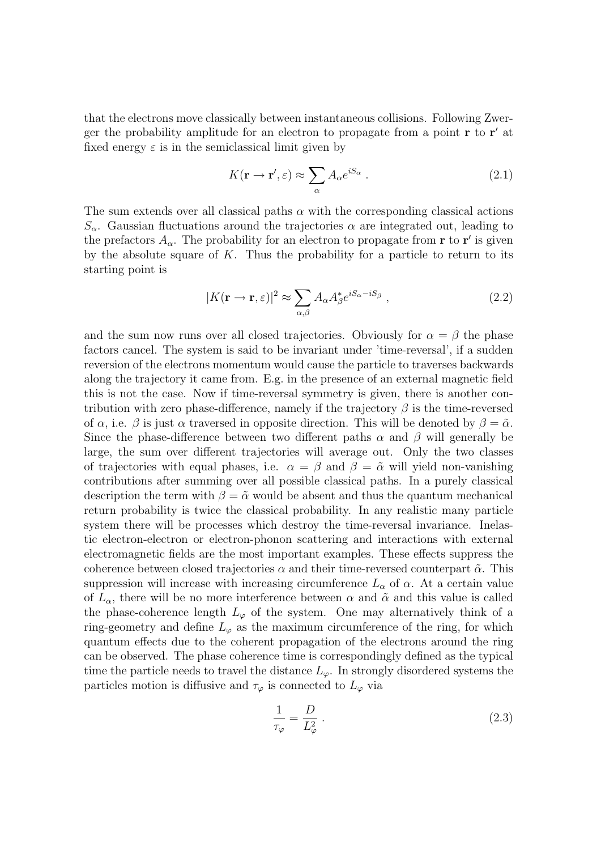that the electrons move classically between instantaneous collisions. Following Zwerger the probability amplitude for an electron to propagate from a point  $\mathbf r$  to  $\mathbf r'$  at fixed energy  $\varepsilon$  is in the semiclassical limit given by

$$
K(\mathbf{r} \to \mathbf{r}', \varepsilon) \approx \sum_{\alpha} A_{\alpha} e^{iS_{\alpha}} . \tag{2.1}
$$

The sum extends over all classical paths  $\alpha$  with the corresponding classical actions  $S_{\alpha}$ . Gaussian fluctuations around the trajectories  $\alpha$  are integrated out, leading to the prefactors  $A_{\alpha}$ . The probability for an electron to propagate from **r** to **r**' is given by the absolute square of  $K$ . Thus the probability for a particle to return to its starting point is

$$
|K(\mathbf{r} \to \mathbf{r}, \varepsilon)|^2 \approx \sum_{\alpha, \beta} A_{\alpha} A_{\beta}^* e^{iS_{\alpha} - iS_{\beta}} , \qquad (2.2)
$$

and the sum now runs over all closed trajectories. Obviously for  $\alpha = \beta$  the phase factors cancel. The system is said to be invariant under 'time-reversal', if a sudden reversion of the electrons momentum would cause the particle to traverses backwards along the trajectory it came from. E.g. in the presence of an external magnetic field this is not the case. Now if time-reversal symmetry is given, there is another contribution with zero phase-difference, namely if the trajectory  $\beta$  is the time-reversed of  $\alpha$ , i.e.  $\beta$  is just  $\alpha$  traversed in opposite direction. This will be denoted by  $\beta = \tilde{\alpha}$ . Since the phase-difference between two different paths  $\alpha$  and  $\beta$  will generally be large, the sum over different trajectories will average out. Only the two classes of trajectories with equal phases, i.e.  $\alpha = \beta$  and  $\beta = \tilde{\alpha}$  will yield non-vanishing contributions after summing over all possible classical paths. In a purely classical description the term with  $\beta = \tilde{\alpha}$  would be absent and thus the quantum mechanical return probability is twice the classical probability. In any realistic many particle system there will be processes which destroy the time-reversal invariance. Inelastic electron-electron or electron-phonon scattering and interactions with external electromagnetic fields are the most important examples. These effects suppress the coherence between closed trajectories  $\alpha$  and their time-reversed counterpart  $\tilde{\alpha}$ . This suppression will increase with increasing circumference  $L_{\alpha}$  of  $\alpha$ . At a certain value of  $L_{\alpha}$ , there will be no more interference between  $\alpha$  and  $\tilde{\alpha}$  and this value is called the phase-coherence length  $L_{\varphi}$  of the system. One may alternatively think of a ring-geometry and define  $L_{\varphi}$  as the maximum circumference of the ring, for which quantum effects due to the coherent propagation of the electrons around the ring can be observed. The phase coherence time is correspondingly defined as the typical time the particle needs to travel the distance  $L_{\varphi}$ . In strongly disordered systems the particles motion is diffusive and  $\tau_{\varphi}$  is connected to  $L_{\varphi}$  via

$$
\frac{1}{\tau_{\varphi}} = \frac{D}{L_{\varphi}^2} \,. \tag{2.3}
$$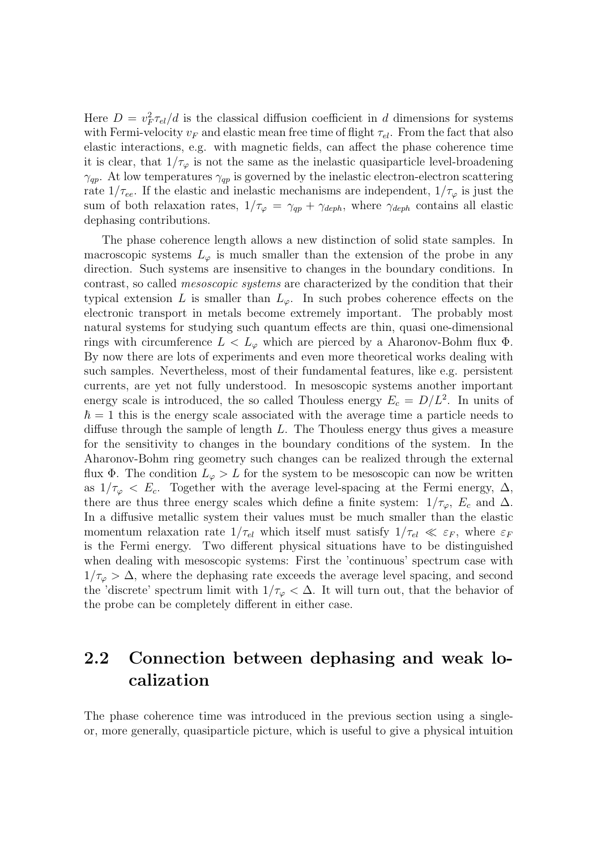Here  $D = v_F^2 \tau_{el}/d$  is the classical diffusion coefficient in d dimensions for systems with Fermi-velocity  $v_F$  and elastic mean free time of flight  $\tau_{el}$ . From the fact that also elastic interactions, e.g. with magnetic fields, can affect the phase coherence time it is clear, that  $1/\tau_{\varphi}$  is not the same as the inelastic quasiparticle level-broadening  $\gamma_{qp}$ . At low temperatures  $\gamma_{qp}$  is governed by the inelastic electron-electron scattering rate  $1/\tau_{ee}$ . If the elastic and inelastic mechanisms are independent,  $1/\tau_{\varphi}$  is just the sum of both relaxation rates,  $1/\tau_{\varphi} = \gamma_{qp} + \gamma_{deph}$ , where  $\gamma_{deph}$  contains all elastic dephasing contributions.

The phase coherence length allows a new distinction of solid state samples. In macroscopic systems  $L_{\varphi}$  is much smaller than the extension of the probe in any direction. Such systems are insensitive to changes in the boundary conditions. In contrast, so called mesoscopic systems are characterized by the condition that their typical extension L is smaller than  $L_{\varphi}$ . In such probes coherence effects on the electronic transport in metals become extremely important. The probably most natural systems for studying such quantum effects are thin, quasi one-dimensional rings with circumference  $L < L_{\varphi}$  which are pierced by a Aharonov-Bohm flux  $\Phi$ . By now there are lots of experiments and even more theoretical works dealing with such samples. Nevertheless, most of their fundamental features, like e.g. persistent currents, are yet not fully understood. In mesoscopic systems another important energy scale is introduced, the so called Thouless energy  $E_c = D/L^2$ . In units of  $\hbar = 1$  this is the energy scale associated with the average time a particle needs to diffuse through the sample of length  $L$ . The Thouless energy thus gives a measure for the sensitivity to changes in the boundary conditions of the system. In the Aharonov-Bohm ring geometry such changes can be realized through the external flux Φ. The condition  $L_{\varphi} > L$  for the system to be mesoscopic can now be written as  $1/\tau_{\varphi} < E_c$ . Together with the average level-spacing at the Fermi energy,  $\Delta$ , there are thus three energy scales which define a finite system:  $1/\tau_{\varphi}$ ,  $E_c$  and  $\Delta$ . In a diffusive metallic system their values must be much smaller than the elastic momentum relaxation rate  $1/\tau_{el}$  which itself must satisfy  $1/\tau_{el} \ll \varepsilon_F$ , where  $\varepsilon_F$ is the Fermi energy. Two different physical situations have to be distinguished when dealing with mesoscopic systems: First the 'continuous' spectrum case with  $1/\tau_{\varphi} > \Delta$ , where the dephasing rate exceeds the average level spacing, and second the 'discrete' spectrum limit with  $1/\tau_{\varphi} < \Delta$ . It will turn out, that the behavior of the probe can be completely different in either case.

#### <span id="page-9-0"></span>2.2 Connection between dephasing and weak localization

The phase coherence time was introduced in the previous section using a singleor, more generally, quasiparticle picture, which is useful to give a physical intuition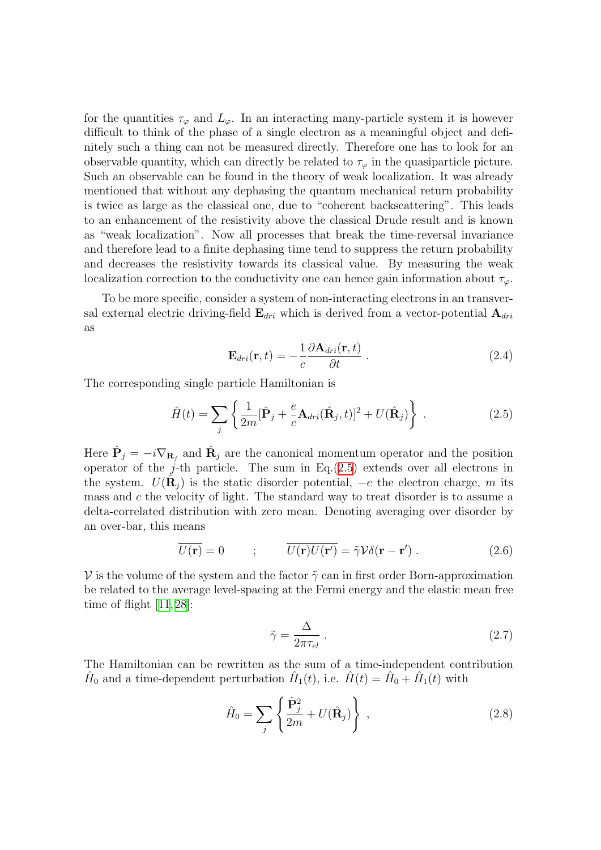for the quantities  $\tau_{\varphi}$  and  $L_{\varphi}$ . In an interacting many-particle system it is however difficult to think of the phase of a single electron as a meaningful object and definitely such a thing can not be measured directly. Therefore one has to look for an observable quantity, which can directly be related to  $\tau_{\varphi}$  in the quasiparticle picture. Such an observable can be found in the theory of weak localization. It was already mentioned that without any dephasing the quantum mechanical return probability is twice as large as the classical one, due to "coherent backscattering". This leads to an enhancement of the resistivity above the classical Drude result and is known as "weak localization". Now all processes that break the time-reversal invariance and therefore lead to a finite dephasing time tend to suppress the return probability and decreases the resistivity towards its classical value. By measuring the weak localization correction to the conductivity one can hence gain information about  $\tau_{\varphi}$ .

To be more specific, consider a system of non-interacting electrons in an transversal external electric driving-field  $\mathbf{E}_{dri}$  which is derived from a vector-potential  $\mathbf{A}_{dri}$ as

<span id="page-10-0"></span>
$$
\mathbf{E}_{dri}(\mathbf{r},t) = -\frac{1}{c} \frac{\partial \mathbf{A}_{dri}(\mathbf{r},t)}{\partial t} .
$$
 (2.4)

The corresponding single particle Hamiltonian is

$$
\hat{H}(t) = \sum_{j} \left\{ \frac{1}{2m} [\hat{\mathbf{P}}_j + \frac{e}{c} \mathbf{A}_{dri}(\hat{\mathbf{R}}_j, t)]^2 + U(\hat{\mathbf{R}}_j) \right\} \,. \tag{2.5}
$$

Here  $\hat{\mathbf{P}}_j = -i\nabla_{\mathbf{R}_j}$  and  $\hat{\mathbf{R}}_j$  are the canonical momentum operator and the position operator of the j-th particle. The sum in  $Eq.(2.5)$  $Eq.(2.5)$  extends over all electrons in the system.  $U(\hat{\mathbf{R}}_j)$  is the static disorder potential,  $-e$  the electron charge, m its mass and  $c$  the velocity of light. The standard way to treat disorder is to assume a delta-correlated distribution with zero mean. Denoting averaging over disorder by an over-bar, this means

$$
\overline{U(\mathbf{r})} = 0 \qquad ; \qquad \overline{U(\mathbf{r})U(\mathbf{r}')} = \tilde{\gamma}\mathcal{V}\delta(\mathbf{r} - \mathbf{r}'). \tag{2.6}
$$

V is the volume of the system and the factor  $\tilde{\gamma}$  can in first order Born-approximation be related to the average level-spacing at the Fermi energy and the elastic mean free timeof flight  $[11, 28]$  $[11, 28]$  $[11, 28]$  $[11, 28]$ :

$$
\tilde{\gamma} = \frac{\Delta}{2\pi\tau_{el}}\,. \tag{2.7}
$$

The Hamiltonian can be rewritten as the sum of a time-independent contribution  $\hat{H}_0$  and a time-dependent perturbation  $\hat{H}_1(t)$ , i.e.  $\hat{H}(t) = \hat{H}_0 + \hat{H}_1(t)$  with

$$
\hat{H}_0 = \sum_j \left\{ \frac{\hat{\mathbf{P}}_j^2}{2m} + U(\hat{\mathbf{R}}_j) \right\},\tag{2.8}
$$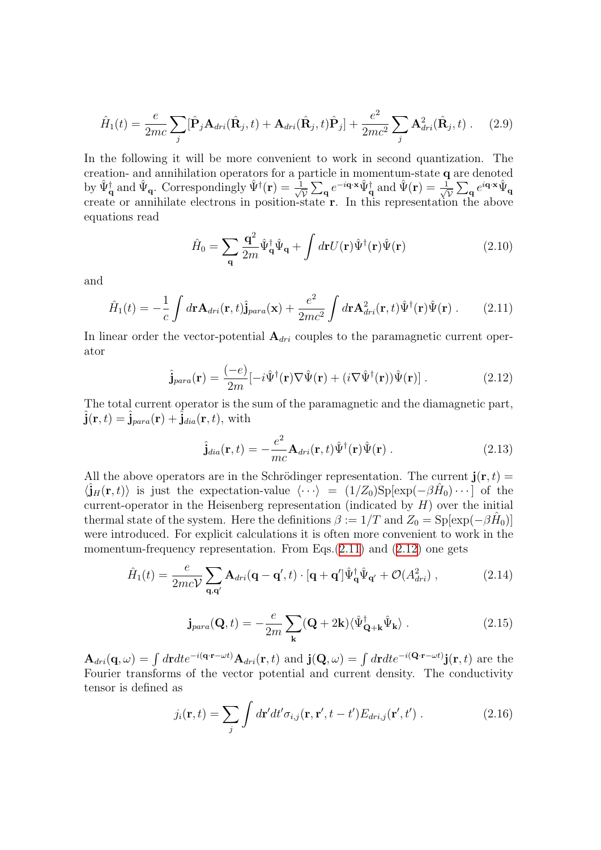$$
\hat{H}_1(t) = \frac{e}{2mc} \sum_j [\hat{\mathbf{P}}_j \mathbf{A}_{dri}(\hat{\mathbf{R}}_j, t) + \mathbf{A}_{dri}(\hat{\mathbf{R}}_j, t)\hat{\mathbf{P}}_j] + \frac{e^2}{2mc^2} \sum_j \mathbf{A}_{dri}^2(\hat{\mathbf{R}}_j, t) .
$$
 (2.9)

In the following it will be more convenient to work in second quantization. The creation- and annihilation operators for a particle in momentum-state q are denoted by  $\hat{\Psi}_{\mathbf{q}}^{\dagger}$  and  $\hat{\Psi}_{\mathbf{q}}$ . Correspondingly  $\hat{\Psi}^{\dagger}(\mathbf{r}) = \frac{1}{\sqrt{2}}$  $\frac{1}{\overline{\mathcal{V}}} \sum_{\mathbf{q}} e^{-i\mathbf{q} \cdot \mathbf{x}} \hat{\Psi}_{\mathbf{q}}^{\dagger}$  and  $\hat{\Psi}(\mathbf{r}) = \frac{1}{\sqrt{2}}$  $\frac{1}{\overline{\mathcal{V}}}\sum_{\mathbf{q}}e^{i\mathbf{q}\cdot\mathbf{x}}\hat{\Psi}_{\mathbf{q}}$ create or annihilate electrons in position-state r. In this representation the above equations read

<span id="page-11-4"></span><span id="page-11-0"></span>
$$
\hat{H}_0 = \sum_{\mathbf{q}} \frac{\mathbf{q}^2}{2m} \hat{\Psi}_{\mathbf{q}}^\dagger \hat{\Psi}_{\mathbf{q}} + \int d\mathbf{r} U(\mathbf{r}) \hat{\Psi}^\dagger(\mathbf{r}) \hat{\Psi}(\mathbf{r}) \tag{2.10}
$$

and

$$
\hat{H}_1(t) = -\frac{1}{c} \int d\mathbf{r} \mathbf{A}_{dri}(\mathbf{r}, t) \hat{\mathbf{j}}_{para}(\mathbf{x}) + \frac{e^2}{2mc^2} \int d\mathbf{r} \mathbf{A}_{dri}^2(\mathbf{r}, t) \hat{\Psi}^\dagger(\mathbf{r}) \hat{\Psi}(\mathbf{r}) . \tag{2.11}
$$

In linear order the vector-potential  $A_{dri}$  couples to the paramagnetic current operator

$$
\hat{\mathbf{j}}_{para}(\mathbf{r}) = \frac{(-e)}{2m}[-i\hat{\Psi}^{\dagger}(\mathbf{r})\nabla\hat{\Psi}(\mathbf{r}) + (i\nabla\hat{\Psi}^{\dagger}(\mathbf{r}))\hat{\Psi}(\mathbf{r})].
$$
\n(2.12)

The total current operator is the sum of the paramagnetic and the diamagnetic part,  $\hat{\mathbf{j}}(\mathbf{r},t) = \hat{\mathbf{j}}_{para}(\mathbf{r}) + \hat{\mathbf{j}}_{dia}(\mathbf{r},t)$ , with

<span id="page-11-1"></span>
$$
\hat{\mathbf{j}}_{dia}(\mathbf{r},t) = -\frac{e^2}{mc}\mathbf{A}_{dri}(\mathbf{r},t)\hat{\Psi}^{\dagger}(\mathbf{r})\hat{\Psi}(\mathbf{r})\,. \tag{2.13}
$$

All the above operators are in the Schrödinger representation. The current  $\mathbf{j}(\mathbf{r},t) =$  $\langle \hat{\mathbf{j}}_H(\mathbf{r},t) \rangle$  is just the expectation-value  $\langle \cdots \rangle = (1/Z_0)Sp[\exp(-\beta \hat{H}_0) \cdots]$  of the current-operator in the Heisenberg representation (indicated by  $H$ ) over the initial thermal state of the system. Here the definitions  $\beta := 1/T$  and  $Z_0 = \text{Sp}[\exp(-\beta \hat{H}_0)]$ were introduced. For explicit calculations it is often more convenient to work in the momentum-frequencyrepresentation. From Eqs. $(2.11)$  and  $(2.12)$  $(2.12)$  one gets

$$
\hat{H}_1(t) = \frac{e}{2mc\mathcal{V}} \sum_{\mathbf{q}, \mathbf{q'}} \mathbf{A}_{dri}(\mathbf{q} - \mathbf{q'}, t) \cdot [\mathbf{q} + \mathbf{q'}]\hat{\Psi}_{\mathbf{q}}^{\dagger}\hat{\Psi}_{\mathbf{q'}} + \mathcal{O}(A_{dri}^2) ,
$$
\n(2.14)

<span id="page-11-3"></span>
$$
\mathbf{j}_{para}(\mathbf{Q},t) = -\frac{e}{2m} \sum_{\mathbf{k}} (\mathbf{Q} + 2\mathbf{k}) \langle \hat{\Psi}_{\mathbf{Q}+\mathbf{k}}^{\dagger} \hat{\Psi}_{\mathbf{k}} \rangle . \tag{2.15}
$$

 $\mathbf{A}_{dri}(\mathbf{q},\omega) = \int d\mathbf{r}dte^{-i(\mathbf{q}\cdot\mathbf{r}-\omega t)}\mathbf{A}_{dri}(\mathbf{r},t)$  and  $\mathbf{j}(\mathbf{Q},\omega) = \int d\mathbf{r}dte^{-i(\mathbf{Q}\cdot\mathbf{r}-\omega t)}\mathbf{j}(\mathbf{r},t)$  are the Fourier transforms of the vector potential and current density. The conductivity tensor is defined as

<span id="page-11-2"></span>
$$
j_i(\mathbf{r},t) = \sum_j \int d\mathbf{r}' dt' \sigma_{i,j}(\mathbf{r},\mathbf{r}',t-t') E_{dri,j}(\mathbf{r}',t') . \qquad (2.16)
$$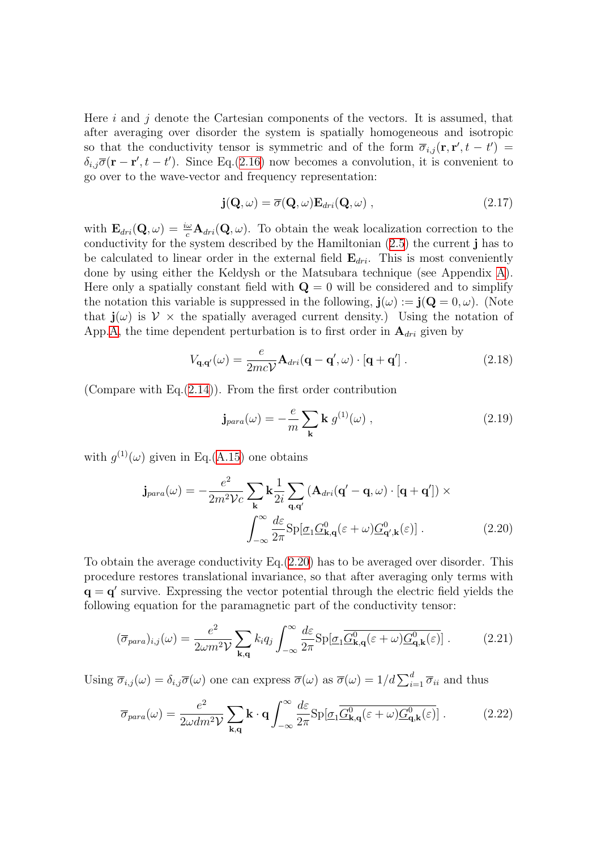Here i and j denote the Cartesian components of the vectors. It is assumed, that after averaging over disorder the system is spatially homogeneous and isotropic so that the conductivity tensor is symmetric and of the form  $\overline{\sigma}_{i,j}(\mathbf{r},\mathbf{r}',t-t')$  $\delta_{i,j}\overline{\sigma}(\mathbf{r}-\mathbf{r}',t-t')$ . Since Eq.[\(2.16\)](#page-11-2) now becomes a convolution, it is convenient to go over to the wave-vector and frequency representation:

$$
\mathbf{j}(\mathbf{Q},\omega) = \overline{\sigma}(\mathbf{Q},\omega) \mathbf{E}_{dri}(\mathbf{Q},\omega) , \qquad (2.17)
$$

with  $\mathbf{E}_{dri}(\mathbf{Q}, \omega) = \frac{i\omega}{c} \mathbf{A}_{dri}(\mathbf{Q}, \omega)$ . To obtain the weak localization correction to the conductivity for the system described by the Hamiltonian [\(2.5\)](#page-10-0) the current j has to be calculated to linear order in the external field  $\mathbf{E}_{dri}$ . This is most conveniently done by using either the Keldysh or the Matsubara technique (see Appendix [A\)](#page-122-0). Here only a spatially constant field with  $\mathbf{Q} = 0$  will be considered and to simplify the notation this variable is suppressed in the following,  $\mathbf{j}(\omega) := \mathbf{j}(\mathbf{Q} = 0, \omega)$ . (Note that  $\mathbf{j}(\omega)$  is  $\mathcal{V} \times$  the spatially averaged current density.) Using the notation of App[.A](#page-122-0), the time dependent perturbation is to first order in  $A_{dri}$  given by

$$
V_{\mathbf{q},\mathbf{q}'}(\omega) = \frac{e}{2mc\mathcal{V}} \mathbf{A}_{dri}(\mathbf{q} - \mathbf{q}',\omega) \cdot [\mathbf{q} + \mathbf{q}'] . \qquad (2.18)
$$

(Compare with Eq.([2.14](#page-11-3))). From the first order contribution

<span id="page-12-0"></span>
$$
\mathbf{j}_{para}(\omega) = -\frac{e}{m} \sum_{\mathbf{k}} \mathbf{k} \ g^{(1)}(\omega) \ , \tag{2.19}
$$

with  $g^{(1)}(\omega)$  given in Eq.[\(A.15\)](#page-125-0) one obtains

$$
\mathbf{j}_{para}(\omega) = -\frac{e^2}{2m^2 \mathcal{V}c} \sum_{\mathbf{k}} \mathbf{k} \frac{1}{2i} \sum_{\mathbf{q}, \mathbf{q}'} (\mathbf{A}_{dri}(\mathbf{q}' - \mathbf{q}, \omega) \cdot [\mathbf{q} + \mathbf{q}']) \times
$$

$$
\int_{-\infty}^{\infty} \frac{d\varepsilon}{2\pi} \text{Sp}[\underline{\sigma}_1 \underline{G}_{\mathbf{k}, \mathbf{q}}^0(\varepsilon + \omega) \underline{G}_{\mathbf{q}', \mathbf{k}}^0(\varepsilon)]. \tag{2.20}
$$

To obtain the average conductivity Eq.([2.20\)](#page-12-0) has to be averaged over disorder. This procedure restores translational invariance, so that after averaging only terms with  $\mathbf{q} = \mathbf{q}'$  survive. Expressing the vector potential through the electric field yields the following equation for the paramagnetic part of the conductivity tensor:

$$
(\overline{\sigma}_{para})_{i,j}(\omega) = \frac{e^2}{2\omega m^2 \mathcal{V}} \sum_{\mathbf{k},\mathbf{q}} k_i q_j \int_{-\infty}^{\infty} \frac{d\varepsilon}{2\pi} \text{Sp}[\underline{\sigma}_1 \overline{\underline{G}_{\mathbf{k},\mathbf{q}}^0(\varepsilon + \omega) \underline{G}_{\mathbf{q},\mathbf{k}}^0(\varepsilon)}] \,. \tag{2.21}
$$

Using  $\overline{\sigma}_{i,j}(\omega) = \delta_{i,j} \overline{\sigma}(\omega)$  one can express  $\overline{\sigma}(\omega)$  as  $\overline{\sigma}(\omega) = 1/d \sum_{i=1}^d \overline{\sigma}_{ii}$  and thus

$$
\overline{\sigma}_{para}(\omega) = \frac{e^2}{2\omega dm^2 \mathcal{V}} \sum_{\mathbf{k}, \mathbf{q}} \mathbf{k} \cdot \mathbf{q} \int_{-\infty}^{\infty} \frac{d\varepsilon}{2\pi} \text{Sp}[\underline{\sigma}_1 \overline{\underline{G}_{\mathbf{k}, \mathbf{q}}^0(\varepsilon + \omega) \underline{G}_{\mathbf{q}, \mathbf{k}}^0(\varepsilon)}] . \tag{2.22}
$$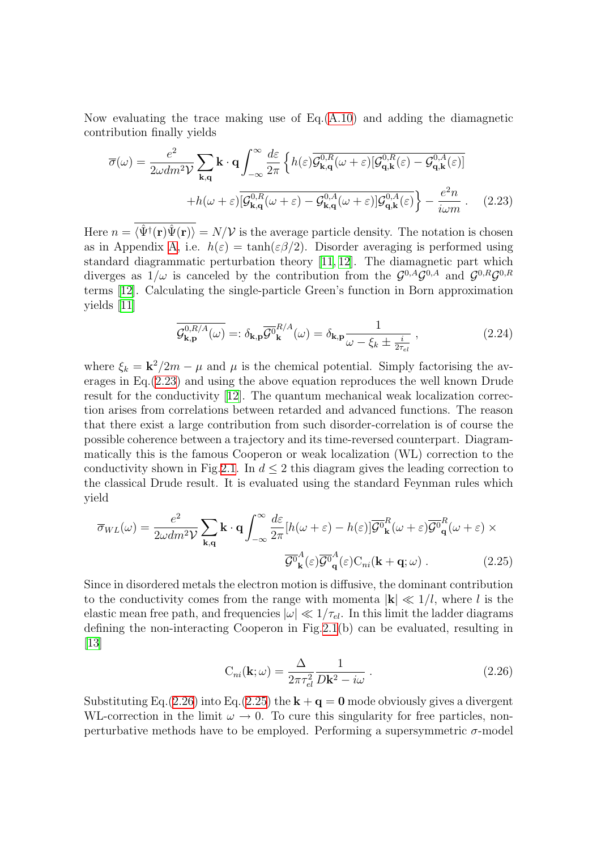Now evaluating the trace making use of  $Eq.(A.10)$  $Eq.(A.10)$  $Eq.(A.10)$  and adding the diamagnetic contribution finally yields

<span id="page-13-0"></span>
$$
\overline{\sigma}(\omega) = \frac{e^2}{2\omega dm^2 \mathcal{V}} \sum_{\mathbf{k}, \mathbf{q}} \mathbf{k} \cdot \mathbf{q} \int_{-\infty}^{\infty} \frac{d\varepsilon}{2\pi} \left\{ h(\varepsilon) \overline{\mathcal{G}_{\mathbf{k}, \mathbf{q}}^{0, R}(\omega + \varepsilon)} [\mathcal{G}_{\mathbf{q}, \mathbf{k}}^{0, R}(\varepsilon) - \mathcal{G}_{\mathbf{q}, \mathbf{k}}^{0, A}(\varepsilon)] \right\}
$$

$$
+ h(\omega + \varepsilon) \overline{[\mathcal{G}_{\mathbf{k}, \mathbf{q}}^{0, R}(\omega + \varepsilon) - \mathcal{G}_{\mathbf{k}, \mathbf{q}}^{0, A}(\omega + \varepsilon)] \mathcal{G}_{\mathbf{q}, \mathbf{k}}^{0, A}(\varepsilon)} - \frac{e^2 n}{i \omega m} \,. \tag{2.23}
$$

Here  $n = \langle \hat{\Psi}^{\dagger}({\bf r}) \hat{\Psi}({\bf r}) \rangle = N/V$  is the average particle density. The notation is chosen as in Appendix [A,](#page-122-0) i.e.  $h(\varepsilon) = \tanh(\varepsilon/\beta/2)$ . Disorder averaging is performed using standard diagrammatic perturbation theory [\[11](#page-133-10), [12](#page-133-11)]. The diamagnetic part which diverges as  $1/\omega$  is canceled by the contribution from the  $\mathcal{G}^{0,A}\mathcal{G}^{0,A}$  and  $\mathcal{G}^{0,R}\mathcal{G}^{0,R}$ terms [\[12](#page-133-11)]. Calculating the single-particle Green's function in Born approximation yields [\[11](#page-133-10)]

<span id="page-13-3"></span>
$$
\overline{\mathcal{G}_{\mathbf{k},\mathbf{p}}^{0,R/A}(\omega)} =: \delta_{\mathbf{k},\mathbf{p}} \overline{\mathcal{G}^0}_{\mathbf{k}}^{R/A}(\omega) = \delta_{\mathbf{k},\mathbf{p}} \frac{1}{\omega - \xi_k \pm \frac{i}{2\tau_{el}}},\tag{2.24}
$$

where  $\xi_k = \mathbf{k}^2/2m - \mu$  and  $\mu$  is the chemical potential. Simply factorising the averages in Eq.([2.23\)](#page-13-0) and using the above equation reproduces the well known Drude result for the conductivity[[12\]](#page-133-11). The quantum mechanical weak localization correction arises from correlations between retarded and advanced functions. The reason that there exist a large contribution from such disorder-correlation is of course the possible coherence between a trajectory and its time-reversed counterpart. Diagrammatically this is the famous Cooperon or weak localization (WL) correction to the conductivity shown in Fig.[2.1.](#page-14-0) In  $d \leq 2$  this diagram gives the leading correction to the classical Drude result. It is evaluated using the standard Feynman rules which yield

$$
\overline{\sigma}_{WL}(\omega) = \frac{e^2}{2\omega dm^2 \mathcal{V}} \sum_{\mathbf{k}, \mathbf{q}} \mathbf{k} \cdot \mathbf{q} \int_{-\infty}^{\infty} \frac{d\varepsilon}{2\pi} [h(\omega + \varepsilon) - h(\varepsilon)] \overline{\mathcal{G}^0}_{\mathbf{k}}^R(\omega + \varepsilon) \overline{\mathcal{G}^0}_{\mathbf{q}}^R(\omega + \varepsilon) \times
$$

$$
\overline{\mathcal{G}^0}_{\mathbf{k}}^A(\varepsilon) \overline{\mathcal{G}^0}_{\mathbf{q}}^A(\varepsilon) C_{ni}(\mathbf{k} + \mathbf{q}; \omega) . \tag{2.25}
$$

Since in disordered metals the electron motion is diffusive, the dominant contribution to the conductivity comes from the range with momenta  $|\mathbf{k}| \ll 1/l$ , where l is the elastic mean free path, and frequencies  $|\omega| \ll 1/\tau_{el}$ . In this limit the ladder diagrams defining the non-interacting Cooperon in Fig.  $2.1(b)$  $2.1(b)$  can be evaluated, resulting in [[13](#page-133-12)]

<span id="page-13-2"></span><span id="page-13-1"></span>
$$
C_{ni}(\mathbf{k};\omega) = \frac{\Delta}{2\pi\tau_{el}^2} \frac{1}{D\mathbf{k}^2 - i\omega} \ . \tag{2.26}
$$

Substituting Eq. [\(2.26\)](#page-13-1) into Eq. ([2.25](#page-13-2)) the  $\mathbf{k} + \mathbf{q} = \mathbf{0}$  mode obviously gives a divergent WL-correction in the limit  $\omega \to 0$ . To cure this singularity for free particles, nonperturbative methods have to be employed. Performing a supersymmetric  $\sigma$ -model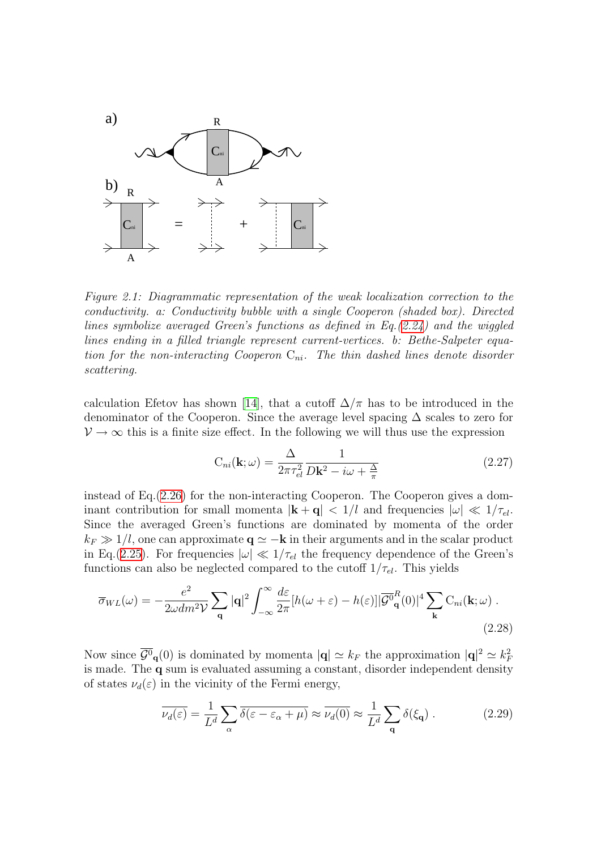

<span id="page-14-0"></span>Figure 2.1: Diagrammatic representation of the weak localization correction to the conductivity. a: Conductivity bubble with a single Cooperon (shaded box). Directed lines symbolize averaged Green's functions as defined in Eq.[\(2.24\)](#page-13-3) and the wiggled lines ending in a filled triangle represent current-vertices. b: Bethe-Salpeter equation for the non-interacting Cooperon  $C_{ni}$ . The thin dashed lines denote disorder scattering.

calculationEfetov has shown [[14](#page-133-13)], that a cutoff  $\Delta/\pi$  has to be introduced in the denominator of the Cooperon. Since the average level spacing  $\Delta$  scales to zero for  $\mathcal{V} \to \infty$  this is a finite size effect. In the following we will thus use the expression

<span id="page-14-2"></span><span id="page-14-1"></span>
$$
C_{ni}(\mathbf{k};\omega) = \frac{\Delta}{2\pi\tau_{el}^2} \frac{1}{D\mathbf{k}^2 - i\omega + \frac{\Delta}{\pi}}
$$
(2.27)

instead of Eq.[\(2.26\)](#page-13-1) for the non-interacting Cooperon. The Cooperon gives a dominant contribution for small momenta  $|\mathbf{k} + \mathbf{q}| < 1/l$  and frequencies  $|\omega| \ll 1/\tau_{el}$ . Since the averaged Green's functions are dominated by momenta of the order  $k_F \gg 1/l$ , one can approximate  $\mathbf{q} \simeq -\mathbf{k}$  in their arguments and in the scalar product in Eq.[\(2.25](#page-13-2)). For frequencies  $|\omega| \ll 1/\tau_{el}$  the frequency dependence of the Green's functions can also be neglected compared to the cutoff  $1/\tau_{el}$ . This yields

$$
\overline{\sigma}_{WL}(\omega) = -\frac{e^2}{2\omega dm^2 \mathcal{V}} \sum_{\mathbf{q}} |\mathbf{q}|^2 \int_{-\infty}^{\infty} \frac{d\varepsilon}{2\pi} [h(\omega + \varepsilon) - h(\varepsilon)] |\overline{\mathcal{G}}_q^0(0)|^4 \sum_{\mathbf{k}} C_{ni}(\mathbf{k}; \omega) .
$$
\n(2.28)

Now since  $\overline{\mathcal{G}^0}_{\mathbf{q}}(0)$  is dominated by momenta  $|\mathbf{q}|\simeq k_F$  the approximation  $|\mathbf{q}|^2 \simeq k_F^2$ is made. The q sum is evaluated assuming a constant, disorder independent density of states  $\nu_d(\varepsilon)$  in the vicinity of the Fermi energy,

<span id="page-14-3"></span>
$$
\overline{\nu_d(\varepsilon)} = \frac{1}{L^d} \sum_{\alpha} \overline{\delta(\varepsilon - \varepsilon_{\alpha} + \mu)} \approx \overline{\nu_d(0)} \approx \frac{1}{L^d} \sum_{\mathbf{q}} \delta(\xi_{\mathbf{q}}) . \tag{2.29}
$$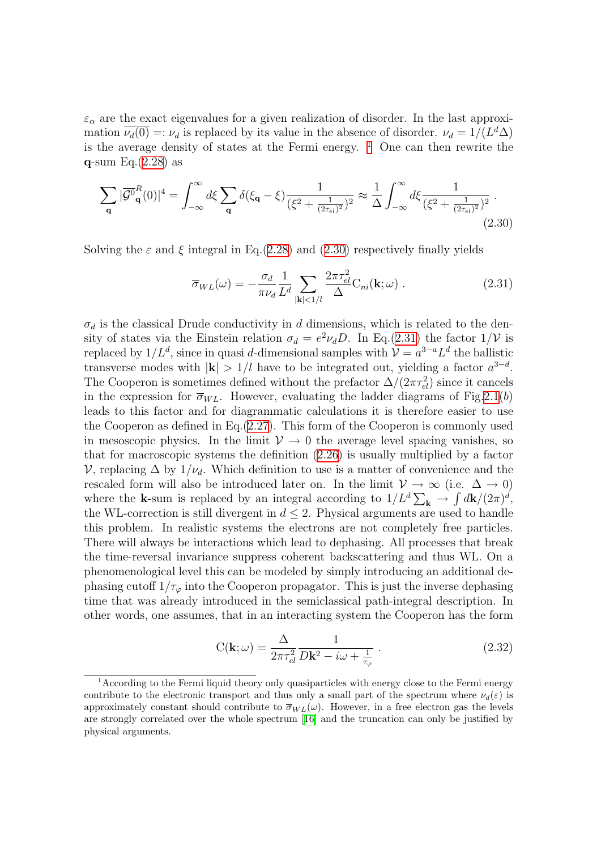$\varepsilon_{\alpha}$  are the exact eigenvalues for a given realization of disorder. In the last approximation  $\overline{\nu_d(0)} =: \nu_d$  is replaced by its value in the absence of disorder.  $\nu_d = 1/(L^d \Delta)$ is the average density of states at the Fermi energy.  $\frac{1}{1}$  $\frac{1}{1}$  $\frac{1}{1}$  One can then rewrite the  $q$ -sum Eq. $(2.28)$  as

$$
\sum_{\mathbf{q}} |\overline{\mathcal{G}^0}_{\mathbf{q}}^R(0)|^4 = \int_{-\infty}^{\infty} d\xi \sum_{\mathbf{q}} \delta(\xi_{\mathbf{q}} - \xi) \frac{1}{(\xi^2 + \frac{1}{(2\tau_{el})^2})^2} \approx \frac{1}{\Delta} \int_{-\infty}^{\infty} d\xi \frac{1}{(\xi^2 + \frac{1}{(2\tau_{el})^2})^2} \,. \tag{2.30}
$$

Solving the  $\varepsilon$  and  $\xi$  integral in Eq.([2.28\)](#page-14-1) and [\(2.30](#page-15-1)) respectively finally yields

<span id="page-15-2"></span><span id="page-15-1"></span>
$$
\overline{\sigma}_{WL}(\omega) = -\frac{\sigma_d}{\pi \nu_d} \frac{1}{L^d} \sum_{|\mathbf{k}| < 1/l} \frac{2\pi \tau_{el}^2}{\Delta} C_{ni}(\mathbf{k}; \omega) . \qquad (2.31)
$$

 $\sigma_d$  is the classical Drude conductivity in d dimensions, which is related to the density of states via the Einstein relation  $\sigma_d = e^2 \nu_d D$ . In Eq.([2.31](#page-15-2)) the factor  $1/\mathcal{V}$  is replaced by  $1/L^d$ , since in quasi d-dimensional samples with  $\mathcal{V} = a^{3-a} L^d$  the ballistic transverse modes with  $|\mathbf{k}| > 1/l$  have to be integrated out, yielding a factor  $a^{3-d}$ . The Cooperon is sometimes defined without the prefactor  $\Delta/(2\pi\tau_{el}^2)$  since it cancels in the expression for  $\overline{\sigma}_{WL}$ . However, evaluating the ladder diagrams of Fig. 2.1(b) leads to this factor and for diagrammatic calculations it is therefore easier to use the Cooperon as defined in Eq.[\(2.27](#page-14-2)). This form of the Cooperon is commonly used in mesoscopic physics. In the limit  $\mathcal{V} \to 0$  the average level spacing vanishes, so that for macroscopic systems the definition [\(2.26](#page-13-1)) is usually multiplied by a factor V, replacing  $\Delta$  by  $1/\nu_d$ . Which definition to use is a matter of convenience and the rescaled form will also be introduced later on. In the limit  $\mathcal{V} \to \infty$  (i.e.  $\Delta \to 0$ ) where the **k**-sum is replaced by an integral according to  $1/L^d \sum_{\mathbf{k}} \rightarrow \int d\mathbf{k}/(2\pi)^d$ , the WL-correction is still divergent in  $d \leq 2$ . Physical arguments are used to handle this problem. In realistic systems the electrons are not completely free particles. There will always be interactions which lead to dephasing. All processes that break the time-reversal invariance suppress coherent backscattering and thus WL. On a phenomenological level this can be modeled by simply introducing an additional dephasing cutoff  $1/\tau_{\varphi}$  into the Cooperon propagator. This is just the inverse dephasing time that was already introduced in the semiclassical path-integral description. In other words, one assumes, that in an interacting system the Cooperon has the form

<span id="page-15-3"></span>
$$
C(\mathbf{k};\omega) = \frac{\Delta}{2\pi\tau_{el}^2} \frac{1}{D\mathbf{k}^2 - i\omega + \frac{1}{\tau_{\varphi}}}.
$$
\n(2.32)

<span id="page-15-0"></span> $1$ According to the Fermi liquid theory only quasiparticles with energy close to the Fermi energy contribute to the electronic transport and thus only a small part of the spectrum where  $\nu_d(\varepsilon)$  is approximately constant should contribute to  $\overline{\sigma}_{WL}(\omega)$ . However, in a free electron gas the levels are strongly correlated over the whole spectrum [\[16](#page-134-1)] and the truncation can only be justified by physical arguments.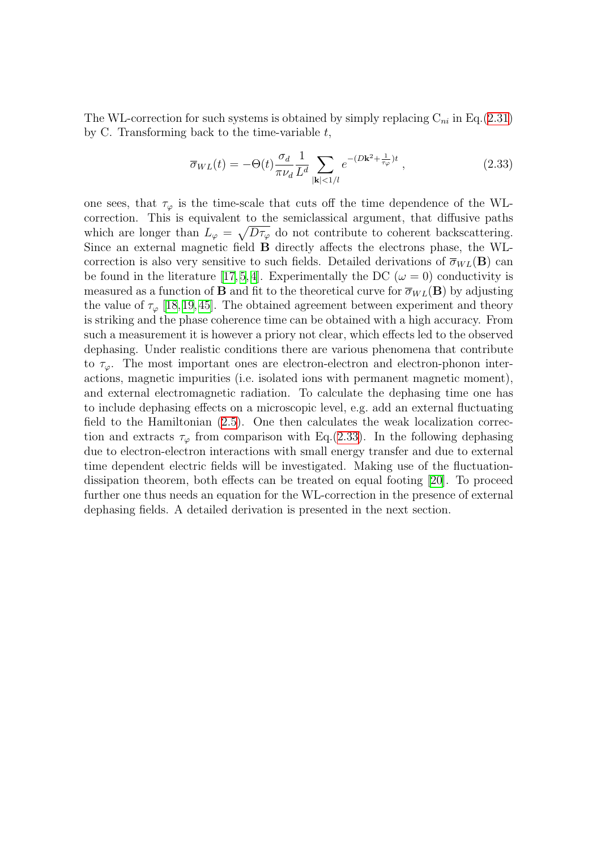The WL-correction for such systems is obtained by simply replacing  $C_{ni}$  in Eq.[\(2.31](#page-15-2)) by C. Transforming back to the time-variable  $t$ ,

<span id="page-16-0"></span>
$$
\overline{\sigma}_{WL}(t) = -\Theta(t) \frac{\sigma_d}{\pi \nu_d} \frac{1}{L^d} \sum_{|\mathbf{k}| < 1/l} e^{-(D\mathbf{k}^2 + \frac{1}{\tau_\varphi})t} \,, \tag{2.33}
$$

one sees, that  $\tau_{\varphi}$  is the time-scale that cuts off the time dependence of the WLcorrection. This is equivalent to the semiclassical argument, that diffusive paths which are longer than  $L_{\varphi} = \sqrt{D\tau_{\varphi}}$  do not contribute to coherent backscattering. Since an external magnetic field B directly affects the electrons phase, the WLcorrection is also very sensitive to such fields. Detailed derivations of  $\overline{\sigma}_{WL}(\mathbf{B})$  can be found in the literature [\[17,](#page-134-2) [5,](#page-133-4) [4](#page-133-3)]. Experimentally the DC ( $\omega = 0$ ) conductivity is measured as a function of **B** and fit to the theoretical curve for  $\overline{\sigma}_{WL}(\mathbf{B})$  by adjusting the value of  $\tau_{\varphi}$  [\[18,](#page-134-3)[19](#page-134-4),[45](#page-135-0)]. The obtained agreement between experiment and theory is striking and the phase coherence time can be obtained with a high accuracy. From such a measurement it is however a priory not clear, which effects led to the observed dephasing. Under realistic conditions there are various phenomena that contribute to  $\tau_{\varphi}$ . The most important ones are electron-electron and electron-phonon interactions, magnetic impurities (i.e. isolated ions with permanent magnetic moment), and external electromagnetic radiation. To calculate the dephasing time one has to include dephasing effects on a microscopic level, e.g. add an external fluctuating field to the Hamiltonian([2.5\)](#page-10-0). One then calculates the weak localization correction and extracts  $\tau_{\varphi}$  from comparison with Eq.[\(2.33](#page-16-0)). In the following dephasing due to electron-electron interactions with small energy transfer and due to external time dependent electric fields will be investigated. Making use of the fluctuationdissipation theorem, both effects can be treated on equal footing[[20](#page-134-5)]. To proceed further one thus needs an equation for the WL-correction in the presence of external dephasing fields. A detailed derivation is presented in the next section.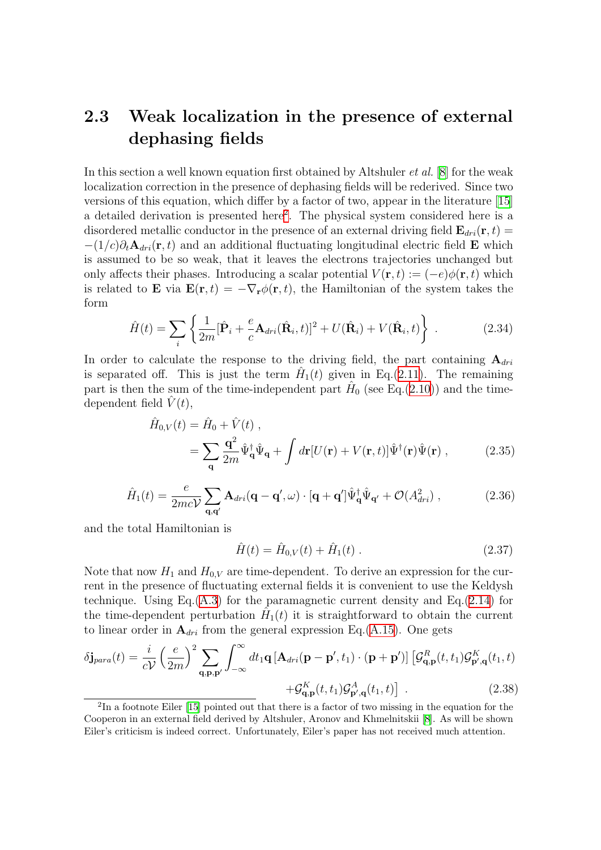#### <span id="page-17-0"></span>2.3 Weak localization in the presence of external dephasing fields

In this section a well known equation first obtained by Altshuler *et al.* [[8](#page-133-7)] for the weak localization correction in the presence of dephasing fields will be rederived. Since two versions of this equation, which differ by a factor of two, appear in the literature[[15](#page-134-6)] a detailed derivation is presented here<sup>[2](#page-17-1)</sup>. The physical system considered here is a disordered metallic conductor in the presence of an external driving field  $\mathbf{E}_{dri}(\mathbf{r},t)$  =  $-(1/c)\partial_t \mathbf{A}_{dri}(\mathbf{r},t)$  and an additional fluctuating longitudinal electric field **E** which is assumed to be so weak, that it leaves the electrons trajectories unchanged but only affects their phases. Introducing a scalar potential  $V(\mathbf{r}, t) := (-e)\phi(\mathbf{r}, t)$  which is related to **E** via  $\mathbf{E}(\mathbf{r},t) = -\nabla_{\mathbf{r}}\phi(\mathbf{r},t)$ , the Hamiltonian of the system takes the form

$$
\hat{H}(t) = \sum_{i} \left\{ \frac{1}{2m} [\hat{\mathbf{P}}_i + \frac{e}{c} \mathbf{A}_{dri}(\hat{\mathbf{R}}_i, t)]^2 + U(\hat{\mathbf{R}}_i) + V(\hat{\mathbf{R}}_i, t) \right\}.
$$
 (2.34)

In order to calculate the response to the driving field, the part containing  $A_{diri}$ is separated off. This is just the term  $\hat{H}_1(t)$  given in Eq.[\(2.11](#page-11-0)). The remaining part is then the sum of the time-independent part  $\hat{H}_0$  (see Eq.([2.10](#page-11-4))) and the timedependent field  $\hat{V}(t)$ ,

$$
\hat{H}_{0,V}(t) = \hat{H}_0 + \hat{V}(t) ,
$$
\n
$$
= \sum_{\mathbf{q}} \frac{\mathbf{q}^2}{2m} \hat{\Psi}_{\mathbf{q}}^{\dagger} \hat{\Psi}_{\mathbf{q}} + \int d\mathbf{r} [U(\mathbf{r}) + V(\mathbf{r}, t)] \hat{\Psi}^{\dagger}(\mathbf{r}) \hat{\Psi}(\mathbf{r}) , \qquad (2.35)
$$

$$
\hat{H}_1(t) = \frac{e}{2mcV} \sum_{\mathbf{q}, \mathbf{q'}} \mathbf{A}_{dri}(\mathbf{q} - \mathbf{q'}, \omega) \cdot [\mathbf{q} + \mathbf{q'}]\hat{\Psi}_{\mathbf{q}}^{\dagger}\hat{\Psi}_{\mathbf{q'}} + \mathcal{O}(A_{dri}^2) ,
$$
\n(2.36)

and the total Hamiltonian is

$$
\hat{H}(t) = \hat{H}_{0,V}(t) + \hat{H}_1(t) \tag{2.37}
$$

Note that now  $H_1$  and  $H_{0,V}$  are time-dependent. To derive an expression for the current in the presence of fluctuating external fields it is convenient to use the Keldysh technique. Using Eq. $(A.3)$  $(A.3)$  for the paramagnetic current density and Eq. $(2.14)$  $(2.14)$  for the time-dependent perturbation  $\hat{H}_1(t)$  it is straightforward to obtain the current to linear order in  $A_{dri}$  from the general expression Eq.([A.15](#page-125-0)). One gets

<span id="page-17-2"></span>
$$
\delta \mathbf{j}_{para}(t) = \frac{i}{cV} \left(\frac{e}{2m}\right)^2 \sum_{\mathbf{q}, \mathbf{p}, \mathbf{p}'} \int_{-\infty}^{\infty} dt_1 \mathbf{q} \left[\mathbf{A}_{dri}(\mathbf{p} - \mathbf{p}', t_1) \cdot (\mathbf{p} + \mathbf{p}')\right] \left[\mathcal{G}_{\mathbf{q}, \mathbf{p}}^R(t, t_1) \mathcal{G}_{\mathbf{p}', \mathbf{q}}^K(t_1, t) + \mathcal{G}_{\mathbf{q}, \mathbf{p}}^K(t, t_1) \mathcal{G}_{\mathbf{p}', \mathbf{q}}^A(t_1, t)\right] \tag{2.38}
$$

<span id="page-17-1"></span><sup>&</sup>lt;sup>2</sup>In a footnote Eiler [\[15](#page-134-6)] pointed out that there is a factor of two missing in the equation for the Cooperon in an external field derived by Altshuler, Aronov and Khmelnitskii[[8\]](#page-133-7). As will be shown Eiler's criticism is indeed correct. Unfortunately, Eiler's paper has not received much attention.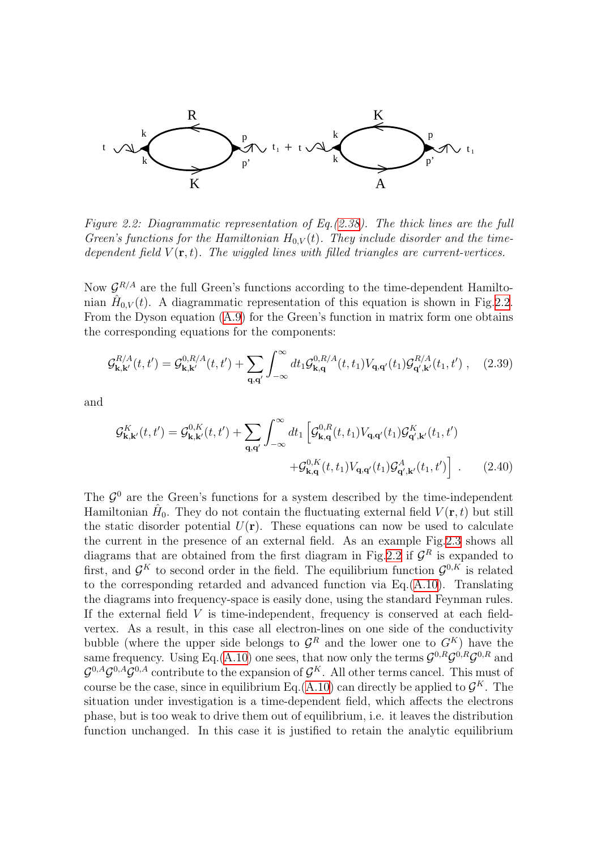

<span id="page-18-0"></span>Figure 2.2: Diagrammatic representation of Eq.([2.38](#page-17-2)). The thick lines are the full Green's functions for the Hamiltonian  $H_{0,V}(t)$ . They include disorder and the timedependent field  $V(\mathbf{r},t)$ . The wiggled lines with filled triangles are current-vertices.

Now  $\mathcal{G}^{R/A}$  are the full Green's functions according to the time-dependent Hamiltonian  $\hat{H}_{0,V}(t)$ . A diagrammatic representation of this equation is shown in Fig. 2.2. From the Dyson equation [\(A.9](#page-123-1)) for the Green's function in matrix form one obtains the corresponding equations for the components:

$$
\mathcal{G}_{\mathbf{k},\mathbf{k}'}^{R/A}(t,t') = \mathcal{G}_{\mathbf{k},\mathbf{k}'}^{0,R/A}(t,t') + \sum_{\mathbf{q},\mathbf{q}'} \int_{-\infty}^{\infty} dt_1 \mathcal{G}_{\mathbf{k},\mathbf{q}}^{0,R/A}(t,t_1) V_{\mathbf{q},\mathbf{q}'}(t_1) \mathcal{G}_{\mathbf{q}',\mathbf{k}'}^{R/A}(t_1,t') , \quad (2.39)
$$

and

$$
\mathcal{G}_{\mathbf{k},\mathbf{k}'}^{K}(t,t') = \mathcal{G}_{\mathbf{k},\mathbf{k}'}^{0,K}(t,t') + \sum_{\mathbf{q},\mathbf{q}'} \int_{-\infty}^{\infty} dt_1 \left[ \mathcal{G}_{\mathbf{k},\mathbf{q}}^{0,R}(t,t_1) V_{\mathbf{q},\mathbf{q}'}(t_1) \mathcal{G}_{\mathbf{q}',\mathbf{k}'}^{K}(t_1,t') + \mathcal{G}_{\mathbf{k},\mathbf{q}}^{0,K}(t,t_1) V_{\mathbf{q},\mathbf{q}'}(t_1) \mathcal{G}_{\mathbf{q}',\mathbf{k}'}^{A}(t_1,t') \right].
$$
 (2.40)

The  $\mathcal{G}^0$  are the Green's functions for a system described by the time-independent Hamiltonian  $\hat{H}_0$ . They do not contain the fluctuating external field  $V(\mathbf{r},t)$  but still the static disorder potential  $U(\mathbf{r})$ . These equations can now be used to calculate the current in the presence of an external field. As an example Fig.[2.3](#page-19-0) shows all diagrams that are obtained from the first diagram in Fig.[2.2](#page-18-0) if  $\mathcal{G}^R$  is expanded to first, and  $\mathcal{G}^K$  to second order in the field. The equilibrium function  $\mathcal{G}^{0,K}$  is related to the corresponding retarded and advanced function via Eq.([A.10\)](#page-124-0). Translating the diagrams into frequency-space is easily done, using the standard Feynman rules. If the external field  $V$  is time-independent, frequency is conserved at each fieldvertex. As a result, in this case all electron-lines on one side of the conductivity bubble (where the upper side belongs to  $\mathcal{G}^R$  and the lower one to  $G^K$ ) have the same frequency. Using Eq.([A.10\)](#page-124-0) one sees, that now only the terms  $\mathcal{G}^{0,R}\mathcal{G}^{0,R}\mathcal{G}^{0,R}$  and  $\mathcal{G}^{0,A}\mathcal{G}^{0,A}\mathcal{G}^{0,A}$  contribute to the expansion of  $\mathcal{G}^K$ . All other terms cancel. This must of course be the case, since in equilibrium Eq.([A.10\)](#page-124-0) can directly be applied to  $\mathcal{G}^K$ . The situation under investigation is a time-dependent field, which affects the electrons phase, but is too weak to drive them out of equilibrium, i.e. it leaves the distribution function unchanged. In this case it is justified to retain the analytic equilibrium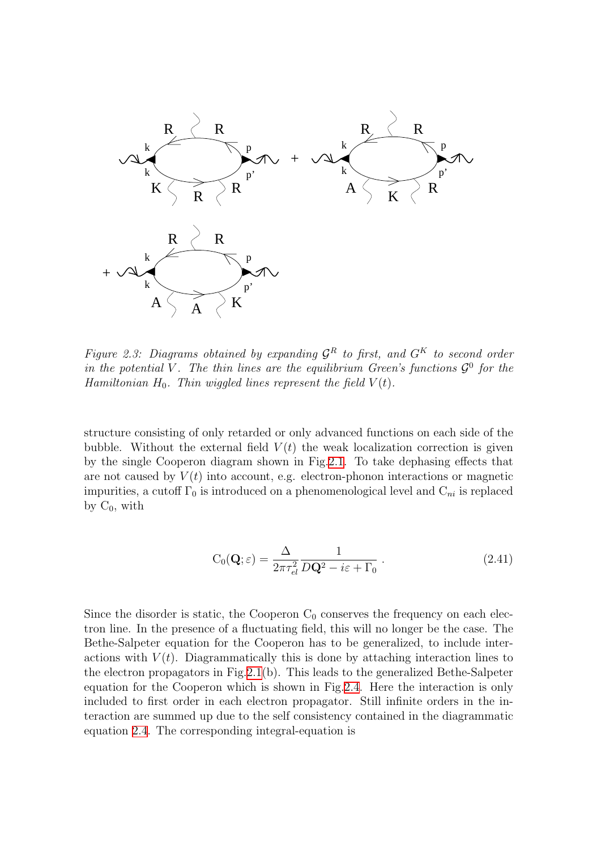

<span id="page-19-0"></span>Figure 2.3: Diagrams obtained by expanding  $\mathcal{G}^R$  to first, and  $G^K$  to second order in the potential V. The thin lines are the equilibrium Green's functions  $\mathcal{G}^0$  for the Hamiltonian  $H_0$ . Thin wiggled lines represent the field  $V(t)$ .

structure consisting of only retarded or only advanced functions on each side of the bubble. Without the external field  $V(t)$  the weak localization correction is given by the single Cooperon diagram shown in Fig.[2.1.](#page-14-0) To take dephasing effects that are not caused by  $V(t)$  into account, e.g. electron-phonon interactions or magnetic impurities, a cutoff  $\Gamma_0$  is introduced on a phenomenological level and  $C_{ni}$  is replaced by  $C_0$ , with

<span id="page-19-1"></span>
$$
C_0(\mathbf{Q}; \varepsilon) = \frac{\Delta}{2\pi \tau_{el}^2} \frac{1}{D\mathbf{Q}^2 - i\varepsilon + \Gamma_0} \,. \tag{2.41}
$$

Since the disorder is static, the Cooperon  $C_0$  conserves the frequency on each electron line. In the presence of a fluctuating field, this will no longer be the case. The Bethe-Salpeter equation for the Cooperon has to be generalized, to include interactions with  $V(t)$ . Diagrammatically this is done by attaching interaction lines to the electron propagators in Fig.[2.1\(](#page-14-0)b). This leads to the generalized Bethe-Salpeter equation for the Cooperon which is shown in Fig[.2.4](#page-20-0). Here the interaction is only included to first order in each electron propagator. Still infinite orders in the interaction are summed up due to the self consistency contained in the diagrammatic equation [2.4](#page-20-0). The corresponding integral-equation is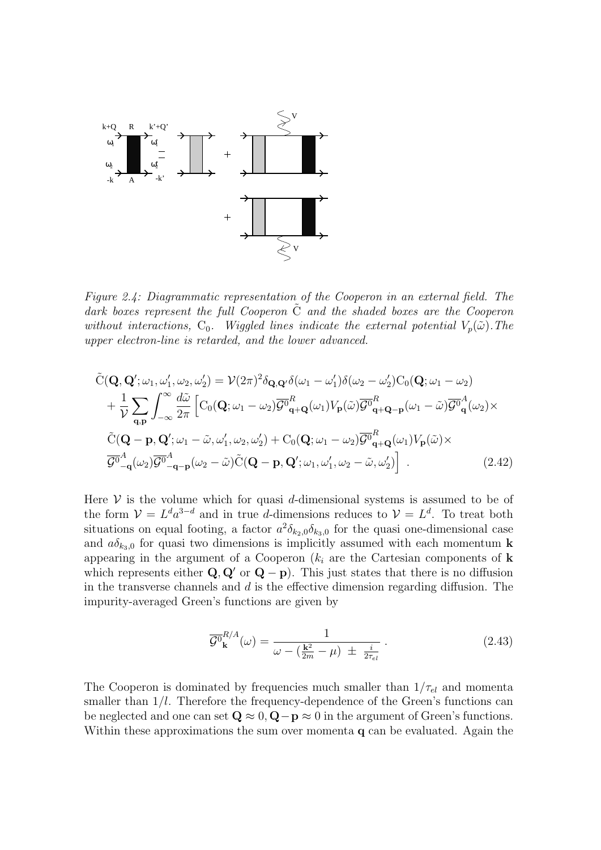

<span id="page-20-0"></span>Figure 2.4: Diagrammatic representation of the Cooperon in an external field. The dark boxes represent the full Cooperon  $\tilde{C}$  and the shaded boxes are the Cooperon without interactions,  $C_0$ . Wiggled lines indicate the external potential  $V_p(\tilde{\omega})$ . The upper electron-line is retarded, and the lower advanced.

$$
\tilde{C}(\mathbf{Q}, \mathbf{Q}'; \omega_1, \omega'_1, \omega_2, \omega'_2) = \mathcal{V}(2\pi)^2 \delta_{\mathbf{Q}, \mathbf{Q}'} \delta(\omega_1 - \omega'_1) \delta(\omega_2 - \omega'_2) C_0(\mathbf{Q}; \omega_1 - \omega_2)
$$
\n
$$
+ \frac{1}{\mathcal{V}} \sum_{\mathbf{q}, \mathbf{p}} \int_{-\infty}^{\infty} \frac{d\tilde{\omega}}{2\pi} \left[ C_0(\mathbf{Q}; \omega_1 - \omega_2) \overline{\mathcal{G}^0}_{\mathbf{q} + \mathbf{Q}}(\omega_1) V_{\mathbf{p}}(\tilde{\omega}) \overline{\mathcal{G}^0}_{\mathbf{q} + \mathbf{Q} - \mathbf{p}}(\omega_1 - \tilde{\omega}) \overline{\mathcal{G}^0}_{\mathbf{q}}^A(\omega_2) \times \right.
$$
\n
$$
\tilde{C}(\mathbf{Q} - \mathbf{p}, \mathbf{Q}'; \omega_1 - \tilde{\omega}, \omega'_1, \omega_2, \omega'_2) + C_0(\mathbf{Q}; \omega_1 - \omega_2) \overline{\mathcal{G}^0}_{\mathbf{q} + \mathbf{Q}}^A(\omega_1) V_{\mathbf{p}}(\tilde{\omega}) \times \overline{\mathcal{G}^0}_{-\mathbf{q}}^A(\omega_2) \overline{\mathcal{G}^0}_{-\mathbf{q} - \mathbf{p}}^A(\omega_2 - \tilde{\omega}) \tilde{C}(\mathbf{Q} - \mathbf{p}, \mathbf{Q}'; \omega_1, \omega'_1, \omega_2 - \tilde{\omega}, \omega'_2) \right].
$$
\n(2.42)

Here  $V$  is the volume which for quasi d-dimensional systems is assumed to be of the form  $\mathcal{V} = L^d a^{3-d}$  and in true d-dimensions reduces to  $\mathcal{V} = L^d$ . To treat both situations on equal footing, a factor  $a^2 \delta_{k_2,0} \delta_{k_3,0}$  for the quasi one-dimensional case and  $a\delta_{k_3,0}$  for quasi two dimensions is implicitly assumed with each momentum **k** appearing in the argument of a Cooperon  $(k<sub>i</sub>$  are the Cartesian components of k which represents either  $Q, Q'$  or  $Q - p$ ). This just states that there is no diffusion in the transverse channels and  $d$  is the effective dimension regarding diffusion. The impurity-averaged Green's functions are given by

<span id="page-20-2"></span><span id="page-20-1"></span>
$$
\overline{\mathcal{G}^0}_{\mathbf{k}}^{R/A}(\omega) = \frac{1}{\omega - (\frac{\mathbf{k}^2}{2m} - \mu) \pm \frac{i}{2\tau_{el}}}.
$$
\n(2.43)

The Cooperon is dominated by frequencies much smaller than  $1/\tau_{el}$  and momenta smaller than  $1/l$ . Therefore the frequency-dependence of the Green's functions can be neglected and one can set  $\mathbf{Q} \approx 0$ ,  $\mathbf{Q} - \mathbf{p} \approx 0$  in the argument of Green's functions. Within these approximations the sum over momenta **q** can be evaluated. Again the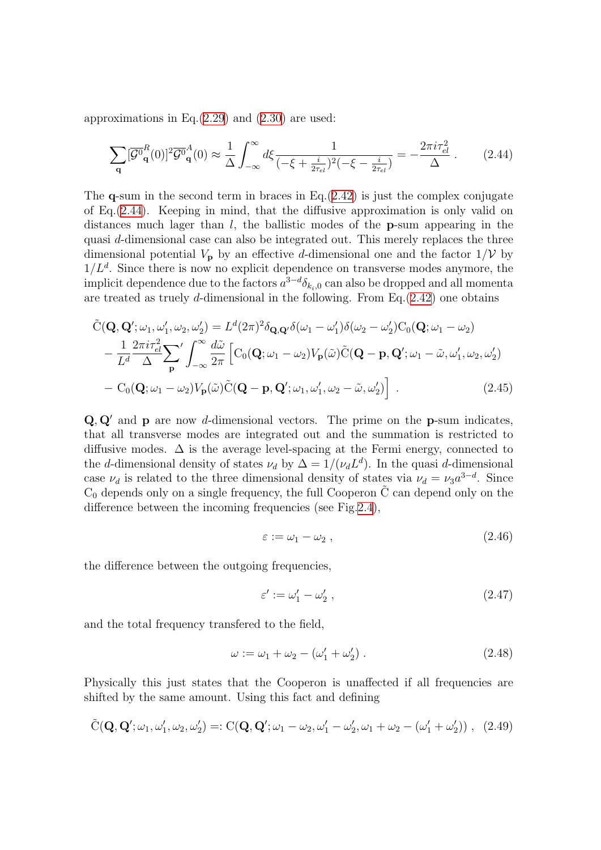approximations in Eq. $(2.29)$  $(2.29)$  $(2.29)$  and  $(2.30)$  are used:

<span id="page-21-0"></span>
$$
\sum_{\mathbf{q}} [\overline{\mathcal{G}^0}_{\mathbf{q}}^R(0)]^2 \overline{\mathcal{G}^0}_{\mathbf{q}}^A(0) \approx \frac{1}{\Delta} \int_{-\infty}^{\infty} d\xi \frac{1}{(-\xi + \frac{i}{2\tau_{el}})^2 (-\xi - \frac{i}{2\tau_{el}})} = -\frac{2\pi i \tau_{el}^2}{\Delta} \,. \tag{2.44}
$$

The **q**-sum in the second term in braces in Eq. $(2.42)$  $(2.42)$  is just the complex conjugate of Eq.([2.44\)](#page-21-0). Keeping in mind, that the diffusive approximation is only valid on distances much lager than  $l$ , the ballistic modes of the **p**-sum appearing in the quasi d-dimensional case can also be integrated out. This merely replaces the three dimensional potential  $V_{\mathbf{p}}$  by an effective d-dimensional one and the factor  $1/\mathcal{V}$  by  $1/L<sup>d</sup>$ . Since there is now no explicit dependence on transverse modes anymore, the implicit dependence due to the factors  $a^{3-d}\delta_{k_i,0}$  can also be dropped and all momenta are treated as truely d-dimensional in the following. From Eq.  $(2.42)$  $(2.42)$  $(2.42)$  one obtains

$$
\tilde{C}(\mathbf{Q}, \mathbf{Q}'; \omega_1, \omega'_1, \omega_2, \omega'_2) = L^d (2\pi)^2 \delta_{\mathbf{Q}, \mathbf{Q}'} \delta(\omega_1 - \omega'_1) \delta(\omega_2 - \omega'_2) C_0(\mathbf{Q}; \omega_1 - \omega_2)
$$
\n
$$
-\frac{1}{L^d} \frac{2\pi i \tau_{el}^2}{\Delta} \sum_{\mathbf{p}}' \int_{-\infty}^{\infty} \frac{d\tilde{\omega}}{2\pi} \left[ C_0(\mathbf{Q}; \omega_1 - \omega_2) V_{\mathbf{p}}(\tilde{\omega}) \tilde{C}(\mathbf{Q} - \mathbf{p}, \mathbf{Q}'; \omega_1 - \tilde{\omega}, \omega'_1, \omega_2, \omega'_2) - C_0(\mathbf{Q}; \omega_1 - \omega_2) V_{\mathbf{p}}(\tilde{\omega}) \tilde{C}(\mathbf{Q} - \mathbf{p}, \mathbf{Q}'; \omega_1, \omega'_1, \omega_2 - \tilde{\omega}, \omega'_2) \right].
$$
\n(2.45)

 $Q, Q'$  and p are now d-dimensional vectors. The prime on the p-sum indicates, that all transverse modes are integrated out and the summation is restricted to diffusive modes.  $\Delta$  is the average level-spacing at the Fermi energy, connected to the d-dimensional density of states  $\nu_d$  by  $\Delta = 1/(\nu_d L^d)$ . In the quasi d-dimensional case  $\nu_d$  is related to the three dimensional density of states via  $\nu_d = \nu_3 a^{3-d}$ . Since  $C_0$  depends only on a single frequency, the full Cooperon  $\tilde{C}$  can depend only on the difference between the incoming frequencies (see Fig[.2.4](#page-20-0)),

<span id="page-21-1"></span>
$$
\varepsilon := \omega_1 - \omega_2 \;, \tag{2.46}
$$

the difference between the outgoing frequencies,

$$
\varepsilon' := \omega_1' - \omega_2',\tag{2.47}
$$

and the total frequency transfered to the field,

$$
\omega := \omega_1 + \omega_2 - (\omega'_1 + \omega'_2) \tag{2.48}
$$

Physically this just states that the Cooperon is unaffected if all frequencies are shifted by the same amount. Using this fact and defining

$$
\tilde{C}(\mathbf{Q}, \mathbf{Q}'; \omega_1, \omega'_1, \omega_2, \omega'_2) =: C(\mathbf{Q}, \mathbf{Q}'; \omega_1 - \omega_2, \omega'_1 - \omega'_2, \omega_1 + \omega_2 - (\omega'_1 + \omega'_2)), (2.49)
$$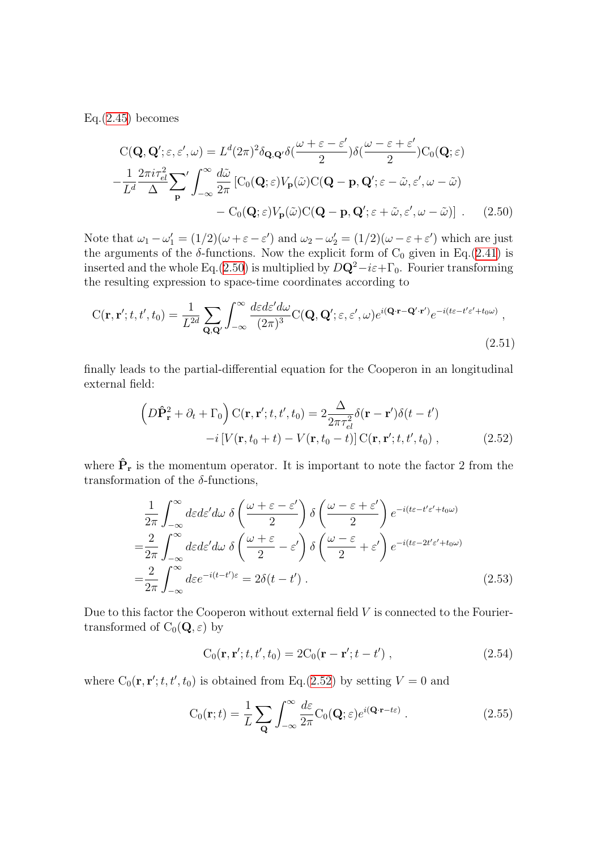$Eq.(2.45)$  $Eq.(2.45)$  $Eq.(2.45)$  becomes

<span id="page-22-0"></span>
$$
C(\mathbf{Q}, \mathbf{Q}'; \varepsilon, \varepsilon', \omega) = L^d (2\pi)^2 \delta_{\mathbf{Q}, \mathbf{Q}'} \delta(\frac{\omega + \varepsilon - \varepsilon'}{2}) \delta(\frac{\omega - \varepsilon + \varepsilon'}{2}) C_0(\mathbf{Q}; \varepsilon)
$$

$$
-\frac{1}{L^d} \frac{2\pi i \tau_{el}^2}{\Delta} \sum_{\mathbf{p}}' \int_{-\infty}^{\infty} \frac{d\tilde{\omega}}{2\pi} \left[ C_0(\mathbf{Q}; \varepsilon) V_{\mathbf{p}}(\tilde{\omega}) C(\mathbf{Q} - \mathbf{p}, \mathbf{Q}'; \varepsilon - \tilde{\omega}, \varepsilon', \omega - \tilde{\omega}) \right. \\ - C_0(\mathbf{Q}; \varepsilon) V_{\mathbf{p}}(\tilde{\omega}) C(\mathbf{Q} - \mathbf{p}, \mathbf{Q}'; \varepsilon + \tilde{\omega}, \varepsilon', \omega - \tilde{\omega}) \right] \ . \tag{2.50}
$$

Note that  $\omega_1 - \omega_1' = (1/2)(\omega + \varepsilon - \varepsilon')$  and  $\omega_2 - \omega_2' = (1/2)(\omega - \varepsilon + \varepsilon')$  which are just the arguments of the  $\delta$ -functions. Now the explicit form of C<sub>0</sub> given in Eq.[\(2.41](#page-19-1)) is inserted and the whole Eq.[\(2.50\)](#page-22-0) is multiplied by  $D\mathbf{Q}^2 - i\varepsilon + \Gamma_0$ . Fourier transforming the resulting expression to space-time coordinates according to

$$
C(\mathbf{r}, \mathbf{r}'; t, t', t_0) = \frac{1}{L^{2d}} \sum_{\mathbf{Q}, \mathbf{Q}'} \int_{-\infty}^{\infty} \frac{d\varepsilon d\varepsilon' d\omega}{(2\pi)^3} C(\mathbf{Q}, \mathbf{Q}'; \varepsilon, \varepsilon', \omega) e^{i(\mathbf{Q} \cdot \mathbf{r} - \mathbf{Q}' \cdot \mathbf{r}')} e^{-i(t\varepsilon - t'\varepsilon' + t_0 \omega)},
$$
\n(2.51)

finally leads to the partial-differential equation for the Cooperon in an longitudinal external field:

<span id="page-22-1"></span>
$$
\left(D\hat{\mathbf{P}}_{\mathbf{r}}^{2} + \partial_{t} + \Gamma_{0}\right)C(\mathbf{r}, \mathbf{r}'; t, t', t_{0}) = 2\frac{\Delta}{2\pi\tau_{el}^{2}}\delta(\mathbf{r} - \mathbf{r}')\delta(t - t')
$$

$$
-i\left[V(\mathbf{r}, t_{0} + t) - V(\mathbf{r}, t_{0} - t)\right]C(\mathbf{r}, \mathbf{r}'; t, t', t_{0}), \qquad (2.52)
$$

where  $\hat{P}_r$  is the momentum operator. It is important to note the factor 2 from the transformation of the  $\delta$ -functions,

$$
\frac{1}{2\pi} \int_{-\infty}^{\infty} d\varepsilon d\varepsilon' d\omega \ \delta\left(\frac{\omega + \varepsilon - \varepsilon'}{2}\right) \delta\left(\frac{\omega - \varepsilon + \varepsilon'}{2}\right) e^{-i(t\varepsilon - t'\varepsilon' + t_0\omega)}
$$
\n
$$
= \frac{2}{2\pi} \int_{-\infty}^{\infty} d\varepsilon d\varepsilon' d\omega \ \delta\left(\frac{\omega + \varepsilon}{2} - \varepsilon'\right) \delta\left(\frac{\omega - \varepsilon}{2} + \varepsilon'\right) e^{-i(t\varepsilon - 2t'\varepsilon' + t_0\omega)}
$$
\n
$$
= \frac{2}{2\pi} \int_{-\infty}^{\infty} d\varepsilon e^{-i(t - t')\varepsilon} = 2\delta(t - t')
$$
\n(2.53)

Due to this factor the Cooperon without external field  $V$  is connected to the Fouriertransformed of  $C_0(\mathbf{Q}, \varepsilon)$  by

<span id="page-22-2"></span>
$$
C_0(\mathbf{r}, \mathbf{r}'; t, t', t_0) = 2C_0(\mathbf{r} - \mathbf{r}'; t - t') ,
$$
\n(2.54)

where  $C_0(\mathbf{r}, \mathbf{r}'; t, t', t_0)$  is obtained from Eq.([2.52\)](#page-22-1) by setting  $V = 0$  and

$$
C_0(\mathbf{r};t) = \frac{1}{L} \sum_{\mathbf{Q}} \int_{-\infty}^{\infty} \frac{d\varepsilon}{2\pi} C_0(\mathbf{Q}; \varepsilon) e^{i(\mathbf{Q}\cdot\mathbf{r} - t\varepsilon)}.
$$
 (2.55)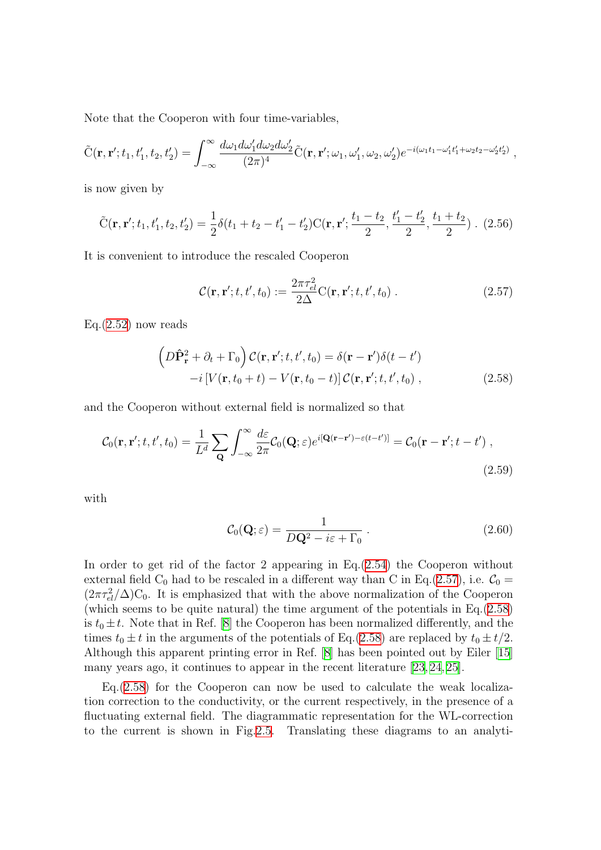Note that the Cooperon with four time-variables,

$$
\tilde{C}(\mathbf{r},\mathbf{r}';t_1,t'_1,t_2,t'_2) = \int_{-\infty}^{\infty} \frac{d\omega_1 d\omega'_1 d\omega_2 d\omega'_2}{(2\pi)^4} \tilde{C}(\mathbf{r},\mathbf{r}';\omega_1,\omega'_1,\omega_2,\omega'_2) e^{-i(\omega_1 t_1 - \omega'_1 t'_1 + \omega_2 t_2 - \omega'_2 t'_2)},
$$

is now given by

$$
\tilde{C}(\mathbf{r}, \mathbf{r}'; t_1, t_1', t_2, t_2') = \frac{1}{2}\delta(t_1 + t_2 - t_1' - t_2')C(\mathbf{r}, \mathbf{r}'; \frac{t_1 - t_2}{2}, \frac{t_1' - t_2'}{2}, \frac{t_1 + t_2}{2})
$$
 (2.56)

It is convenient to introduce the rescaled Cooperon

<span id="page-23-0"></span>
$$
\mathcal{C}(\mathbf{r}, \mathbf{r}'; t, t', t_0) := \frac{2\pi\tau_{el}^2}{2\Delta} \mathbf{C}(\mathbf{r}, \mathbf{r}'; t, t', t_0) \,. \tag{2.57}
$$

 $Eq.(2.52)$  $Eq.(2.52)$  $Eq.(2.52)$  now reads

<span id="page-23-1"></span>
$$
\left(D\hat{\mathbf{P}}_{\mathbf{r}}^{2} + \partial_{t} + \Gamma_{0}\right) \mathcal{C}(\mathbf{r}, \mathbf{r}'; t, t', t_{0}) = \delta(\mathbf{r} - \mathbf{r}')\delta(t - t') -i\left[V(\mathbf{r}, t_{0} + t) - V(\mathbf{r}, t_{0} - t)\right] \mathcal{C}(\mathbf{r}, \mathbf{r}'; t, t', t_{0}),
$$
\n(2.58)

and the Cooperon without external field is normalized so that

$$
\mathcal{C}_0(\mathbf{r}, \mathbf{r}'; t, t', t_0) = \frac{1}{L^d} \sum_{\mathbf{Q}} \int_{-\infty}^{\infty} \frac{d\varepsilon}{2\pi} \mathcal{C}_0(\mathbf{Q}; \varepsilon) e^{i[\mathbf{Q}(\mathbf{r} - \mathbf{r}') - \varepsilon(t - t')] } = \mathcal{C}_0(\mathbf{r} - \mathbf{r}'; t - t') ,
$$
\n(2.59)

with

<span id="page-23-2"></span>
$$
\mathcal{C}_0(\mathbf{Q}; \varepsilon) = \frac{1}{D\mathbf{Q}^2 - i\varepsilon + \Gamma_0} \,. \tag{2.60}
$$

In order to get rid of the factor 2 appearing in Eq.[\(2.54\)](#page-22-2) the Cooperon without external field  $C_0$  had to be rescaled in a different way than C in Eq.([2.57\)](#page-23-0), i.e.  $C_0 =$  $(2\pi\tau_{el}^2/\Delta)C_0$ . It is emphasized that with the above normalization of the Cooperon (which seems to be quite natural) the time argument of the potentials in Eq.[\(2.58\)](#page-23-1) is  $t_0 \pm t$ . Note that in Ref. [\[8](#page-133-7)] the Cooperon has been normalized differently, and the times  $t_0 \pm t$  in the arguments of the potentials of Eq.([2.58](#page-23-1)) are replaced by  $t_0 \pm t/2$ . Although this apparent printing error in Ref. [\[8](#page-133-7)] has been pointed out by Eiler[[15](#page-134-6)] many years ago, it continues to appear in the recent literature [\[23,](#page-134-7) [24](#page-134-8), [25\]](#page-134-9).

Eq.([2.58\)](#page-23-1) for the Cooperon can now be used to calculate the weak localization correction to the conductivity, or the current respectively, in the presence of a fluctuating external field. The diagrammatic representation for the WL-correction to the current is shown in Fig.[2.5.](#page-24-0) Translating these diagrams to an analyti-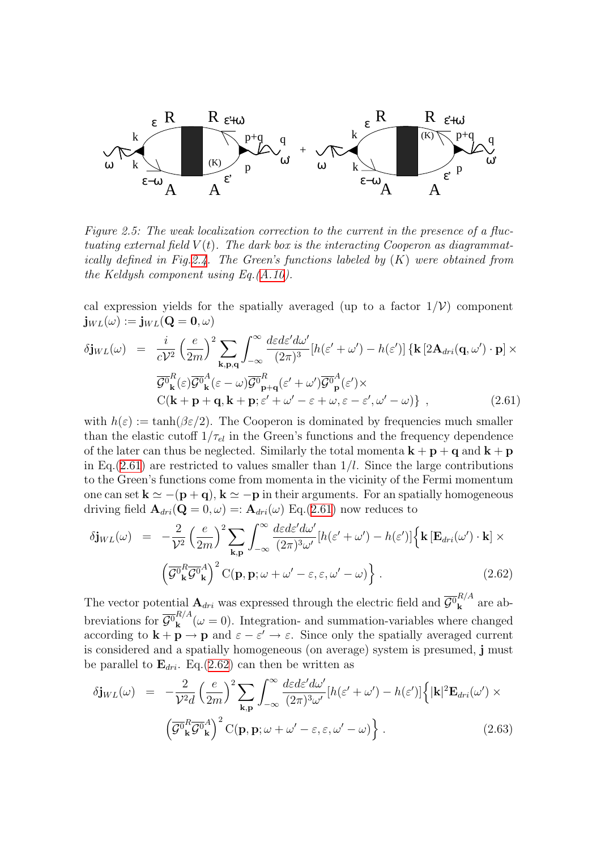

<span id="page-24-0"></span>Figure 2.5: The weak localization correction to the current in the presence of a fluctuating external field  $V(t)$ . The dark box is the interacting Cooperon as diagrammat-ically defined in Fig[.2.4](#page-20-0). The Green's functions labeled by  $(K)$  were obtained from the Keldysh component using Eq.[\(A.10\)](#page-124-0).

cal expression yields for the spatially averaged (up to a factor  $1/\mathcal{V}$ ) component  $\mathbf{j}_{WL}(\omega) := \mathbf{j}_{WL}(\mathbf{Q} = \mathbf{0}, \omega)$ 

<span id="page-24-1"></span>
$$
\delta \mathbf{j}_{WL}(\omega) = \frac{i}{cV^2} \left(\frac{e}{2m}\right)^2 \sum_{\mathbf{k}, \mathbf{p}, \mathbf{q}} \int_{-\infty}^{\infty} \frac{d\varepsilon d\varepsilon' d\omega'}{(2\pi)^3} \left[h(\varepsilon' + \omega') - h(\varepsilon')\right] \left\{\mathbf{k} \left[2\mathbf{A}_{dri}(\mathbf{q}, \omega') \cdot \mathbf{p}\right] \times \frac{\overline{G}^0}{\overline{G}^0_{\mathbf{k}}(\varepsilon) \overline{G}^0_{\mathbf{k}}(\varepsilon - \omega)} \overline{G}^0_{\mathbf{p}+\mathbf{q}}(\varepsilon' + \omega') \overline{G}^0_{\mathbf{p}}(\varepsilon') \times
$$
  
\n
$$
C(\mathbf{k} + \mathbf{p} + \mathbf{q}, \mathbf{k} + \mathbf{p}; \varepsilon' + \omega' - \varepsilon + \omega, \varepsilon - \varepsilon', \omega' - \omega)\},
$$
\n(2.61)

with  $h(\varepsilon) := \tanh(\beta \varepsilon/2)$ . The Cooperon is dominated by frequencies much smaller than the elastic cutoff  $1/\tau_{el}$  in the Green's functions and the frequency dependence of the later can thus be neglected. Similarly the total momenta  $\mathbf{k} + \mathbf{p} + \mathbf{q}$  and  $\mathbf{k} + \mathbf{p}$ in Eq.  $(2.61)$  are restricted to values smaller than  $1/l$ . Since the large contributions to the Green's functions come from momenta in the vicinity of the Fermi momentum one can set  $\mathbf{k} \simeq -(\mathbf{p} + \mathbf{q}), \mathbf{k} \simeq -\mathbf{p}$  in their arguments. For an spatially homogeneous driving field  $\mathbf{A}_{dri}(\mathbf{Q}=0,\omega) =: \mathbf{A}_{dri}(\omega) \text{ Eq. (2.61) now reduces to}$  $\mathbf{A}_{dri}(\mathbf{Q}=0,\omega) =: \mathbf{A}_{dri}(\omega) \text{ Eq. (2.61) now reduces to}$  $\mathbf{A}_{dri}(\mathbf{Q}=0,\omega) =: \mathbf{A}_{dri}(\omega) \text{ Eq. (2.61) now reduces to}$ 

<span id="page-24-2"></span>
$$
\delta \mathbf{j}_{WL}(\omega) = -\frac{2}{\mathcal{V}^2} \left(\frac{e}{2m}\right)^2 \sum_{\mathbf{k}, \mathbf{p}} \int_{-\infty}^{\infty} \frac{d\varepsilon d\varepsilon' d\omega'}{(2\pi)^3 \omega'} [h(\varepsilon' + \omega') - h(\varepsilon')] \left\{ \mathbf{k} \left[ \mathbf{E}_{dri}(\omega') \cdot \mathbf{k} \right] \times \left( \overline{\mathcal{G}^0}_{\mathbf{k}}^R \overline{\mathcal{G}^0}_{\mathbf{k}}^A \right)^2 C(\mathbf{p}, \mathbf{p}; \omega + \omega' - \varepsilon, \varepsilon, \omega' - \omega) \right\}.
$$
\n(2.62)

The vector potential  $\mathbf{A}_{dri}$  was expressed through the electric field and  $\overline{\mathcal{G}}_{\mathbf{k}}^{R/A}$  $\frac{\mu}{\mathbf{k}}$  are abbreviations for  $\overline{\mathcal{G}^0}_{\mathbf{k}}^{R/A}$  $k_{\mathbf{k}}^{n_{\mathbf{k}}}( \omega = 0)$ . Integration- and summation-variables where changed according to  $\mathbf{k} + \mathbf{p} \to \mathbf{p}$  and  $\varepsilon - \varepsilon' \to \varepsilon$ . Since only the spatially averaged current is considered and a spatially homogeneous (on average) system is presumed, j must be parallel to  $\mathbf{E}_{dri}$ . Eq.[\(2.62](#page-24-2)) can then be written as

<span id="page-24-3"></span>
$$
\delta \mathbf{j}_{WL}(\omega) = -\frac{2}{\mathcal{V}^2 d} \left(\frac{e}{2m}\right)^2 \sum_{\mathbf{k}, \mathbf{p}} \int_{-\infty}^{\infty} \frac{d\varepsilon d\varepsilon' d\omega'}{(2\pi)^3 \omega'} [h(\varepsilon' + \omega') - h(\varepsilon')] \left\{ |\mathbf{k}|^2 \mathbf{E}_{dri}(\omega') \times \left(\overline{\mathcal{G}^0}_{\mathbf{k}}^R \overline{\mathcal{G}^0}_{\mathbf{k}}^A\right)^2 \mathrm{C}(\mathbf{p}, \mathbf{p}; \omega + \omega' - \varepsilon, \varepsilon, \omega' - \omega) \right\}.
$$
\n(2.63)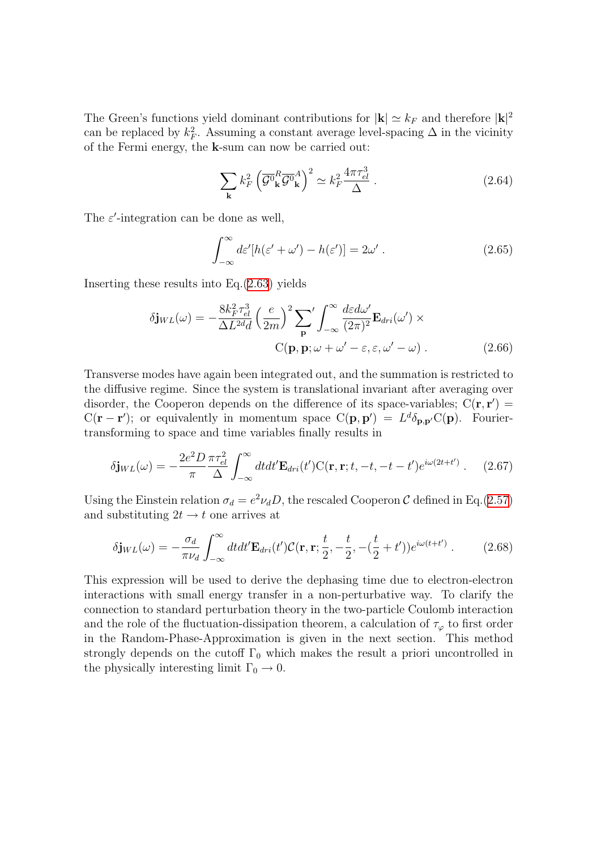The Green's functions yield dominant contributions for  $|\mathbf{k}| \simeq k_F$  and therefore  $|\mathbf{k}|^2$ can be replaced by  $k_F^2$ . Assuming a constant average level-spacing  $\Delta$  in the vicinity of the Fermi energy, the k-sum can now be carried out:

$$
\sum_{\mathbf{k}} k_F^2 \left( \overline{\mathcal{G}^0}_{\mathbf{k}}^R \overline{\mathcal{G}^0}_{\mathbf{k}}^A \right)^2 \simeq k_F^2 \frac{4\pi \tau_{el}^3}{\Delta} \ . \tag{2.64}
$$

The  $\varepsilon'$ -integration can be done as well,

$$
\int_{-\infty}^{\infty} d\varepsilon' [h(\varepsilon' + \omega') - h(\varepsilon')] = 2\omega'.
$$
 (2.65)

Inserting these results into Eq.[\(2.63](#page-24-3)) yields

$$
\delta \mathbf{j}_{WL}(\omega) = -\frac{8k_F^2 \tau_{el}^3}{\Delta L^{2d} d} \left(\frac{e}{2m}\right)^2 \sum_{\mathbf{p}}' \int_{-\infty}^{\infty} \frac{d\varepsilon d\omega'}{(2\pi)^2} \mathbf{E}_{dri}(\omega') \times
$$
  
C(\mathbf{p}, \mathbf{p}; \omega + \omega' - \varepsilon, \varepsilon, \omega' - \omega). (2.66)

Transverse modes have again been integrated out, and the summation is restricted to the diffusive regime. Since the system is translational invariant after averaging over disorder, the Cooperon depends on the difference of its space-variables;  $C(\mathbf{r}, \mathbf{r}') =$  $C(\mathbf{r}-\mathbf{r}')$ ; or equivalently in momentum space  $C(\mathbf{p}, \mathbf{p}') = L^d \delta_{\mathbf{p}, \mathbf{p}'} C(\mathbf{p})$ . Fouriertransforming to space and time variables finally results in

<span id="page-25-0"></span>
$$
\delta \mathbf{j}_{WL}(\omega) = -\frac{2e^2 D}{\pi} \frac{\pi \tau_{el}^2}{\Delta} \int_{-\infty}^{\infty} dt dt' \mathbf{E}_{dri}(t') \mathbf{C}(\mathbf{r}, \mathbf{r}; t, -t, -t - t') e^{i\omega(2t + t')} \ . \tag{2.67}
$$

Using the Einstein relation  $\sigma_d = e^2 \nu_d D$ , the rescaled Cooperon C defined in Eq.[\(2.57\)](#page-23-0) and substituting  $2t \rightarrow t$  one arrives at

$$
\delta \mathbf{j}_{WL}(\omega) = -\frac{\sigma_d}{\pi \nu_d} \int_{-\infty}^{\infty} dt dt' \mathbf{E}_{dri}(t') \mathcal{C}(\mathbf{r}, \mathbf{r}; \frac{t}{2}, -\frac{t}{2}, -(\frac{t}{2} + t')) e^{i\omega(t+t')} \ . \tag{2.68}
$$

This expression will be used to derive the dephasing time due to electron-electron interactions with small energy transfer in a non-perturbative way. To clarify the connection to standard perturbation theory in the two-particle Coulomb interaction and the role of the fluctuation-dissipation theorem, a calculation of  $\tau_{\varphi}$  to first order in the Random-Phase-Approximation is given in the next section. This method strongly depends on the cutoff  $\Gamma_0$  which makes the result a priori uncontrolled in the physically interesting limit  $\Gamma_0 \rightarrow 0$ .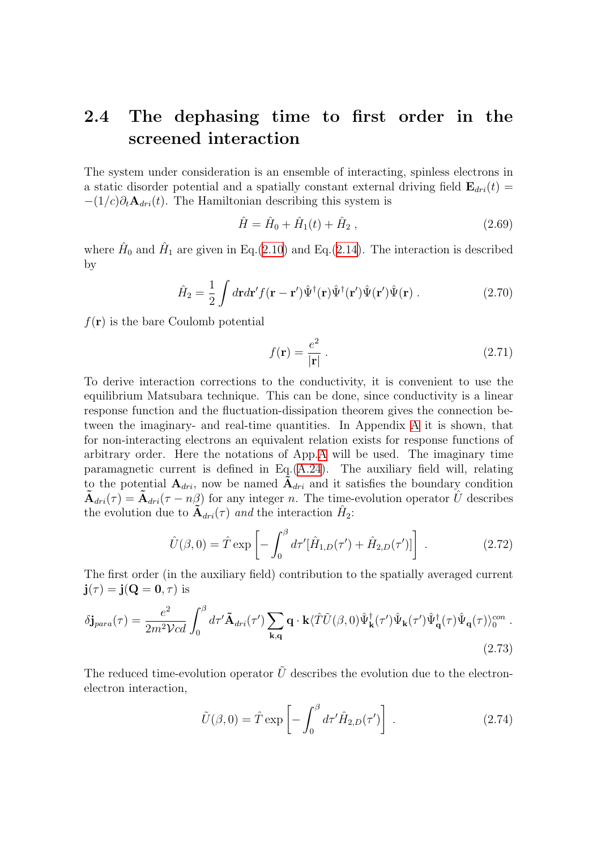#### <span id="page-26-0"></span>2.4 The dephasing time to first order in the screened interaction

The system under consideration is an ensemble of interacting, spinless electrons in a static disorder potential and a spatially constant external driving field  $\mathbf{E}_{dri}(t)$  =  $-(1/c)\partial_t \mathbf{A}_{dri}(t)$ . The Hamiltonian describing this system is

$$
\hat{H} = \hat{H}_0 + \hat{H}_1(t) + \hat{H}_2, \qquad (2.69)
$$

where  $\hat{H}_0$  and  $\hat{H}_1$  are given in Eq.([2.10\)](#page-11-4) and Eq.[\(2.14](#page-11-3)). The interaction is described by

$$
\hat{H}_2 = \frac{1}{2} \int d\mathbf{r} d\mathbf{r}' f(\mathbf{r} - \mathbf{r}') \hat{\Psi}^\dagger(\mathbf{r}) \hat{\Psi}^\dagger(\mathbf{r}') \hat{\Psi}(\mathbf{r}') \cdot (2.70)
$$

 $f(\mathbf{r})$  is the bare Coulomb potential

$$
f(\mathbf{r}) = \frac{e^2}{|\mathbf{r}|} \,. \tag{2.71}
$$

To derive interaction corrections to the conductivity, it is convenient to use the equilibrium Matsubara technique. This can be done, since conductivity is a linear response function and the fluctuation-dissipation theorem gives the connection between the imaginary- and real-time quantities. In Appendix [A](#page-122-0) it is shown, that for non-interacting electrons an equivalent relation exists for response functions of arbitrary order. Here the notations of App[.A](#page-122-0) will be used. The imaginary time paramagnetic current is defined in Eq.([A.24](#page-126-1)). The auxiliary field will, relating to the potential  $A_{dri}$ , now be named  $A_{dri}$  and it satisfies the boundary condition  $\tilde{\bf{A}}_{dri}(\tau) = \tilde{\bf{A}}_{dri}(\tau - n\beta)$  for any integer n. The time-evolution operator  $\hat{U}$  describes the evolution due to  $\widetilde{\mathbf{A}}_{dri}(\tau)$  and the interaction  $\hat{H}_2$ :

$$
\hat{U}(\beta,0) = \hat{T} \exp\left[-\int_0^\beta d\tau' [\hat{H}_{1,D}(\tau') + \hat{H}_{2,D}(\tau')] \right].
$$
\n(2.72)

The first order (in the auxiliary field) contribution to the spatially averaged current  $\mathbf{j}(\tau) = \mathbf{j}(\mathbf{Q} = \mathbf{0}, \tau)$  is

$$
\delta \mathbf{j}_{para}(\tau) = \frac{e^2}{2m^2 \mathcal{V}cd} \int_0^\beta d\tau' \tilde{\mathbf{A}}_{dri}(\tau') \sum_{\mathbf{k}, \mathbf{q}} \mathbf{q} \cdot \mathbf{k} \langle \hat{T} \tilde{U}(\beta, 0) \hat{\Psi}_{\mathbf{k}}^{\dagger}(\tau') \hat{\Psi}_{\mathbf{q}}(\tau) \hat{\Psi}_{\mathbf{q}}(\tau) \hat{\Psi}_{\mathbf{q}}(\tau) \rangle_0^{con} .
$$
\n(2.73)

The reduced time-evolution operator  $\tilde{U}$  describes the evolution due to the electronelectron interaction,

<span id="page-26-1"></span>
$$
\tilde{U}(\beta,0) = \hat{T} \exp\left[-\int_0^\beta d\tau' \hat{H}_{2,D}(\tau')\right].
$$
\n(2.74)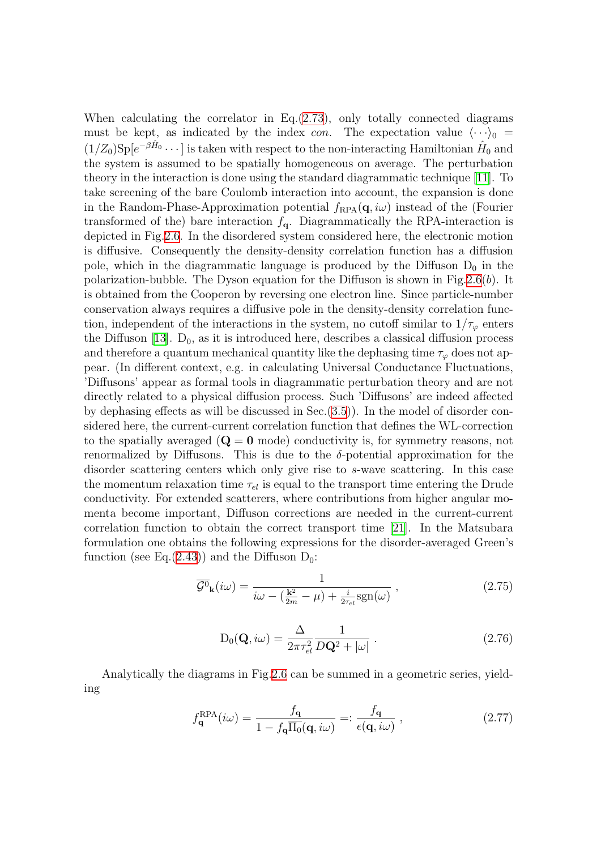When calculating the correlator in Eq.([2.73\)](#page-26-1), only totally connected diagrams must be kept, as indicated by the index con. The expectation value  $\langle \cdots \rangle_0 =$  $(1/Z_0)$ Sp $[e^{-\beta \hat{H}_0} \cdots]$  is taken with respect to the non-interacting Hamiltonian  $\hat{H}_0$  and the system is assumed to be spatially homogeneous on average. The perturbation theory in the interaction is done using the standard diagrammatic technique [\[11\]](#page-133-10). To take screening of the bare Coulomb interaction into account, the expansion is done in the Random-Phase-Approximation potential  $f_{\text{RPA}}(\mathbf{q}, i\omega)$  instead of the (Fourier transformed of the) bare interaction  $f_{q}$ . Diagrammatically the RPA-interaction is depicted in Fig[.2.6](#page-28-0). In the disordered system considered here, the electronic motion is diffusive. Consequently the density-density correlation function has a diffusion pole, which in the diagrammatic language is produced by the Diffuson  $D_0$  in the polarization-bubble. The Dyson equation for the Diffuson is shown in Fig[.2.6](#page-28-0)(b). It is obtained from the Cooperon by reversing one electron line. Since particle-number conservation always requires a diffusive pole in the density-density correlation function, independent of the interactions in the system, no cutoff similar to  $1/\tau_{\varphi}$  enters theDiffuson [[13](#page-133-12)].  $D_0$ , as it is introduced here, describes a classical diffusion process and therefore a quantum mechanical quantity like the dephasing time  $\tau_{\varphi}$  does not appear. (In different context, e.g. in calculating Universal Conductance Fluctuations, 'Diffusons' appear as formal tools in diagrammatic perturbation theory and are not directly related to a physical diffusion process. Such 'Diffusons' are indeed affected by dephasing effects as will be discussed in Sec.([3.5\)](#page-67-0)). In the model of disorder considered here, the current-current correlation function that defines the WL-correction to the spatially averaged  $(Q = 0 \text{ mode})$  conductivity is, for symmetry reasons, not renormalized by Diffusons. This is due to the  $\delta$ -potential approximation for the disorder scattering centers which only give rise to s-wave scattering. In this case the momentum relaxation time  $\tau_{el}$  is equal to the transport time entering the Drude conductivity. For extended scatterers, where contributions from higher angular momenta become important, Diffuson corrections are needed in the current-current correlation function to obtain the correct transport time [\[21\]](#page-134-10). In the Matsubara formulation one obtains the following expressions for the disorder-averaged Green's function (see Eq.([2.43](#page-20-2))) and the Diffuson  $D_0$ :

$$
\overline{\mathcal{G}^0}_{\mathbf{k}}(i\omega) = \frac{1}{i\omega - (\frac{\mathbf{k}^2}{2m} - \mu) + \frac{i}{2\tau_{el}}\text{sgn}(\omega)},
$$
\n(2.75)

<span id="page-27-0"></span>
$$
D_0(\mathbf{Q}, i\omega) = \frac{\Delta}{2\pi\tau_{el}^2} \frac{1}{D\mathbf{Q}^2 + |\omega|} \,. \tag{2.76}
$$

Analytically the diagrams in Fig[.2.6](#page-28-0) can be summed in a geometric series, yielding

$$
f_{\mathbf{q}}^{\text{RPA}}(i\omega) = \frac{f_{\mathbf{q}}}{1 - f_{\mathbf{q}} \overline{\Pi_0}(\mathbf{q}, i\omega)} =: \frac{f_{\mathbf{q}}}{\epsilon(\mathbf{q}, i\omega)},
$$
(2.77)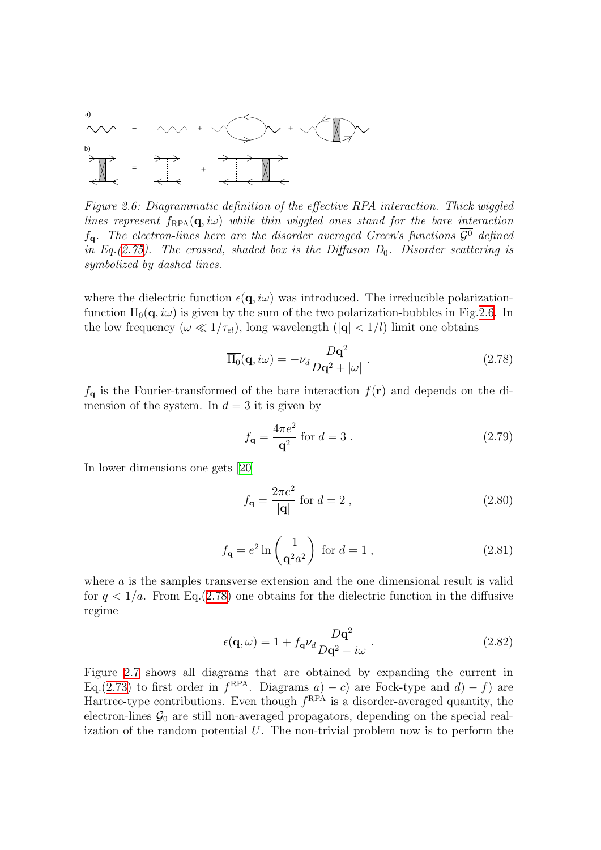

<span id="page-28-0"></span>Figure 2.6: Diagrammatic definition of the effective RPA interaction. Thick wiggled lines represent  $f_{\text{RPA}}(q, i\omega)$  while thin wiggled ones stand for the bare interaction  $f_{\alpha}$ . The electron-lines here are the disorder averaged Green's functions  $\overline{\mathcal{G}^0}$  defined in Eq.[\(2.75\)](#page-27-0). The crossed, shaded box is the Diffuson  $D_0$ . Disorder scattering is symbolized by dashed lines.

where the dielectric function  $\epsilon(\mathbf{q}, i\omega)$  was introduced. The irreducible polarizationfunction  $\Pi_0(\mathbf{q}, i\omega)$  is given by the sum of the two polarization-bubbles in Fig. [2.6.](#page-28-0) In the low frequency  $(\omega \ll 1/\tau_{el})$ , long wavelength  $(|{\bf q}| < 1/l)$  limit one obtains

$$
\overline{\Pi_0}(\mathbf{q}, i\omega) = -\nu_d \frac{D\mathbf{q}^2}{D\mathbf{q}^2 + |\omega|} \,. \tag{2.78}
$$

 $f_{q}$  is the Fourier-transformed of the bare interaction  $f(r)$  and depends on the dimension of the system. In  $d = 3$  it is given by

<span id="page-28-1"></span>
$$
f_{\mathbf{q}} = \frac{4\pi e^2}{\mathbf{q}^2} \text{ for } d = 3. \tag{2.79}
$$

In lower dimensions one gets [\[20](#page-134-5)]

$$
f_{\mathbf{q}} = \frac{2\pi e^2}{|\mathbf{q}|} \text{ for } d = 2 ,
$$
 (2.80)

$$
f_{\mathbf{q}} = e^2 \ln \left( \frac{1}{\mathbf{q}^2 a^2} \right) \text{ for } d = 1 , \qquad (2.81)
$$

where a is the samples transverse extension and the one dimensional result is valid for  $q < 1/a$ . From Eq.[\(2.78](#page-28-1)) one obtains for the dielectric function in the diffusive regime

$$
\epsilon(\mathbf{q}, \omega) = 1 + f_{\mathbf{q}} \nu_d \frac{D\mathbf{q}^2}{D\mathbf{q}^2 - i\omega} \,. \tag{2.82}
$$

Figure [2.7](#page-29-0) shows all diagrams that are obtained by expanding the current in Eq.[\(2.73](#page-26-1)) to first order in  $f^{RPA}$ . Diagrams a) – c) are Fock-type and  $d$ ) – f) are Hartree-type contributions. Even though  $f^{RPA}$  is a disorder-averaged quantity, the electron-lines  $\mathcal{G}_0$  are still non-averaged propagators, depending on the special realization of the random potential  $U$ . The non-trivial problem now is to perform the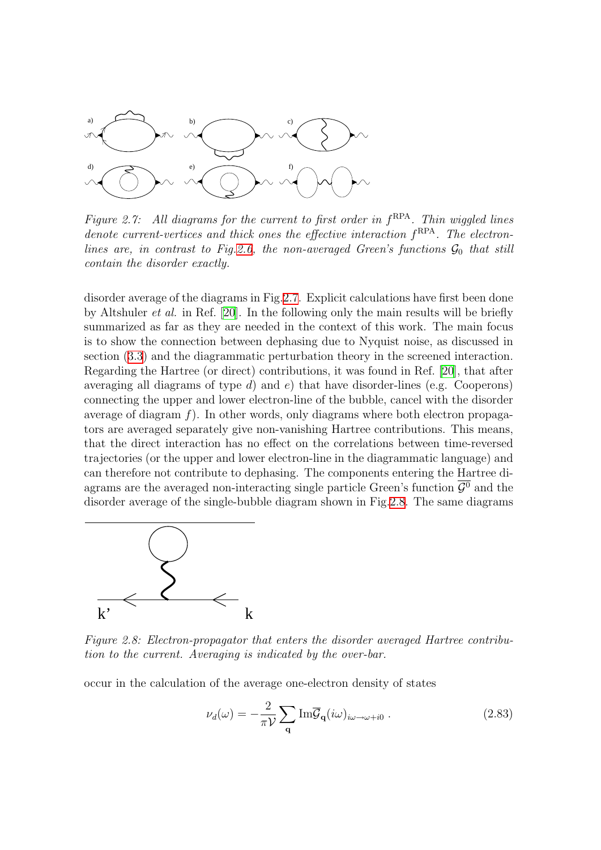

<span id="page-29-0"></span>Figure 2.7: All diagrams for the current to first order in  $f<sup>RPA</sup>$ . Thin wiggled lines denote current-vertices and thick ones the effective interaction  $f<sup>RPA</sup>$ . The electron-lines are, in contrast to Fig[.2.6,](#page-28-0) the non-averaged Green's functions  $\mathcal{G}_0$  that still contain the disorder exactly.

disorder average of the diagrams in Fig.[2.7.](#page-29-0) Explicit calculations have first been done by Altshuler et al. in Ref. [\[20](#page-134-5)]. In the following only the main results will be briefly summarized as far as they are needed in the context of this work. The main focus is to show the connection between dephasing due to Nyquist noise, as discussed in section([3.3\)](#page-39-0) and the diagrammatic perturbation theory in the screened interaction. Regarding the Hartree (or direct) contributions, it was found in Ref.[[20\]](#page-134-5), that after averaging all diagrams of type  $d$ ) and  $e$ ) that have disorder-lines (e.g. Cooperons) connecting the upper and lower electron-line of the bubble, cancel with the disorder average of diagram  $f$ ). In other words, only diagrams where both electron propagators are averaged separately give non-vanishing Hartree contributions. This means, that the direct interaction has no effect on the correlations between time-reversed trajectories (or the upper and lower electron-line in the diagrammatic language) and can therefore not contribute to dephasing. The components entering the Hartree diagrams are the averaged non-interacting single particle Green's function  $\overline{\mathcal{G}^0}$  and the disorder average of the single-bubble diagram shown in Fig[.2.8](#page-29-1). The same diagrams



<span id="page-29-1"></span>Figure 2.8: Electron-propagator that enters the disorder averaged Hartree contribution to the current. Averaging is indicated by the over-bar.

occur in the calculation of the average one-electron density of states

$$
\nu_d(\omega) = -\frac{2}{\pi \mathcal{V}} \sum_{\mathbf{q}} \mathrm{Im} \overline{\mathcal{G}}_{\mathbf{q}}(i\omega)_{i\omega \to \omega + i0} . \qquad (2.83)
$$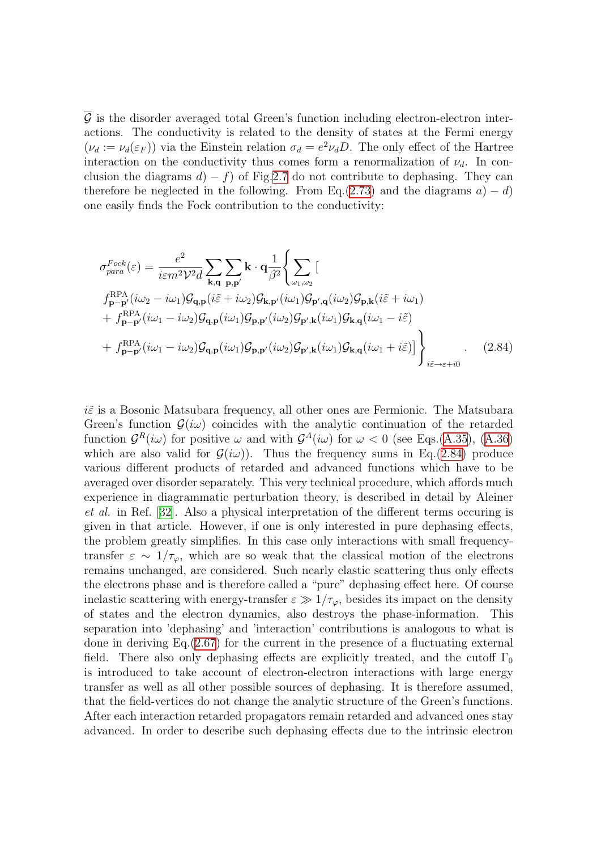$\mathcal G$  is the disorder averaged total Green's function including electron-electron interactions. The conductivity is related to the density of states at the Fermi energy  $(\nu_d := \nu_d(\varepsilon_F))$  via the Einstein relation  $\sigma_d = e^2 \nu_d D$ . The only effect of the Hartree interaction on the conductivity thus comes form a renormalization of  $\nu_d$ . In conclusion the diagrams  $d(-f)$  of Fig[.2.7](#page-29-0) do not contribute to dephasing. They can therefore be neglected in the following. From Eq.([2.73](#page-26-1)) and the diagrams  $a$ ) – d) one easily finds the Fock contribution to the conductivity:

<span id="page-30-0"></span>
$$
\sigma_{para}^{Fock}(\varepsilon) = \frac{e^2}{i\varepsilon m^2 \mathcal{V}^2 d} \sum_{\mathbf{k},\mathbf{q}} \sum_{\mathbf{p},\mathbf{p}'} \mathbf{k} \cdot \mathbf{q} \frac{1}{\beta^2} \Biggl\{ \sum_{\omega_1,\omega_2} \left[ \mathbf{g}_{\mathbf{p},\mathbf{k}}(i\omega_2 - i\omega_1) \mathcal{G}_{\mathbf{q},\mathbf{p}}(i\tilde{\varepsilon} + i\omega_2) \mathcal{G}_{\mathbf{k},\mathbf{p}'}(i\omega_1) \mathcal{G}_{\mathbf{p}',\mathbf{q}}(i\omega_2) \mathcal{G}_{\mathbf{p},\mathbf{k}}(i\tilde{\varepsilon} + i\omega_1) \right. \\ \left. + f_{\mathbf{p}-\mathbf{p}'}^{RPA}(i\omega_1 - i\omega_2) \mathcal{G}_{\mathbf{q},\mathbf{p}}(i\omega_1) \mathcal{G}_{\mathbf{p},\mathbf{p}'}(i\omega_2) \mathcal{G}_{\mathbf{p}',\mathbf{k}}(i\omega_1) \mathcal{G}_{\mathbf{k},\mathbf{q}}(i\omega_1 - i\tilde{\varepsilon}) \right. \\ \left. + f_{\mathbf{p}-\mathbf{p}'}^{RPA}(i\omega_1 - i\omega_2) \mathcal{G}_{\mathbf{q},\mathbf{p}}(i\omega_1) \mathcal{G}_{\mathbf{p},\mathbf{p}'}(i\omega_2) \mathcal{G}_{\mathbf{p}',\mathbf{k}}(i\omega_1) \mathcal{G}_{\mathbf{k},\mathbf{q}}(i\omega_1 + i\tilde{\varepsilon}) \Biggr] \Biggr\}_{i\tilde{\varepsilon}\to\varepsilon+i0} .
$$
 (2.84)

 $i\tilde{\varepsilon}$  is a Bosonic Matsubara frequency, all other ones are Fermionic. The Matsubara Green's function  $\mathcal{G}(i\omega)$  coincides with the analytic continuation of the retarded function  $\mathcal{G}^R(i\omega)$  for positive  $\omega$  and with  $\mathcal{G}^A(i\omega)$  for  $\omega < 0$  (see Eqs.([A.35](#page-128-0)), [\(A.36\)](#page-128-1) which are also valid for  $\mathcal{G}(i\omega)$ . Thus the frequency sums in Eq.([2.84\)](#page-30-0) produce various different products of retarded and advanced functions which have to be averaged over disorder separately. This very technical procedure, which affords much experience in diagrammatic perturbation theory, is described in detail by Aleiner et al. in Ref. [\[32\]](#page-134-11). Also a physical interpretation of the different terms occuring is given in that article. However, if one is only interested in pure dephasing effects, the problem greatly simplifies. In this case only interactions with small frequencytransfer  $\varepsilon \sim 1/\tau_{\varphi}$ , which are so weak that the classical motion of the electrons remains unchanged, are considered. Such nearly elastic scattering thus only effects the electrons phase and is therefore called a "pure" dephasing effect here. Of course inelastic scattering with energy-transfer  $\varepsilon \gg 1/\tau_{\varphi}$ , besides its impact on the density of states and the electron dynamics, also destroys the phase-information. This separation into 'dephasing' and 'interaction' contributions is analogous to what is done in deriving Eq.[\(2.67\)](#page-25-0) for the current in the presence of a fluctuating external field. There also only dephasing effects are explicitly treated, and the cutoff  $\Gamma_0$ is introduced to take account of electron-electron interactions with large energy transfer as well as all other possible sources of dephasing. It is therefore assumed, that the field-vertices do not change the analytic structure of the Green's functions. After each interaction retarded propagators remain retarded and advanced ones stay advanced. In order to describe such dephasing effects due to the intrinsic electron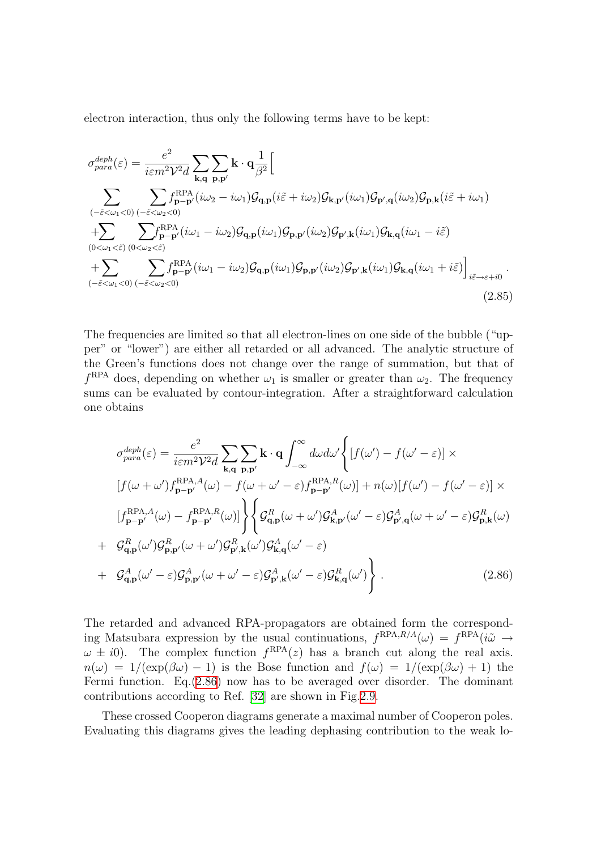electron interaction, thus only the following terms have to be kept:

$$
\sigma_{para}^{deph}(\varepsilon) = \frac{e^2}{i\varepsilon m^2 \mathcal{V}^2 d} \sum_{\mathbf{k},\mathbf{q}} \sum_{\mathbf{p},\mathbf{p}'} \mathbf{k} \cdot \mathbf{q} \frac{1}{\beta^2} \Big[
$$
\n
$$
\sum_{\substack{(-\tilde{\varepsilon}<\omega_1<0)(-\tilde{\varepsilon}<\omega_2<0) \\ +\sum_{(0<\omega_1<\tilde{\varepsilon})}} \sum_{\substack{(\tilde{\varepsilon}<\omega_2<0) \\ 0<\omega_1<\tilde{\varepsilon}}} f_{\mathbf{p}-\mathbf{p}'}^{RPA}(i\omega_2 - i\omega_1) \mathcal{G}_{\mathbf{q},\mathbf{p}}(i\tilde{\varepsilon} + i\omega_2) \mathcal{G}_{\mathbf{k},\mathbf{p}'}(i\omega_1) \mathcal{G}_{\mathbf{p}',\mathbf{q}}(i\omega_2) \mathcal{G}_{\mathbf{p},\mathbf{k}}(i\tilde{\varepsilon} + i\omega_1)
$$
\n
$$
+ \sum_{(0<\omega_1<\tilde{\varepsilon})} \sum_{(0<\omega_2<\tilde{\varepsilon})} f_{\mathbf{p}-\mathbf{p}'}^{RPA}(i\omega_1 - i\omega_2) \mathcal{G}_{\mathbf{q},\mathbf{p}}(i\omega_1) \mathcal{G}_{\mathbf{p},\mathbf{p}'}(i\omega_2) \mathcal{G}_{\mathbf{p}',\mathbf{k}}(i\omega_1) \mathcal{G}_{\mathbf{k},\mathbf{q}}(i\omega_1 - i\tilde{\varepsilon})
$$
\n
$$
+ \sum_{(-\tilde{\varepsilon}<\omega_1<0)} \sum_{(-\tilde{\varepsilon}<\omega_2<0)} f_{\mathbf{p}-\mathbf{p}'}^{RPA}(i\omega_1 - i\omega_2) \mathcal{G}_{\mathbf{q},\mathbf{p}}(i\omega_1) \mathcal{G}_{\mathbf{p},\mathbf{p}'}(i\omega_2) \mathcal{G}_{\mathbf{p}',\mathbf{k}}(i\omega_1) \mathcal{G}_{\mathbf{k},\mathbf{q}}(i\omega_1 + i\tilde{\varepsilon}) \Big]_{i\tilde{\varepsilon}\to\varepsilon+i0} .
$$
\n(2.85

The frequencies are limited so that all electron-lines on one side of the bubble ("upper" or "lower") are either all retarded or all advanced. The analytic structure of the Green's functions does not change over the range of summation, but that of  $f<sup>RPA</sup>$  does, depending on whether  $\omega_1$  is smaller or greater than  $\omega_2$ . The frequency sums can be evaluated by contour-integration. After a straightforward calculation one obtains

<span id="page-31-0"></span>
$$
\sigma_{para}^{deph}(\varepsilon) = \frac{e^2}{i\varepsilon m^2 \mathcal{V}^2 d} \sum_{\mathbf{k},\mathbf{q}} \sum_{\mathbf{p},\mathbf{p}'} \mathbf{k} \cdot \mathbf{q} \int_{-\infty}^{\infty} d\omega d\omega' \left\{ [f(\omega') - f(\omega' - \varepsilon)] \times
$$
  
\n
$$
[f(\omega + \omega')f_{\mathbf{p} - \mathbf{p}'}^{\text{RPA},A}(\omega) - f(\omega + \omega' - \varepsilon)f_{\mathbf{p} - \mathbf{p}'}^{\text{RPA},R}(\omega)] + n(\omega)[f(\omega') - f(\omega' - \varepsilon)] \times
$$
  
\n
$$
[f_{\mathbf{p} - \mathbf{p}'}^{\text{RPA},A}(\omega) - f_{\mathbf{p} - \mathbf{p}'}^{\text{RPA},R}(\omega)] \right\} \left\{ \mathcal{G}_{\mathbf{q},\mathbf{p}}^R(\omega + \omega') \mathcal{G}_{\mathbf{k},\mathbf{p}'}^A(\omega' - \varepsilon) \mathcal{G}_{\mathbf{p}',\mathbf{q}}^A(\omega + \omega' - \varepsilon) \mathcal{G}_{\mathbf{p},\mathbf{k}}^R(\omega)
$$
  
\n+ 
$$
\mathcal{G}_{\mathbf{q},\mathbf{p}}^R(\omega') \mathcal{G}_{\mathbf{p},\mathbf{p}'}^R(\omega + \omega') \mathcal{G}_{\mathbf{p}',\mathbf{k}}^R(\omega') \mathcal{G}_{\mathbf{k},\mathbf{q}}^A(\omega' - \varepsilon)
$$
  
\n+ 
$$
\mathcal{G}_{\mathbf{q},\mathbf{p}}^A(\omega' - \varepsilon) \mathcal{G}_{\mathbf{p},\mathbf{p}'}^A(\omega + \omega' - \varepsilon) \mathcal{G}_{\mathbf{p}',\mathbf{k}}^A(\omega' - \varepsilon) \mathcal{G}_{\mathbf{k},\mathbf{q}}^R(\omega') \right\} .
$$
 (2.86)

The retarded and advanced RPA-propagators are obtained form the corresponding Matsubara expression by the usual continuations,  $f^{RPA, R/A}(\omega) = f^{RPA}(i\tilde{\omega} \rightarrow$  $\omega \pm i0$ ). The complex function  $f^{RPA}(z)$  has a branch cut along the real axis.  $n(\omega) = 1/(\exp(\beta \omega) - 1)$  is the Bose function and  $f(\omega) = 1/(\exp(\beta \omega) + 1)$  the Fermi function. Eq.[\(2.86\)](#page-31-0) now has to be averaged over disorder. The dominant contributions according to Ref. [\[32](#page-134-11)] are shown in Fig.[2.9.](#page-32-0)

These crossed Cooperon diagrams generate a maximal number of Cooperon poles. Evaluating this diagrams gives the leading dephasing contribution to the weak lo-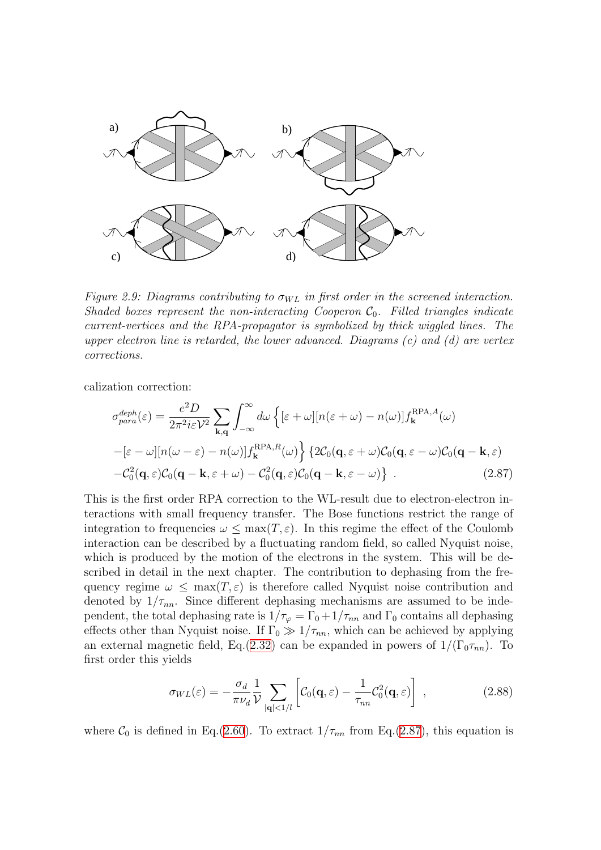

<span id="page-32-0"></span>Figure 2.9: Diagrams contributing to  $\sigma_{WL}$  in first order in the screened interaction. Shaded boxes represent the non-interacting Cooperon  $C_0$ . Filled triangles indicate current-vertices and the RPA-propagator is symbolized by thick wiggled lines. The upper electron line is retarded, the lower advanced. Diagrams  $(c)$  and  $(d)$  are vertex corrections.

calization correction:

<span id="page-32-1"></span>
$$
\sigma_{para}^{deph}(\varepsilon) = \frac{e^2 D}{2\pi^2 i\varepsilon \mathcal{V}^2} \sum_{\mathbf{k},\mathbf{q}} \int_{-\infty}^{\infty} d\omega \left\{ [\varepsilon + \omega] [n(\varepsilon + \omega) - n(\omega)] f_{\mathbf{k}}^{RPA,A}(\omega) \right.\n- [\varepsilon - \omega] [n(\omega - \varepsilon) - n(\omega)] f_{\mathbf{k}}^{RPA,R}(\omega) \left\} \left\{ 2C_0(\mathbf{q}, \varepsilon + \omega) C_0(\mathbf{q}, \varepsilon - \omega) C_0(\mathbf{q} - \mathbf{k}, \varepsilon) \right. \right.\n- C_0^2(\mathbf{q}, \varepsilon) C_0(\mathbf{q} - \mathbf{k}, \varepsilon + \omega) - C_0^2(\mathbf{q}, \varepsilon) C_0(\mathbf{q} - \mathbf{k}, \varepsilon - \omega) \right\} . \tag{2.87}
$$

This is the first order RPA correction to the WL-result due to electron-electron interactions with small frequency transfer. The Bose functions restrict the range of integration to frequencies  $\omega \leq \max(T, \varepsilon)$ . In this regime the effect of the Coulomb interaction can be described by a fluctuating random field, so called Nyquist noise, which is produced by the motion of the electrons in the system. This will be described in detail in the next chapter. The contribution to dephasing from the frequency regime  $\omega \leq \max(T, \varepsilon)$  is therefore called Nyquist noise contribution and denoted by  $1/\tau_{nn}$ . Since different dephasing mechanisms are assumed to be independent, the total dephasing rate is  $1/\tau_{\varphi} = \Gamma_0 + 1/\tau_{nn}$  and  $\Gamma_0$  contains all dephasing effects other than Nyquist noise. If  $\Gamma_0 \gg 1/\tau_{nn}$ , which can be achieved by applying an external magnetic field, Eq.([2.32\)](#page-15-3) can be expanded in powers of  $1/(\Gamma_0 \tau_{nn})$ . To first order this yields

<span id="page-32-2"></span>
$$
\sigma_{WL}(\varepsilon) = -\frac{\sigma_d}{\pi \nu_d} \frac{1}{\mathcal{V}} \sum_{|\mathbf{q}| < 1/l} \left[ \mathcal{C}_0(\mathbf{q}, \varepsilon) - \frac{1}{\tau_{nn}} \mathcal{C}_0^2(\mathbf{q}, \varepsilon) \right], \qquad (2.88)
$$

where  $\mathcal{C}_0$  is defined in Eq.([2.60](#page-23-2)). To extract  $1/\tau_{nn}$  from Eq.[\(2.87](#page-32-1)), this equation is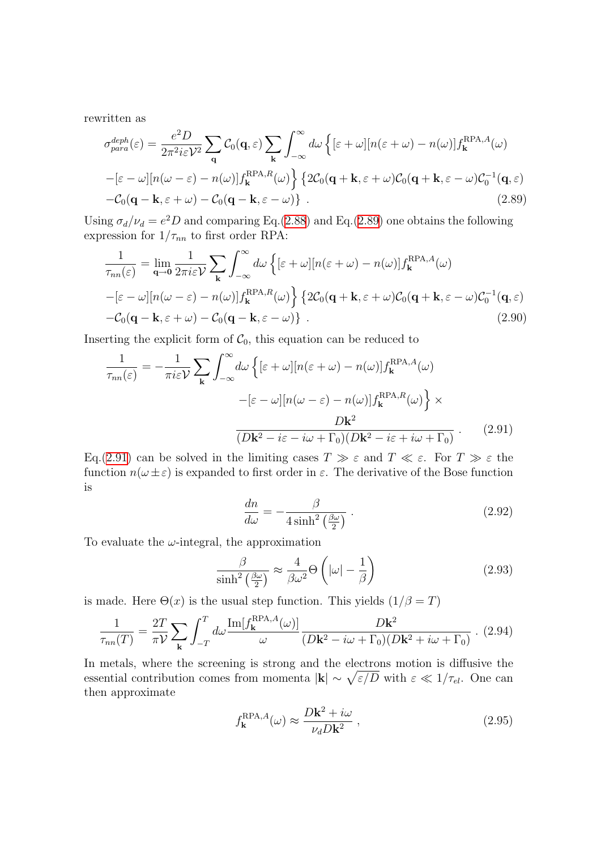rewritten as

<span id="page-33-0"></span>
$$
\sigma_{para}^{deph}(\varepsilon) = \frac{e^2 D}{2\pi^2 i\varepsilon \mathcal{V}^2} \sum_{\mathbf{q}} \mathcal{C}_0(\mathbf{q}, \varepsilon) \sum_{\mathbf{k}} \int_{-\infty}^{\infty} d\omega \left\{ [\varepsilon + \omega] [n(\varepsilon + \omega) - n(\omega)] f_{\mathbf{k}}^{\text{RPA},A}(\omega) \right\}
$$

$$
-[\varepsilon - \omega] [n(\omega - \varepsilon) - n(\omega)] f_{\mathbf{k}}^{\text{RPA},R}(\omega) \left\{ 2\mathcal{C}_0(\mathbf{q} + \mathbf{k}, \varepsilon + \omega) \mathcal{C}_0(\mathbf{q} + \mathbf{k}, \varepsilon - \omega) \mathcal{C}_0^{-1}(\mathbf{q}, \varepsilon) \right\} - \mathcal{C}_0(\mathbf{q} - \mathbf{k}, \varepsilon + \omega) - \mathcal{C}_0(\mathbf{q} - \mathbf{k}, \varepsilon - \omega) \right\}.
$$
(2.89)

Using  $\sigma_d/\nu_d = e^2 D$  and comparing Eq.[\(2.88](#page-32-2)) and Eq.([2.89](#page-33-0)) one obtains the following expression for  $1/\tau_{nn}$  to first order RPA:

$$
\frac{1}{\tau_{nn}(\varepsilon)} = \lim_{\mathbf{q}\to\mathbf{0}} \frac{1}{2\pi i \varepsilon \mathcal{V}} \sum_{\mathbf{k}} \int_{-\infty}^{\infty} d\omega \left\{ [\varepsilon + \omega] [n(\varepsilon + \omega) - n(\omega)] f_{\mathbf{k}}^{\text{RPA},A}(\omega) \right.\n- [\varepsilon - \omega] [n(\omega - \varepsilon) - n(\omega)] f_{\mathbf{k}}^{\text{RPA},B}(\omega) \left\} \left\{ 2C_0(\mathbf{q} + \mathbf{k}, \varepsilon + \omega) C_0(\mathbf{q} + \mathbf{k}, \varepsilon - \omega) C_0^{-1}(\mathbf{q}, \varepsilon) \right.\n- C_0(\mathbf{q} - \mathbf{k}, \varepsilon + \omega) - C_0(\mathbf{q} - \mathbf{k}, \varepsilon - \omega) \right\} .
$$
\n(2.90)

Inserting the explicit form of  $C_0$ , this equation can be reduced to

$$
\frac{1}{\tau_{nn}(\varepsilon)} = -\frac{1}{\pi i \varepsilon \mathcal{V}} \sum_{\mathbf{k}} \int_{-\infty}^{\infty} d\omega \left\{ [\varepsilon + \omega] [n(\varepsilon + \omega) - n(\omega)] f_{\mathbf{k}}^{\text{RPA},A}(\omega) - [\varepsilon - \omega] [n(\omega - \varepsilon) - n(\omega)] f_{\mathbf{k}}^{\text{RPA},R}(\omega) \right\} \times
$$

$$
\frac{D \mathbf{k}^2}{(D \mathbf{k}^2 - i\varepsilon - i\omega + \Gamma_0)(D \mathbf{k}^2 - i\varepsilon + i\omega + \Gamma_0)} . \tag{2.91}
$$

Eq.[\(2.91](#page-33-1)) can be solved in the limiting cases  $T \gg \varepsilon$  and  $T \ll \varepsilon$ . For  $T \gg \varepsilon$  the function  $n(\omega \pm \varepsilon)$  is expanded to first order in  $\varepsilon$ . The derivative of the Bose function is

<span id="page-33-1"></span>
$$
\frac{dn}{d\omega} = -\frac{\beta}{4\sinh^2\left(\frac{\beta\omega}{2}\right)}\,. \tag{2.92}
$$

To evaluate the  $\omega$ -integral, the approximation

$$
\frac{\beta}{\sinh^2\left(\frac{\beta\omega}{2}\right)} \approx \frac{4}{\beta\omega^2} \Theta\left(|\omega| - \frac{1}{\beta}\right)
$$
\n(2.93)

is made. Here  $\Theta(x)$  is the usual step function. This yields  $(1/\beta = T)$ 

$$
\frac{1}{\tau_{nn}(T)} = \frac{2T}{\pi \mathcal{V}} \sum_{\mathbf{k}} \int_{-T}^{T} d\omega \frac{\text{Im}[f_{\mathbf{k}}^{\text{RPA},A}(\omega)]}{\omega} \frac{D\mathbf{k}^2}{(D\mathbf{k}^2 - i\omega + \Gamma_0)(D\mathbf{k}^2 + i\omega + \Gamma_0)} \tag{2.94}
$$

In metals, where the screening is strong and the electrons motion is diffusive the essential contribution comes from momenta  $|\mathbf{k}| \sim \sqrt{\varepsilon/D}$  with  $\varepsilon \ll 1/\tau_{el}$ . One can then approximate

$$
f_{\mathbf{k}}^{\text{RPA},A}(\omega) \approx \frac{D\mathbf{k}^2 + i\omega}{\nu_d D\mathbf{k}^2} \,,\tag{2.95}
$$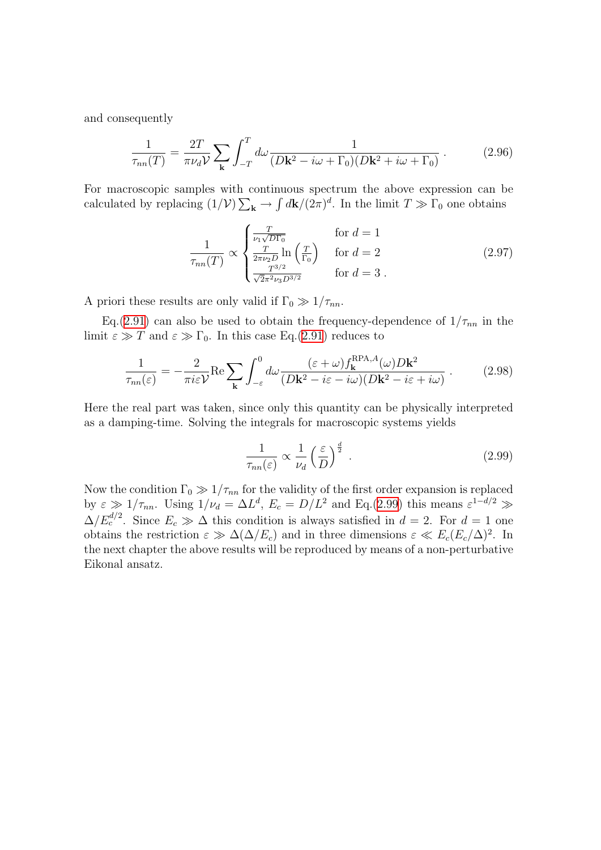and consequently

$$
\frac{1}{\tau_{nn}(T)} = \frac{2T}{\pi \nu_d \mathcal{V}} \sum_{\mathbf{k}} \int_{-T}^{T} d\omega \frac{1}{(D\mathbf{k}^2 - i\omega + \Gamma_0)(D\mathbf{k}^2 + i\omega + \Gamma_0)} \,. \tag{2.96}
$$

For macroscopic samples with continuous spectrum the above expression can be calculated by replacing  $(1/\mathcal{V})\sum_{\mathbf{k}} \to \int d\mathbf{k}/(2\pi)^d$ . In the limit  $T \gg \Gamma_0$  one obtains

$$
\frac{1}{\tau_{nn}(T)} \propto \begin{cases} \frac{T}{\nu_1 \sqrt{D\Gamma_0}} & \text{for } d = 1\\ \frac{T}{2\pi \nu_2 D} \ln\left(\frac{T}{\Gamma_0}\right) & \text{for } d = 2\\ \frac{T^{3/2}}{\sqrt{2\pi^2 \nu_3 D^{3/2}}} & \text{for } d = 3 \end{cases}
$$
(2.97)

A priori these results are only valid if  $\Gamma_0 \gg 1/\tau_{nn}$ .

Eq.([2.91\)](#page-33-1) can also be used to obtain the frequency-dependence of  $1/\tau_{nn}$  in the limit  $\varepsilon \gg T$  and  $\varepsilon \gg \Gamma_0$ . In this case Eq.[\(2.91](#page-33-1)) reduces to

$$
\frac{1}{\tau_{nn}(\varepsilon)} = -\frac{2}{\pi i \varepsilon \mathcal{V}} \text{Re} \sum_{\mathbf{k}} \int_{-\varepsilon}^{0} d\omega \frac{(\varepsilon + \omega) f_{\mathbf{k}}^{\text{RPA},A}(\omega) D \mathbf{k}^{2}}{(D \mathbf{k}^{2} - i \varepsilon - i \omega)(D \mathbf{k}^{2} - i \varepsilon + i \omega)} . \tag{2.98}
$$

Here the real part was taken, since only this quantity can be physically interpreted as a damping-time. Solving the integrals for macroscopic systems yields

<span id="page-34-0"></span>
$$
\frac{1}{\tau_{nn}(\varepsilon)} \propto \frac{1}{\nu_d} \left(\frac{\varepsilon}{D}\right)^{\frac{d}{2}}.
$$
\n(2.99)

Now the condition  $\Gamma_0 \gg 1/\tau_{nn}$  for the validity of the first order expansion is replaced by  $\varepsilon \gg 1/\tau_{nn}$ . Using  $1/\nu_d = \Delta L^d$ ,  $E_c = D/L^2$  and Eq.([2.99\)](#page-34-0) this means  $\varepsilon^{1-d/2} \gg$  $\Delta/E_c^{d/2}$ . Since  $E_c \gg \Delta$  this condition is always satisfied in  $d=2$ . For  $d=1$  one obtains the restriction  $\varepsilon \gg \Delta(\Delta/E_c)$  and in three dimensions  $\varepsilon \ll E_c(E_c/\Delta)^2$ . In the next chapter the above results will be reproduced by means of a non-perturbative Eikonal ansatz.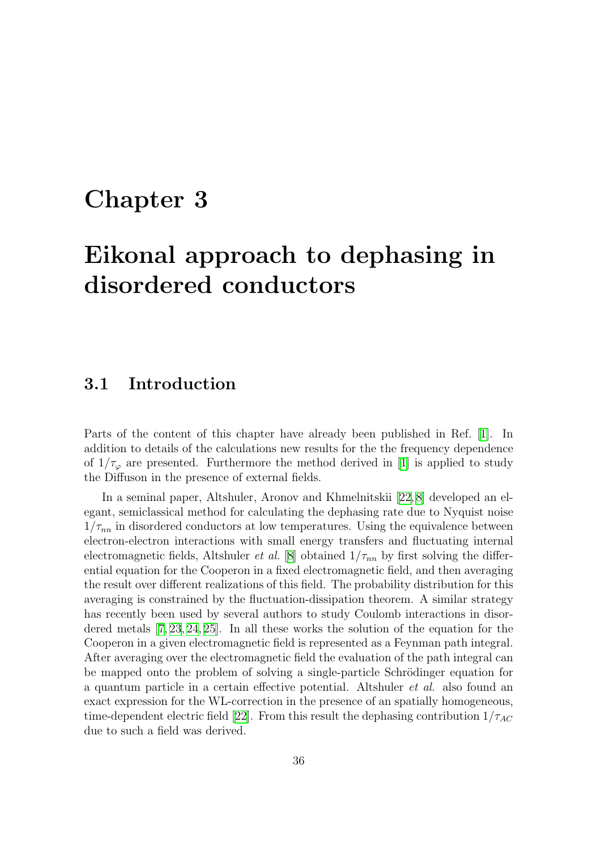### <span id="page-35-0"></span>Chapter 3

## Eikonal approach to dephasing in disordered conductors

#### <span id="page-35-1"></span>3.1 Introduction

Parts of the content of this chapter have already been published in Ref. [\[1\]](#page-133-0). In addition to details of the calculations new results for the the frequency dependence of $1/\tau_{\varphi}$  are presented. Furthermore the method derived in [[1\]](#page-133-0) is applied to study the Diffuson in the presence of external fields.

In a seminal paper, Altshuler, Aronov and Khmelnitskii[[22](#page-134-12), [8](#page-133-7)] developed an elegant, semiclassical method for calculating the dephasing rate due to Nyquist noise  $1/\tau_{nn}$  in disordered conductors at low temperatures. Using the equivalence between electron-electron interactions with small energy transfers and fluctuating internal electromagnetic fields, Altshuler *et al.* [[8\]](#page-133-7) obtained  $1/\tau_{nn}$  by first solving the differential equation for the Cooperon in a fixed electromagnetic field, and then averaging the result over different realizations of this field. The probability distribution for this averaging is constrained by the fluctuation-dissipation theorem. A similar strategy has recently been used by several authors to study Coulomb interactions in disordered metals [\[7,](#page-133-5) [23,](#page-134-7) [24,](#page-134-8) [25\]](#page-134-9). In all these works the solution of the equation for the Cooperon in a given electromagnetic field is represented as a Feynman path integral. After averaging over the electromagnetic field the evaluation of the path integral can be mapped onto the problem of solving a single-particle Schrödinger equation for a quantum particle in a certain effective potential. Altshuler et al. also found an exact expression for the WL-correction in the presence of an spatially homogeneous, time-dependentelectric field [[22\]](#page-134-12). From this result the dephasing contribution  $1/\tau_{AC}$ due to such a field was derived.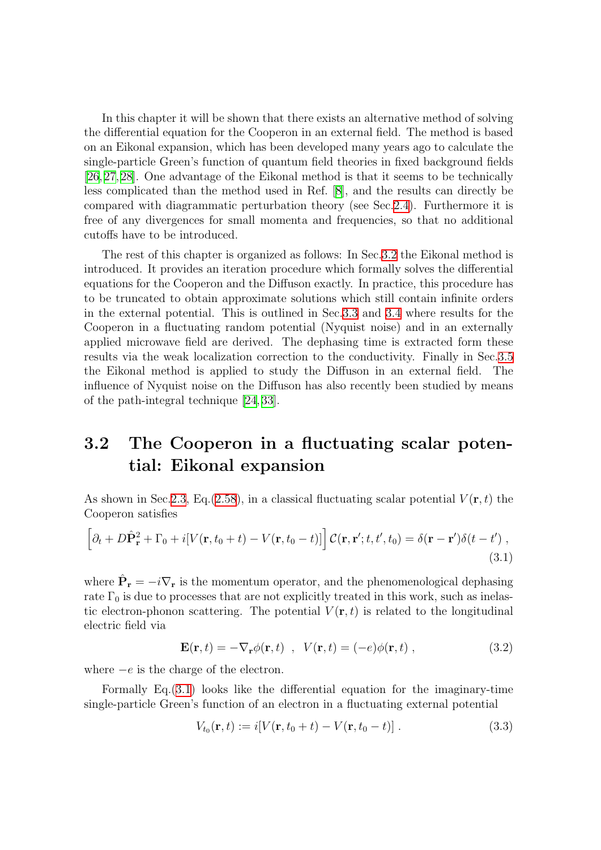In this chapter it will be shown that there exists an alternative method of solving the differential equation for the Cooperon in an external field. The method is based on an Eikonal expansion, which has been developed many years ago to calculate the single-particle Green's function of quantum field theories in fixed background fields [[26](#page-134-0), [27,](#page-134-1) [28](#page-134-2)]. One advantage of the Eikonal method is that it seems to be technically less complicated than the method used in Ref.[[8](#page-133-0)], and the results can directly be compared with diagrammatic perturbation theory (see Sec[.2.4](#page-26-0)). Furthermore it is free of any divergences for small momenta and frequencies, so that no additional cutoffs have to be introduced.

The rest of this chapter is organized as follows: In Sec[.3.2](#page-36-0) the Eikonal method is introduced. It provides an iteration procedure which formally solves the differential equations for the Cooperon and the Diffuson exactly. In practice, this procedure has to be truncated to obtain approximate solutions which still contain infinite orders in the external potential. This is outlined in Sec.[3.3](#page-39-0) and [3.4](#page-56-0) where results for the Cooperon in a fluctuating random potential (Nyquist noise) and in an externally applied microwave field are derived. The dephasing time is extracted form these results via the weak localization correction to the conductivity. Finally in Sec.[3.5](#page-67-0) the Eikonal method is applied to study the Diffuson in an external field. The influence of Nyquist noise on the Diffuson has also recently been studied by means of the path-integral technique[[24](#page-134-3), [33\]](#page-134-4).

# <span id="page-36-0"></span>3.2 The Cooperon in a fluctuating scalar potential: Eikonal expansion

As shown in Sec. 2.3, Eq. [\(2.58](#page-23-0)), in a classical fluctuating scalar potential  $V(\mathbf{r},t)$  the Cooperon satisfies

$$
\left[\partial_t + D\hat{\mathbf{P}}_\mathbf{r}^2 + \Gamma_0 + i[V(\mathbf{r}, t_0 + t) - V(\mathbf{r}, t_0 - t)]\right] \mathcal{C}(\mathbf{r}, \mathbf{r}'; t, t', t_0) = \delta(\mathbf{r} - \mathbf{r}')\delta(t - t'),\tag{3.1}
$$

where  $\hat{\mathbf{P}}_{\mathbf{r}} = -i\nabla_{\mathbf{r}}$  is the momentum operator, and the phenomenological dephasing rate  $\Gamma_0$  is due to processes that are not explicitly treated in this work, such as inelastic electron-phonon scattering. The potential  $V(\mathbf{r},t)$  is related to the longitudinal electric field via

<span id="page-36-1"></span>
$$
\mathbf{E}(\mathbf{r},t) = -\nabla_{\mathbf{r}}\phi(\mathbf{r},t) , \quad V(\mathbf{r},t) = (-e)\phi(\mathbf{r},t) , \qquad (3.2)
$$

where  $-e$  is the charge of the electron.

Formally Eq.[\(3.1](#page-36-1)) looks like the differential equation for the imaginary-time single-particle Green's function of an electron in a fluctuating external potential

<span id="page-36-3"></span><span id="page-36-2"></span>
$$
V_{t_0}(\mathbf{r},t) := i[V(\mathbf{r},t_0+t) - V(\mathbf{r},t_0-t)] \ . \tag{3.3}
$$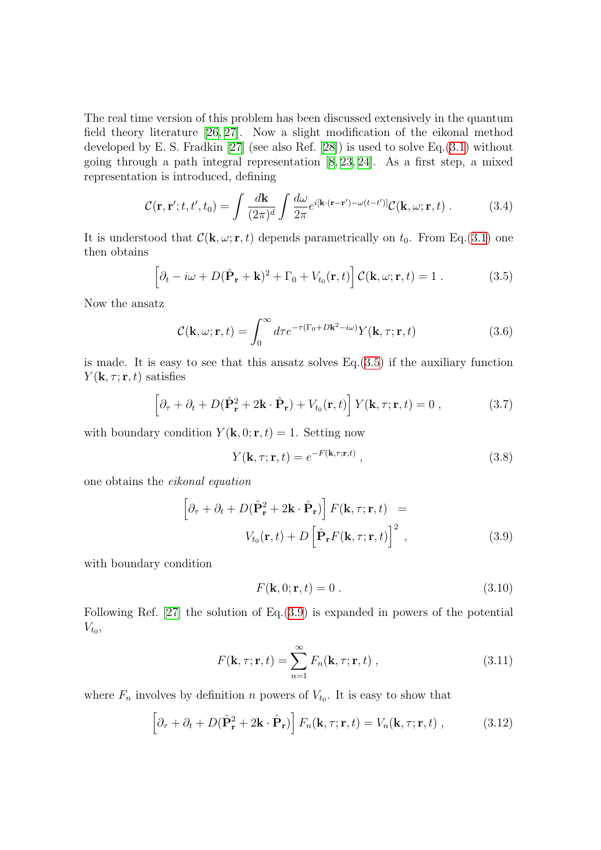The real time version of this problem has been discussed extensively in the quantum field theory literature[[26](#page-134-0), [27\]](#page-134-1). Now a slight modification of the eikonal method developed by E. S. Fradkin[[27\]](#page-134-1) (see also Ref. [\[28](#page-134-2)]) is used to solve Eq.([3.1\)](#page-36-1) without going through a path integral representation[[8,](#page-133-0) [23](#page-134-5), [24](#page-134-3)]. As a first step, a mixed representation is introduced, defining

$$
\mathcal{C}(\mathbf{r}, \mathbf{r}'; t, t', t_0) = \int \frac{d\mathbf{k}}{(2\pi)^d} \int \frac{d\omega}{2\pi} e^{i[\mathbf{k} \cdot (\mathbf{r} - \mathbf{r}') - \omega(t - t')]} \mathcal{C}(\mathbf{k}, \omega; \mathbf{r}, t) . \tag{3.4}
$$

It is understood that  $\mathcal{C}(\mathbf{k}, \omega; \mathbf{r}, t)$  depends parametrically on  $t_0$ . From Eq.[\(3.1](#page-36-1)) one then obtains

$$
\left[\partial_t - i\omega + D(\hat{\mathbf{P}}_{\mathbf{r}} + \mathbf{k})^2 + \Gamma_0 + V_{t_0}(\mathbf{r}, t)\right] \mathcal{C}(\mathbf{k}, \omega; \mathbf{r}, t) = 1.
$$
 (3.5)

Now the ansatz

<span id="page-37-5"></span>
$$
\mathcal{C}(\mathbf{k}, \omega; \mathbf{r}, t) = \int_0^\infty d\tau e^{-\tau(\Gamma_0 + D\mathbf{k}^2 - i\omega)} Y(\mathbf{k}, \tau; \mathbf{r}, t)
$$
(3.6)

is made. It is easy to see that this ansatz solves Eq.[\(3.5](#page-37-0)) if the auxiliary function  $Y(\mathbf{k}, \tau; \mathbf{r}, t)$  satisfies

$$
\left[\partial_{\tau} + \partial_t + D(\hat{\mathbf{P}}_{\mathbf{r}}^2 + 2\mathbf{k} \cdot \hat{\mathbf{P}}_{\mathbf{r}}) + V_{t_0}(\mathbf{r}, t)\right] Y(\mathbf{k}, \tau; \mathbf{r}, t) = 0 ,\qquad (3.7)
$$

with boundary condition  $Y(\mathbf{k}, 0; \mathbf{r}, t) = 1$ . Setting now

<span id="page-37-4"></span><span id="page-37-3"></span><span id="page-37-0"></span>
$$
Y(\mathbf{k}, \tau; \mathbf{r}, t) = e^{-F(\mathbf{k}, \tau; \mathbf{r}, t)}, \qquad (3.8)
$$

one obtains the eikonal equation

<span id="page-37-1"></span>
$$
\left[\partial_{\tau} + \partial_t + D(\hat{\mathbf{P}}_{\mathbf{r}}^2 + 2\mathbf{k} \cdot \hat{\mathbf{P}}_{\mathbf{r}})\right] F(\mathbf{k}, \tau; \mathbf{r}, t) =
$$
  

$$
V_{t_0}(\mathbf{r}, t) + D\left[\hat{\mathbf{P}}_{\mathbf{r}} F(\mathbf{k}, \tau; \mathbf{r}, t)\right]^2 ,
$$
 (3.9)

with boundary condition

<span id="page-37-6"></span><span id="page-37-2"></span>
$$
F(\mathbf{k},0;\mathbf{r},t) = 0.
$$
\n
$$
(3.10)
$$

Following Ref.[[27](#page-134-1)] the solution of Eq.([3.9\)](#page-37-1) is expanded in powers of the potential  $V_{t_0},$ 

$$
F(\mathbf{k}, \tau; \mathbf{r}, t) = \sum_{n=1}^{\infty} F_n(\mathbf{k}, \tau; \mathbf{r}, t) ,
$$
 (3.11)

where  $F_n$  involves by definition n powers of  $V_{t_0}$ . It is easy to show that

$$
\left[\partial_{\tau} + \partial_t + D(\hat{\mathbf{P}}_{\mathbf{r}}^2 + 2\mathbf{k} \cdot \hat{\mathbf{P}}_{\mathbf{r}})\right] F_n(\mathbf{k}, \tau; \mathbf{r}, t) = V_n(\mathbf{k}, \tau; \mathbf{r}, t) , \qquad (3.12)
$$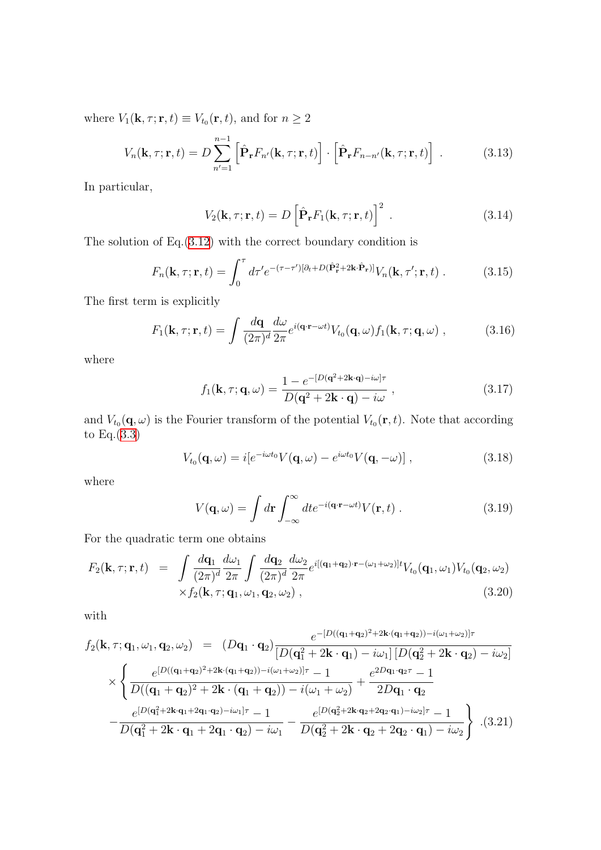where  $V_1(\mathbf{k}, \tau; \mathbf{r}, t) \equiv V_{t_0}(\mathbf{r}, t)$ , and for  $n \geq 2$ 

$$
V_n(\mathbf{k}, \tau; \mathbf{r}, t) = D \sum_{n'=1}^{n-1} \left[ \hat{\mathbf{P}}_\mathbf{r} F_{n'}(\mathbf{k}, \tau; \mathbf{r}, t) \right] \cdot \left[ \hat{\mathbf{P}}_\mathbf{r} F_{n-n'}(\mathbf{k}, \tau; \mathbf{r}, t) \right] . \tag{3.13}
$$

In particular,

<span id="page-38-3"></span>
$$
V_2(\mathbf{k}, \tau; \mathbf{r}, t) = D \left[ \hat{\mathbf{P}}_\mathbf{r} F_1(\mathbf{k}, \tau; \mathbf{r}, t) \right]^2.
$$
 (3.14)

The solution of  $Eq.(3.12)$  $Eq.(3.12)$  with the correct boundary condition is

$$
F_n(\mathbf{k}, \tau; \mathbf{r}, t) = \int_0^{\tau} d\tau' e^{-(\tau - \tau')[\partial_t + D(\hat{\mathbf{P}}_\mathbf{r}^2 + 2\mathbf{k} \cdot \hat{\mathbf{P}}_\mathbf{r})]} V_n(\mathbf{k}, \tau'; \mathbf{r}, t) . \tag{3.15}
$$

The first term is explicitly

$$
F_1(\mathbf{k}, \tau; \mathbf{r}, t) = \int \frac{d\mathbf{q}}{(2\pi)^d} \frac{d\omega}{2\pi} e^{i(\mathbf{q} \cdot \mathbf{r} - \omega t)} V_{t_0}(\mathbf{q}, \omega) f_1(\mathbf{k}, \tau; \mathbf{q}, \omega) , \qquad (3.16)
$$

where

<span id="page-38-1"></span>
$$
f_1(\mathbf{k}, \tau; \mathbf{q}, \omega) = \frac{1 - e^{-[D(\mathbf{q}^2 + 2\mathbf{k} \cdot \mathbf{q}) - i\omega]\tau}}{D(\mathbf{q}^2 + 2\mathbf{k} \cdot \mathbf{q}) - i\omega},
$$
\n(3.17)

and  $V_{t_0}(\mathbf{q}, \omega)$  is the Fourier transform of the potential  $V_{t_0}(\mathbf{r}, t)$ . Note that according to Eq.([3.3\)](#page-36-2)

$$
V_{t_0}(\mathbf{q},\omega) = i[e^{-i\omega t_0}V(\mathbf{q},\omega) - e^{i\omega t_0}V(\mathbf{q},-\omega)],
$$
\n(3.18)

where

<span id="page-38-0"></span>
$$
V(\mathbf{q}, \omega) = \int d\mathbf{r} \int_{-\infty}^{\infty} dt e^{-i(\mathbf{q} \cdot \mathbf{r} - \omega t)} V(\mathbf{r}, t) . \qquad (3.19)
$$

For the quadratic term one obtains

<span id="page-38-2"></span>
$$
F_2(\mathbf{k}, \tau; \mathbf{r}, t) = \int \frac{d\mathbf{q}_1}{(2\pi)^d} \frac{d\omega_1}{2\pi} \int \frac{d\mathbf{q}_2}{(2\pi)^d} \frac{d\omega_2}{2\pi} e^{i[(\mathbf{q}_1 + \mathbf{q}_2) \cdot \mathbf{r} - (\omega_1 + \omega_2)]t} V_{t_0}(\mathbf{q}_1, \omega_1) V_{t_0}(\mathbf{q}_2, \omega_2)
$$
  
 
$$
\times f_2(\mathbf{k}, \tau; \mathbf{q}_1, \omega_1, \mathbf{q}_2, \omega_2), \qquad (3.20)
$$

with

$$
f_2(\mathbf{k}, \tau; \mathbf{q}_1, \omega_1, \mathbf{q}_2, \omega_2) = (D\mathbf{q}_1 \cdot \mathbf{q}_2) \frac{e^{-[D((\mathbf{q}_1 + \mathbf{q}_2)^2 + 2\mathbf{k} \cdot (\mathbf{q}_1 + \mathbf{q}_2)) - i(\omega_1 + \omega_2)]\tau}}{[D(\mathbf{q}_1^2 + 2\mathbf{k} \cdot \mathbf{q}_1) - i\omega_1] [D(\mathbf{q}_2^2 + 2\mathbf{k} \cdot \mathbf{q}_2) - i\omega_2]}
$$
  
 
$$
\times \left\{ \frac{e^{[D((\mathbf{q}_1 + \mathbf{q}_2)^2 + 2\mathbf{k} \cdot (\mathbf{q}_1 + \mathbf{q}_2)) - i(\omega_1 + \omega_2)]\tau} - 1}{D((\mathbf{q}_1 + \mathbf{q}_2)^2 + 2\mathbf{k} \cdot (\mathbf{q}_1 + \mathbf{q}_2)) - i(\omega_1 + \omega_2)} + \frac{e^{2D\mathbf{q}_1 \cdot \mathbf{q}_2\tau} - 1}{2D\mathbf{q}_1 \cdot \mathbf{q}_2}
$$
  
 
$$
- \frac{e^{[D(\mathbf{q}_1^2 + 2\mathbf{k} \cdot \mathbf{q}_1 + 2\mathbf{q}_1 \cdot \mathbf{q}_2) - i\omega_1]\tau} - 1}{D(\mathbf{q}_1^2 + 2\mathbf{k} \cdot \mathbf{q}_1 + 2\mathbf{q}_1 \cdot \mathbf{q}_2) - i\omega_1} - \frac{e^{[D(\mathbf{q}_2^2 + 2\mathbf{k} \cdot \mathbf{q}_2 + 2\mathbf{q}_2 \cdot \mathbf{q}_1) - i\omega_2]\tau} - 1}{D(\mathbf{q}_2^2 + 2\mathbf{k} \cdot \mathbf{q}_2 + 2\mathbf{q}_2 \cdot \mathbf{q}_1) - i\omega_2} \right\} . (3.21)
$$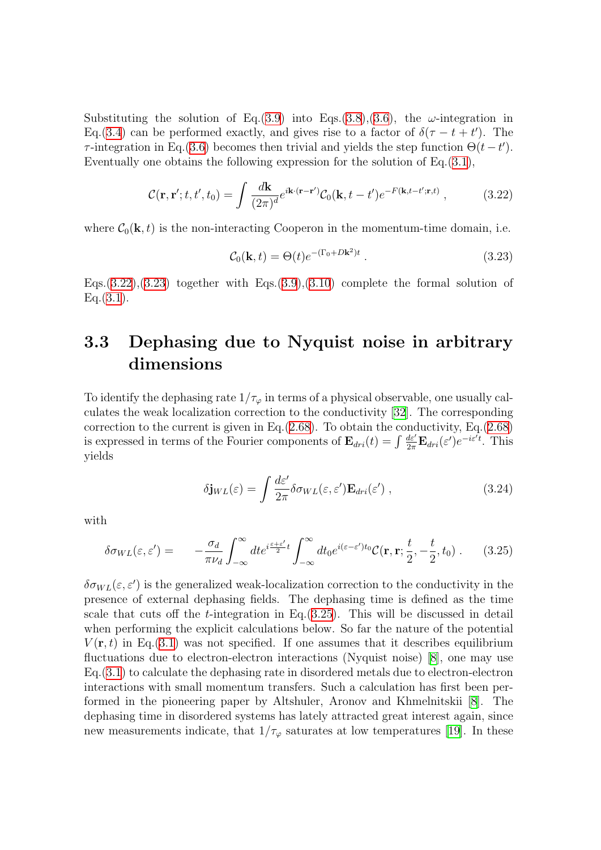Substituting the solution of Eq.([3.9\)](#page-37-1) into Eqs.[\(3.8](#page-37-3)),[\(3.6](#page-37-4)), the  $\omega$ -integration in Eq.[\(3.4](#page-37-5)) can be performed exactly, and gives rise to a factor of  $\delta(\tau - t + t')$ . The τ-integration in Eq.[\(3.6](#page-37-4)) becomes then trivial and yields the step function  $\Theta(t-t')$ . Eventually one obtains the following expression for the solution of Eq.[\(3.1](#page-36-1)),

$$
\mathcal{C}(\mathbf{r}, \mathbf{r}'; t, t', t_0) = \int \frac{d\mathbf{k}}{(2\pi)^d} e^{i\mathbf{k} \cdot (\mathbf{r} - \mathbf{r}')} \mathcal{C}_0(\mathbf{k}, t - t') e^{-F(\mathbf{k}, t - t'; \mathbf{r}, t)}, \qquad (3.22)
$$

where  $C_0(\mathbf{k}, t)$  is the non-interacting Cooperon in the momentum-time domain, i.e.

<span id="page-39-2"></span><span id="page-39-1"></span>
$$
\mathcal{C}_0(\mathbf{k}, t) = \Theta(t)e^{-(\Gamma_0 + D\mathbf{k}^2)t} \tag{3.23}
$$

Eqs. $(3.22),(3.23)$  $(3.22),(3.23)$  $(3.22),(3.23)$  $(3.22),(3.23)$  together with Eqs. $(3.9),(3.10)$  $(3.9),(3.10)$  $(3.9),(3.10)$  $(3.9),(3.10)$  complete the formal solution of  $Eq.(3.1).$  $Eq.(3.1).$  $Eq.(3.1).$ 

# <span id="page-39-0"></span>3.3 Dephasing due to Nyquist noise in arbitrary dimensions

To identify the dephasing rate  $1/\tau_{\varphi}$  in terms of a physical observable, one usually calculates the weak localization correction to the conductivity [\[32](#page-134-6)]. The corresponding correction to the current is given in Eq. $(2.68)$  $(2.68)$  $(2.68)$ . To obtain the conductivity, Eq. $(2.68)$ is expressed in terms of the Fourier components of  $\mathbf{E}_{dri}(t) = \int \frac{d\varepsilon'}{2\pi} \mathbf{E}_{dri}(\varepsilon') e^{-i\varepsilon't}$ . This yields

<span id="page-39-4"></span><span id="page-39-3"></span>
$$
\delta \mathbf{j}_{WL}(\varepsilon) = \int \frac{d\varepsilon'}{2\pi} \delta \sigma_{WL}(\varepsilon, \varepsilon') \mathbf{E}_{dri}(\varepsilon') , \qquad (3.24)
$$

with

$$
\delta \sigma_{WL}(\varepsilon, \varepsilon') = -\frac{\sigma_d}{\pi \nu_d} \int_{-\infty}^{\infty} dt e^{i \frac{\varepsilon + \varepsilon'}{2} t} \int_{-\infty}^{\infty} dt_0 e^{i(\varepsilon - \varepsilon') t_0} \mathcal{C}(\mathbf{r}, \mathbf{r}; \frac{t}{2}, -\frac{t}{2}, t_0) \,. \tag{3.25}
$$

 $\delta \sigma_{WL}(\varepsilon, \varepsilon')$  is the generalized weak-localization correction to the conductivity in the presence of external dephasing fields. The dephasing time is defined as the time scale that cuts off the t-integration in Eq.([3.25](#page-39-3)). This will be discussed in detail when performing the explicit calculations below. So far the nature of the potential  $V(\mathbf{r},t)$  in Eq.([3.1\)](#page-36-1) was not specified. If one assumes that it describes equilibrium fluctuations due to electron-electron interactions (Nyquist noise)[[8](#page-133-0)], one may use Eq.[\(3.1](#page-36-1)) to calculate the dephasing rate in disordered metals due to electron-electron interactions with small momentum transfers. Such a calculation has first been performed in the pioneering paper by Altshuler, Aronov and Khmelnitskii[[8\]](#page-133-0). The dephasing time in disordered systems has lately attracted great interest again, since newmeasurements indicate, that  $1/\tau_{\varphi}$  saturates at low temperatures [[19\]](#page-134-7). In these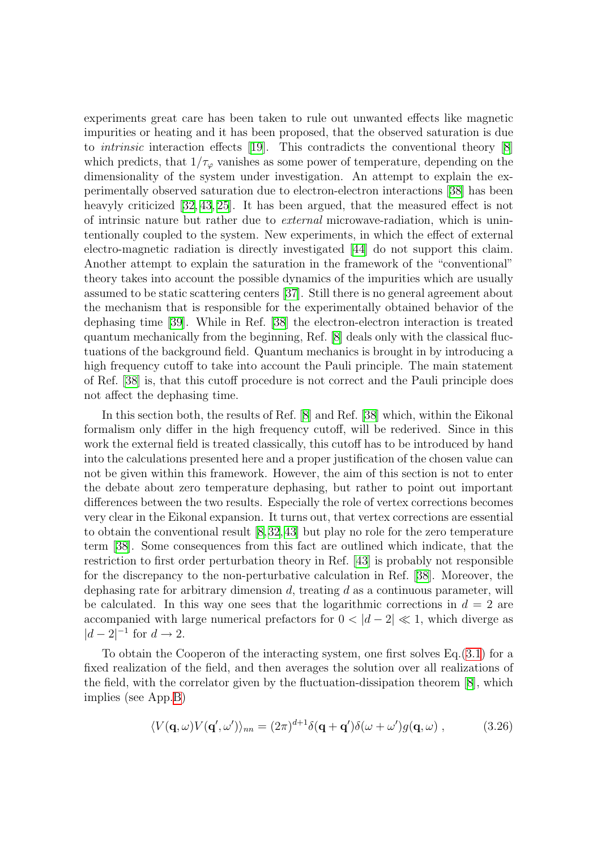experiments great care has been taken to rule out unwanted effects like magnetic impurities or heating and it has been proposed, that the observed saturation is due to intrinsic interaction effects [\[19](#page-134-7)]. This contradicts the conventional theory [\[8](#page-133-0)] which predicts, that  $1/\tau_{\varphi}$  vanishes as some power of temperature, depending on the dimensionality of the system under investigation. An attempt to explain the experimentally observed saturation due to electron-electron interactions[[38](#page-135-0)] has been heavyly criticized [\[32,](#page-134-6) [43,](#page-135-1) [25\]](#page-134-8). It has been argued, that the measured effect is not of intrinsic nature but rather due to external microwave-radiation, which is unintentionally coupled to the system. New experiments, in which the effect of external electro-magnetic radiation is directly investigated[[44](#page-135-2)] do not support this claim. Another attempt to explain the saturation in the framework of the "conventional" theory takes into account the possible dynamics of the impurities which are usually assumed to be static scattering centers[[37\]](#page-135-3). Still there is no general agreement about the mechanism that is responsible for the experimentally obtained behavior of the dephasing time [\[39\]](#page-135-4). While in Ref. [\[38](#page-135-0)] the electron-electron interaction is treated quantum mechanically from the beginning, Ref.[[8\]](#page-133-0) deals only with the classical fluctuations of the background field. Quantum mechanics is brought in by introducing a high frequency cutoff to take into account the Pauli principle. The main statement of Ref. [\[38](#page-135-0)] is, that this cutoff procedure is not correct and the Pauli principle does not affect the dephasing time.

In this section both, the results of Ref. [\[8\]](#page-133-0) and Ref. [\[38\]](#page-135-0) which, within the Eikonal formalism only differ in the high frequency cutoff, will be rederived. Since in this work the external field is treated classically, this cutoff has to be introduced by hand into the calculations presented here and a proper justification of the chosen value can not be given within this framework. However, the aim of this section is not to enter the debate about zero temperature dephasing, but rather to point out important differences between the two results. Especially the role of vertex corrections becomes very clear in the Eikonal expansion. It turns out, that vertex corrections are essential to obtain the conventional result[[8](#page-133-0),[32](#page-134-6),[43\]](#page-135-1) but play no role for the zero temperature term [\[38\]](#page-135-0). Some consequences from this fact are outlined which indicate, that the restriction to first order perturbation theory in Ref.[[43](#page-135-1)] is probably not responsible for the discrepancy to the non-perturbative calculation in Ref.[[38\]](#page-135-0). Moreover, the dephasing rate for arbitrary dimension  $d$ , treating  $d$  as a continuous parameter, will be calculated. In this way one sees that the logarithmic corrections in  $d = 2$  are accompanied with large numerical prefactors for  $0 < |d - 2| \ll 1$ , which diverge as  $|d-2|^{-1}$  for  $d \rightarrow 2$ .

To obtain the Cooperon of the interacting system, one first solves Eq.([3.1\)](#page-36-1) for a fixed realization of the field, and then averages the solution over all realizations of the field, with the correlator given by the fluctuation-dissipation theorem[[8\]](#page-133-0), which implies (see App.[B\)](#page-130-0)

<span id="page-40-0"></span>
$$
\langle V(\mathbf{q},\omega)V(\mathbf{q}',\omega')\rangle_{nn} = (2\pi)^{d+1}\delta(\mathbf{q}+\mathbf{q}')\delta(\omega+\omega')g(\mathbf{q},\omega) ,\qquad (3.26)
$$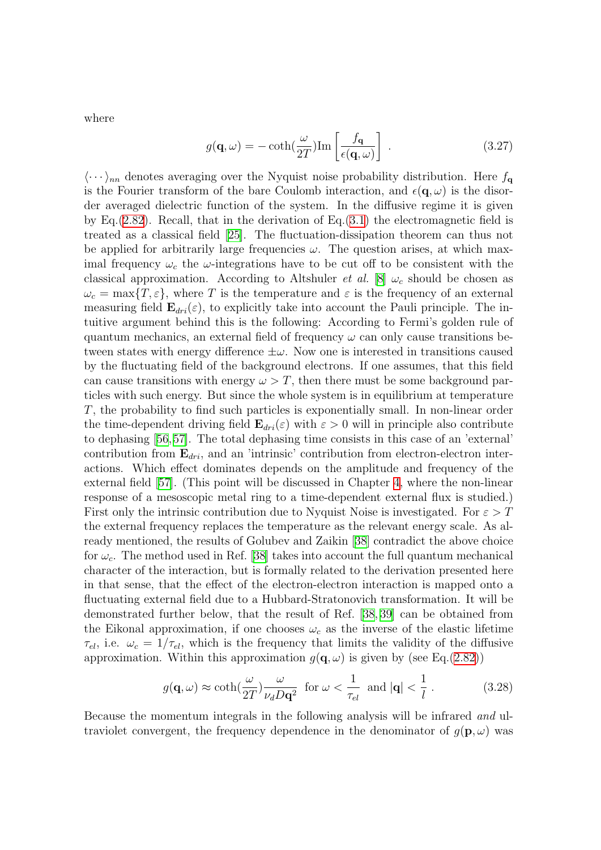where

<span id="page-41-1"></span>
$$
g(\mathbf{q}, \omega) = -\coth(\frac{\omega}{2T}) \text{Im} \left[ \frac{f_{\mathbf{q}}}{\epsilon(\mathbf{q}, \omega)} \right] . \tag{3.27}
$$

 $\langle \cdots \rangle_{nn}$  denotes averaging over the Nyquist noise probability distribution. Here  $f_{\mathbf{q}}$ is the Fourier transform of the bare Coulomb interaction, and  $\epsilon(\mathbf{q}, \omega)$  is the disorder averaged dielectric function of the system. In the diffusive regime it is given by Eq.([2.82\)](#page-28-0). Recall, that in the derivation of Eq.([3.1\)](#page-36-1) the electromagnetic field is treated as a classical field [\[25\]](#page-134-8). The fluctuation-dissipation theorem can thus not be applied for arbitrarily large frequencies  $\omega$ . The question arises, at which maximal frequency  $\omega_c$  the  $\omega$ -integrations have to be cut off to be consistent with the classical approximation. According to Altshuler *et al.* [\[8\]](#page-133-0)  $\omega_c$  should be chosen as  $\omega_c = \max\{T, \varepsilon\}$ , where T is the temperature and  $\varepsilon$  is the frequency of an external measuring field  $\mathbf{E}_{dri}(\varepsilon)$ , to explicitly take into account the Pauli principle. The intuitive argument behind this is the following: According to Fermi's golden rule of quantum mechanics, an external field of frequency  $\omega$  can only cause transitions between states with energy difference  $\pm\omega$ . Now one is interested in transitions caused by the fluctuating field of the background electrons. If one assumes, that this field can cause transitions with energy  $\omega > T$ , then there must be some background particles with such energy. But since the whole system is in equilibrium at temperature T, the probability to find such particles is exponentially small. In non-linear order the time-dependent driving field  $\mathbf{E}_{dri}(\varepsilon)$  with  $\varepsilon > 0$  will in principle also contribute to dephasing [\[56,](#page-136-0)[57](#page-136-1)]. The total dephasing time consists in this case of an 'external' contribution from  $\mathbf{E}_{dri}$ , and an 'intrinsic' contribution from electron-electron interactions. Which effect dominates depends on the amplitude and frequency of the external field [\[57\]](#page-136-1). (This point will be discussed in Chapter [4](#page-76-0), where the non-linear response of a mesoscopic metal ring to a time-dependent external flux is studied.) First only the intrinsic contribution due to Nyquist Noise is investigated. For  $\varepsilon > T$ the external frequency replaces the temperature as the relevant energy scale. As already mentioned, the results of Golubev and Zaikin[[38](#page-135-0)] contradict the above choice for  $\omega_c$ . The method used in Ref. [\[38](#page-135-0)] takes into account the full quantum mechanical character of the interaction, but is formally related to the derivation presented here in that sense, that the effect of the electron-electron interaction is mapped onto a fluctuating external field due to a Hubbard-Stratonovich transformation. It will be demonstrated further below, that the result of Ref.[[38](#page-135-0), [39](#page-135-4)] can be obtained from the Eikonal approximation, if one chooses  $\omega_c$  as the inverse of the elastic lifetime  $\tau_{el}$ , i.e.  $\omega_c = 1/\tau_{el}$ , which is the frequency that limits the validity of the diffusive approximation. Within this approximation  $g(\mathbf{q}, \omega)$  is given by (see Eq.([2.82\)](#page-28-0))

<span id="page-41-0"></span>
$$
g(\mathbf{q}, \omega) \approx \coth(\frac{\omega}{2T}) \frac{\omega}{\nu_d D \mathbf{q}^2} \text{ for } \omega < \frac{1}{\tau_{el}} \text{ and } |\mathbf{q}| < \frac{1}{l}. \tag{3.28}
$$

Because the momentum integrals in the following analysis will be infrared and ultraviolet convergent, the frequency dependence in the denominator of  $q(\mathbf{p}, \omega)$  was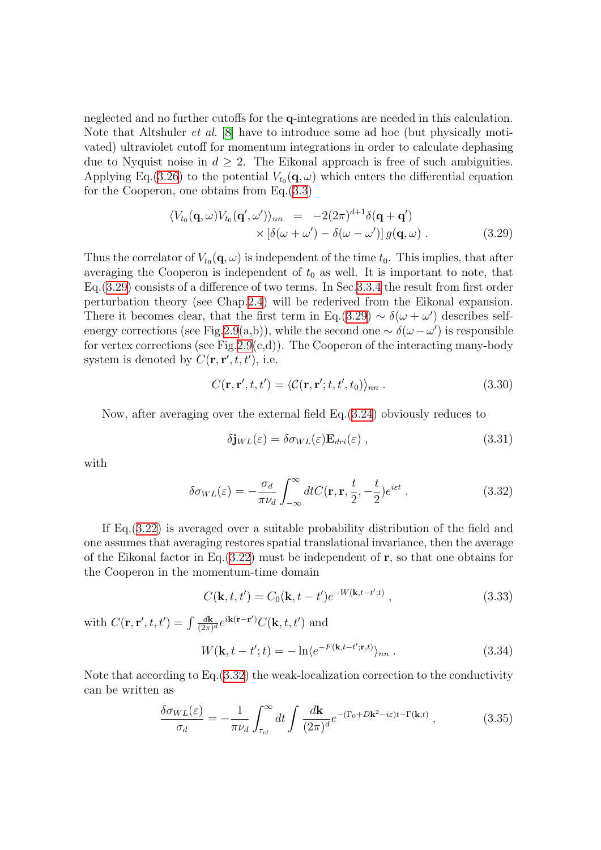neglected and no further cutoffs for the q-integrations are needed in this calculation. Note that Altshuler et al. [\[8\]](#page-133-0) have to introduce some ad hoc (but physically motivated) ultraviolet cutoff for momentum integrations in order to calculate dephasing due to Nyquist noise in  $d \geq 2$ . The Eikonal approach is free of such ambiguities. Applying Eq.[\(3.26\)](#page-40-0) to the potential  $V_{t_0}(\mathbf{q}, \omega)$  which enters the differential equation for the Cooperon, one obtains from Eq.[\(3.3](#page-36-2))

<span id="page-42-0"></span>
$$
\langle V_{t_0}(\mathbf{q}, \omega) V_{t_0}(\mathbf{q}', \omega') \rangle_{nn} = -2(2\pi)^{d+1} \delta(\mathbf{q} + \mathbf{q}') \times \left[ \delta(\omega + \omega') - \delta(\omega - \omega') \right] g(\mathbf{q}, \omega) .
$$
\n(3.29)

Thus the correlator of  $V_{t_0}(\mathbf{q}, \omega)$  is independent of the time  $t_0$ . This implies, that after averaging the Cooperon is independent of  $t_0$  as well. It is important to note, that Eq.[\(3.29](#page-42-0)) consists of a difference of two terms. In Sec.[3.3.4](#page-54-0) the result from first order perturbation theory (see Chap.[2.4\)](#page-26-0) will be rederived from the Eikonal expansion. There it becomes clear, that the first term in Eq.([3.29\)](#page-42-0)  $\sim \delta(\omega + \omega')$  describes self-energy corrections (see Fig.[2.9\(](#page-32-0)a,b)), while the second one  $\sim \delta(\omega - \omega')$  is responsible for vertex corrections (see Fig. 2.9(c,d)). The Cooperon of the interacting many-body system is denoted by  $C(\mathbf{r}, \mathbf{r}', t, t')$ , i.e.

$$
C(\mathbf{r}, \mathbf{r}', t, t') = \langle \mathcal{C}(\mathbf{r}, \mathbf{r}'; t, t', t_0) \rangle_{nn} . \tag{3.30}
$$

Now, after averaging over the external field  $Eq.(3.24)$  $Eq.(3.24)$  $Eq.(3.24)$  obviously reduces to

<span id="page-42-3"></span><span id="page-42-1"></span>
$$
\delta \mathbf{j}_{WL}(\varepsilon) = \delta \sigma_{WL}(\varepsilon) \mathbf{E}_{dri}(\varepsilon) , \qquad (3.31)
$$

with

$$
\delta \sigma_{WL}(\varepsilon) = -\frac{\sigma_d}{\pi \nu_d} \int_{-\infty}^{\infty} dt C(\mathbf{r}, \mathbf{r}, \frac{t}{2}, -\frac{t}{2}) e^{i\varepsilon t} . \tag{3.32}
$$

If Eq.([3.22\)](#page-39-1) is averaged over a suitable probability distribution of the field and one assumes that averaging restores spatial translational invariance, then the average of the Eikonal factor in Eq.  $(3.22)$  $(3.22)$  must be independent of r, so that one obtains for the Cooperon in the momentum-time domain

$$
C(\mathbf{k}, t, t') = C_0(\mathbf{k}, t - t') e^{-W(\mathbf{k}, t - t'; t)},
$$
\n(3.33)

with  $C(\mathbf{r}, \mathbf{r}', t, t') = \int \frac{d\mathbf{k}}{(2\pi)^2}$  $\frac{d\mathbf{k}}{(2\pi)^d}e^{i\mathbf{k}(\mathbf{r}-\mathbf{r}')}C(\mathbf{k},t,t')$  and

<span id="page-42-2"></span>
$$
W(\mathbf{k}, t - t'; t) = -\ln \langle e^{-F(\mathbf{k}, t - t'; \mathbf{r}, t)} \rangle_{nn} .
$$
 (3.34)

Note that according to Eq.([3.32](#page-42-1)) the weak-localization correction to the conductivity can be written as

$$
\frac{\delta \sigma_{WL}(\varepsilon)}{\sigma_d} = -\frac{1}{\pi \nu_d} \int_{\tau_{el}}^{\infty} dt \int \frac{d\mathbf{k}}{(2\pi)^d} e^{-(\Gamma_0 + D\mathbf{k}^2 - i\varepsilon)t - \Gamma(\mathbf{k}, t)}, \qquad (3.35)
$$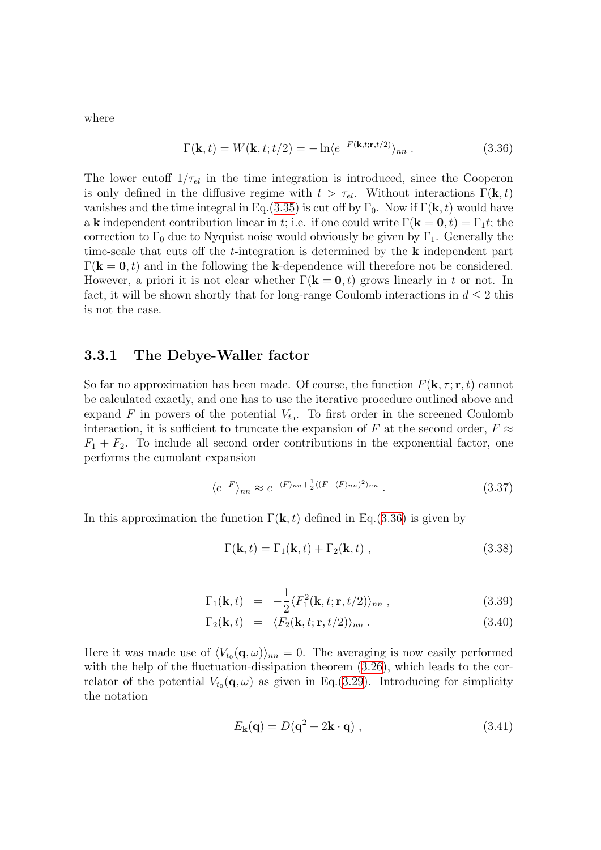where

<span id="page-43-0"></span>
$$
\Gamma(\mathbf{k},t) = W(\mathbf{k},t;t/2) = -\ln \langle e^{-F(\mathbf{k},t;\mathbf{r},t/2)} \rangle_{nn} . \tag{3.36}
$$

The lower cutoff  $1/\tau_{el}$  in the time integration is introduced, since the Cooperon is only defined in the diffusive regime with  $t > \tau_{el}$ . Without interactions  $\Gamma(\mathbf{k}, t)$ vanishes and the time integral in Eq.[\(3.35](#page-42-2)) is cut off by  $\Gamma_0$ . Now if  $\Gamma(\mathbf{k}, t)$  would have a k independent contribution linear in t; i.e. if one could write  $\Gamma(\mathbf{k} = \mathbf{0}, t) = \Gamma_1 t$ ; the correction to  $\Gamma_0$  due to Nyquist noise would obviously be given by  $\Gamma_1$ . Generally the time-scale that cuts off the  $t$ -integration is determined by the  $k$  independent part  $\Gamma(k = 0, t)$  and in the following the k-dependence will therefore not be considered. However, a priori it is not clear whether  $\Gamma(\mathbf{k} = \mathbf{0}, t)$  grows linearly in t or not. In fact, it will be shown shortly that for long-range Coulomb interactions in  $d \leq 2$  this is not the case.

#### 3.3.1 The Debye-Waller factor

So far no approximation has been made. Of course, the function  $F(\mathbf{k}, \tau; \mathbf{r}, t)$  cannot be calculated exactly, and one has to use the iterative procedure outlined above and expand F in powers of the potential  $V_{t_0}$ . To first order in the screened Coulomb interaction, it is sufficient to truncate the expansion of F at the second order,  $F \approx$  $F_1 + F_2$ . To include all second order contributions in the exponential factor, one performs the cumulant expansion

$$
\langle e^{-F} \rangle_{nn} \approx e^{-\langle F \rangle_{nn} + \frac{1}{2} \langle (F - \langle F \rangle_{nn})^2 \rangle_{nn}}.
$$
\n(3.37)

In this approximation the function  $\Gamma(\mathbf{k}, t)$  defined in Eq.([3.36](#page-43-0)) is given by

$$
\Gamma(\mathbf{k},t) = \Gamma_1(\mathbf{k},t) + \Gamma_2(\mathbf{k},t) ,
$$
\n(3.38)

$$
\Gamma_1(\mathbf{k},t) = -\frac{1}{2} \langle F_1^2(\mathbf{k},t;\mathbf{r},t/2) \rangle_{nn} , \qquad (3.39)
$$

$$
\Gamma_2(\mathbf{k},t) = \langle F_2(\mathbf{k},t;\mathbf{r},t/2) \rangle_{nn} . \tag{3.40}
$$

Here it was made use of  $\langle V_{t_0}(\mathbf{q}, \omega) \rangle_{nn} = 0$ . The averaging is now easily performed with the help of the fluctuation-dissipation theorem  $(3.26)$ , which leads to the correlator of the potential  $V_{t_0}(\mathbf{q}, \omega)$  as given in Eq.[\(3.29](#page-42-0)). Introducing for simplicity the notation

$$
E_{\mathbf{k}}(\mathbf{q}) = D(\mathbf{q}^2 + 2\mathbf{k} \cdot \mathbf{q}) , \qquad (3.41)
$$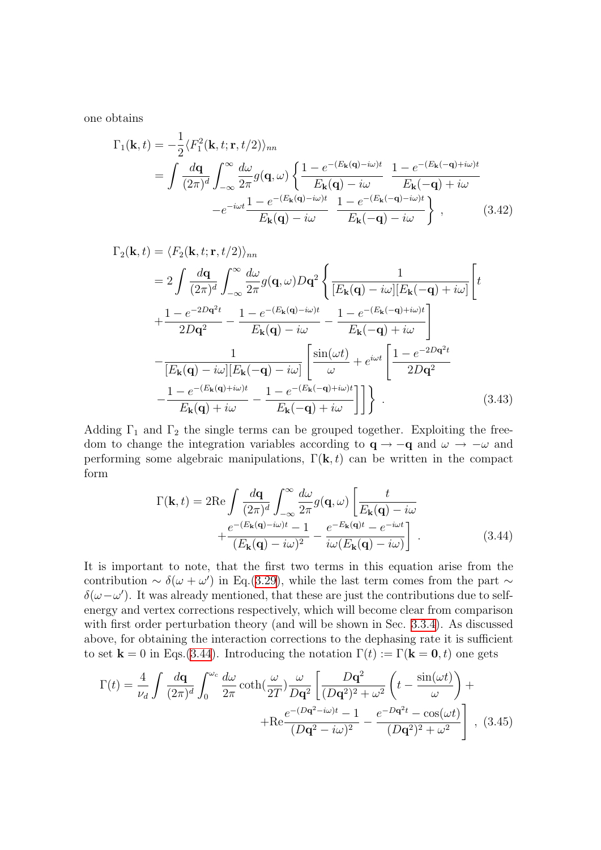one obtains

$$
\Gamma_1(\mathbf{k},t) = -\frac{1}{2} \langle F_1^2(\mathbf{k},t;\mathbf{r},t/2) \rangle_{nn}
$$
  
= 
$$
\int \frac{d\mathbf{q}}{(2\pi)^d} \int_{-\infty}^{\infty} \frac{d\omega}{2\pi} g(\mathbf{q},\omega) \left\{ \frac{1 - e^{-(E_{\mathbf{k}}(\mathbf{q}) - i\omega)t}}{E_{\mathbf{k}}(\mathbf{q}) - i\omega} \frac{1 - e^{-(E_{\mathbf{k}}(-\mathbf{q}) + i\omega)t}}{E_{\mathbf{k}}(-\mathbf{q}) + i\omega} - e^{-i\omega t} \frac{1 - e^{-(E_{\mathbf{k}}(\mathbf{q}) - i\omega)t}}{E_{\mathbf{k}}(\mathbf{q}) - i\omega} \frac{1 - e^{-(E_{\mathbf{k}}(-\mathbf{q}) - i\omega)t}}{E_{\mathbf{k}}(-\mathbf{q}) - i\omega} \right\}, \qquad (3.42)
$$

$$
\Gamma_{2}(\mathbf{k},t) = \langle F_{2}(\mathbf{k},t;\mathbf{r},t/2) \rangle_{nn}
$$
  
\n
$$
= 2 \int \frac{d\mathbf{q}}{(2\pi)^{d}} \int_{-\infty}^{\infty} \frac{d\omega}{2\pi} g(\mathbf{q},\omega) D\mathbf{q}^{2} \left\{ \frac{1}{[E_{\mathbf{k}}(\mathbf{q}) - i\omega][E_{\mathbf{k}}(-\mathbf{q}) + i\omega]} \left[ t \right. \right.\n+ \frac{1 - e^{-2D\mathbf{q}^{2}t}}{2D\mathbf{q}^{2}} - \frac{1 - e^{-(E_{\mathbf{k}}(\mathbf{q}) - i\omega)t}}{E_{\mathbf{k}}(\mathbf{q}) - i\omega} - \frac{1 - e^{-(E_{\mathbf{k}}(-\mathbf{q}) + i\omega)t}}{E_{\mathbf{k}}(-\mathbf{q}) + i\omega} \right]\n- \frac{1}{[E_{\mathbf{k}}(\mathbf{q}) - i\omega][E_{\mathbf{k}}(-\mathbf{q}) - i\omega]} \left[ \frac{\sin(\omega t)}{\omega} + e^{i\omega t} \left[ \frac{1 - e^{-2D\mathbf{q}^{2}t}}{2D\mathbf{q}^{2}} - \frac{1 - e^{-(E_{\mathbf{k}}(\mathbf{q}) + i\omega)t}}{E_{\mathbf{k}}(\mathbf{q}) + i\omega} - \frac{1 - e^{-(E_{\mathbf{k}}(-\mathbf{q}) + i\omega)t}}{E_{\mathbf{k}}(-\mathbf{q}) + i\omega} \right] \right] \right\}.
$$
 (3.43)

Adding  $\Gamma_1$  and  $\Gamma_2$  the single terms can be grouped together. Exploiting the freedom to change the integration variables according to  $\mathbf{q} \to -\mathbf{q}$  and  $\omega \to -\omega$  and performing some algebraic manipulations,  $\Gamma(\mathbf{k}, t)$  can be written in the compact form

<span id="page-44-0"></span>
$$
\Gamma(\mathbf{k},t) = 2\mathrm{Re}\int \frac{d\mathbf{q}}{(2\pi)^d} \int_{-\infty}^{\infty} \frac{d\omega}{2\pi} g(\mathbf{q},\omega) \left[ \frac{t}{E_{\mathbf{k}}(\mathbf{q}) - i\omega} + \frac{e^{-(E_{\mathbf{k}}(\mathbf{q}) - i\omega)t} - 1}{(E_{\mathbf{k}}(\mathbf{q}) - i\omega)^2} - \frac{e^{-E_{\mathbf{k}}(\mathbf{q})t} - e^{-i\omega t}}{i\omega(E_{\mathbf{k}}(\mathbf{q}) - i\omega)} \right].
$$
\n(3.44)

It is important to note, that the first two terms in this equation arise from the contribution ~  $\delta(\omega + \omega')$  in Eq.([3.29\)](#page-42-0), while the last term comes from the part ~  $\delta(\omega-\omega')$ . It was already mentioned, that these are just the contributions due to selfenergy and vertex corrections respectively, which will become clear from comparison with first order perturbation theory (and will be shown in Sec. [3.3.4\)](#page-54-0). As discussed above, for obtaining the interaction corrections to the dephasing rate it is sufficient to set  $\mathbf{k} = 0$  in Eqs.([3.44\)](#page-44-0). Introducing the notation  $\Gamma(t) := \Gamma(\mathbf{k} = \mathbf{0}, t)$  one gets

<span id="page-44-1"></span>
$$
\Gamma(t) = \frac{4}{\nu_d} \int \frac{d\mathbf{q}}{(2\pi)^d} \int_0^{\omega_c} \frac{d\omega}{2\pi} \coth\left(\frac{\omega}{2T}\right) \frac{\omega}{D\mathbf{q}^2} \left[ \frac{D\mathbf{q}^2}{(D\mathbf{q}^2)^2 + \omega^2} \left( t - \frac{\sin(\omega t)}{\omega} \right) + \text{Re} \frac{e^{-(D\mathbf{q}^2 - i\omega)t} - 1}{(D\mathbf{q}^2 - i\omega)^2} - \frac{e^{-D\mathbf{q}^2 t} - \cos(\omega t)}{(D\mathbf{q}^2)^2 + \omega^2} \right], \tag{3.45}
$$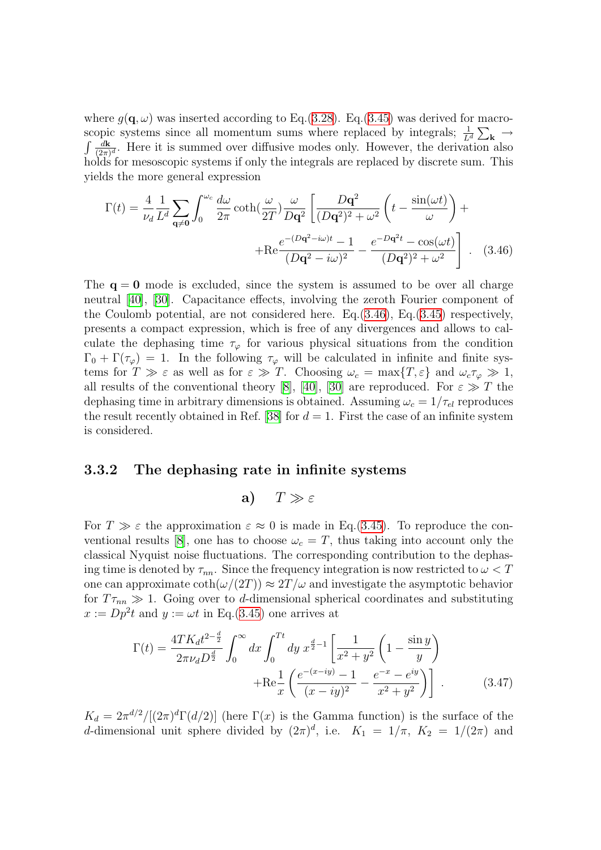where  $q(\mathbf{q}, \omega)$  was inserted according to Eq.[\(3.28\)](#page-41-0). Eq.([3.45\)](#page-44-1) was derived for macroscopic systems since all momentum sums where replaced by integrals;  $\frac{1}{L^d} \sum_{\mathbf{k}} \rightarrow$  $\int \frac{d\mathbf{k}}{(2\pi)}$  $\frac{d\mathbf{k}}{(2\pi)^d}$ . Here it is summed over diffusive modes only. However, the derivation also holds for mesoscopic systems if only the integrals are replaced by discrete sum. This yields the more general expression

<span id="page-45-0"></span>
$$
\Gamma(t) = \frac{4}{\nu_d} \frac{1}{L^d} \sum_{\mathbf{q} \neq \mathbf{0}} \int_0^{\omega_c} \frac{d\omega}{2\pi} \coth\left(\frac{\omega}{2T}\right) \frac{\omega}{D\mathbf{q}^2} \left[ \frac{D\mathbf{q}^2}{(D\mathbf{q}^2)^2 + \omega^2} \left( t - \frac{\sin(\omega t)}{\omega} \right) +
$$

$$
+ \text{Re} \frac{e^{-(D\mathbf{q}^2 - i\omega)t} - 1}{(D\mathbf{q}^2 - i\omega)^2} - \frac{e^{-D\mathbf{q}^2 t} - \cos(\omega t)}{(D\mathbf{q}^2)^2 + \omega^2} \right]. \quad (3.46)
$$

The  $q = 0$  mode is excluded, since the system is assumed to be over all charge neutral[[40\]](#page-135-5), [\[30\]](#page-134-9). Capacitance effects, involving the zeroth Fourier component of the Coulomb potential, are not considered here. Eq.[\(3.46](#page-45-0)), Eq.[\(3.45](#page-44-1)) respectively, presents a compact expression, which is free of any divergences and allows to calculate the dephasing time  $\tau_{\varphi}$  for various physical situations from the condition  $\Gamma_0 + \Gamma(\tau_{\varphi}) = 1$ . In the following  $\tau_{\varphi}$  will be calculated in infinite and finite systems for  $T \gg \varepsilon$  as well as for  $\varepsilon \gg T$ . Choosing  $\omega_c = \max\{T, \varepsilon\}$  and  $\omega_c \tau_\varphi \gg 1$ , allresults of the conventional theory [[8](#page-133-0)], [[40](#page-135-5)], [\[30](#page-134-9)] are reproduced. For  $\varepsilon \gg T$  the dephasing time in arbitrary dimensions is obtained. Assuming  $\omega_c = 1/\tau_{el}$  reproduces theresult recently obtained in Ref. [[38\]](#page-135-0) for  $d = 1$ . First the case of an infinite system is considered.

#### 3.3.2 The dephasing rate in infinite systems

a) 
$$
T \gg \varepsilon
$$

For  $T \gg \varepsilon$  the approximation  $\varepsilon \approx 0$  is made in Eq. ([3.45\)](#page-44-1). To reproduce the con-ventional results [\[8](#page-133-0)], one has to choose  $\omega_c = T$ , thus taking into account only the classical Nyquist noise fluctuations. The corresponding contribution to the dephasing time is denoted by  $\tau_{nn}$ . Since the frequency integration is now restricted to  $\omega < T$ one can approximate  $\coth(\omega/(2T)) \approx 2T/\omega$  and investigate the asymptotic behavior for  $T\tau_{nn} \gg 1$ . Going over to d-dimensional spherical coordinates and substituting  $x := Dp^2t$  and  $y := \omega t$  in Eq. [\(3.45\)](#page-44-1) one arrives at

<span id="page-45-1"></span>
$$
\Gamma(t) = \frac{4TK_d t^{2-\frac{d}{2}}}{2\pi\nu_d D^{\frac{d}{2}}} \int_0^\infty dx \int_0^{Tt} dy \, x^{\frac{d}{2}-1} \left[ \frac{1}{x^2 + y^2} \left( 1 - \frac{\sin y}{y} \right) + \text{Re} \frac{1}{x} \left( \frac{e^{-(x-iy)} - 1}{(x-iy)^2} - \frac{e^{-x} - e^{iy}}{x^2 + y^2} \right) \right] \,. \tag{3.47}
$$

 $K_d = 2\pi^{d/2}/[(2\pi)^d \Gamma(d/2)]$  (here  $\Gamma(x)$  is the Gamma function) is the surface of the d-dimensional unit sphere divided by  $(2\pi)^d$ , i.e.  $K_1 = 1/\pi$ ,  $K_2 = 1/(2\pi)$  and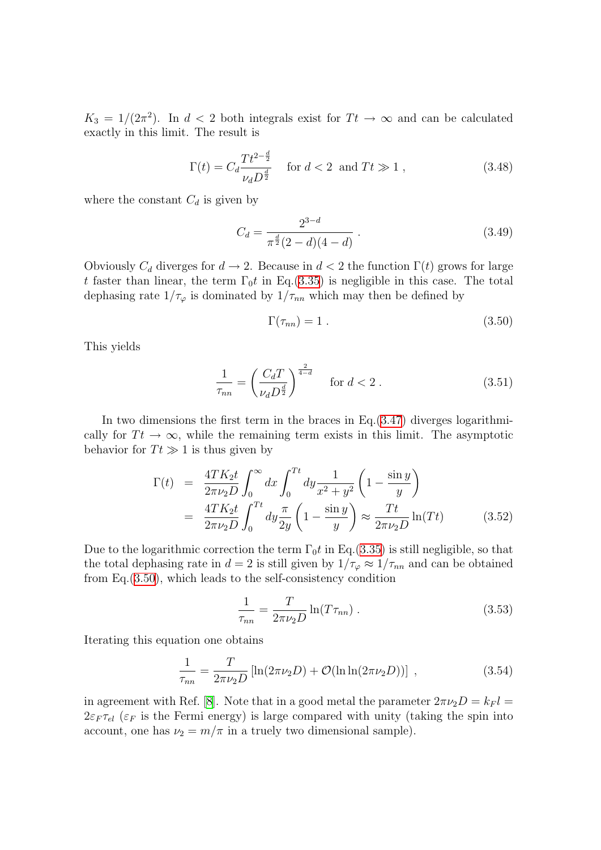$K_3 = 1/(2\pi^2)$ . In  $d < 2$  both integrals exist for  $Tt \to \infty$  and can be calculated exactly in this limit. The result is

$$
\Gamma(t) = C_d \frac{T t^{2 - \frac{d}{2}}}{\nu_d D^{\frac{d}{2}}} \quad \text{for } d < 2 \text{ and } Tt \gg 1 ,
$$
 (3.48)

where the constant  $C_d$  is given by

<span id="page-46-2"></span>
$$
C_d = \frac{2^{3-d}}{\pi^{\frac{d}{2}}(2-d)(4-d)}.
$$
\n(3.49)

Obviously  $C_d$  diverges for  $d \to 2$ . Because in  $d < 2$  the function  $\Gamma(t)$  grows for large t faster than linear, the term  $\Gamma_0 t$  in Eq.([3.35\)](#page-42-2) is negligible in this case. The total dephasing rate  $1/\tau_{\varphi}$  is dominated by  $1/\tau_{nn}$  which may then be defined by

<span id="page-46-3"></span><span id="page-46-0"></span>
$$
\Gamma(\tau_{nn}) = 1. \tag{3.50}
$$

This yields

$$
\frac{1}{\tau_{nn}} = \left(\frac{C_d T}{\nu_d D^{\frac{d}{2}}}\right)^{\frac{2}{4-d}} \quad \text{for } d < 2.
$$
 (3.51)

In two dimensions the first term in the braces in  $Eq.(3.47)$  $Eq.(3.47)$  $Eq.(3.47)$  diverges logarithmically for  $T t \to \infty$ , while the remaining term exists in this limit. The asymptotic behavior for  $Tt \gg 1$  is thus given by

<span id="page-46-1"></span>
$$
\Gamma(t) = \frac{4TK_2t}{2\pi\nu_2 D} \int_0^\infty dx \int_0^{Tt} dy \frac{1}{x^2 + y^2} \left(1 - \frac{\sin y}{y}\right)
$$
  
= 
$$
\frac{4TK_2t}{2\pi\nu_2 D} \int_0^{Tt} dy \frac{\pi}{2y} \left(1 - \frac{\sin y}{y}\right) \approx \frac{Tt}{2\pi\nu_2 D} \ln(Tt)
$$
(3.52)

Due to the logarithmic correction the term  $\Gamma_0 t$  in Eq.([3.35\)](#page-42-2) is still negligible, so that the total dephasing rate in  $d = 2$  is still given by  $1/\tau_{\varphi} \approx 1/\tau_{nn}$  and can be obtained from Eq.([3.50\)](#page-46-0), which leads to the self-consistency condition

$$
\frac{1}{\tau_{nn}} = \frac{T}{2\pi\nu_2 D} \ln(T\tau_{nn}) \,. \tag{3.53}
$$

Iterating this equation one obtains

$$
\frac{1}{\tau_{nn}} = \frac{T}{2\pi\nu_2 D} \left[ \ln(2\pi\nu_2 D) + \mathcal{O}(\ln \ln(2\pi\nu_2 D)) \right] , \qquad (3.54)
$$

inagreement with Ref. [[8](#page-133-0)]. Note that in a good metal the parameter  $2\pi\nu_2D = k_F l =$  $2\varepsilon_F \tau_{el}$  ( $\varepsilon_F$  is the Fermi energy) is large compared with unity (taking the spin into account, one has  $\nu_2 = m/\pi$  in a truely two dimensional sample).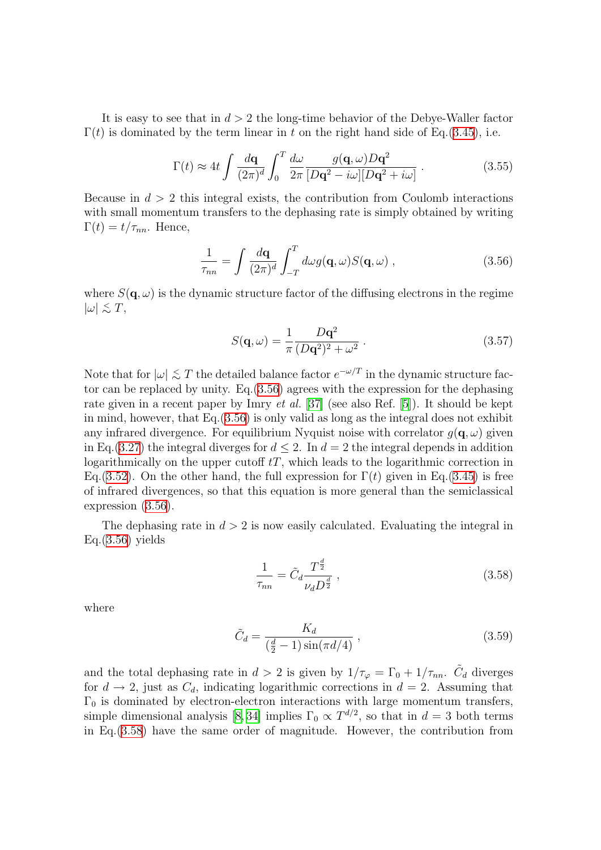It is easy to see that in  $d > 2$  the long-time behavior of the Debye-Waller factor  $\Gamma(t)$  is dominated by the term linear in t on the right hand side of Eq. ([3.45\)](#page-44-1), i.e.

$$
\Gamma(t) \approx 4t \int \frac{d\mathbf{q}}{(2\pi)^d} \int_0^T \frac{d\omega}{2\pi} \frac{g(\mathbf{q}, \omega) D\mathbf{q}^2}{[D\mathbf{q}^2 - i\omega][D\mathbf{q}^2 + i\omega]} \,. \tag{3.55}
$$

Because in  $d > 2$  this integral exists, the contribution from Coulomb interactions with small momentum transfers to the dephasing rate is simply obtained by writing  $\Gamma(t) = t/\tau_{nn}$ . Hence,

$$
\frac{1}{\tau_{nn}} = \int \frac{d\mathbf{q}}{(2\pi)^d} \int_{-T}^{T} d\omega g(\mathbf{q}, \omega) S(\mathbf{q}, \omega) ,
$$
 (3.56)

where  $S(\mathbf{q}, \omega)$  is the dynamic structure factor of the diffusing electrons in the regime  $|\omega| \lesssim T$ ,

<span id="page-47-0"></span>
$$
S(\mathbf{q}, \omega) = \frac{1}{\pi} \frac{D\mathbf{q}^2}{(D\mathbf{q}^2)^2 + \omega^2} .
$$
 (3.57)

Note that for  $|\omega| \lesssim T$  the detailed balance factor  $e^{-\omega/T}$  in the dynamic structure factor can be replaced by unity. Eq.[\(3.56](#page-47-0)) agrees with the expression for the dephasing rategiven in a recent paper by Imry *et al.* [[37\]](#page-135-3) (see also Ref. [[5\]](#page-133-1)). It should be kept in mind, however, that Eq.([3.56\)](#page-47-0) is only valid as long as the integral does not exhibit any infrared divergence. For equilibrium Nyquist noise with correlator  $q(\mathbf{q}, \omega)$  given in Eq.([3.27\)](#page-41-1) the integral diverges for  $d \leq 2$ . In  $d = 2$  the integral depends in addition logarithmically on the upper cutoff  $tT$ , which leads to the logarithmic correction in Eq.[\(3.52](#page-46-1)). On the other hand, the full expression for  $\Gamma(t)$  given in Eq.([3.45\)](#page-44-1) is free of infrared divergences, so that this equation is more general than the semiclassical expression [\(3.56](#page-47-0)).

The dephasing rate in  $d > 2$  is now easily calculated. Evaluating the integral in  $Eq.(3.56)$  $Eq.(3.56)$  $Eq.(3.56)$  yields

<span id="page-47-1"></span>
$$
\frac{1}{\tau_{nn}} = \tilde{C}_d \frac{T^{\frac{d}{2}}}{\nu_d D^{\frac{d}{2}}},\qquad(3.58)
$$

where

$$
\tilde{C}_d = \frac{K_d}{(\frac{d}{2} - 1)\sin(\pi d/4)},
$$
\n(3.59)

and the total dephasing rate in  $d > 2$  is given by  $1/\tau_{\varphi} = \Gamma_0 + 1/\tau_{nn}$ .  $\tilde{C}_d$  diverges for  $d \to 2$ , just as  $C_d$ , indicating logarithmic corrections in  $d = 2$ . Assuming that  $\Gamma_0$  is dominated by electron-electron interactions with large momentum transfers, simple dimensional analysis [\[8,](#page-133-0)34] implies  $\Gamma_0 \propto T^{d/2}$ , so that in  $d=3$  both terms in Eq.[\(3.58](#page-47-1)) have the same order of magnitude. However, the contribution from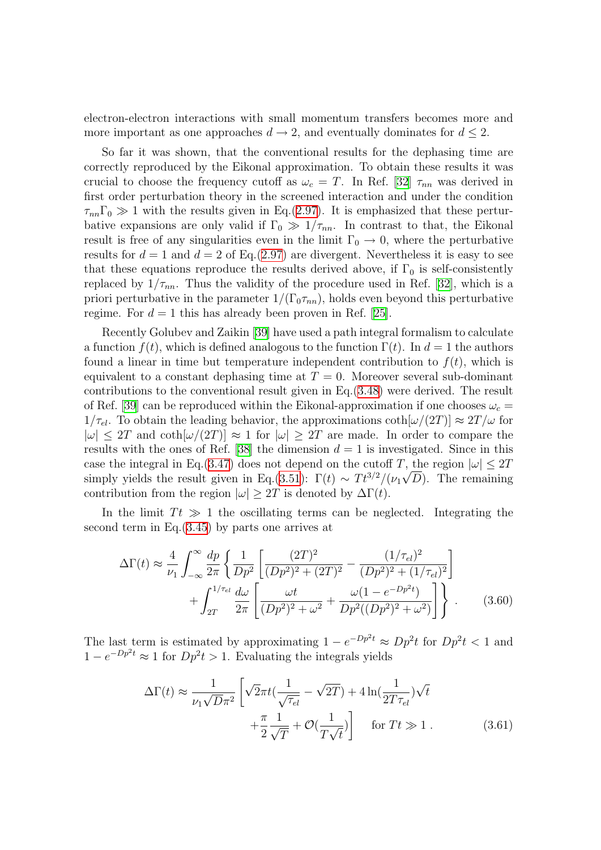electron-electron interactions with small momentum transfers becomes more and more important as one approaches  $d \to 2$ , and eventually dominates for  $d \leq 2$ .

So far it was shown, that the conventional results for the dephasing time are correctly reproduced by the Eikonal approximation. To obtain these results it was crucial to choose the frequency cutoff as  $\omega_c = T$ . In Ref. [\[32\]](#page-134-6)  $\tau_{nn}$  was derived in first order perturbation theory in the screened interaction and under the condition  $\tau_{nn}\Gamma_0 \gg 1$  with the results given in Eq.[\(2.97](#page-34-0)). It is emphasized that these perturbative expansions are only valid if  $\Gamma_0 \gg 1/\tau_{nn}$ . In contrast to that, the Eikonal result is free of any singularities even in the limit  $\Gamma_0 \rightarrow 0$ , where the perturbative results for  $d = 1$  and  $d = 2$  of Eq.([2.97\)](#page-34-0) are divergent. Nevertheless it is easy to see that these equations reproduce the results derived above, if  $\Gamma_0$  is self-consistently replaced by  $1/\tau_{nn}$ . Thus the validity of the procedure used in Ref. [\[32\]](#page-134-6), which is a priori perturbative in the parameter  $1/(\Gamma_0 \tau_{nn})$ , holds even beyond this perturbative regime. For  $d = 1$  this has already been proven in Ref. [\[25](#page-134-8)].

Recently Golubev and Zaikin [\[39\]](#page-135-4) have used a path integral formalism to calculate a function  $f(t)$ , which is defined analogous to the function  $\Gamma(t)$ . In  $d = 1$  the authors found a linear in time but temperature independent contribution to  $f(t)$ , which is equivalent to a constant dephasing time at  $T = 0$ . Moreover several sub-dominant contributions to the conventional result given in Eq.[\(3.48](#page-46-2)) were derived. The result of Ref. [\[39\]](#page-135-4) can be reproduced within the Eikonal-approximation if one chooses  $\omega_c$  =  $1/\tau_{el}$ . To obtain the leading behavior, the approximations  $\coth[\omega/(2T)] \approx 2T/\omega$  for  $|\omega| \leq 2T$  and  $\coth[\omega/(2T)] \approx 1$  for  $|\omega| \geq 2T$  are made. In order to compare the resultswith the ones of Ref. [[38](#page-135-0)] the dimension  $d = 1$  is investigated. Since in this case the integral in Eq.([3.47](#page-45-1)) does not depend on the cutoff T, the region  $|\omega| \leq 2T$ simply yields the result given in Eq.([3.51\)](#page-46-3):  $\Gamma(t) \sim T t^{3/2} / (\nu_1 \sqrt{D})$ . The remaining contribution from the region  $|\omega| \geq 2T$  is denoted by  $\Delta \Gamma(t)$ .

In the limit  $T t \gg 1$  the oscillating terms can be neglected. Integrating the second term in Eq.([3.45\)](#page-44-1) by parts one arrives at

$$
\Delta\Gamma(t) \approx \frac{4}{\nu_1} \int_{-\infty}^{\infty} \frac{dp}{2\pi} \left\{ \frac{1}{Dp^2} \left[ \frac{(2T)^2}{(Dp^2)^2 + (2T)^2} - \frac{(1/\tau_{el})^2}{(Dp^2)^2 + (1/\tau_{el})^2} \right] + \int_{2T}^{1/\tau_{el}} \frac{d\omega}{2\pi} \left[ \frac{\omega t}{(Dp^2)^2 + \omega^2} + \frac{\omega(1 - e^{-Dp^2 t})}{Dp^2((Dp^2)^2 + \omega^2)} \right] \right\}.
$$
 (3.60)

The last term is estimated by approximating  $1 - e^{-Dp^2t} \approx Dp^2t$  for  $Dp^2t < 1$  and  $1 - e^{-Dp^2t} \approx 1$  for  $Dp^2t > 1$ . Evaluating the integrals yields

<span id="page-48-0"></span>
$$
\Delta\Gamma(t) \approx \frac{1}{\nu_1\sqrt{D}\pi^2} \left[ \sqrt{2}\pi t \left( \frac{1}{\sqrt{\tau_{el}}} - \sqrt{2T} \right) + 4\ln\left(\frac{1}{2T\tau_{el}}\right) \sqrt{t} + \frac{\pi}{2} \frac{1}{\sqrt{T}} + \mathcal{O}\left(\frac{1}{T\sqrt{t}}\right) \right] \quad \text{for } Tt \gg 1. \tag{3.61}
$$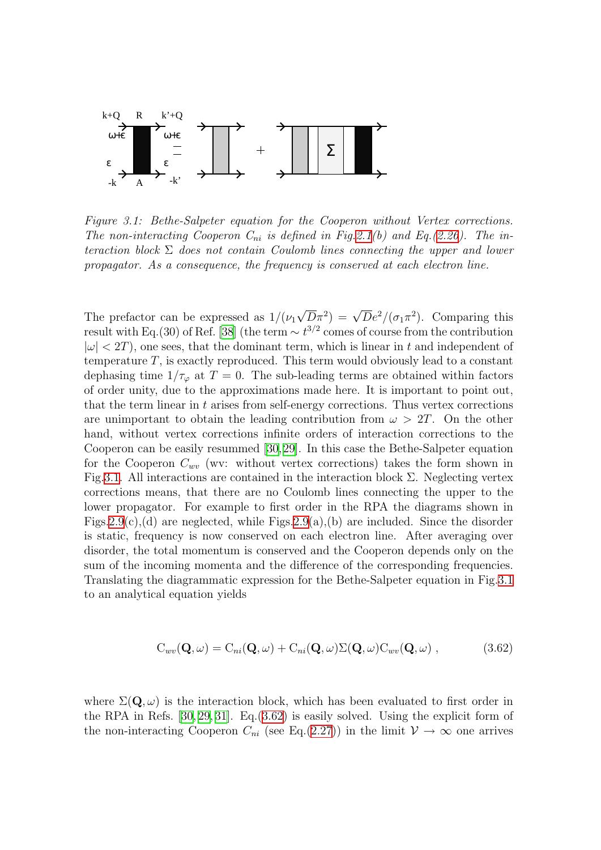

<span id="page-49-0"></span>Figure 3.1: Bethe-Salpeter equation for the Cooperon without Vertex corrections. The non-interacting Cooperon  $C_{ni}$  is defined in Fig[.2.1](#page-14-0)(b) and Eq.([2.26](#page-13-0)). The interaction block  $\Sigma$  does not contain Coulomb lines connecting the upper and lower propagator. As a consequence, the frequency is conserved at each electron line.

The prefactor can be expressed as  $1/(\nu_1)$  $\overline{D}\pi^2$ ) =  $\sqrt{D}e^2/(\sigma_1\pi^2)$ . Comparing this resultwith Eq.(30) of Ref. [[38](#page-135-0)] (the term  $\sim t^{3/2}$  comes of course from the contribution  $|\omega| < 2T$ ), one sees, that the dominant term, which is linear in t and independent of temperature  $T$ , is exactly reproduced. This term would obviously lead to a constant dephasing time  $1/\tau_{\varphi}$  at  $T=0$ . The sub-leading terms are obtained within factors of order unity, due to the approximations made here. It is important to point out, that the term linear in  $t$  arises from self-energy corrections. Thus vertex corrections are unimportant to obtain the leading contribution from  $\omega > 2T$ . On the other hand, without vertex corrections infinite orders of interaction corrections to the Cooperon can be easily resummed [\[30](#page-134-9),[29](#page-134-11)]. In this case the Bethe-Salpeter equation for the Cooperon  $C_{wv}$  (wv: without vertex corrections) takes the form shown in Fig[.3.1](#page-49-0). All interactions are contained in the interaction block  $\Sigma$ . Neglecting vertex corrections means, that there are no Coulomb lines connecting the upper to the lower propagator. For example to first order in the RPA the diagrams shown in Figs.  $2.9(c)$  $2.9(c)$ , (d) are neglected, while Figs.  $2.9(a)$ , (b) are included. Since the disorder is static, frequency is now conserved on each electron line. After averaging over disorder, the total momentum is conserved and the Cooperon depends only on the sum of the incoming momenta and the difference of the corresponding frequencies. Translating the diagrammatic expression for the Bethe-Salpeter equation in Fig.[3.1](#page-49-0) to an analytical equation yields

<span id="page-49-1"></span>
$$
C_{wv}(\mathbf{Q},\omega) = C_{ni}(\mathbf{Q},\omega) + C_{ni}(\mathbf{Q},\omega)\Sigma(\mathbf{Q},\omega)C_{wv}(\mathbf{Q},\omega) ,
$$
 (3.62)

where  $\Sigma(\mathbf{Q}, \omega)$  is the interaction block, which has been evaluated to first order in the RPA in Refs.[[30](#page-134-9), [29](#page-134-11), [31\]](#page-134-12). Eq.([3.62\)](#page-49-1) is easily solved. Using the explicit form of the non-interacting Cooperon  $C_{ni}$  (see Eq.[\(2.27](#page-14-1))) in the limit  $\mathcal{V} \to \infty$  one arrives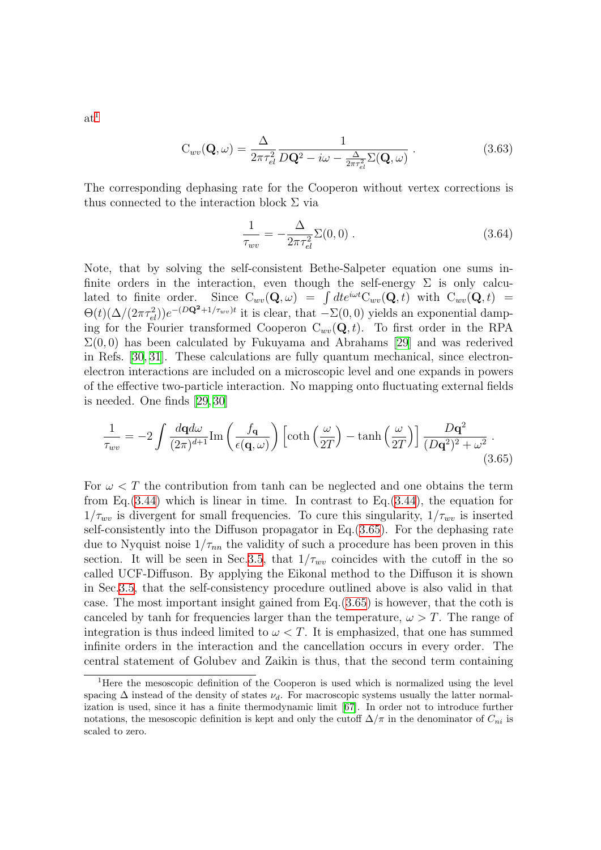$$
C_{wv}(\mathbf{Q}, \omega) = \frac{\Delta}{2\pi \tau_{el}^2} \frac{1}{D\mathbf{Q}^2 - i\omega - \frac{\Delta}{2\pi \tau_{el}^2} \Sigma(\mathbf{Q}, \omega)}.
$$
(3.63)

The corresponding dephasing rate for the Cooperon without vertex corrections is thus connected to the interaction block  $\Sigma$  via

<span id="page-50-1"></span>
$$
\frac{1}{\tau_{wv}} = -\frac{\Delta}{2\pi\tau_{el}^2} \Sigma(0,0) \ . \tag{3.64}
$$

Note, that by solving the self-consistent Bethe-Salpeter equation one sums infinite orders in the interaction, even though the self-energy  $\Sigma$  is only calculated to finite order. Since  $C_{wv}(\mathbf{Q}, \omega) = \int dt e^{i\omega t} C_{wv}(\mathbf{Q}, t)$  with  $C_{wv}(\mathbf{Q}, t) =$  $\Theta(t)(\Delta/(2\pi\tau_{el}^2))e^{-(D\mathbf{Q^2}+1/\tau_{wv})t}$  it is clear, that  $-\Sigma(0,0)$  yields an exponential damping for the Fourier transformed Cooperon  $C_{wv}(\mathbf{Q}, t)$ . To first order in the RPA  $\Sigma(0,0)$  has been calculated by Fukuyama and Abrahams [\[29\]](#page-134-11) and was rederived in Refs.[[30,](#page-134-9) [31\]](#page-134-12). These calculations are fully quantum mechanical, since electronelectron interactions are included on a microscopic level and one expands in powers of the effective two-particle interaction. No mapping onto fluctuating external fields is needed. One finds[[29](#page-134-11), [30\]](#page-134-9)

$$
\frac{1}{\tau_{wv}} = -2 \int \frac{d\mathbf{q}d\omega}{(2\pi)^{d+1}} \text{Im}\left(\frac{f_{\mathbf{q}}}{\epsilon(\mathbf{q},\omega)}\right) \left[\coth\left(\frac{\omega}{2T}\right) - \tanh\left(\frac{\omega}{2T}\right)\right] \frac{D\mathbf{q}^2}{(D\mathbf{q}^2)^2 + \omega^2}.
$$
\n(3.65)

For  $\omega < T$  the contribution from tanh can be neglected and one obtains the term from Eq. $(3.44)$  $(3.44)$  which is linear in time. In contrast to Eq. $(3.44)$  $(3.44)$ , the equation for  $1/\tau_{wv}$  is divergent for small frequencies. To cure this singularity,  $1/\tau_{wv}$  is inserted self-consistently into the Diffuson propagator in Eq.[\(3.65\)](#page-50-1). For the dephasing rate due to Nyquist noise  $1/\tau_{nn}$  the validity of such a procedure has been proven in this section. It will be seen in Sec. [3.5,](#page-67-0) that  $1/\tau_{wv}$  coincides with the cutoff in the so called UCF-Diffuson. By applying the Eikonal method to the Diffuson it is shown in Sec.[3.5,](#page-67-0) that the self-consistency procedure outlined above is also valid in that case. The most important insight gained from Eq.([3.65](#page-50-1)) is however, that the coth is canceled by tanh for frequencies larger than the temperature,  $\omega > T$ . The range of integration is thus indeed limited to  $\omega < T$ . It is emphasized, that one has summed infinite orders in the interaction and the cancellation occurs in every order. The central statement of Golubev and Zaikin is thus, that the second term containing

 $at^1$  $at^1$ 

<span id="page-50-0"></span><sup>1</sup>Here the mesoscopic definition of the Cooperon is used which is normalized using the level spacing  $\Delta$  instead of the density of states  $\nu_d$ . For macroscopic systems usually the latter normalization is used, since it has a finite thermodynamic limit [\[67](#page-136-2)]. In order not to introduce further notations, the mesoscopic definition is kept and only the cutoff  $\Delta/\pi$  in the denominator of  $C_{ni}$  is scaled to zero.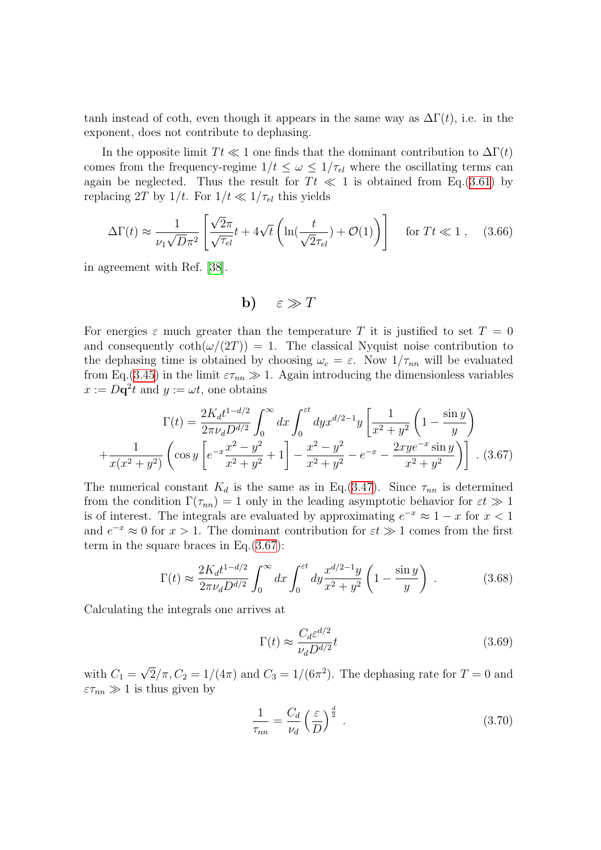tanh instead of coth, even though it appears in the same way as  $\Delta\Gamma(t)$ , i.e. in the exponent, does not contribute to dephasing.

In the opposite limit  $T t \ll 1$  one finds that the dominant contribution to  $\Delta \Gamma(t)$ comes from the frequency-regime  $1/t \leq \omega \leq 1/\tau_{el}$  where the oscillating terms can again be neglected. Thus the result for  $T_t \ll 1$  is obtained from Eq.[\(3.61](#page-48-0)) by replacing 2T by  $1/t$ . For  $1/t \ll 1/\tau_{el}$  this yields

$$
\Delta\Gamma(t) \approx \frac{1}{\nu_1\sqrt{D}\pi^2} \left[ \frac{\sqrt{2}\pi}{\sqrt{\tau_{el}}} t + 4\sqrt{t} \left( \ln(\frac{t}{\sqrt{2}\tau_{el}}) + \mathcal{O}(1) \right) \right] \quad \text{for } Tt \ll 1 , \quad (3.66)
$$

in agreement with Ref.[[38](#page-135-0)].

$$
b) \quad \varepsilon \gg T
$$

For energies  $\varepsilon$  much greater than the temperature T it is justified to set  $T = 0$ and consequently  $\coth(\omega/(2T)) = 1$ . The classical Nyquist noise contribution to the dephasing time is obtained by choosing  $\omega_c = \varepsilon$ . Now  $1/\tau_{nn}$  will be evaluated from Eq.[\(3.45](#page-44-1)) in the limit  $\varepsilon \tau_{nn} \gg 1$ . Again introducing the dimensionless variables  $x := D\mathbf{q}^2 t$  and  $y := \omega t$ , one obtains

<span id="page-51-0"></span>
$$
\Gamma(t) = \frac{2K_d t^{1-d/2}}{2\pi\nu_d D^{d/2}} \int_0^\infty dx \int_0^{\varepsilon t} dy x^{d/2-1} y \left[ \frac{1}{x^2 + y^2} \left( 1 - \frac{\sin y}{y} \right) + \frac{1}{x(x^2 + y^2)} \left( \cos y \left[ e^{-x} \frac{x^2 - y^2}{x^2 + y^2} + 1 \right] - \frac{x^2 - y^2}{x^2 + y^2} - e^{-x} - \frac{2xy e^{-x} \sin y}{x^2 + y^2} \right) \right].
$$
 (3.67)

The numerical constant  $K_d$  is the same as in Eq.([3.47](#page-45-1)). Since  $\tau_{nn}$  is determined from the condition  $\Gamma(\tau_{nn}) = 1$  only in the leading asymptotic behavior for  $\varepsilon t \gg 1$ is of interest. The integrals are evaluated by approximating  $e^{-x} \approx 1 - x$  for  $x < 1$ and  $e^{-x} \approx 0$  for  $x > 1$ . The dominant contribution for  $\varepsilon t \gg 1$  comes from the first term in the square braces in Eq.[\(3.67](#page-51-0)):

$$
\Gamma(t) \approx \frac{2K_d t^{1-d/2}}{2\pi\nu_d D^{d/2}} \int_0^\infty dx \int_0^{\varepsilon t} dy \frac{x^{d/2-1}y}{x^2 + y^2} \left(1 - \frac{\sin y}{y}\right) . \tag{3.68}
$$

Calculating the integrals one arrives at

$$
\Gamma(t) \approx \frac{C_d \varepsilon^{d/2}}{\nu_d D^{d/2}} t \tag{3.69}
$$

with  $C_1 =$  $\overline{2}/\pi$ ,  $C_2 = 1/(4\pi)$  and  $C_3 = 1/(6\pi^2)$ . The dephasing rate for  $T = 0$  and  $\varepsilon \tau_{nn} \gg 1$  is thus given by

<span id="page-51-1"></span>
$$
\frac{1}{\tau_{nn}} = \frac{C_d}{\nu_d} \left(\frac{\varepsilon}{D}\right)^{\frac{d}{2}}.
$$
\n(3.70)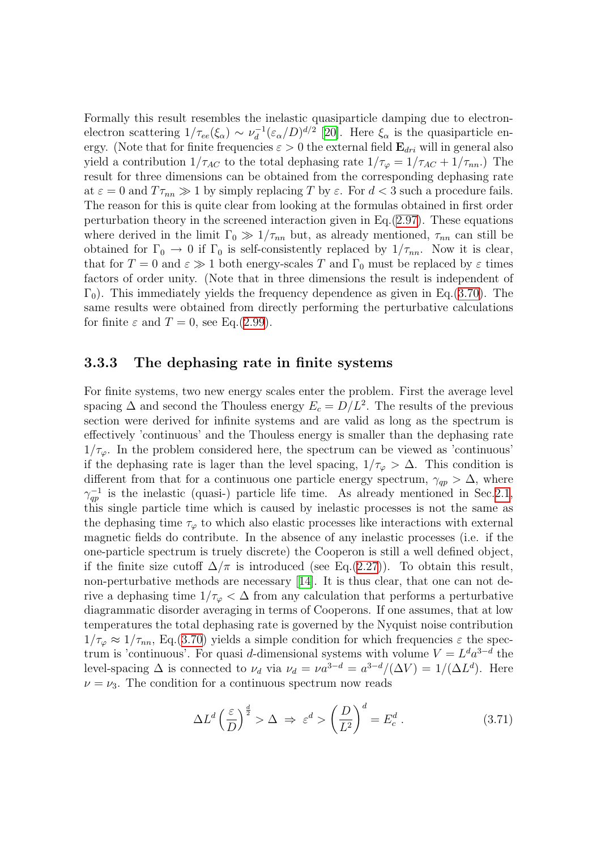Formally this result resembles the inelastic quasiparticle damping due to electronelectron scattering  $1/\tau_{ee}(\xi_{\alpha}) \sim \nu_d^{-1}$  $d_d^{-1}(\varepsilon_\alpha/D)^{d/2}$  [\[20](#page-134-13)]. Here  $\xi_\alpha$  is the quasiparticle energy. (Note that for finite frequencies  $\varepsilon > 0$  the external field  $\mathbf{E}_{dri}$  will in general also yield a contribution  $1/\tau_{AC}$  to the total dephasing rate  $1/\tau_{\varphi} = 1/\tau_{AC} + 1/\tau_{nn}$ .) The result for three dimensions can be obtained from the corresponding dephasing rate at  $\varepsilon = 0$  and  $T\tau_{nn} \gg 1$  by simply replacing T by  $\varepsilon$ . For  $d < 3$  such a procedure fails. The reason for this is quite clear from looking at the formulas obtained in first order perturbation theory in the screened interaction given in Eq.([2.97](#page-34-0)). These equations where derived in the limit  $\Gamma_0 \gg 1/\tau_{nn}$  but, as already mentioned,  $\tau_{nn}$  can still be obtained for  $\Gamma_0 \to 0$  if  $\Gamma_0$  is self-consistently replaced by  $1/\tau_{nn}$ . Now it is clear, that for  $T = 0$  and  $\varepsilon \gg 1$  both energy-scales T and  $\Gamma_0$  must be replaced by  $\varepsilon$  times factors of order unity. (Note that in three dimensions the result is independent of  $\Gamma_0$ ). This immediately yields the frequency dependence as given in Eq.([3.70\)](#page-51-1). The same results were obtained from directly performing the perturbative calculations for finite  $\varepsilon$  and  $T = 0$ , see Eq.[\(2.99](#page-34-1)).

#### 3.3.3 The dephasing rate in finite systems

For finite systems, two new energy scales enter the problem. First the average level spacing  $\Delta$  and second the Thouless energy  $E_c = D/L^2$ . The results of the previous section were derived for infinite systems and are valid as long as the spectrum is effectively 'continuous' and the Thouless energy is smaller than the dephasing rate  $1/\tau_{\varphi}$ . In the problem considered here, the spectrum can be viewed as 'continuous' if the dephasing rate is lager than the level spacing,  $1/\tau_{\varphi} > \Delta$ . This condition is different from that for a continuous one particle energy spectrum,  $\gamma_{ap} > \Delta$ , where  $\gamma_{qp}^{-1}$  is the inelastic (quasi-) particle life time. As already mentioned in Sec[.2.1](#page-7-0), this single particle time which is caused by inelastic processes is not the same as the dephasing time  $\tau_{\varphi}$  to which also elastic processes like interactions with external magnetic fields do contribute. In the absence of any inelastic processes (i.e. if the one-particle spectrum is truely discrete) the Cooperon is still a well defined object, if the finite size cutoff  $\Delta/\pi$  is introduced (see Eq.([2.27](#page-14-1))). To obtain this result, non-perturbative methods are necessary [\[14\]](#page-133-2). It is thus clear, that one can not derive a dephasing time  $1/\tau_{\varphi} < \Delta$  from any calculation that performs a perturbative diagrammatic disorder averaging in terms of Cooperons. If one assumes, that at low temperatures the total dephasing rate is governed by the Nyquist noise contribution  $1/\tau_{\varphi} \approx 1/\tau_{nn}$ , Eq.([3.70\)](#page-51-1) yields a simple condition for which frequencies  $\varepsilon$  the spectrum is 'continuous'. For quasi d-dimensional systems with volume  $V = L^d a^{3-d}$  the level-spacing  $\Delta$  is connected to  $\nu_d$  via  $\nu_d = \nu a^{3-d} = a^{3-d}/(\Delta V) = 1/(\Delta L^d)$ . Here  $\nu = \nu_3$ . The condition for a continuous spectrum now reads

<span id="page-52-0"></span>
$$
\Delta L^d \left(\frac{\varepsilon}{D}\right)^{\frac{d}{2}} > \Delta \implies \varepsilon^d > \left(\frac{D}{L^2}\right)^d = E_c^d \,. \tag{3.71}
$$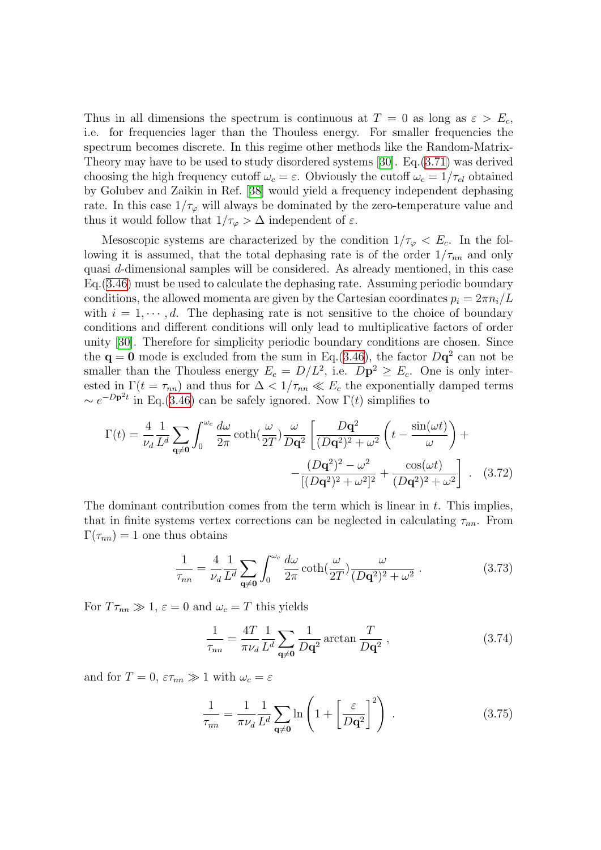Thus in all dimensions the spectrum is continuous at  $T = 0$  as long as  $\varepsilon > E_c$ , i.e. for frequencies lager than the Thouless energy. For smaller frequencies the spectrum becomes discrete. In this regime other methods like the Random-Matrix-Theory may have to be used to study disordered systems [\[30\]](#page-134-9). Eq.[\(3.71\)](#page-52-0) was derived choosing the high frequency cutoff  $\omega_c = \varepsilon$ . Obviously the cutoff  $\omega_c = 1/\tau_{el}$  obtained by Golubev and Zaikin in Ref. [\[38\]](#page-135-0) would yield a frequency independent dephasing rate. In this case  $1/\tau_{\varphi}$  will always be dominated by the zero-temperature value and thus it would follow that  $1/\tau_{\varphi} > \Delta$  independent of  $\varepsilon.$ 

Mesoscopic systems are characterized by the condition  $1/\tau_{\varphi} < E_c$ . In the following it is assumed, that the total dephasing rate is of the order  $1/\tau_{nn}$  and only quasi d-dimensional samples will be considered. As already mentioned, in this case Eq.[\(3.46](#page-45-0)) must be used to calculate the dephasing rate. Assuming periodic boundary conditions, the allowed momenta are given by the Cartesian coordinates  $p_i = 2\pi n_i/L$ with  $i = 1, \dots, d$ . The dephasing rate is not sensitive to the choice of boundary conditions and different conditions will only lead to multiplicative factors of order unity [\[30](#page-134-9)]. Therefore for simplicity periodic boundary conditions are chosen. Since the  $\mathbf{q} = \mathbf{0}$  mode is excluded from the sum in Eq.[\(3.46\)](#page-45-0), the factor  $D\mathbf{q}^2$  can not be smaller than the Thouless energy  $E_c = D/L^2$ , i.e.  $D\mathbf{p}^2 \ge E_c$ . One is only interested in  $\Gamma(t = \tau_{nn})$  and thus for  $\Delta < 1/\tau_{nn} \ll E_c$  the exponentially damped terms  $\sim e^{-Dp^2t}$  in Eq.([3.46\)](#page-45-0) can be safely ignored. Now  $\Gamma(t)$  simplifies to

$$
\Gamma(t) = \frac{4}{\nu_d} \frac{1}{L^d} \sum_{\mathbf{q} \neq \mathbf{0}} \int_0^{\omega_c} \frac{d\omega}{2\pi} \coth\left(\frac{\omega}{2T}\right) \frac{\omega}{D\mathbf{q}^2} \left[ \frac{D\mathbf{q}^2}{(D\mathbf{q}^2)^2 + \omega^2} \left( t - \frac{\sin(\omega t)}{\omega} \right) + \frac{(D\mathbf{q}^2)^2 - \omega^2}{[(D\mathbf{q}^2)^2 + \omega^2]^2} + \frac{\cos(\omega t)}{(D\mathbf{q}^2)^2 + \omega^2} \right].
$$
 (3.72)

The dominant contribution comes from the term which is linear in  $t$ . This implies, that in finite systems vertex corrections can be neglected in calculating  $\tau_{nn}$ . From  $\Gamma(\tau_{nn}) = 1$  one thus obtains

$$
\frac{1}{\tau_{nn}} = \frac{4}{\nu_d} \frac{1}{L^d} \sum_{\mathbf{q} \neq \mathbf{0}} \int_0^{\omega_c} \frac{d\omega}{2\pi} \coth(\frac{\omega}{2T}) \frac{\omega}{(D\mathbf{q}^2)^2 + \omega^2} . \tag{3.73}
$$

For  $T\tau_{nn} \gg 1$ ,  $\varepsilon = 0$  and  $\omega_c = T$  this yields

$$
\frac{1}{\tau_{nn}} = \frac{4T}{\pi \nu_d} \frac{1}{L^d} \sum_{\mathbf{q} \neq \mathbf{0}} \frac{1}{D\mathbf{q}^2} \arctan \frac{T}{D\mathbf{q}^2},\tag{3.74}
$$

and for  $T = 0$ ,  $\varepsilon \tau_{nn} \gg 1$  with  $\omega_c = \varepsilon$ 

<span id="page-53-0"></span>
$$
\frac{1}{\tau_{nn}} = \frac{1}{\pi \nu_d} \frac{1}{L^d} \sum_{\mathbf{q} \neq \mathbf{0}} \ln \left( 1 + \left[ \frac{\varepsilon}{D\mathbf{q}^2} \right]^2 \right) . \tag{3.75}
$$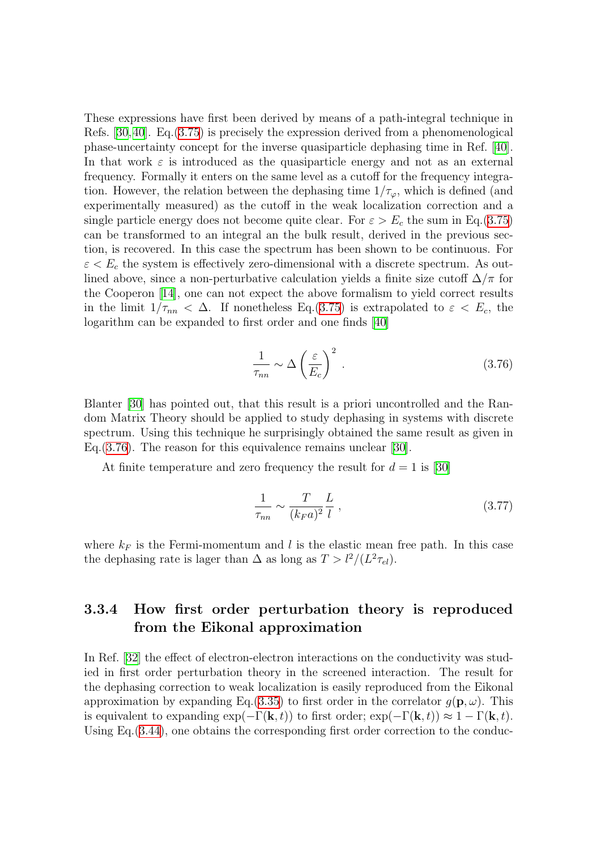These expressions have first been derived by means of a path-integral technique in Refs. [\[30](#page-134-9),[40](#page-135-5)]. Eq.([3.75\)](#page-53-0) is precisely the expression derived from a phenomenological phase-uncertainty concept for the inverse quasiparticle dephasing time in Ref. [\[40](#page-135-5)]. In that work  $\varepsilon$  is introduced as the quasiparticle energy and not as an external frequency. Formally it enters on the same level as a cutoff for the frequency integration. However, the relation between the dephasing time  $1/\tau_{\varphi}$ , which is defined (and experimentally measured) as the cutoff in the weak localization correction and a single particle energy does not become quite clear. For  $\varepsilon > E_c$  the sum in Eq.[\(3.75\)](#page-53-0) can be transformed to an integral an the bulk result, derived in the previous section, is recovered. In this case the spectrum has been shown to be continuous. For  $\varepsilon < E_c$  the system is effectively zero-dimensional with a discrete spectrum. As outlined above, since a non-perturbative calculation yields a finite size cutoff  $\Delta/\pi$  for the Cooperon[[14](#page-133-2)], one can not expect the above formalism to yield correct results in the limit  $1/\tau_{nn} < \Delta$ . If nonetheless Eq.([3.75](#page-53-0)) is extrapolated to  $\varepsilon < E_c$ , the logarithm can be expanded to first order and one finds[[40\]](#page-135-5)

<span id="page-54-1"></span>
$$
\frac{1}{\tau_{nn}} \sim \Delta \left(\frac{\varepsilon}{E_c}\right)^2 \,. \tag{3.76}
$$

Blanter[[30](#page-134-9)] has pointed out, that this result is a priori uncontrolled and the Random Matrix Theory should be applied to study dephasing in systems with discrete spectrum. Using this technique he surprisingly obtained the same result as given in Eq.[\(3.76](#page-54-1)). The reason for this equivalence remains unclear[[30\]](#page-134-9).

At finite temperature and zero frequency the result for  $d = 1$  is [\[30\]](#page-134-9)

$$
\frac{1}{\tau_{nn}} \sim \frac{T}{(k_F a)^2} \frac{L}{l} \,,\tag{3.77}
$$

where  $k_F$  is the Fermi-momentum and l is the elastic mean free path. In this case the dephasing rate is lager than  $\Delta$  as long as  $T > l^2/(L^2 \tau_{el})$ .

### <span id="page-54-0"></span>3.3.4 How first order perturbation theory is reproduced from the Eikonal approximation

InRef. [[32\]](#page-134-6) the effect of electron-electron interactions on the conductivity was studied in first order perturbation theory in the screened interaction. The result for the dephasing correction to weak localization is easily reproduced from the Eikonal approximation by expanding Eq.([3.35\)](#page-42-2) to first order in the correlator  $q(\mathbf{p}, \omega)$ . This is equivalent to expanding  $\exp(-\Gamma(\mathbf{k}, t))$  to first order;  $\exp(-\Gamma(\mathbf{k}, t)) \approx 1 - \Gamma(\mathbf{k}, t)$ . Using Eq.([3.44\)](#page-44-0), one obtains the corresponding first order correction to the conduc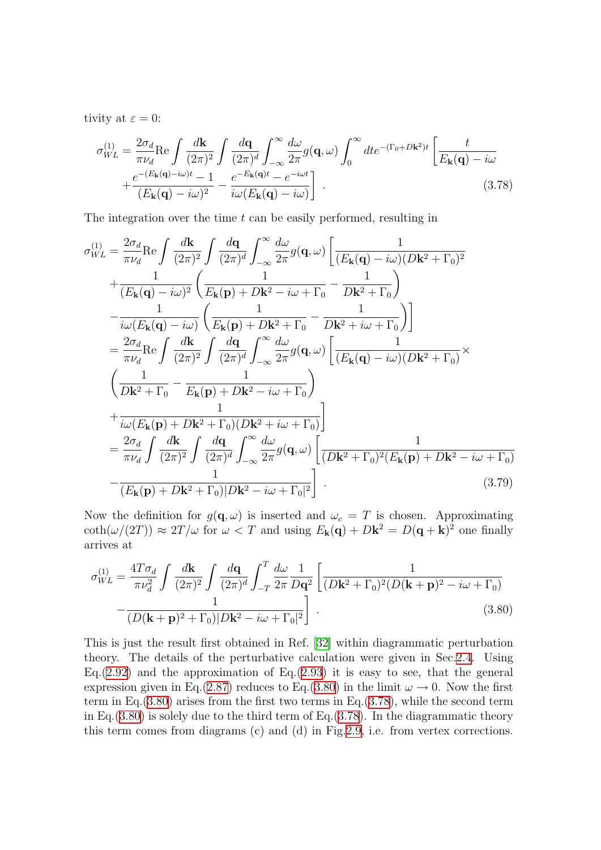tivity at  $\varepsilon = 0$ :

<span id="page-55-1"></span>
$$
\sigma_{WL}^{(1)} = \frac{2\sigma_d}{\pi\nu_d} \text{Re} \int \frac{d\mathbf{k}}{(2\pi)^2} \int \frac{d\mathbf{q}}{(2\pi)^d} \int_{-\infty}^{\infty} \frac{d\omega}{2\pi} g(\mathbf{q}, \omega) \int_0^{\infty} dt e^{-(\Gamma_0 + D\mathbf{k}^2)t} \left[ \frac{t}{E_\mathbf{k}(\mathbf{q}) - i\omega} + \frac{e^{-(E_\mathbf{k}(\mathbf{q}) - i\omega)t} - 1}{(E_\mathbf{k}(\mathbf{q}) - i\omega)^2} - \frac{e^{-E_\mathbf{k}(\mathbf{q})t} - e^{-i\omega t}}{i\omega(E_\mathbf{k}(\mathbf{q}) - i\omega)} \right].
$$
\n(3.78)

The integration over the time  $t$  can be easily performed, resulting in

$$
\sigma_{WL}^{(1)} = \frac{2\sigma_d}{\pi\nu_d} \text{Re} \int \frac{d\mathbf{k}}{(2\pi)^2} \int \frac{d\mathbf{q}}{(2\pi)^d} \int_{-\infty}^{\infty} \frac{d\omega}{2\pi} g(\mathbf{q}, \omega) \left[ \frac{1}{(E_{\mathbf{k}}(\mathbf{q}) - i\omega)(D\mathbf{k}^2 + \Gamma_0)^2} + \frac{1}{(E_{\mathbf{k}}(\mathbf{q}) - i\omega)^2} \left( \frac{1}{E_{\mathbf{k}}(\mathbf{p}) + D\mathbf{k}^2 - i\omega + \Gamma_0} - \frac{1}{D\mathbf{k}^2 + \Gamma_0} \right) \right] \n- \frac{1}{i\omega(E_{\mathbf{k}}(\mathbf{q}) - i\omega)} \left( \frac{1}{E_{\mathbf{k}}(\mathbf{p}) + D\mathbf{k}^2 + \Gamma_0} - \frac{1}{D\mathbf{k}^2 + i\omega + \Gamma_0} \right) \n= \frac{2\sigma_d}{\pi\nu_d} \text{Re} \int \frac{d\mathbf{k}}{(2\pi)^2} \int \frac{d\mathbf{q}}{(2\pi)^d} \int_{-\infty}^{\infty} \frac{d\omega}{2\pi} g(\mathbf{q}, \omega) \left[ \frac{1}{(E_{\mathbf{k}}(\mathbf{q}) - i\omega)(D\mathbf{k}^2 + \Gamma_0)} \right] \times \n\left( \frac{1}{D\mathbf{k}^2 + \Gamma_0} - \frac{1}{E_{\mathbf{k}}(\mathbf{p}) + D\mathbf{k}^2 - i\omega + \Gamma_0} \right) \n+ \frac{1}{i\omega(E_{\mathbf{k}}(\mathbf{p}) + D\mathbf{k}^2 + \Gamma_0)(D\mathbf{k}^2 + i\omega + \Gamma_0)} \right] \n= \frac{2\sigma_d}{\pi\nu_d} \int \frac{d\mathbf{k}}{(2\pi)^2} \int \frac{d\mathbf{q}}{(2\pi)^d} \int_{-\infty}^{\infty} \frac{d\omega}{2\pi} g(\mathbf{q}, \omega) \left[ \frac{1}{(D\mathbf{k}^2 + \Gamma_0)^2(E_{\mathbf{k}}(\mathbf{p}) + D\mathbf{k}^2 - i\omega + \Gamma_0)} \right. \n- \frac{1}{(E_{\
$$

Now the definition for  $g(\mathbf{q}, \omega)$  is inserted and  $\omega_c = T$  is chosen. Approximating  $\coth(\omega/(2T)) \approx 2T/\omega$  for  $\omega < T$  and using  $E_{\bf k}({\bf q}) + D{\bf k}^2 = D({\bf q} + {\bf k})^2$  one finally arrives at

<span id="page-55-0"></span>
$$
\sigma_{WL}^{(1)} = \frac{4T\sigma_d}{\pi\nu_d^2} \int \frac{d\mathbf{k}}{(2\pi)^2} \int \frac{d\mathbf{q}}{(2\pi)^d} \int_{-T}^{T} \frac{d\omega}{2\pi} \frac{1}{D\mathbf{q}^2} \left[ \frac{1}{(D\mathbf{k}^2 + \Gamma_0)^2 (D(\mathbf{k} + \mathbf{p})^2 - i\omega + \Gamma_0)} - \frac{1}{(D(\mathbf{k} + \mathbf{p})^2 + \Gamma_0)|D\mathbf{k}^2 - i\omega + \Gamma_0|^2} \right]
$$
(3.80)

This is just the result first obtained in Ref.[[32](#page-134-6)] within diagrammatic perturbation theory. The details of the perturbative calculation were given in Sec[.2.4](#page-26-0). Using Eq.  $(2.92)$  $(2.92)$  and the approximation of Eq.  $(2.93)$  $(2.93)$  $(2.93)$  it is easy to see, that the general expression given in Eq.[\(2.87\)](#page-32-1) reduces to Eq.([3.80](#page-55-0)) in the limit  $\omega \to 0$ . Now the first term in Eq. $(3.80)$  $(3.80)$  arises from the first two terms in Eq. $(3.78)$  $(3.78)$ , while the second term in Eq.  $(3.80)$  $(3.80)$  is solely due to the third term of Eq.  $(3.78)$ . In the diagrammatic theory this term comes from diagrams (c) and (d) in Fig.[2.9,](#page-32-0) i.e. from vertex corrections.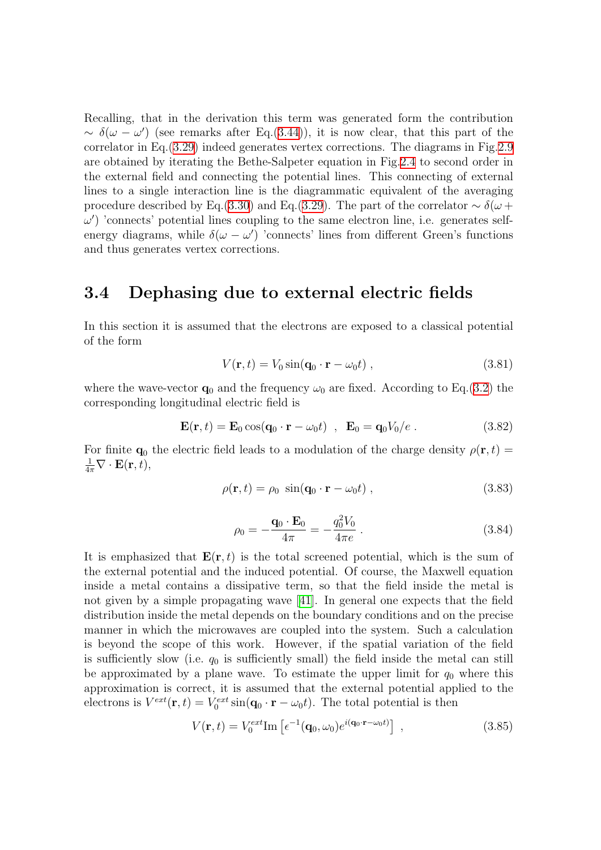Recalling, that in the derivation this term was generated form the contribution  $\sim \delta(\omega - \omega')$  (see remarks after Eq.[\(3.44](#page-44-0))), it is now clear, that this part of the correlator in Eq.([3.29](#page-42-0)) indeed generates vertex corrections. The diagrams in Fig.[2.9](#page-32-0) are obtained by iterating the Bethe-Salpeter equation in Fig.[2.4](#page-20-0) to second order in the external field and connecting the potential lines. This connecting of external lines to a single interaction line is the diagrammatic equivalent of the averaging procedure described by Eq.[\(3.30](#page-42-3)) and Eq.[\(3.29](#page-42-0)). The part of the correlator  $\sim \delta(\omega +$  $\omega'$ ) 'connects' potential lines coupling to the same electron line, i.e. generates selfenergy diagrams, while  $\delta(\omega - \omega')$  'connects' lines from different Green's functions and thus generates vertex corrections.

## <span id="page-56-0"></span>3.4 Dephasing due to external electric fields

In this section it is assumed that the electrons are exposed to a classical potential of the form

<span id="page-56-1"></span>
$$
V(\mathbf{r},t) = V_0 \sin(\mathbf{q}_0 \cdot \mathbf{r} - \omega_0 t) , \qquad (3.81)
$$

where the wave-vector  $\mathbf{q}_0$  and the frequency  $\omega_0$  are fixed. According to Eq.[\(3.2](#page-36-3)) the corresponding longitudinal electric field is

$$
\mathbf{E}(\mathbf{r},t) = \mathbf{E}_0 \cos(\mathbf{q}_0 \cdot \mathbf{r} - \omega_0 t) , \quad \mathbf{E}_0 = \mathbf{q}_0 V_0 / e . \qquad (3.82)
$$

For finite  $\mathbf{q}_0$  the electric field leads to a modulation of the charge density  $\rho(\mathbf{r},t)$  $\frac{1}{4\pi}\nabla\cdot\mathbf{E}(\mathbf{r},t),$ 

$$
\rho(\mathbf{r},t) = \rho_0 \sin(\mathbf{q}_0 \cdot \mathbf{r} - \omega_0 t) , \qquad (3.83)
$$

$$
\rho_0 = -\frac{\mathbf{q}_0 \cdot \mathbf{E}_0}{4\pi} = -\frac{q_0^2 V_0}{4\pi e} \,. \tag{3.84}
$$

It is emphasized that  $E(\mathbf{r},t)$  is the total screened potential, which is the sum of the external potential and the induced potential. Of course, the Maxwell equation inside a metal contains a dissipative term, so that the field inside the metal is not given by a simple propagating wave[[41](#page-135-6)]. In general one expects that the field distribution inside the metal depends on the boundary conditions and on the precise manner in which the microwaves are coupled into the system. Such a calculation is beyond the scope of this work. However, if the spatial variation of the field is sufficiently slow (i.e.  $q_0$  is sufficiently small) the field inside the metal can still be approximated by a plane wave. To estimate the upper limit for  $q_0$  where this approximation is correct, it is assumed that the external potential applied to the electrons is  $V^{ext}(\mathbf{r}, t) = V_0^{ext} \sin(\mathbf{q}_0 \cdot \mathbf{r} - \omega_0 t)$ . The total potential is then

$$
V(\mathbf{r},t) = V_0^{ext} \text{Im} \left[ \epsilon^{-1} (\mathbf{q}_0, \omega_0) e^{i(\mathbf{q}_0 \cdot \mathbf{r} - \omega_0 t)} \right], \qquad (3.85)
$$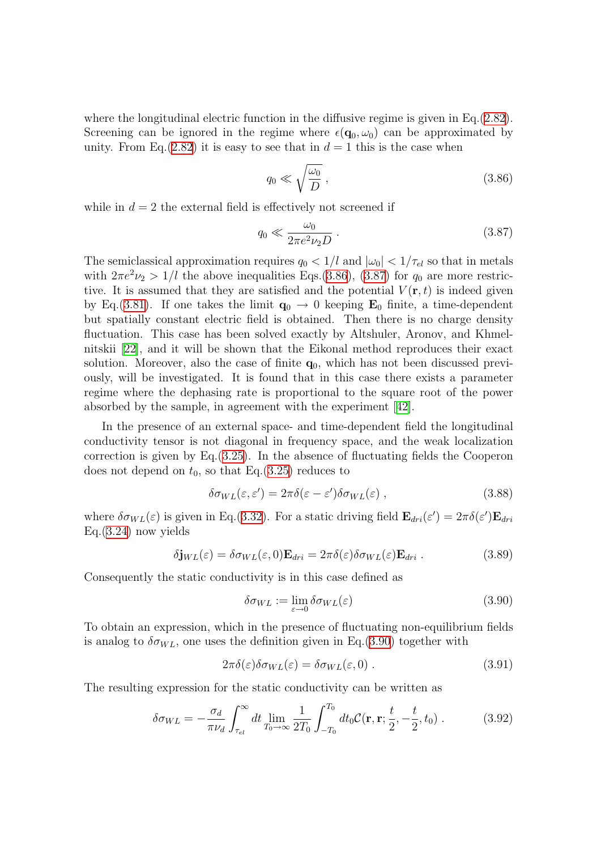where the longitudinal electric function in the diffusive regime is given in Eq.([2.82\)](#page-28-0). Screening can be ignored in the regime where  $\epsilon(\mathbf{q}_0, \omega_0)$  can be approximated by unity. From Eq.[\(2.82\)](#page-28-0) it is easy to see that in  $d = 1$  this is the case when

<span id="page-57-1"></span><span id="page-57-0"></span>
$$
q_0 \ll \sqrt{\frac{\omega_0}{D}}\,,\tag{3.86}
$$

while in  $d = 2$  the external field is effectively not screened if

$$
q_0 \ll \frac{\omega_0}{2\pi e^2 \nu_2 D} \,. \tag{3.87}
$$

The semiclassical approximation requires  $q_0 < 1/l$  and  $|\omega_0| < 1/\tau_{el}$  so that in metals with $2\pi e^2 \nu_2 > 1/l$  the above inequalities Eqs.[\(3.86](#page-57-0)), ([3.87\)](#page-57-1) for  $q_0$  are more restrictive. It is assumed that they are satisfied and the potential  $V(\mathbf{r},t)$  is indeed given by Eq.([3.81](#page-56-1)). If one takes the limit  $\mathbf{q}_0 \to 0$  keeping  $\mathbf{E}_0$  finite, a time-dependent but spatially constant electric field is obtained. Then there is no charge density fluctuation. This case has been solved exactly by Altshuler, Aronov, and Khmelnitskii[[22\]](#page-134-14), and it will be shown that the Eikonal method reproduces their exact solution. Moreover, also the case of finite  $q_0$ , which has not been discussed previously, will be investigated. It is found that in this case there exists a parameter regime where the dephasing rate is proportional to the square root of the power absorbed by the sample, in agreement with the experiment[[42](#page-135-7)].

In the presence of an external space- and time-dependent field the longitudinal conductivity tensor is not diagonal in frequency space, and the weak localization correction is given by Eq.  $(3.25)$  $(3.25)$ . In the absence of fluctuating fields the Cooperon does not depend on  $t_0$ , so that Eq.[\(3.25](#page-39-3)) reduces to

$$
\delta \sigma_{WL}(\varepsilon, \varepsilon') = 2\pi \delta(\varepsilon - \varepsilon') \delta \sigma_{WL}(\varepsilon) , \qquad (3.88)
$$

where  $\delta \sigma_{WL}(\varepsilon)$  is given in Eq.([3.32\)](#page-42-1). For a static driving field  $\mathbf{E}_{dri}(\varepsilon') = 2\pi \delta(\varepsilon') \mathbf{E}_{dri}$ Eq.[\(3.24](#page-39-4)) now yields

$$
\delta \mathbf{j}_{WL}(\varepsilon) = \delta \sigma_{WL}(\varepsilon, 0) \mathbf{E}_{dri} = 2\pi \delta(\varepsilon) \delta \sigma_{WL}(\varepsilon) \mathbf{E}_{dri} . \tag{3.89}
$$

Consequently the static conductivity is in this case defined as

<span id="page-57-3"></span><span id="page-57-2"></span>
$$
\delta \sigma_{WL} := \lim_{\varepsilon \to 0} \delta \sigma_{WL}(\varepsilon) \tag{3.90}
$$

To obtain an expression, which in the presence of fluctuating non-equilibrium fields is analog to  $\delta \sigma_{WL}$ , one uses the definition given in Eq.[\(3.90\)](#page-57-2) together with

<span id="page-57-4"></span>
$$
2\pi\delta(\varepsilon)\delta\sigma_{WL}(\varepsilon) = \delta\sigma_{WL}(\varepsilon, 0) \tag{3.91}
$$

The resulting expression for the static conductivity can be written as

$$
\delta \sigma_{WL} = -\frac{\sigma_d}{\pi \nu_d} \int_{\tau_{el}}^{\infty} dt \lim_{T_0 \to \infty} \frac{1}{2T_0} \int_{-T_0}^{T_0} dt_0 C(\mathbf{r}, \mathbf{r}; \frac{t}{2}, -\frac{t}{2}, t_0) \,. \tag{3.92}
$$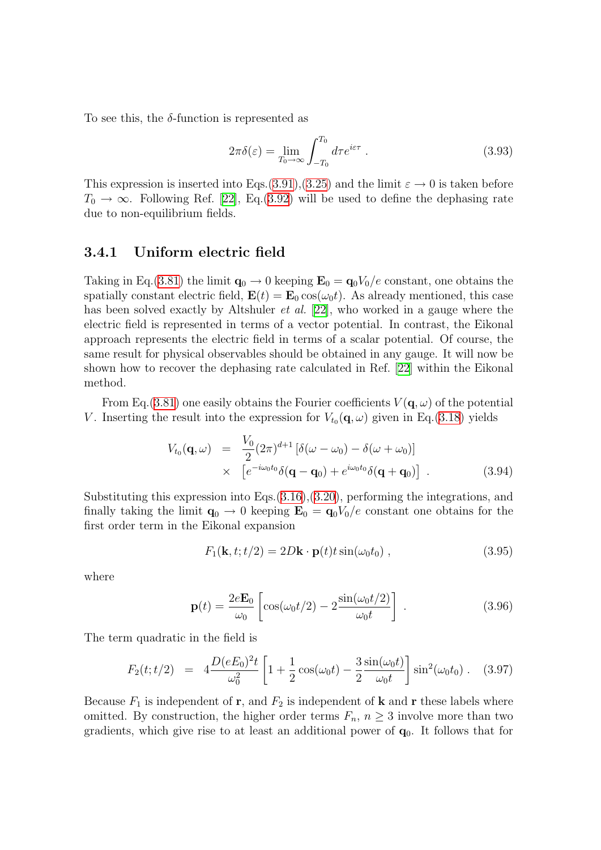To see this, the  $\delta$ -function is represented as

$$
2\pi\delta(\varepsilon) = \lim_{T_0 \to \infty} \int_{-T_0}^{T_0} d\tau e^{i\varepsilon\tau} . \tag{3.93}
$$

This expression is inserted into Eqs.[\(3.91](#page-57-3)),[\(3.25](#page-39-3)) and the limit  $\varepsilon \to 0$  is taken before  $T_0 \rightarrow \infty$ . Following Ref. [\[22](#page-134-14)], Eq.[\(3.92](#page-57-4)) will be used to define the dephasing rate due to non-equilibrium fields.

#### <span id="page-58-2"></span>3.4.1 Uniform electric field

Taking in Eq.([3.81\)](#page-56-1) the limit  $\mathbf{q}_0 \to 0$  keeping  $\mathbf{E}_0 = \mathbf{q}_0 V_0/e$  constant, one obtains the spatially constant electric field,  $\mathbf{E}(t) = \mathbf{E}_0 \cos(\omega_0 t)$ . As already mentioned, this case has been solved exactly by Altshuler *et al.* [\[22](#page-134-14)], who worked in a gauge where the electric field is represented in terms of a vector potential. In contrast, the Eikonal approach represents the electric field in terms of a scalar potential. Of course, the same result for physical observables should be obtained in any gauge. It will now be shown how to recover the dephasing rate calculated in Ref. [\[22\]](#page-134-14) within the Eikonal method.

From Eq. ([3.81](#page-56-1)) one easily obtains the Fourier coefficients  $V(\mathbf{q}, \omega)$  of the potential V. Inserting the result into the expression for  $V_{t_0}(\mathbf{q}, \omega)$  given in Eq.[\(3.18\)](#page-38-0) yields

<span id="page-58-3"></span>
$$
V_{t_0}(\mathbf{q},\omega) = \frac{V_0}{2}(2\pi)^{d+1} \left[ \delta(\omega - \omega_0) - \delta(\omega + \omega_0) \right]
$$
  
 
$$
\times \left[ e^{-i\omega_0 t_0} \delta(\mathbf{q} - \mathbf{q}_0) + e^{i\omega_0 t_0} \delta(\mathbf{q} + \mathbf{q}_0) \right].
$$
 (3.94)

Substituting this expression into Eqs.[\(3.16](#page-38-1)),[\(3.20](#page-38-2)), performing the integrations, and finally taking the limit  $\mathbf{q}_0 \to 0$  keeping  $\mathbf{E}_0 = \mathbf{q}_0 V_0/e$  constant one obtains for the first order term in the Eikonal expansion

<span id="page-58-0"></span>
$$
F_1(\mathbf{k}, t; t/2) = 2D\mathbf{k} \cdot \mathbf{p}(t)t \sin(\omega_0 t_0) , \qquad (3.95)
$$

where

$$
\mathbf{p}(t) = \frac{2e\mathbf{E}_0}{\omega_0} \left[ \cos(\omega_0 t/2) - 2\frac{\sin(\omega_0 t/2)}{\omega_0 t} \right] \,. \tag{3.96}
$$

The term quadratic in the field is

<span id="page-58-1"></span>
$$
F_2(t; t/2) = 4 \frac{D(eE_0)^2 t}{\omega_0^2} \left[ 1 + \frac{1}{2} \cos(\omega_0 t) - \frac{3}{2} \frac{\sin(\omega_0 t)}{\omega_0 t} \right] \sin^2(\omega_0 t_0) \,. \tag{3.97}
$$

Because  $F_1$  is independent of r, and  $F_2$  is independent of k and r these labels where omitted. By construction, the higher order terms  $F_n$ ,  $n \geq 3$  involve more than two gradients, which give rise to at least an additional power of  $q_0$ . It follows that for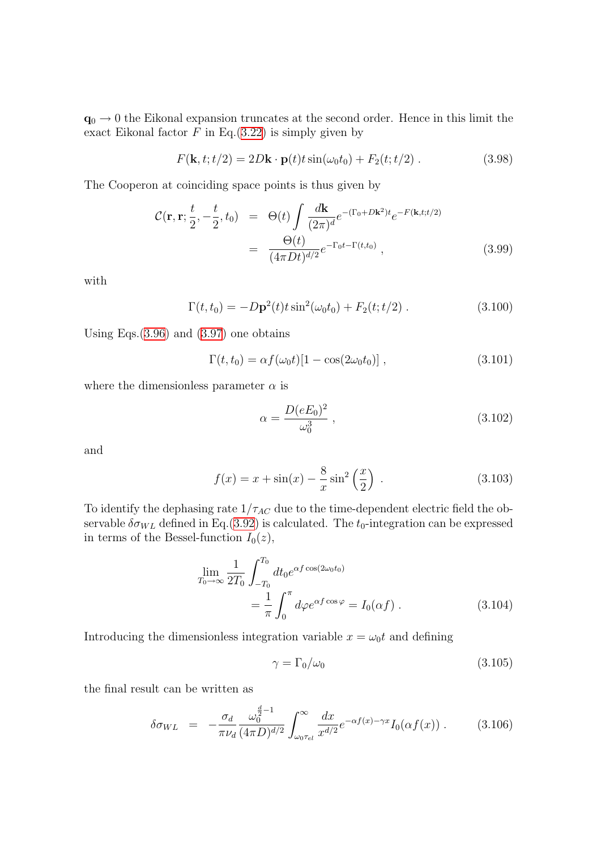$\mathbf{q}_0 \to 0$  the Eikonal expansion truncates at the second order. Hence in this limit the exact Eikonal factor  $F$  in Eq.([3.22\)](#page-39-1) is simply given by

$$
F(\mathbf{k}, t; t/2) = 2D\mathbf{k} \cdot \mathbf{p}(t)t \sin(\omega_0 t_0) + F_2(t; t/2) . \qquad (3.98)
$$

The Cooperon at coinciding space points is thus given by

$$
\mathcal{C}(\mathbf{r}, \mathbf{r}; \frac{t}{2}, -\frac{t}{2}, t_0) = \Theta(t) \int \frac{d\mathbf{k}}{(2\pi)^d} e^{-(\Gamma_0 + D\mathbf{k}^2)t} e^{-F(\mathbf{k}, t; t/2)}
$$

$$
= \frac{\Theta(t)}{(4\pi Dt)^{d/2}} e^{-\Gamma_0 t - \Gamma(t, t_0)}, \qquad (3.99)
$$

with

$$
\Gamma(t, t_0) = -D\mathbf{p}^2(t)t\sin^2(\omega_0 t_0) + F_2(t; t/2) . \qquad (3.100)
$$

Using Eqs. $(3.96)$  $(3.96)$  and  $(3.97)$  one obtains

$$
\Gamma(t, t_0) = \alpha f(\omega_0 t)[1 - \cos(2\omega_0 t_0)], \qquad (3.101)
$$

where the dimensionless parameter  $\alpha$  is

<span id="page-59-3"></span><span id="page-59-2"></span><span id="page-59-1"></span>
$$
\alpha = \frac{D(eE_0)^2}{\omega_0^3} \,, \tag{3.102}
$$

and

$$
f(x) = x + \sin(x) - \frac{8}{x} \sin^2\left(\frac{x}{2}\right) . \tag{3.103}
$$

To identify the dephasing rate  $1/\tau_{AC}$  due to the time-dependent electric field the observable  $\delta \sigma_{WL}$  defined in Eq.([3.92](#page-57-4)) is calculated. The  $t_0$ -integration can be expressed in terms of the Bessel-function  $I_0(z)$ ,

$$
\lim_{T_0 \to \infty} \frac{1}{2T_0} \int_{-T_0}^{T_0} dt_0 e^{\alpha f \cos(2\omega_0 t_0)} \n= \frac{1}{\pi} \int_0^{\pi} d\varphi e^{\alpha f \cos \varphi} = I_0(\alpha f) .
$$
\n(3.104)

Introducing the dimensionless integration variable  $x = \omega_0 t$  and defining

$$
\gamma = \Gamma_0/\omega_0 \tag{3.105}
$$

the final result can be written as

<span id="page-59-0"></span>
$$
\delta \sigma_{WL} = -\frac{\sigma_d}{\pi \nu_d} \frac{\omega_0^{\frac{d}{2}-1}}{(4\pi D)^{d/2}} \int_{\omega_0 \tau_{el}}^{\infty} \frac{dx}{x^{d/2}} e^{-\alpha f(x) - \gamma x} I_0(\alpha f(x)) . \tag{3.106}
$$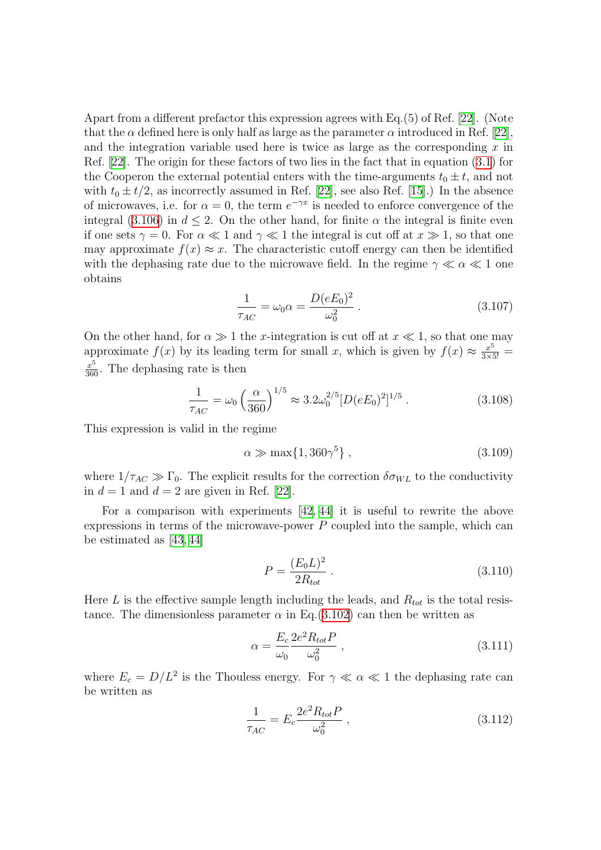Apart from a different prefactor this expression agrees with Eq.(5) of Ref.[[22](#page-134-14)]. (Note that the  $\alpha$  defined here is only half as large as the parameter  $\alpha$  introduced in Ref. [\[22](#page-134-14)], and the integration variable used here is twice as large as the corresponding  $x$  in Ref. [\[22](#page-134-14)]. The origin for these factors of two lies in the fact that in equation([3.1\)](#page-36-1) for the Cooperon the external potential enters with the time-arguments  $t_0 \pm t$ , and not with $t_0 \pm t/2$ , as incorrectly assumed in Ref. [[22](#page-134-14)], see also Ref. [\[15\]](#page-134-15).) In the absence of microwaves, i.e. for  $\alpha = 0$ , the term  $e^{-\gamma x}$  is needed to enforce convergence of the integral([3.106](#page-59-0)) in  $d \leq 2$ . On the other hand, for finite  $\alpha$  the integral is finite even if one sets  $\gamma = 0$ . For  $\alpha \ll 1$  and  $\gamma \ll 1$  the integral is cut off at  $x \gg 1$ , so that one may approximate  $f(x) \approx x$ . The characteristic cutoff energy can then be identified with the dephasing rate due to the microwave field. In the regime  $\gamma \ll \alpha \ll 1$  one obtains

$$
\frac{1}{\tau_{AC}} = \omega_0 \alpha = \frac{D(eE_0)^2}{\omega_0^2} \,. \tag{3.107}
$$

On the other hand, for  $\alpha \gg 1$  the x-integration is cut off at  $x \ll 1$ , so that one may approximate  $f(x)$  by its leading term for small x, which is given by  $f(x) \approx \frac{x^5}{3 \times 5!}$  $\frac{x^5}{360}$ . The dephasing rate is then

$$
\frac{1}{\tau_{AC}} = \omega_0 \left(\frac{\alpha}{360}\right)^{1/5} \approx 3.2 \omega_0^{2/5} [D(eE_0)^2]^{1/5} . \tag{3.108}
$$

This expression is valid in the regime

<span id="page-60-0"></span>
$$
\alpha \gg \max\{1, 360\gamma^5\},\tag{3.109}
$$

where  $1/\tau_{AC} \gg \Gamma_0$ . The explicit results for the correction  $\delta \sigma_{WL}$  to the conductivity in  $d = 1$  and  $d = 2$  are given in Ref. [\[22](#page-134-14)].

For a comparison with experiments [\[42](#page-135-7), [44\]](#page-135-2) it is useful to rewrite the above expressions in terms of the microwave-power  $P$  coupled into the sample, which can be estimated as [\[43](#page-135-1), [44](#page-135-2)]

<span id="page-60-2"></span>
$$
P = \frac{(E_0 L)^2}{2R_{tot}} \,. \tag{3.110}
$$

Here L is the effective sample length including the leads, and  $R_{tot}$  is the total resistance. The dimensionless parameter  $\alpha$  in Eq.[\(3.102\)](#page-59-1) can then be written as

<span id="page-60-1"></span>
$$
\alpha = \frac{E_c}{\omega_0} \frac{2e^2 R_{tot} P}{\omega_0^2} \,, \tag{3.111}
$$

where  $E_c = D/L^2$  is the Thouless energy. For  $\gamma \ll \alpha \ll 1$  the dephasing rate can be written as

$$
\frac{1}{\tau_{AC}} = E_c \frac{2e^2 R_{tot} P}{\omega_0^2} \,, \tag{3.112}
$$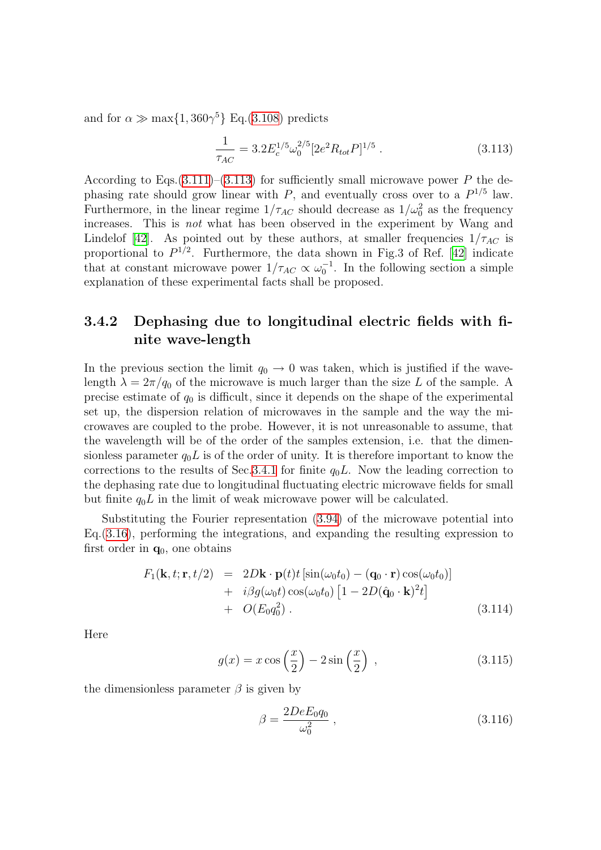and for  $\alpha \gg \max\{1, 360\gamma^5\}$  Eq.([3.108](#page-60-0)) predicts

<span id="page-61-0"></span>
$$
\frac{1}{\tau_{AC}} = 3.2 E_c^{1/5} \omega_0^{2/5} [2e^2 R_{tot} P]^{1/5} \,. \tag{3.113}
$$

According to Eqs.  $(3.111)$  $(3.111)$  $(3.111)$ – $(3.113)$  $(3.113)$  for sufficiently small microwave power P the dephasing rate should grow linear with  $P$ , and eventually cross over to a  $P^{1/5}$  law. Furthermore, in the linear regime  $1/\tau_{AC}$  should decrease as  $1/\omega_0^2$  as the frequency increases. This is not what has been observed in the experiment by Wang and Lindelof[[42](#page-135-7)]. As pointed out by these authors, at smaller frequencies  $1/\tau_{AC}$  is proportional to  $P^{1/2}$ . Furthermore, the data shown in Fig.3 of Ref. [\[42\]](#page-135-7) indicate that at constant microwave power  $1/\tau_{AC} \propto \omega_0^{-1}$ . In the following section a simple explanation of these experimental facts shall be proposed.

### 3.4.2 Dephasing due to longitudinal electric fields with finite wave-length

In the previous section the limit  $q_0 \rightarrow 0$  was taken, which is justified if the wavelength  $\lambda = 2\pi/q_0$  of the microwave is much larger than the size L of the sample. A precise estimate of  $q_0$  is difficult, since it depends on the shape of the experimental set up, the dispersion relation of microwaves in the sample and the way the microwaves are coupled to the probe. However, it is not unreasonable to assume, that the wavelength will be of the order of the samples extension, i.e. that the dimensionless parameter  $q_0L$  is of the order of unity. It is therefore important to know the corrections to the results of Sec. [3.4.1](#page-58-2) for finite  $q_0L$ . Now the leading correction to the dephasing rate due to longitudinal fluctuating electric microwave fields for small but finite  $q_0L$  in the limit of weak microwave power will be calculated.

Substituting the Fourier representation [\(3.94\)](#page-58-3) of the microwave potential into Eq.[\(3.16](#page-38-1)), performing the integrations, and expanding the resulting expression to first order in  $q_0$ , one obtains

<span id="page-61-1"></span>
$$
F_1(\mathbf{k}, t; \mathbf{r}, t/2) = 2D\mathbf{k} \cdot \mathbf{p}(t)t \left[ \sin(\omega_0 t_0) - (\mathbf{q}_0 \cdot \mathbf{r}) \cos(\omega_0 t_0) \right] + i\beta g(\omega_0 t) \cos(\omega_0 t_0) \left[ 1 - 2D(\hat{\mathbf{q}}_0 \cdot \mathbf{k})^2 t \right] + O(E_0 q_0^2)
$$
 (3.114)

Here

$$
g(x) = x \cos\left(\frac{x}{2}\right) - 2\sin\left(\frac{x}{2}\right) ,\qquad (3.115)
$$

the dimensionless parameter  $\beta$  is given by

<span id="page-61-2"></span>
$$
\beta = \frac{2DeE_0 q_0}{\omega_0^2} \,, \tag{3.116}
$$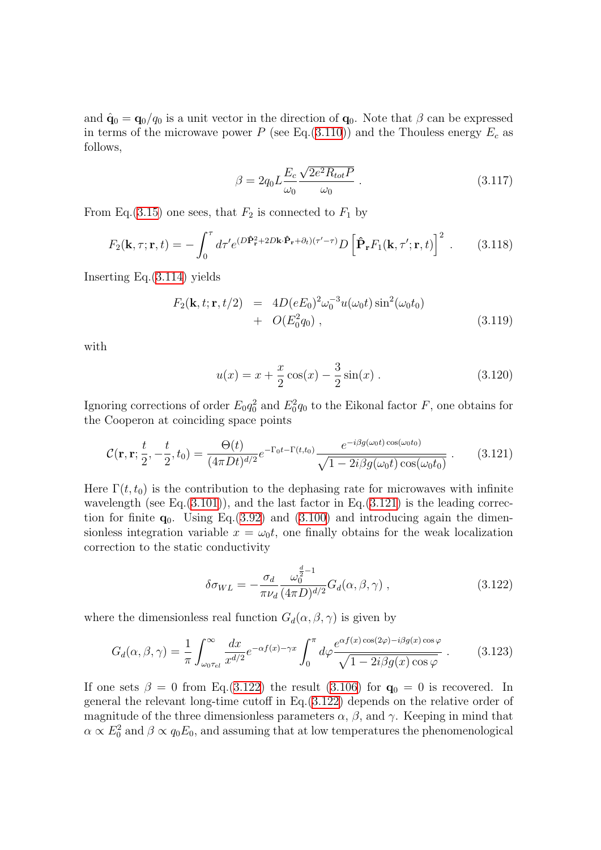and  $\hat{\mathbf{q}}_0 = \mathbf{q}_0 / q_0$  is a unit vector in the direction of  $\mathbf{q}_0$ . Note that  $\beta$  can be expressed in terms of the microwave power P (see Eq.  $(3.110)$  $(3.110)$  $(3.110)$ ) and the Thouless energy  $E_c$  as follows,

$$
\beta = 2q_0 L \frac{E_c}{\omega_0} \frac{\sqrt{2e^2 R_{tot} P}}{\omega_0} \,. \tag{3.117}
$$

From Eq.[\(3.15\)](#page-38-3) one sees, that  $F_2$  is connected to  $F_1$  by

$$
F_2(\mathbf{k}, \tau; \mathbf{r}, t) = -\int_0^{\tau} d\tau' e^{(D\hat{\mathbf{P}}_\mathbf{r}^2 + 2D\mathbf{k} \cdot \hat{\mathbf{P}}_\mathbf{r} + \partial_t)(\tau' - \tau)} D\left[\hat{\mathbf{P}}_\mathbf{r} F_1(\mathbf{k}, \tau'; \mathbf{r}, t)\right]^2.
$$
 (3.118)

Inserting Eq.[\(3.114](#page-61-1)) yields

$$
F_2(\mathbf{k}, t; \mathbf{r}, t/2) = 4D(eE_0)^2 \omega_0^{-3} u(\omega_0 t) \sin^2(\omega_0 t_0)
$$
  
+  $O(E_0^2 q_0)$ , (3.119)

with

<span id="page-62-0"></span>
$$
u(x) = x + \frac{x}{2}\cos(x) - \frac{3}{2}\sin(x) .
$$
 (3.120)

Ignoring corrections of order  $E_0 q_0^2$  and  $E_0^2 q_0$  to the Eikonal factor F, one obtains for the Cooperon at coinciding space points

$$
\mathcal{C}(\mathbf{r}, \mathbf{r}; \frac{t}{2}, -\frac{t}{2}, t_0) = \frac{\Theta(t)}{(4\pi Dt)^{d/2}} e^{-\Gamma_0 t - \Gamma(t, t_0)} \frac{e^{-i\beta g(\omega_0 t)\cos(\omega_0 t_0)}}{\sqrt{1 - 2i\beta g(\omega_0 t)\cos(\omega_0 t_0)}}.
$$
(3.121)

Here  $\Gamma(t, t_0)$  is the contribution to the dephasing rate for microwaves with infinite wavelength (see Eq. $(3.101)$ ), and the last factor in Eq. $(3.121)$  $(3.121)$  $(3.121)$  is the leading correction for finite  $q_0$ . Using Eq.([3.92\)](#page-57-4) and [\(3.100](#page-59-3)) and introducing again the dimensionless integration variable  $x = \omega_0 t$ , one finally obtains for the weak localization correction to the static conductivity

<span id="page-62-1"></span>
$$
\delta \sigma_{WL} = -\frac{\sigma_d}{\pi \nu_d} \frac{\omega_0^{\frac{d}{2}-1}}{(4\pi D)^{d/2}} G_d(\alpha, \beta, \gamma) , \qquad (3.122)
$$

where the dimensionless real function  $G_d(\alpha, \beta, \gamma)$  is given by

$$
G_d(\alpha, \beta, \gamma) = \frac{1}{\pi} \int_{\omega_0 \tau_{el}}^{\infty} \frac{dx}{x^{d/2}} e^{-\alpha f(x) - \gamma x} \int_0^{\pi} d\varphi \frac{e^{\alpha f(x) \cos(2\varphi) - i\beta g(x) \cos\varphi}}{\sqrt{1 - 2i\beta g(x) \cos\varphi}}.
$$
(3.123)

If one sets  $\beta = 0$  from Eq.[\(3.122](#page-62-1)) the result [\(3.106](#page-59-0)) for  $\mathbf{q}_0 = 0$  is recovered. In general the relevant long-time cutoff in Eq.[\(3.122](#page-62-1)) depends on the relative order of magnitude of the three dimensionless parameters  $\alpha$ ,  $\beta$ , and  $\gamma$ . Keeping in mind that  $\alpha \propto E_0^2$  and  $\beta \propto q_0 E_0$ , and assuming that at low temperatures the phenomenological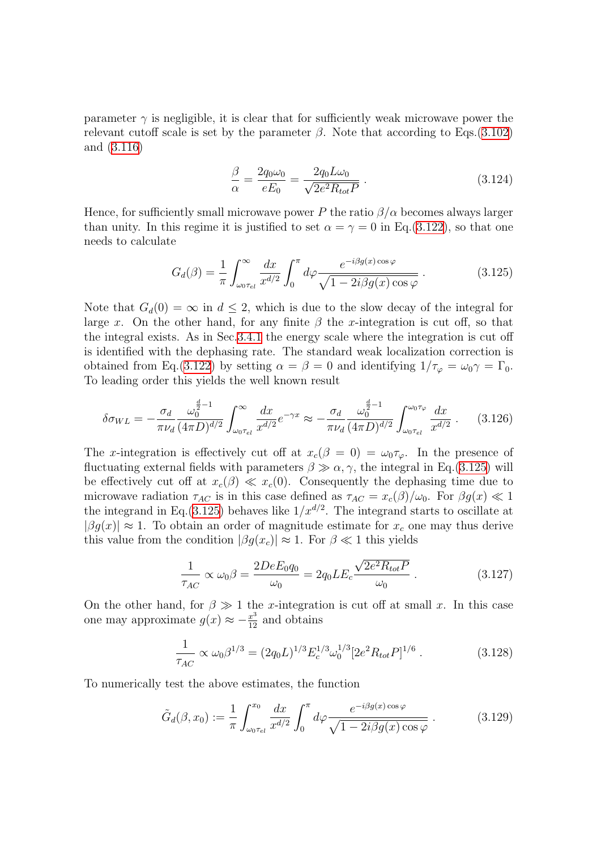parameter  $\gamma$  is negligible, it is clear that for sufficiently weak microwave power the relevant cutoff scale is set by the parameter  $\beta$ . Note that according to Eqs.[\(3.102\)](#page-59-1) and([3.116](#page-61-2))

<span id="page-63-0"></span>
$$
\frac{\beta}{\alpha} = \frac{2q_0\omega_0}{eE_0} = \frac{2q_0L\omega_0}{\sqrt{2e^2R_{tot}P}}.
$$
\n(3.124)

Hence, for sufficiently small microwave power P the ratio  $\beta/\alpha$  becomes always larger than unity. In this regime it is justified to set  $\alpha = \gamma = 0$  in Eq.([3.122](#page-62-1)), so that one needs to calculate

$$
G_d(\beta) = \frac{1}{\pi} \int_{\omega_0 \tau_{el}}^{\infty} \frac{dx}{x^{d/2}} \int_0^{\pi} d\varphi \frac{e^{-i\beta g(x)\cos\varphi}}{\sqrt{1 - 2i\beta g(x)\cos\varphi}}.
$$
(3.125)

Note that  $G_d(0) = \infty$  in  $d \leq 2$ , which is due to the slow decay of the integral for large x. On the other hand, for any finite  $\beta$  the x-integration is cut off, so that the integral exists. As in Sec[.3.4.1](#page-58-2) the energy scale where the integration is cut off is identified with the dephasing rate. The standard weak localization correction is obtained from Eq.[\(3.122\)](#page-62-1) by setting  $\alpha = \beta = 0$  and identifying  $1/\tau_{\varphi} = \omega_0 \gamma = \Gamma_0$ . To leading order this yields the well known result

$$
\delta \sigma_{WL} = -\frac{\sigma_d}{\pi \nu_d} \frac{\omega_0^{\frac{d}{2}-1}}{(4\pi D)^{d/2}} \int_{\omega_0 \tau_{el}}^{\infty} \frac{dx}{x^{d/2}} e^{-\gamma x} \approx -\frac{\sigma_d}{\pi \nu_d} \frac{\omega_0^{\frac{d}{2}-1}}{(4\pi D)^{d/2}} \int_{\omega_0 \tau_{el}}^{\omega_0 \tau_{\varphi}} \frac{dx}{x^{d/2}} . \tag{3.126}
$$

The x-integration is effectively cut off at  $x_c(\beta = 0) = \omega_0 \tau_\varphi$ . In the presence of fluctuating external fields with parameters  $\beta \gg \alpha, \gamma$ , the integral in Eq.[\(3.125\)](#page-63-0) will be effectively cut off at  $x_c(\beta) \ll x_c(0)$ . Consequently the dephasing time due to microwave radiation  $\tau_{AC}$  is in this case defined as  $\tau_{AC} = x_c(\beta)/\omega_0$ . For  $\beta g(x) \ll 1$ the integrand in Eq.([3.125\)](#page-63-0) behaves like  $1/x^{d/2}$ . The integrand starts to oscillate at  $|\beta g(x)| \approx 1$ . To obtain an order of magnitude estimate for  $x_c$  one may thus derive this value from the condition  $|\beta g(x_c)| \approx 1$ . For  $\beta \ll 1$  this yields

<span id="page-63-3"></span><span id="page-63-1"></span>
$$
\frac{1}{\tau_{AC}} \propto \omega_0 \beta = \frac{2DeE_0 q_0}{\omega_0} = 2q_0 L E_c \frac{\sqrt{2e^2 R_{tot} P}}{\omega_0} \,. \tag{3.127}
$$

On the other hand, for  $\beta \gg 1$  the x-integration is cut off at small x. In this case one may approximate  $g(x) \approx -\frac{x^3}{12}$  and obtains

<span id="page-63-4"></span><span id="page-63-2"></span>
$$
\frac{1}{\tau_{AC}} \propto \omega_0 \beta^{1/3} = (2q_0 L)^{1/3} E_c^{1/3} \omega_0^{1/3} [2e^2 R_{tot} P]^{1/6} . \tag{3.128}
$$

To numerically test the above estimates, the function

$$
\tilde{G}_d(\beta, x_0) := \frac{1}{\pi} \int_{\omega_0 \tau_{el}}^{x_0} \frac{dx}{x^{d/2}} \int_0^{\pi} d\varphi \frac{e^{-i\beta g(x)\cos\varphi}}{\sqrt{1 - 2i\beta g(x)\cos\varphi}}.
$$
(3.129)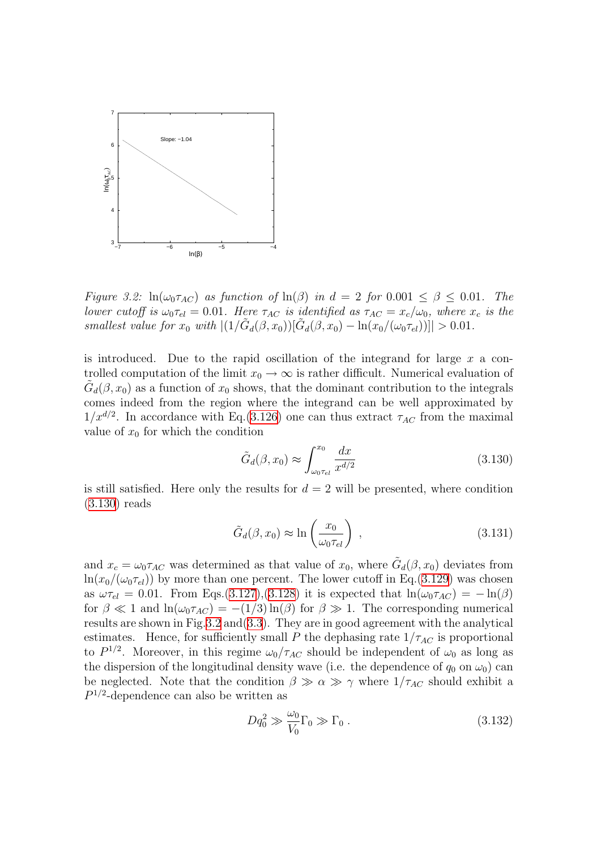

<span id="page-64-1"></span>Figure 3.2:  $ln(\omega_0 \tau_{AC})$  as function of  $ln(\beta)$  in  $d = 2$  for  $0.001 \le \beta \le 0.01$ . The lower cutoff is  $\omega_0 \tau_{el} = 0.01$ . Here  $\tau_{AC}$  is identified as  $\tau_{AC} = x_c/\omega_0$ , where  $x_c$  is the smallest value for  $x_0$  with  $|(1/\tilde{G}_d(\beta,x_0))[\tilde{G}_d(\beta,x_0) - \ln(x_0/(\omega_0\tau_{el}))]| > 0.01$ .

is introduced. Due to the rapid oscillation of the integrand for large  $x$  a controlled computation of the limit  $x_0 \to \infty$  is rather difficult. Numerical evaluation of  $\tilde{G}_d(\beta, x_0)$  as a function of  $x_0$  shows, that the dominant contribution to the integrals comes indeed from the region where the integrand can be well approximated by  $1/x^{d/2}$ . In accordance with Eq.[\(3.126\)](#page-63-1) one can thus extract  $\tau_{AC}$  from the maximal value of  $x_0$  for which the condition

<span id="page-64-0"></span>
$$
\tilde{G}_d(\beta, x_0) \approx \int_{\omega_0 \tau_{el}}^{x_0} \frac{dx}{x^{d/2}} \tag{3.130}
$$

is still satisfied. Here only the results for  $d = 2$  will be presented, where condition ([3.130\)](#page-64-0) reads

$$
\tilde{G}_d(\beta, x_0) \approx \ln\left(\frac{x_0}{\omega_0 \tau_{el}}\right) ,\qquad (3.131)
$$

and  $x_c = \omega_0 \tau_{AC}$  was determined as that value of  $x_0$ , where  $\tilde{G}_d(\beta, x_0)$  deviates from  $\ln(x_0/(\omega_0 \tau_{el}))$  by more than one percent. The lower cutoff in Eq.([3.129\)](#page-63-2) was chosen as  $\omega \tau_{el} = 0.01$ . From Eqs.[\(3.127\)](#page-63-3),[\(3.128\)](#page-63-4) it is expected that  $\ln(\omega_0 \tau_{AC}) = -\ln(\beta)$ for  $\beta \ll 1$  and  $\ln(\omega_0 \tau_{AC}) = -(1/3) \ln(\beta)$  for  $\beta \gg 1$ . The corresponding numerical results are shown in Fig[.3.2](#page-64-1) and[\(3.3](#page-65-0)). They are in good agreement with the analytical estimates. Hence, for sufficiently small P the dephasing rate  $1/\tau_{AC}$  is proportional to  $P^{1/2}$ . Moreover, in this regime  $\omega_0/\tau_{AC}$  should be independent of  $\omega_0$  as long as the dispersion of the longitudinal density wave (i.e. the dependence of  $q_0$  on  $\omega_0$ ) can be neglected. Note that the condition  $\beta \gg \alpha \gg \gamma$  where  $1/\tau_{AC}$  should exhibit a  $P^{1/2}$ -dependence can also be written as

<span id="page-64-2"></span>
$$
Dq_0^2 \gg \frac{\omega_0}{V_0} \Gamma_0 \gg \Gamma_0 \,. \tag{3.132}
$$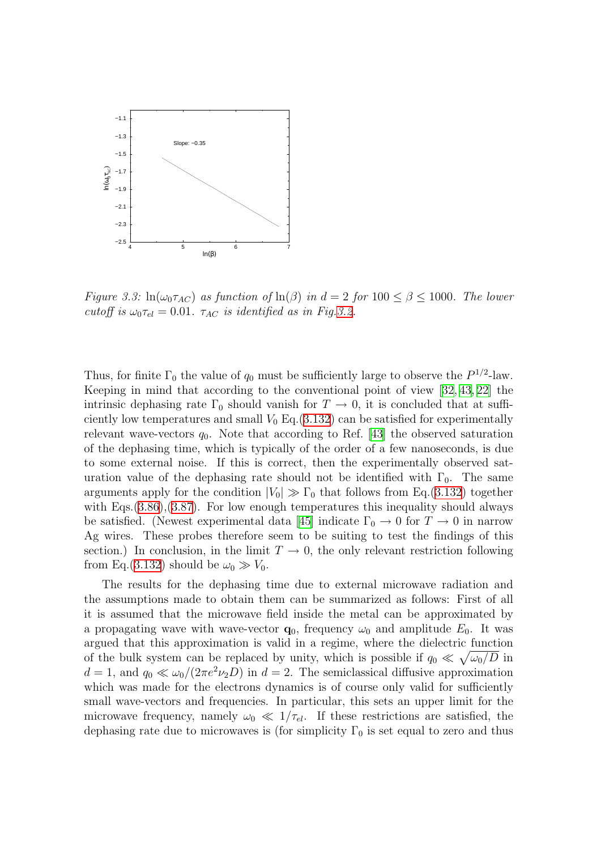

<span id="page-65-0"></span>Figure 3.3:  $ln(\omega_0 \tau_{AC})$  as function of  $ln(\beta)$  in  $d = 2$  for  $100 \le \beta \le 1000$ . The lower cutoff is  $\omega_0 \tau_{el} = 0.01$ .  $\tau_{AC}$  is identified as in Fig. [3.2](#page-64-1).

Thus, for finite  $\Gamma_0$  the value of  $q_0$  must be sufficiently large to observe the  $P^{1/2}$ -law. Keeping in mind that according to the conventional point of view [\[32,](#page-134-6) [43,](#page-135-1) [22](#page-134-14)] the intrinsic dephasing rate  $\Gamma_0$  should vanish for  $T \to 0$ , it is concluded that at sufficiently low temperatures and small  $V_0$  Eq.([3.132](#page-64-2)) can be satisfied for experimentally relevantwave-vectors  $q_0$ . Note that according to Ref. [[43](#page-135-1)] the observed saturation of the dephasing time, which is typically of the order of a few nanoseconds, is due to some external noise. If this is correct, then the experimentally observed saturation value of the dephasing rate should not be identified with  $\Gamma_0$ . The same arguments apply for the condition  $|V_0| \gg \Gamma_0$  that follows from Eq.([3.132\)](#page-64-2) together with Eqs.  $(3.86)$  $(3.86)$ ,  $(3.87)$ . For low enough temperatures this inequality should always be satisfied. (Newest experimental data [\[45](#page-135-8)] indicate  $\Gamma_0 \to 0$  for  $T \to 0$  in narrow Ag wires. These probes therefore seem to be suiting to test the findings of this section.) In conclusion, in the limit  $T \to 0$ , the only relevant restriction following from Eq.([3.132\)](#page-64-2) should be  $\omega_0 \gg V_0$ .

The results for the dephasing time due to external microwave radiation and the assumptions made to obtain them can be summarized as follows: First of all it is assumed that the microwave field inside the metal can be approximated by a propagating wave with wave-vector  $\mathbf{q}_0$ , frequency  $\omega_0$  and amplitude  $E_0$ . It was argued that this approximation is valid in a regime, where the dielectric function of the bulk system can be replaced by unity, which is possible if  $q_0 \ll \sqrt{\omega_0/D}$  in  $d = 1$ , and  $q_0 \ll \omega_0/(2\pi e^2 \nu_2 D)$  in  $d = 2$ . The semiclassical diffusive approximation which was made for the electrons dynamics is of course only valid for sufficiently small wave-vectors and frequencies. In particular, this sets an upper limit for the microwave frequency, namely  $\omega_0 \ll 1/\tau_{el}$ . If these restrictions are satisfied, the dephasing rate due to microwaves is (for simplicity  $\Gamma_0$  is set equal to zero and thus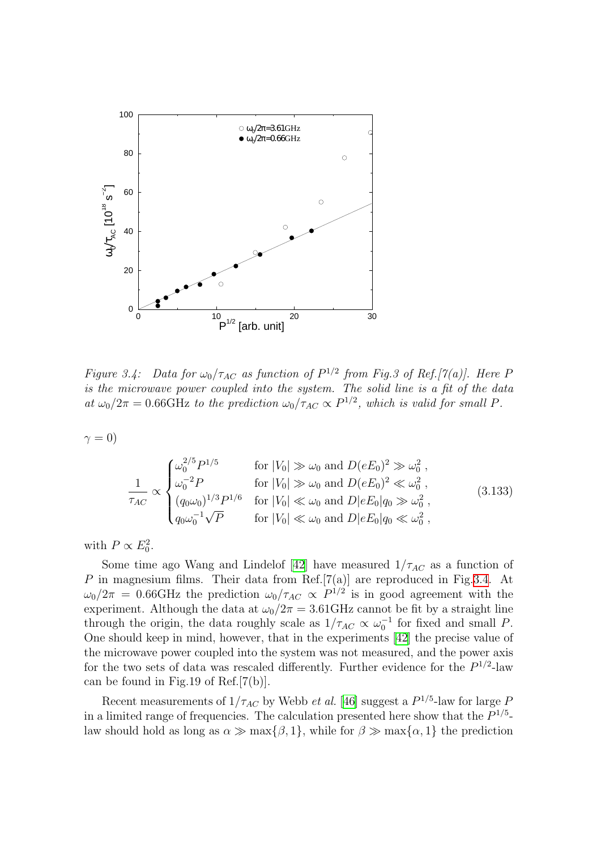

<span id="page-66-0"></span>Figure 3.4: Data for  $\omega_0/\tau_{AC}$  as function of  $P^{1/2}$  from Fig.3 of Ref.[7(a)]. Here F is the microwave power coupled into the system. The solid line is a fit of the data at  $\omega_0/2\pi = 0.66$ GHz to the prediction  $\omega_0/\tau_{AC} \propto P^{1/2}$ , which is valid for small P.

 $\gamma = 0$ 

$$
\frac{1}{\tau_{AC}} \propto \begin{cases}\n\omega_0^{2/5} P^{1/5} & \text{for } |V_0| \gg \omega_0 \text{ and } D(eE_0)^2 \gg \omega_0^2, \\
\omega_0^{-2} P & \text{for } |V_0| \gg \omega_0 \text{ and } D(eE_0)^2 \ll \omega_0^2, \\
(q_0 \omega_0)^{1/3} P^{1/6} & \text{for } |V_0| \ll \omega_0 \text{ and } D|eE_0|q_0 \gg \omega_0^2, \\
q_0 \omega_0^{-1} \sqrt{P} & \text{for } |V_0| \ll \omega_0 \text{ and } D|eE_0|q_0 \ll \omega_0^2,\n\end{cases}
$$
\n(3.133)

with  $P \propto E_0^2$ .

Some time ago Wang and Lindelof [\[42](#page-135-7)] have measured  $1/\tau_{AC}$  as a function of  $P$  in magnesium films. Their data from Ref.[7(a)] are reproduced in Fig[.3.4](#page-66-0). At  $\omega_0/2\pi = 0.66$ GHz the prediction  $\omega_0/\tau_{AC} \propto P^{1/2}$  is in good agreement with the experiment. Although the data at  $\omega_0/2\pi = 3.61 \text{GHz}$  cannot be fit by a straight line through the origin, the data roughly scale as  $1/\tau_{AC} \propto \omega_0^{-1}$  for fixed and small P. One should keep in mind, however, that in the experiments [\[42](#page-135-7)] the precise value of the microwave power coupled into the system was not measured, and the power axis for the two sets of data was rescaled differently. Further evidence for the  $P^{1/2}$ -law can be found in Fig.19 of Ref.[7(b)].

Recent measurements of  $1/\tau_{AC}$  by Webb *et al.* [\[46\]](#page-135-9) suggest a  $P^{1/5}$ -law for large F in a limited range of frequencies. The calculation presented here show that the  $P^{1/5}$ law should hold as long as  $\alpha \gg \max{\{\beta, 1\}}$ , while for  $\beta \gg \max{\{\alpha, 1\}}$  the prediction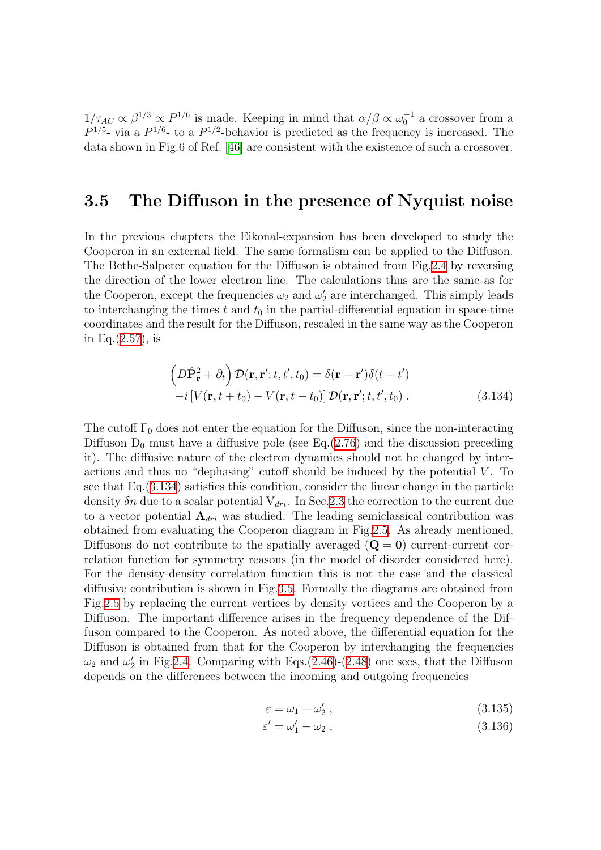$1/\tau_{AC} \propto \beta^{1/3} \propto P^{1/6}$  is made. Keeping in mind that  $\alpha/\beta \propto \omega_0^{-1}$  a crossover from a  $P^{1/5}$ - via a  $P^{1/6}$ - to a  $P^{1/2}$ -behavior is predicted as the frequency is increased. The data shown in Fig.6 of Ref. [\[46\]](#page-135-9) are consistent with the existence of such a crossover.

## <span id="page-67-0"></span>3.5 The Diffuson in the presence of Nyquist noise

In the previous chapters the Eikonal-expansion has been developed to study the Cooperon in an external field. The same formalism can be applied to the Diffuson. The Bethe-Salpeter equation for the Diffuson is obtained from Fig.[2.4](#page-20-0) by reversing the direction of the lower electron line. The calculations thus are the same as for the Cooperon, except the frequencies  $\omega_2$  and  $\omega_2'$  $y_2'$  are interchanged. This simply leads to interchanging the times  $t$  and  $t_0$  in the partial-differential equation in space-time coordinates and the result for the Diffuson, rescaled in the same way as the Cooperon in Eq.([2.57\)](#page-23-1), is

<span id="page-67-1"></span>
$$
\left(D\hat{\mathbf{P}}_{\mathbf{r}}^{2} + \partial_{t}\right) \mathcal{D}(\mathbf{r}, \mathbf{r}'; t, t', t_{0}) = \delta(\mathbf{r} - \mathbf{r}')\delta(t - t')
$$
  
-i[V(\mathbf{r}, t + t\_{0}) - V(\mathbf{r}, t - t\_{0})] \mathcal{D}(\mathbf{r}, \mathbf{r}'; t, t', t\_{0}). \t(3.134)

The cutoff  $\Gamma_0$  does not enter the equation for the Diffuson, since the non-interacting Diffuson  $D_0$  must have a diffusive pole (see Eq.([2.76](#page-27-0)) and the discussion preceding it). The diffusive nature of the electron dynamics should not be changed by interactions and thus no "dephasing" cutoff should be induced by the potential  $V$ . To see that Eq.([3.134](#page-67-1)) satisfies this condition, consider the linear change in the particle density  $\delta n$  due to a scalar potential  $V_{dri}$ . In Sec. 2.3 the correction to the current due to a vector potential  $A_{dri}$  was studied. The leading semiclassical contribution was obtained from evaluating the Cooperon diagram in Fig[.2.5](#page-24-0). As already mentioned, Diffusons do not contribute to the spatially averaged  $(Q = 0)$  current-current correlation function for symmetry reasons (in the model of disorder considered here). For the density-density correlation function this is not the case and the classical diffusive contribution is shown in Fig.[3.5.](#page-68-0) Formally the diagrams are obtained from Fig[.2.5](#page-24-0) by replacing the current vertices by density vertices and the Cooperon by a Diffuson. The important difference arises in the frequency dependence of the Diffuson compared to the Cooperon. As noted above, the differential equation for the Diffuson is obtained from that for the Cooperon by interchanging the frequencies  $\omega_2$  and  $\omega_2'$  $\chi_2'$  in Fig.[2.4.](#page-20-0) Comparing with Eqs.[\(2.46\)](#page-21-0)-([2.48\)](#page-21-1) one sees, that the Diffuson depends on the differences between the incoming and outgoing frequencies

$$
\varepsilon = \omega_1 - \omega'_2, \qquad (3.135)
$$

$$
\varepsilon' = \omega_1' - \omega_2 \,,\tag{3.136}
$$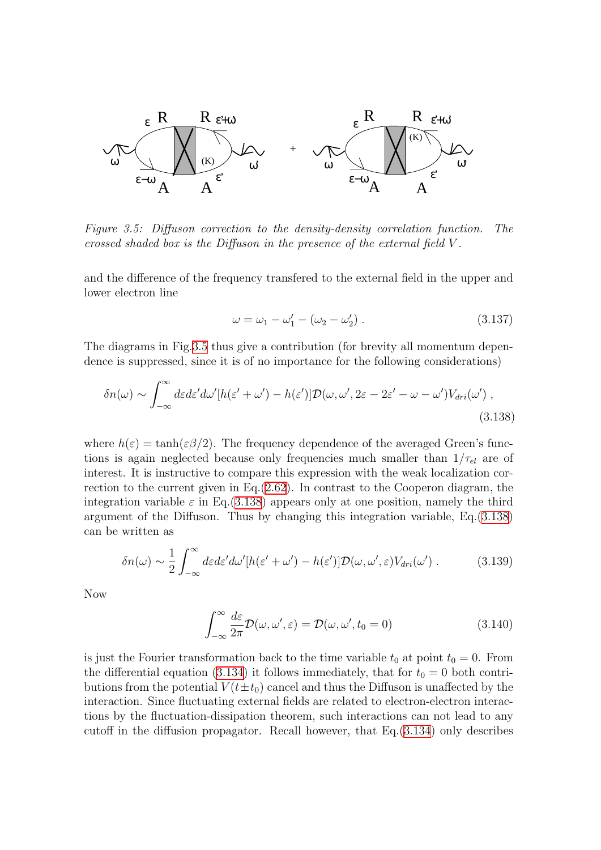

<span id="page-68-0"></span>Figure 3.5: Diffuson correction to the density-density correlation function. The crossed shaded box is the Diffuson in the presence of the external field V .

and the difference of the frequency transfered to the external field in the upper and lower electron line

<span id="page-68-1"></span>
$$
\omega = \omega_1 - \omega_1' - (\omega_2 - \omega_2'). \tag{3.137}
$$

The diagrams in Fig.[3.5](#page-68-0) thus give a contribution (for brevity all momentum dependence is suppressed, since it is of no importance for the following considerations)

$$
\delta n(\omega) \sim \int_{-\infty}^{\infty} d\varepsilon d\varepsilon' d\omega' [h(\varepsilon' + \omega') - h(\varepsilon')] \mathcal{D}(\omega, \omega', 2\varepsilon - 2\varepsilon' - \omega - \omega') V_{dri}(\omega') ,
$$
\n(3.138)

where  $h(\varepsilon) = \tanh(\varepsilon \beta/2)$ . The frequency dependence of the averaged Green's functions is again neglected because only frequencies much smaller than  $1/\tau_{el}$  are of interest. It is instructive to compare this expression with the weak localization correction to the current given in Eq.([2.62\)](#page-24-1). In contrast to the Cooperon diagram, the integration variable  $\varepsilon$  in Eq.([3.138](#page-68-1)) appears only at one position, namely the third argument of the Diffuson. Thus by changing this integration variable, Eq.[\(3.138\)](#page-68-1) can be written as

$$
\delta n(\omega) \sim \frac{1}{2} \int_{-\infty}^{\infty} d\varepsilon d\varepsilon' d\omega' [h(\varepsilon' + \omega') - h(\varepsilon')] \mathcal{D}(\omega, \omega', \varepsilon) V_{dri}(\omega') . \tag{3.139}
$$

Now

$$
\int_{-\infty}^{\infty} \frac{d\varepsilon}{2\pi} \mathcal{D}(\omega, \omega', \varepsilon) = \mathcal{D}(\omega, \omega', t_0 = 0)
$$
\n(3.140)

is just the Fourier transformation back to the time variable  $t_0$  at point  $t_0 = 0$ . From thedifferential equation ([3.134](#page-67-1)) it follows immediately, that for  $t_0 = 0$  both contributions from the potential  $V(t \pm t_0)$  cancel and thus the Diffuson is unaffected by the interaction. Since fluctuating external fields are related to electron-electron interactions by the fluctuation-dissipation theorem, such interactions can not lead to any cutoff in the diffusion propagator. Recall however, that Eq.[\(3.134\)](#page-67-1) only describes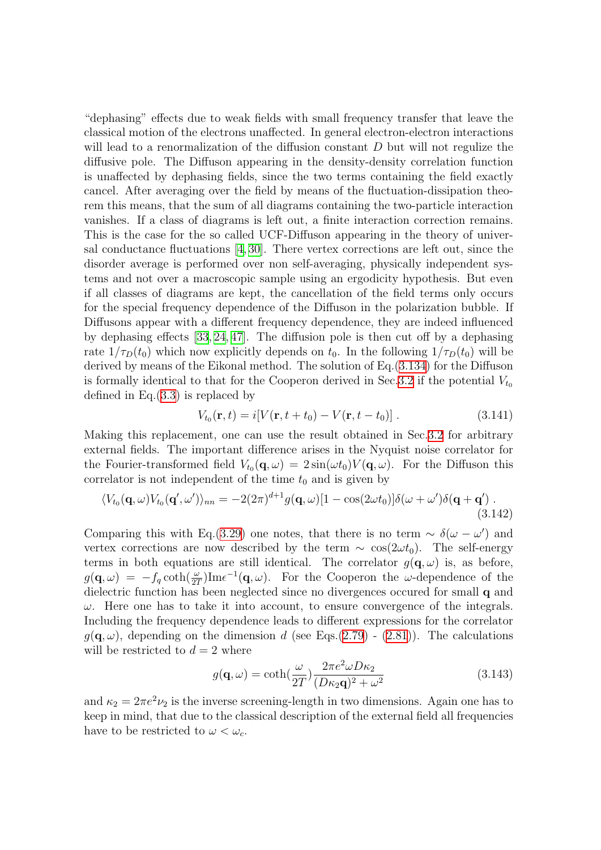"dephasing" effects due to weak fields with small frequency transfer that leave the classical motion of the electrons unaffected. In general electron-electron interactions will lead to a renormalization of the diffusion constant  $D$  but will not regulize the diffusive pole. The Diffuson appearing in the density-density correlation function is unaffected by dephasing fields, since the two terms containing the field exactly cancel. After averaging over the field by means of the fluctuation-dissipation theorem this means, that the sum of all diagrams containing the two-particle interaction vanishes. If a class of diagrams is left out, a finite interaction correction remains. This is the case for the so called UCF-Diffuson appearing in the theory of universal conductance fluctuations [\[4](#page-133-3), [30\]](#page-134-9). There vertex corrections are left out, since the disorder average is performed over non self-averaging, physically independent systems and not over a macroscopic sample using an ergodicity hypothesis. But even if all classes of diagrams are kept, the cancellation of the field terms only occurs for the special frequency dependence of the Diffuson in the polarization bubble. If Diffusons appear with a different frequency dependence, they are indeed influenced by dephasing effects [\[33,](#page-134-4) [24,](#page-134-3) [47\]](#page-135-10). The diffusion pole is then cut off by a dephasing rate  $1/\tau_D(t_0)$  which now explicitly depends on  $t_0$ . In the following  $1/\tau_D(t_0)$  will be derived by means of the Eikonal method. The solution of Eq.[\(3.134](#page-67-1)) for the Diffuson is formally identical to that for the Cooperon derived in Sec. [3.2](#page-36-0) if the potential  $V_{t_0}$ defined in Eq.[\(3.3](#page-36-2)) is replaced by

<span id="page-69-0"></span>
$$
V_{t_0}(\mathbf{r}, t) = i[V(\mathbf{r}, t + t_0) - V(\mathbf{r}, t - t_0)] \,. \tag{3.141}
$$

Making this replacement, one can use the result obtained in Sec[.3.2](#page-36-0) for arbitrary external fields. The important difference arises in the Nyquist noise correlator for the Fourier-transformed field  $V_{t_0}(\mathbf{q},\omega) = 2\sin(\omega t_0)V(\mathbf{q},\omega)$ . For the Diffuson this correlator is not independent of the time  $t_0$  and is given by

$$
\langle V_{t_0}(\mathbf{q},\omega)V_{t_0}(\mathbf{q}',\omega')\rangle_{nn} = -2(2\pi)^{d+1}g(\mathbf{q},\omega)[1-\cos(2\omega t_0)]\delta(\omega+\omega')\delta(\mathbf{q}+\mathbf{q}') . \tag{3.142}
$$

Comparing this with Eq.[\(3.29\)](#page-42-0) one notes, that there is no term  $\sim \delta(\omega - \omega')$  and vertex corrections are now described by the term  $\sim \cos(2\omega t_0)$ . The self-energy terms in both equations are still identical. The correlator  $g(\mathbf{q}, \omega)$  is, as before,  $g(\mathbf{q},\omega) = -f_q \coth(\frac{\omega}{2T}) \text{Im}\epsilon^{-1}(\mathbf{q},\omega)$ . For the Cooperon the  $\omega$ -dependence of the dielectric function has been neglected since no divergences occured for small q and  $\omega$ . Here one has to take it into account, to ensure convergence of the integrals. Including the frequency dependence leads to different expressions for the correlator  $g(\mathbf{q}, \omega)$  $g(\mathbf{q}, \omega)$  $g(\mathbf{q}, \omega)$ , depending on the dimension d (see Eqs.([2.79](#page-28-1)) - ([2.81\)](#page-28-2)). The calculations will be restricted to  $d = 2$  where

<span id="page-69-1"></span>
$$
g(\mathbf{q}, \omega) = \coth(\frac{\omega}{2T}) \frac{2\pi e^2 \omega D \kappa_2}{(D \kappa_2 \mathbf{q})^2 + \omega^2}
$$
(3.143)

and  $\kappa_2 = 2\pi e^2 \nu_2$  is the inverse screening-length in two dimensions. Again one has to keep in mind, that due to the classical description of the external field all frequencies have to be restricted to  $\omega < \omega_c$ .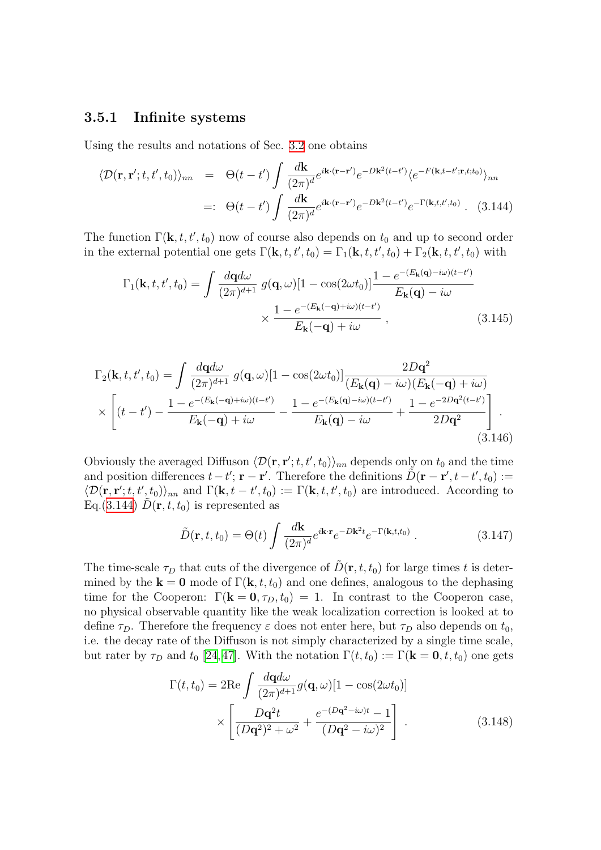### 3.5.1 Infinite systems

Using the results and notations of Sec. [3.2](#page-36-0) one obtains

<span id="page-70-0"></span>
$$
\langle \mathcal{D}(\mathbf{r}, \mathbf{r}'; t, t', t_0) \rangle_{nn} = \Theta(t - t') \int \frac{d\mathbf{k}}{(2\pi)^d} e^{i\mathbf{k} \cdot (\mathbf{r} - \mathbf{r}')} e^{-D\mathbf{k}^2 (t - t')} \langle e^{-F(\mathbf{k}, t - t'; \mathbf{r}, t; t_0)} \rangle_{nn}
$$
  

$$
=: \Theta(t - t') \int \frac{d\mathbf{k}}{(2\pi)^d} e^{i\mathbf{k} \cdot (\mathbf{r} - \mathbf{r}')} e^{-D\mathbf{k}^2 (t - t')} e^{-\Gamma(\mathbf{k}, t, t', t_0)} . \quad (3.144)
$$

The function  $\Gamma(\mathbf{k}, t, t', t_0)$  now of course also depends on  $t_0$  and up to second order in the external potential one gets  $\Gamma(\mathbf{k}, t, t', t_0) = \Gamma_1(\mathbf{k}, t, t', t_0) + \Gamma_2(\mathbf{k}, t, t', t_0)$  with

$$
\Gamma_1(\mathbf{k}, t, t', t_0) = \int \frac{d\mathbf{q}d\omega}{(2\pi)^{d+1}} g(\mathbf{q}, \omega) [1 - \cos(2\omega t_0)] \frac{1 - e^{-(E_\mathbf{k}(\mathbf{q}) - i\omega)(t - t')}}{E_\mathbf{k}(\mathbf{q}) - i\omega} \times \frac{1 - e^{-(E_\mathbf{k}(-\mathbf{q}) + i\omega)(t - t')}}{E_\mathbf{k}(-\mathbf{q}) + i\omega}, \qquad (3.145)
$$

$$
\Gamma_2(\mathbf{k}, t, t', t_0) = \int \frac{d\mathbf{q}d\omega}{(2\pi)^{d+1}} g(\mathbf{q}, \omega) [1 - \cos(2\omega t_0)] \frac{2D\mathbf{q}^2}{(E_\mathbf{k}(\mathbf{q}) - i\omega)(E_\mathbf{k}(-\mathbf{q}) + i\omega)}
$$

$$
\times \left[ (t - t') - \frac{1 - e^{-(E_\mathbf{k}(-\mathbf{q}) + i\omega)(t - t')}}{E_\mathbf{k}(-\mathbf{q}) + i\omega} - \frac{1 - e^{-(E_\mathbf{k}(\mathbf{q}) - i\omega)(t - t')}}{E_\mathbf{k}(\mathbf{q}) - i\omega} + \frac{1 - e^{-2D\mathbf{q}^2(t - t')}}{2D\mathbf{q}^2} \right].
$$
\n(3.146)

Obviously the averaged Diffuson  $\langle \mathcal{D}(\mathbf{r}, \mathbf{r}'; t, t', t_0) \rangle_{nn}$  depends only on  $t_0$  and the time and position differences  $t - t'$ ;  $\mathbf{r} - \mathbf{r}'$ . Therefore the definitions  $\tilde{D}(\mathbf{r} - \mathbf{r}', t - t', t_0) :=$  $\langle \mathcal{D}(\mathbf{r}, \mathbf{r}'; t, t', t_0) \rangle_{nn}$  and  $\Gamma(\mathbf{k}, t - t', t_0) := \Gamma(\mathbf{k}, t, t', t_0)$  are introduced. According to Eq.[\(3.144\)](#page-70-0)  $D(\mathbf{r}, t, t_0)$  is represented as

$$
\tilde{D}(\mathbf{r},t,t_0) = \Theta(t) \int \frac{d\mathbf{k}}{(2\pi)^d} e^{i\mathbf{k}\cdot\mathbf{r}} e^{-D\mathbf{k}^2 t} e^{-\Gamma(\mathbf{k},t,t_0)}.
$$
\n(3.147)

The time-scale  $\tau_D$  that cuts of the divergence of  $\tilde{D}(\mathbf{r}, t, t_0)$  for large times t is determined by the  $\mathbf{k} = \mathbf{0}$  mode of  $\Gamma(\mathbf{k}, t, t_0)$  and one defines, analogous to the dephasing time for the Cooperon:  $\Gamma(\mathbf{k} = \mathbf{0}, \tau_D, t_0) = 1$ . In contrast to the Cooperon case, no physical observable quantity like the weak localization correction is looked at to define  $\tau_D$ . Therefore the frequency  $\varepsilon$  does not enter here, but  $\tau_D$  also depends on  $t_0$ , i.e. the decay rate of the Diffuson is not simply characterized by a single time scale, but rater by  $\tau_D$  and  $t_0$  [[24,](#page-134-3)[47\]](#page-135-10). With the notation  $\Gamma(t, t_0) := \Gamma(\mathbf{k} = \mathbf{0}, t, t_0)$  one gets

<span id="page-70-1"></span>
$$
\Gamma(t, t_0) = 2\text{Re}\int \frac{d\mathbf{q}d\omega}{(2\pi)^{d+1}} g(\mathbf{q}, \omega)[1 - \cos(2\omega t_0)]
$$

$$
\times \left[\frac{D\mathbf{q}^2 t}{(D\mathbf{q}^2)^2 + \omega^2} + \frac{e^{-(D\mathbf{q}^2 - i\omega)t} - 1}{(D\mathbf{q}^2 - i\omega)^2}\right].
$$
(3.148)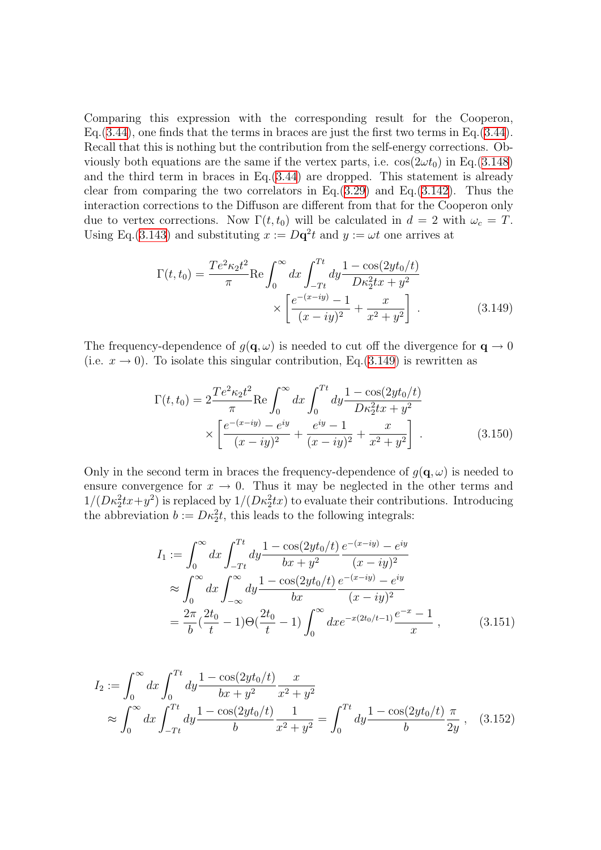Comparing this expression with the corresponding result for the Cooperon, Eq.  $(3.44)$  $(3.44)$ , one finds that the terms in braces are just the first two terms in Eq.  $(3.44)$  $(3.44)$ . Recall that this is nothing but the contribution from the self-energy corrections. Obviously both equations are the same if the vertex parts, i.e.  $\cos(2\omega t_0)$  in Eq.[\(3.148](#page-70-1)) and the third term in braces in Eq.[\(3.44](#page-44-0)) are dropped. This statement is already clear from comparing the two correlators in Eq. $(3.29)$  and Eq. $(3.142)$  $(3.142)$  $(3.142)$ . Thus the interaction corrections to the Diffuson are different from that for the Cooperon only due to vertex corrections. Now  $\Gamma(t, t_0)$  will be calculated in  $d = 2$  with  $\omega_c = T$ . Using Eq.[\(3.143\)](#page-69-1) and substituting  $x := Dq^2t$  and  $y := \omega t$  one arrives at

<span id="page-71-0"></span>
$$
\Gamma(t, t_0) = \frac{Te^2 \kappa_2 t^2}{\pi} \text{Re} \int_0^\infty dx \int_{-Tt}^{Tt} dy \frac{1 - \cos(2yt_0/t)}{D \kappa_2^2 tx + y^2} \times \left[ \frac{e^{-(x - iy)} - 1}{(x - iy)^2} + \frac{x}{x^2 + y^2} \right].
$$
\n(3.149)

The frequency-dependence of  $g(\mathbf{q}, \omega)$  is needed to cut off the divergence for  $\mathbf{q} \to 0$ (i.e.  $x \to 0$ ). To isolate this singular contribution, Eq.([3.149\)](#page-71-0) is rewritten as

$$
\Gamma(t, t_0) = 2 \frac{T e^2 \kappa_2 t^2}{\pi} \text{Re} \int_0^\infty dx \int_0^{Tt} dy \frac{1 - \cos(2yt_0/t)}{D \kappa_2^2 tx + y^2} \times \left[ \frac{e^{-(x - iy)} - e^{iy}}{(x - iy)^2} + \frac{e^{iy} - 1}{(x - iy)^2} + \frac{x}{x^2 + y^2} \right].
$$
\n(3.150)

Only in the second term in braces the frequency-dependence of  $q(\mathbf{q}, \omega)$  is needed to ensure convergence for  $x \to 0$ . Thus it may be neglected in the other terms and  $1/(D\kappa_2^2 t x + y^2)$  is replaced by  $1/(D\kappa_2^2 t x)$  to evaluate their contributions. Introducing the abbreviation  $b := D\kappa_2^2 t$ , this leads to the following integrals:

$$
I_1 := \int_0^\infty dx \int_{-Tt}^{Tt} dy \frac{1 - \cos(2yt_0/t)}{bx + y^2} \frac{e^{-(x - iy)} - e^{iy}}{(x - iy)^2}
$$
  
\n
$$
\approx \int_0^\infty dx \int_{-\infty}^\infty dy \frac{1 - \cos(2yt_0/t)}{bx} \frac{e^{-(x - iy)} - e^{iy}}{(x - iy)^2}
$$
  
\n
$$
= \frac{2\pi}{b} \left(\frac{2t_0}{t} - 1\right) \Theta\left(\frac{2t_0}{t} - 1\right) \int_0^\infty dx e^{-x(2t_0/t - 1)} \frac{e^{-x} - 1}{x}, \qquad (3.151)
$$

$$
I_2 := \int_0^\infty dx \int_0^{Tt} dy \frac{1 - \cos(2yt_0/t)}{bx + y^2} \frac{x}{x^2 + y^2}
$$
  
\n
$$
\approx \int_0^\infty dx \int_{-Tt}^{Tt} dy \frac{1 - \cos(2yt_0/t)}{b} \frac{1}{x^2 + y^2} = \int_0^{Tt} dy \frac{1 - \cos(2yt_0/t)}{b} \frac{\pi}{2y}, \quad (3.152)
$$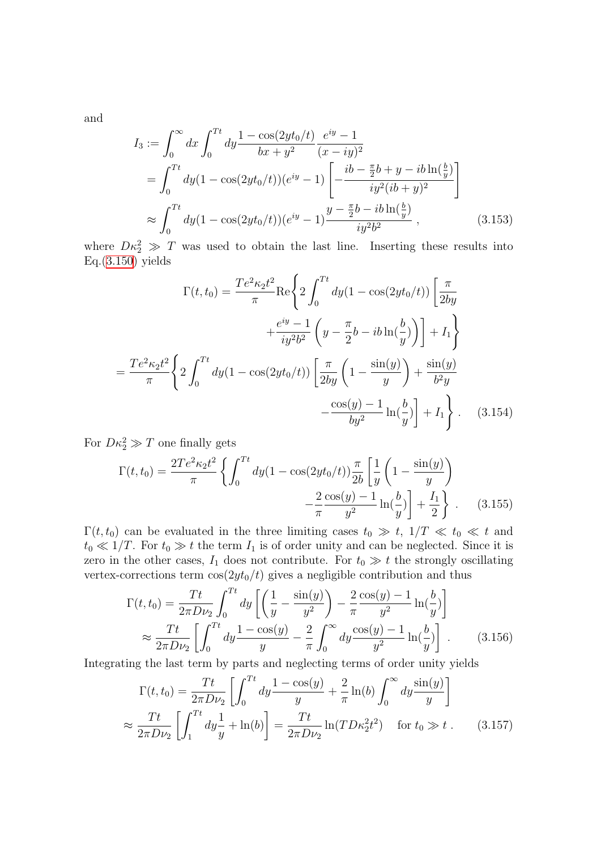and

$$
I_3 := \int_0^\infty dx \int_0^{Tt} dy \frac{1 - \cos(2yt_0/t)}{bx + y^2} \frac{e^{iy} - 1}{(x - iy)^2}
$$
  
= 
$$
\int_0^{Tt} dy (1 - \cos(2yt_0/t))(e^{iy} - 1) \left[ -\frac{ib - \frac{\pi}{2}b + y - ib\ln(\frac{b}{y})}{iy^2(ib + y)^2} \right]
$$
  

$$
\approx \int_0^{Tt} dy (1 - \cos(2yt_0/t))(e^{iy} - 1) \frac{y - \frac{\pi}{2}b - ib\ln(\frac{b}{y})}{iy^2 b^2},
$$
 (3.153)

where  $D\kappa_2^2 \gg T$  was used to obtain the last line. Inserting these results into  $Eq.(3.150)$  $Eq.(3.150)$  yields

$$
\Gamma(t, t_0) = \frac{T e^2 \kappa_2 t^2}{\pi} \text{Re} \left\{ 2 \int_0^{T t} dy (1 - \cos(2yt_0/t)) \left[ \frac{\pi}{2by} + \frac{e^{iy} - 1}{iy^2 b^2} \left( y - \frac{\pi}{2} b - ib \ln(\frac{b}{y}) \right) \right] + I_1 \right\}
$$

$$
= \frac{T e^2 \kappa_2 t^2}{\pi} \left\{ 2 \int_0^{T t} dy (1 - \cos(2yt_0/t)) \left[ \frac{\pi}{2by} \left( 1 - \frac{\sin(y)}{y} \right) + \frac{\sin(y)}{b^2 y} - \frac{\cos(y) - 1}{by^2} \ln(\frac{b}{y}) \right] + I_1 \right\}. \quad (3.154)
$$

For  $D\kappa_2^2 \gg T$  one finally gets

$$
\Gamma(t, t_0) = \frac{2Te^2\kappa_2t^2}{\pi} \left\{ \int_0^{Tt} dy (1 - \cos(2yt_0/t)) \frac{\pi}{2b} \left[ \frac{1}{y} \left( 1 - \frac{\sin(y)}{y} \right) - \frac{2}{\pi} \frac{\cos(y) - 1}{y^2} \ln(\frac{b}{y}) \right] + \frac{I_1}{2} \right\}.
$$
 (3.155)

 $\Gamma(t, t_0)$  can be evaluated in the three limiting cases  $t_0 \gg t$ ,  $1/T \ll t_0 \ll t$  and  $t_0 \ll 1/T$ . For  $t_0 \gg t$  the term  $I_1$  is of order unity and can be neglected. Since it is zero in the other cases,  $I_1$  does not contribute. For  $t_0 \gg t$  the strongly oscillating vertex-corrections term  $\cos(2yt_0/t)$  gives a negligible contribution and thus

<span id="page-72-0"></span>
$$
\Gamma(t, t_0) = \frac{Tt}{2\pi D \nu_2} \int_0^{Tt} dy \left[ \left( \frac{1}{y} - \frac{\sin(y)}{y^2} \right) - \frac{2}{\pi} \frac{\cos(y) - 1}{y^2} \ln(\frac{b}{y}) \right]
$$
  

$$
\approx \frac{Tt}{2\pi D \nu_2} \left[ \int_0^{Tt} dy \frac{1 - \cos(y)}{y} - \frac{2}{\pi} \int_0^{\infty} dy \frac{\cos(y) - 1}{y^2} \ln(\frac{b}{y}) \right].
$$
 (3.156)

Integrating the last term by parts and neglecting terms of order unity yields

$$
\Gamma(t, t_0) = \frac{Tt}{2\pi D \nu_2} \left[ \int_0^{Tt} dy \frac{1 - \cos(y)}{y} + \frac{2}{\pi} \ln(b) \int_0^{\infty} dy \frac{\sin(y)}{y} \right]
$$
  

$$
\approx \frac{Tt}{2\pi D \nu_2} \left[ \int_1^{Tt} dy \frac{1}{y} + \ln(b) \right] = \frac{Tt}{2\pi D \nu_2} \ln(T D \kappa_2^2 t^2) \quad \text{for } t_0 \gg t . \tag{3.157}
$$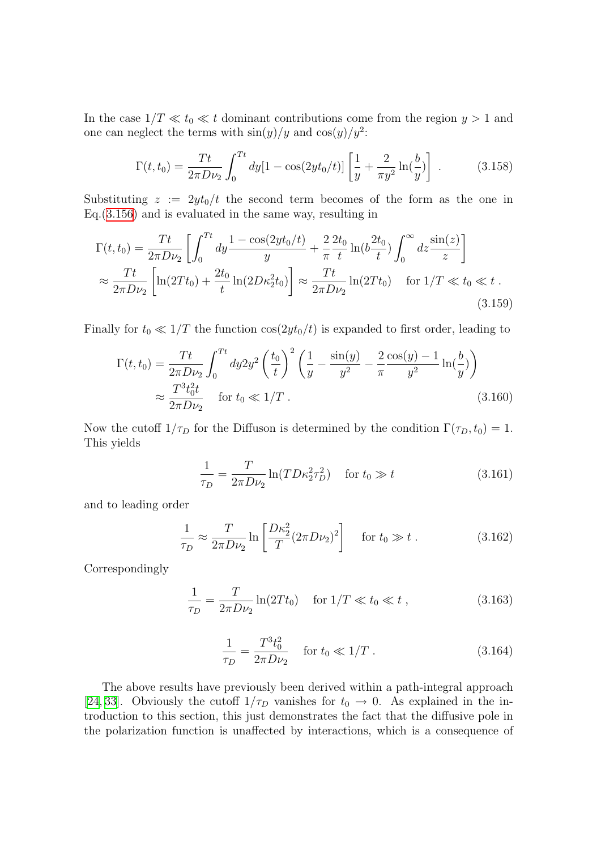In the case  $1/T \ll t_0 \ll t$  dominant contributions come from the region  $y > 1$  and one can neglect the terms with  $\sin(y)/y$  and  $\cos(y)/y^2$ :

$$
\Gamma(t, t_0) = \frac{Tt}{2\pi D \nu_2} \int_0^{Tt} dy [1 - \cos(2yt_0/t)] \left[ \frac{1}{y} + \frac{2}{\pi y^2} \ln(\frac{b}{y}) \right] . \tag{3.158}
$$

Substituting  $z := 2yt_0/t$  the second term becomes of the form as the one in Eq.[\(3.156\)](#page-72-0) and is evaluated in the same way, resulting in

$$
\Gamma(t, t_0) = \frac{Tt}{2\pi D \nu_2} \left[ \int_0^{Tt} dy \frac{1 - \cos(2yt_0/t)}{y} + \frac{2}{\pi} \frac{2t_0}{t} \ln(b \frac{2t_0}{t}) \int_0^{\infty} dz \frac{\sin(z)}{z} \right]
$$
  

$$
\approx \frac{Tt}{2\pi D \nu_2} \left[ \ln(2Tt_0) + \frac{2t_0}{t} \ln(2D\kappa_2^2 t_0) \right] \approx \frac{Tt}{2\pi D \nu_2} \ln(2Tt_0) \quad \text{for } 1/T \ll t_0 \ll t.
$$
 (3.159)

Finally for  $t_0 \ll 1/T$  the function  $\cos(2yt_0/t)$  is expanded to first order, leading to

$$
\Gamma(t, t_0) = \frac{Tt}{2\pi D \nu_2} \int_0^{Tt} dy 2y^2 \left(\frac{t_0}{t}\right)^2 \left(\frac{1}{y} - \frac{\sin(y)}{y^2} - \frac{2\cos(y) - 1}{y^2} \ln(\frac{b}{y})\right)
$$
  

$$
\approx \frac{T^3 t_0^2 t}{2\pi D \nu_2} \quad \text{for } t_0 \ll 1/T \,. \tag{3.160}
$$

Now the cutoff  $1/\tau_D$  for the Diffuson is determined by the condition  $\Gamma(\tau_D, t_0) = 1$ . This yields

$$
\frac{1}{\tau_D} = \frac{T}{2\pi D \nu_2} \ln(T D \kappa_2^2 \tau_D^2) \quad \text{for } t_0 \gg t \tag{3.161}
$$

and to leading order

$$
\frac{1}{\tau_D} \approx \frac{T}{2\pi D \nu_2} \ln \left[ \frac{D\kappa_2^2}{T} (2\pi D \nu_2)^2 \right] \quad \text{for } t_0 \gg t \; . \tag{3.162}
$$

Correspondingly

$$
\frac{1}{\tau_D} = \frac{T}{2\pi D \nu_2} \ln(2T t_0) \quad \text{for } 1/T \ll t_0 \ll t \,, \tag{3.163}
$$

<span id="page-73-0"></span>
$$
\frac{1}{\tau_D} = \frac{T^3 t_0^2}{2\pi D \nu_2} \quad \text{for } t_0 \ll 1/T \,. \tag{3.164}
$$

The above results have previously been derived within a path-integral approach [[24](#page-134-0), [33](#page-134-1)]. Obviously the cutoff  $1/\tau_D$  vanishes for  $t_0 \to 0$ . As explained in the introduction to this section, this just demonstrates the fact that the diffusive pole in the polarization function is unaffected by interactions, which is a consequence of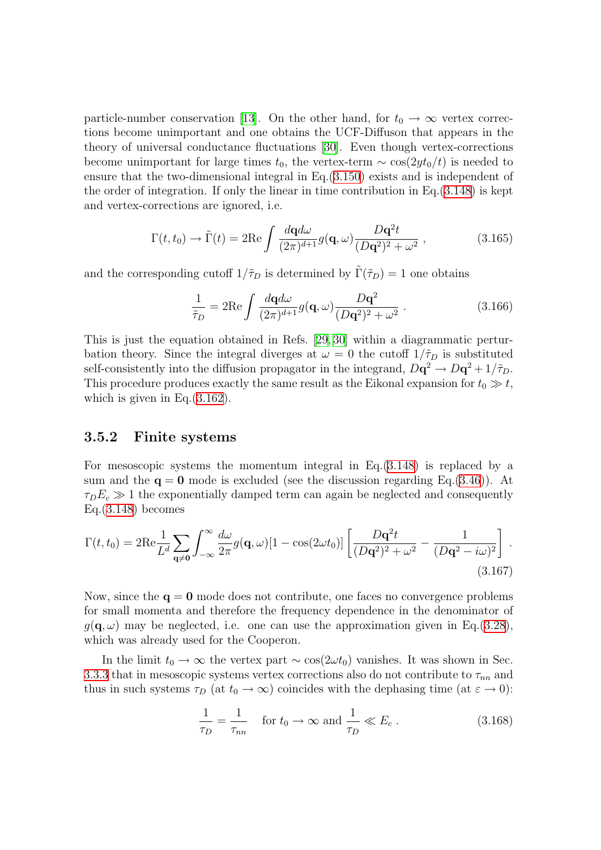particle-number conservation [\[13](#page-133-0)]. On the other hand, for  $t_0 \rightarrow \infty$  vertex corrections become unimportant and one obtains the UCF-Diffuson that appears in the theory of universal conductance fluctuations [\[30\]](#page-134-2). Even though vertex-corrections become unimportant for large times  $t_0$ , the vertex-term  $\sim \cos(2yt_0/t)$  is needed to ensure that the two-dimensional integral in Eq.[\(3.150](#page-71-0)) exists and is independent of the order of integration. If only the linear in time contribution in Eq.[\(3.148\)](#page-70-0) is kept and vertex-corrections are ignored, i.e.

$$
\Gamma(t, t_0) \to \tilde{\Gamma}(t) = 2\text{Re}\int \frac{d\mathbf{q}d\omega}{(2\pi)^{d+1}} g(\mathbf{q}, \omega) \frac{D\mathbf{q}^2 t}{(D\mathbf{q}^2)^2 + \omega^2}, \qquad (3.165)
$$

and the corresponding cutoff  $1/\tilde{\tau}_D$  is determined by  $\tilde{\Gamma}(\tilde{\tau}_D) = 1$  one obtains

$$
\frac{1}{\tilde{\tau}_D} = 2\mathrm{Re} \int \frac{d\mathbf{q}d\omega}{(2\pi)^{d+1}} g(\mathbf{q}, \omega) \frac{D\mathbf{q}^2}{(D\mathbf{q}^2)^2 + \omega^2} . \tag{3.166}
$$

This is just the equation obtained in Refs. [\[29,](#page-134-3) [30\]](#page-134-2) within a diagrammatic perturbation theory. Since the integral diverges at  $\omega = 0$  the cutoff  $1/\tilde{\tau}_D$  is substituted self-consistently into the diffusion propagator in the integrand,  $D\mathbf{q}^2 \to D\mathbf{q}^2 + 1/\tilde{\tau}_D$ . This procedure produces exactly the same result as the Eikonal expansion for  $t_0 \gg t$ , which is given in Eq. $(3.162)$  $(3.162)$  $(3.162)$ .

### 3.5.2 Finite systems

For mesoscopic systems the momentum integral in Eq.([3.148\)](#page-70-0) is replaced by a sum and the  $q = 0$  mode is excluded (see the discussion regarding Eq.[\(3.46](#page-45-0))). At  $\tau_D E_c \gg 1$  the exponentially damped term can again be neglected and consequently  $Eq.(3.148)$  $Eq.(3.148)$  becomes

$$
\Gamma(t,t_0) = 2\mathrm{Re}\frac{1}{L^d} \sum_{\mathbf{q}\neq \mathbf{0}} \int_{-\infty}^{\infty} \frac{d\omega}{2\pi} g(\mathbf{q},\omega) [1 - \cos(2\omega t_0)] \left[ \frac{D\mathbf{q}^2 t}{(D\mathbf{q}^2)^2 + \omega^2} - \frac{1}{(D\mathbf{q}^2 - i\omega)^2} \right].
$$
\n(3.167)

Now, since the  $q = 0$  mode does not contribute, one faces no convergence problems for small momenta and therefore the frequency dependence in the denominator of  $q(\mathbf{q}, \omega)$  may be neglected, i.e. one can use the approximation given in Eq.([3.28\)](#page-41-0), which was already used for the Cooperon.

In the limit  $t_0 \to \infty$  the vertex part ~ cos(2ωt<sub>0</sub>) vanishes. It was shown in Sec. [3.3.3](#page-52-0) that in mesoscopic systems vertex corrections also do not contribute to  $\tau_{nn}$  and thus in such systems  $\tau_D$  (at  $t_0 \to \infty$ ) coincides with the dephasing time (at  $\varepsilon \to 0$ ):

$$
\frac{1}{\tau_D} = \frac{1}{\tau_{nn}} \quad \text{for } t_0 \to \infty \text{ and } \frac{1}{\tau_D} \ll E_c \,. \tag{3.168}
$$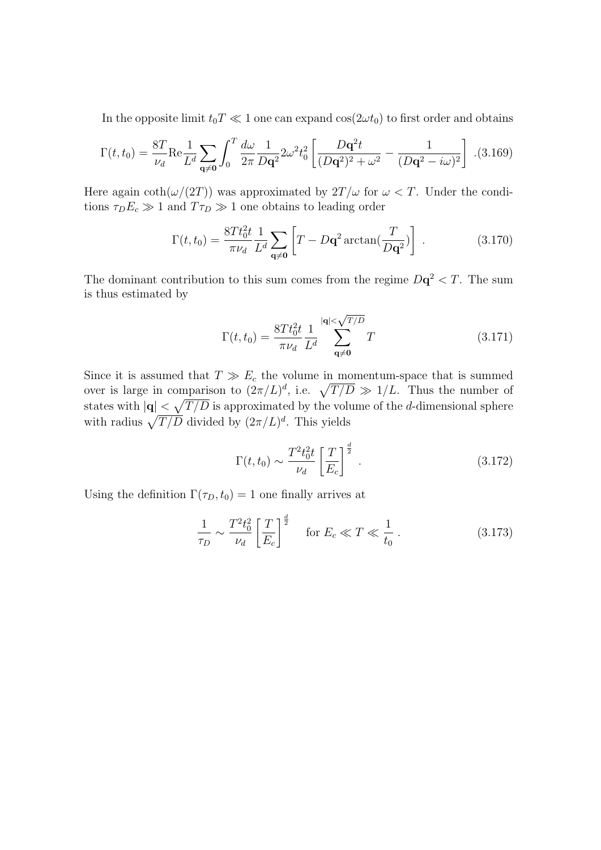In the opposite limit  $t_0T \ll 1$  one can expand  $\cos(2\omega t_0)$  to first order and obtains

$$
\Gamma(t, t_0) = \frac{8T}{\nu_d} \text{Re} \frac{1}{L^d} \sum_{\mathbf{q} \neq \mathbf{0}} \int_0^T \frac{d\omega}{2\pi} \frac{1}{D\mathbf{q}^2} 2\omega^2 t_0^2 \left[ \frac{D\mathbf{q}^2 t}{(D\mathbf{q}^2)^2 + \omega^2} - \frac{1}{(D\mathbf{q}^2 - i\omega)^2} \right] . (3.169)
$$

Here again  $\coth(\omega/(2T))$  was approximated by  $2T/\omega$  for  $\omega < T$ . Under the conditions  $\tau_D E_c \gg 1$  and  $T \tau_D \gg 1$  one obtains to leading order

$$
\Gamma(t, t_0) = \frac{8Tt_0^2t}{\pi\nu_d} \frac{1}{L^d} \sum_{\mathbf{q} \neq \mathbf{0}} \left[ T - D\mathbf{q}^2 \arctan\left(\frac{T}{D\mathbf{q}^2}\right) \right] \,. \tag{3.170}
$$

The dominant contribution to this sum comes from the regime  $D\mathbf{q}^2 < T$ . The sum is thus estimated by

$$
\Gamma(t, t_0) = \frac{8Tt_0^2t}{\pi \nu_d} \frac{1}{L^d} \sum_{\mathbf{q} \neq \mathbf{0}}^{|\mathbf{q}| < \sqrt{T/D}} T
$$
\n(3.171)

Since it is assumed that  $T \gg E_c$  the volume in momentum-space that is summed over is large in comparison to  $(2\pi/L)^d$ , i.e.  $\sqrt{T/D} \gg 1/L$ . Thus the number of states with  $|\mathbf{q}| < \sqrt{T/D}$  is approximated by the volume of the *d*-dimensional sphere with radius  $\sqrt{T/D}$  divided by  $(2\pi/L)^d$ . This yields

$$
\Gamma(t, t_0) \sim \frac{T^2 t_0^2 t}{\nu_d} \left[ \frac{T}{E_c} \right]^{\frac{d}{2}}.
$$
\n(3.172)

Using the definition  $\Gamma(\tau_D, t_0) = 1$  one finally arrives at

$$
\frac{1}{\tau_D} \sim \frac{T^2 t_0^2}{\nu_d} \left[ \frac{T}{E_c} \right]^{\frac{d}{2}} \quad \text{for } E_c \ll T \ll \frac{1}{t_0} \,. \tag{3.173}
$$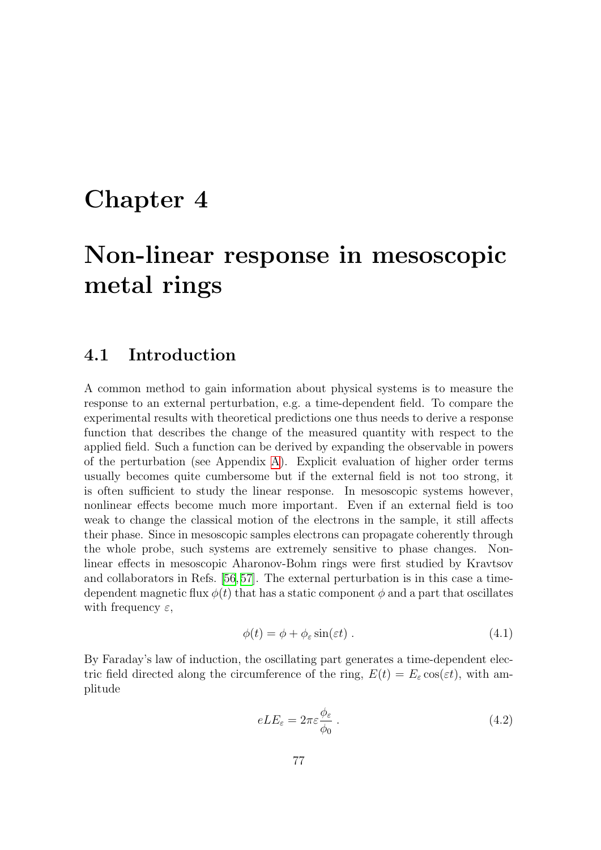# Chapter 4

# Non-linear response in mesoscopic metal rings

### <span id="page-76-1"></span>4.1 Introduction

A common method to gain information about physical systems is to measure the response to an external perturbation, e.g. a time-dependent field. To compare the experimental results with theoretical predictions one thus needs to derive a response function that describes the change of the measured quantity with respect to the applied field. Such a function can be derived by expanding the observable in powers of the perturbation (see Appendix [A](#page-122-0)). Explicit evaluation of higher order terms usually becomes quite cumbersome but if the external field is not too strong, it is often sufficient to study the linear response. In mesoscopic systems however, nonlinear effects become much more important. Even if an external field is too weak to change the classical motion of the electrons in the sample, it still affects their phase. Since in mesoscopic samples electrons can propagate coherently through the whole probe, such systems are extremely sensitive to phase changes. Nonlinear effects in mesoscopic Aharonov-Bohm rings were first studied by Kravtsov and collaborators in Refs.[[56,](#page-136-0)[57](#page-136-1)]. The external perturbation is in this case a timedependent magnetic flux  $\phi(t)$  that has a static component  $\phi$  and a part that oscillates with frequency  $\varepsilon$ ,

$$
\phi(t) = \phi + \phi_{\varepsilon} \sin(\varepsilon t) \tag{4.1}
$$

By Faraday's law of induction, the oscillating part generates a time-dependent electric field directed along the circumference of the ring,  $E(t) = E_{\varepsilon} \cos(\varepsilon t)$ , with amplitude

<span id="page-76-0"></span>
$$
eLE_{\varepsilon} = 2\pi \varepsilon \frac{\phi_{\varepsilon}}{\phi_0} \,. \tag{4.2}
$$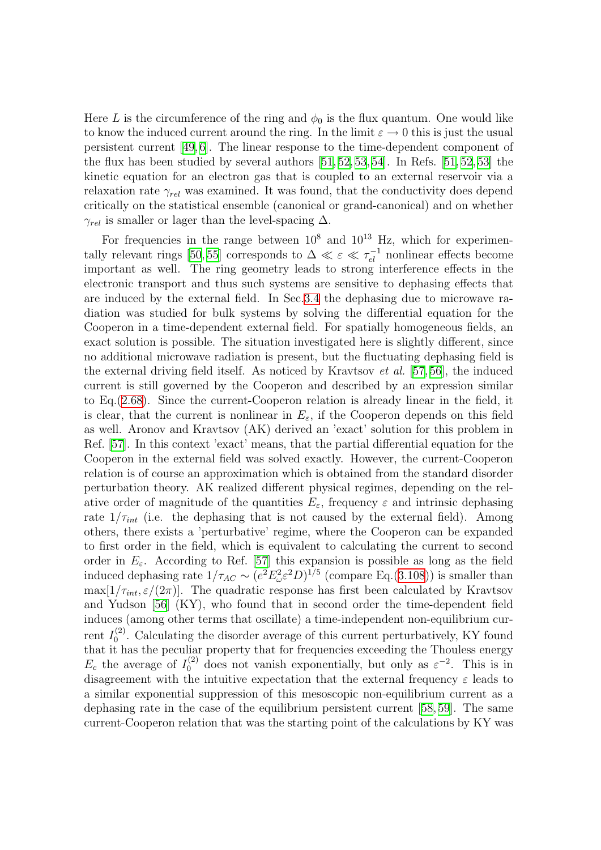Here L is the circumference of the ring and  $\phi_0$  is the flux quantum. One would like to know the induced current around the ring. In the limit  $\varepsilon \to 0$  this is just the usual persistent current [\[49,](#page-135-0) [6\]](#page-133-1). The linear response to the time-dependent component of theflux has been studied by several authors  $[51, 52, 53, 54]$  $[51, 52, 53, 54]$  $[51, 52, 53, 54]$  $[51, 52, 53, 54]$  $[51, 52, 53, 54]$ . In Refs.  $[51, 52, 53]$  $[51, 52, 53]$  $[51, 52, 53]$  $[51, 52, 53]$  $[51, 52, 53]$  the kinetic equation for an electron gas that is coupled to an external reservoir via a relaxation rate  $\gamma_{rel}$  was examined. It was found, that the conductivity does depend critically on the statistical ensemble (canonical or grand-canonical) and on whether  $\gamma_{rel}$  is smaller or lager than the level-spacing  $\Delta$ .

For frequencies in the range between  $10^8$  and  $10^{13}$  Hz, which for experimen-tally relevant rings [\[50,](#page-135-4) [55\]](#page-136-3) corresponds to  $\Delta \ll \varepsilon \ll \tau_{el}^{-1}$  nonlinear effects become important as well. The ring geometry leads to strong interference effects in the electronic transport and thus such systems are sensitive to dephasing effects that are induced by the external field. In Sec[.3.4](#page-56-0) the dephasing due to microwave radiation was studied for bulk systems by solving the differential equation for the Cooperon in a time-dependent external field. For spatially homogeneous fields, an exact solution is possible. The situation investigated here is slightly different, since no additional microwave radiation is present, but the fluctuating dephasing field is the external driving field itself. As noticed by Kravtsov et al. [\[57,](#page-136-1) [56\]](#page-136-0), the induced current is still governed by the Cooperon and described by an expression similar to Eq.[\(2.68](#page-25-0)). Since the current-Cooperon relation is already linear in the field, it is clear, that the current is nonlinear in  $E_{\varepsilon}$ , if the Cooperon depends on this field as well. Aronov and Kravtsov (AK) derived an 'exact' solution for this problem in Ref.[[57](#page-136-1)]. In this context 'exact' means, that the partial differential equation for the Cooperon in the external field was solved exactly. However, the current-Cooperon relation is of course an approximation which is obtained from the standard disorder perturbation theory. AK realized different physical regimes, depending on the relative order of magnitude of the quantities  $E_{\varepsilon}$ , frequency  $\varepsilon$  and intrinsic dephasing rate  $1/\tau_{int}$  (i.e. the dephasing that is not caused by the external field). Among others, there exists a 'perturbative' regime, where the Cooperon can be expanded to first order in the field, which is equivalent to calculating the current to second order in  $E_{\varepsilon}$ . According to Ref. [\[57](#page-136-1)] this expansion is possible as long as the field induced dephasing rate  $1/\tau_{AC} \sim (e^2 E_\omega^2 \varepsilon^2 D)^{1/5}$  (compare Eq.[\(3.108](#page-60-0))) is smaller than  $\max[1/\tau_{int}, \varepsilon/(2\pi)]$ . The quadratic response has first been calculated by Kravtsov and Yudson [\[56](#page-136-0)] (KY), who found that in second order the time-dependent field induces (among other terms that oscillate) a time-independent non-equilibrium current  $I_0^{(2)}$  $\binom{1}{0}$ . Calculating the disorder average of this current perturbatively, KY found that it has the peculiar property that for frequencies exceeding the Thouless energy  $E_c$  the average of  $I_0^{(2)}$  does not vanish exponentially, but only as  $\varepsilon^{-2}$ . This is in disagreement with the intuitive expectation that the external frequency  $\varepsilon$  leads to a similar exponential suppression of this mesoscopic non-equilibrium current as a dephasing rate in the case of the equilibrium persistent current [\[58](#page-136-4), [59\]](#page-136-5). The same current-Cooperon relation that was the starting point of the calculations by KY was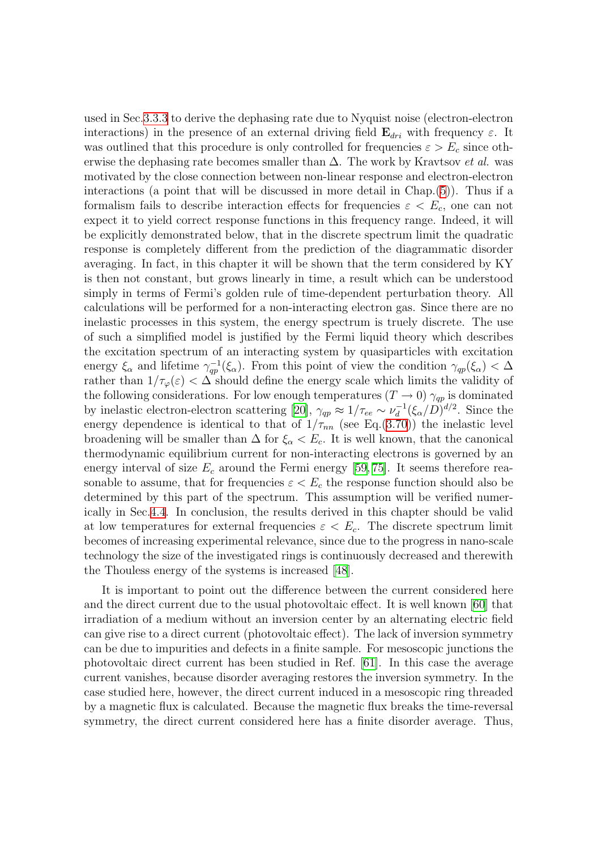used in Sec[.3.3.3](#page-52-0) to derive the dephasing rate due to Nyquist noise (electron-electron interactions) in the presence of an external driving field  $\mathbf{E}_{dri}$  with frequency  $\varepsilon$ . It was outlined that this procedure is only controlled for frequencies  $\varepsilon > E_c$  since otherwise the dephasing rate becomes smaller than  $\Delta$ . The work by Kravtsov *et al.* was motivated by the close connection between non-linear response and electron-electron interactions (a point that will be discussed in more detail in Chap.[\(5](#page-109-0))). Thus if a formalism fails to describe interaction effects for frequencies  $\varepsilon < E_c$ , one can not expect it to yield correct response functions in this frequency range. Indeed, it will be explicitly demonstrated below, that in the discrete spectrum limit the quadratic response is completely different from the prediction of the diagrammatic disorder averaging. In fact, in this chapter it will be shown that the term considered by KY is then not constant, but grows linearly in time, a result which can be understood simply in terms of Fermi's golden rule of time-dependent perturbation theory. All calculations will be performed for a non-interacting electron gas. Since there are no inelastic processes in this system, the energy spectrum is truely discrete. The use of such a simplified model is justified by the Fermi liquid theory which describes the excitation spectrum of an interacting system by quasiparticles with excitation energy  $\xi_{\alpha}$  and lifetime  $\gamma_{qp}^{-1}(\xi_{\alpha})$ . From this point of view the condition  $\gamma_{qp}(\xi_{\alpha}) < \Delta$ rather than  $1/\tau_{\varphi}(\varepsilon) < \Delta$  should define the energy scale which limits the validity of the following considerations. For low enough temperatures  $(T \to 0)$   $\gamma_{qp}$  is dominated by inelastic electron-electron scattering [\[20\]](#page-134-4),  $\gamma_{qp} \approx 1/\tau_{ee} \sim \nu_d^{-1}$  $g_d^{-1}(\xi_\alpha/D)^{d/2}$ . Since the energy dependence is identical to that of  $1/\tau_{nn}$  (see Eq.([3.70\)](#page-51-0)) the inelastic level broadening will be smaller than  $\Delta$  for  $\xi_{\alpha} < E_c$ . It is well known, that the canonical thermodynamic equilibrium current for non-interacting electrons is governed by an energyinterval of size  $E_c$  around the Fermi energy [[59,](#page-136-5) [75](#page-137-0)]. It seems therefore reasonable to assume, that for frequencies  $\varepsilon < E_c$  the response function should also be determined by this part of the spectrum. This assumption will be verified numerically in Sec[.4.4](#page-88-0). In conclusion, the results derived in this chapter should be valid at low temperatures for external frequencies  $\varepsilon < E_c$ . The discrete spectrum limit becomes of increasing experimental relevance, since due to the progress in nano-scale technology the size of the investigated rings is continuously decreased and therewith the Thouless energy of the systems is increased[[48](#page-135-5)].

It is important to point out the difference between the current considered here and the direct current due to the usual photovoltaic effect. It is well known[[60\]](#page-136-6) that irradiation of a medium without an inversion center by an alternating electric field can give rise to a direct current (photovoltaic effect). The lack of inversion symmetry can be due to impurities and defects in a finite sample. For mesoscopic junctions the photovoltaic direct current has been studied in Ref. [\[61\]](#page-136-7). In this case the average current vanishes, because disorder averaging restores the inversion symmetry. In the case studied here, however, the direct current induced in a mesoscopic ring threaded by a magnetic flux is calculated. Because the magnetic flux breaks the time-reversal symmetry, the direct current considered here has a finite disorder average. Thus,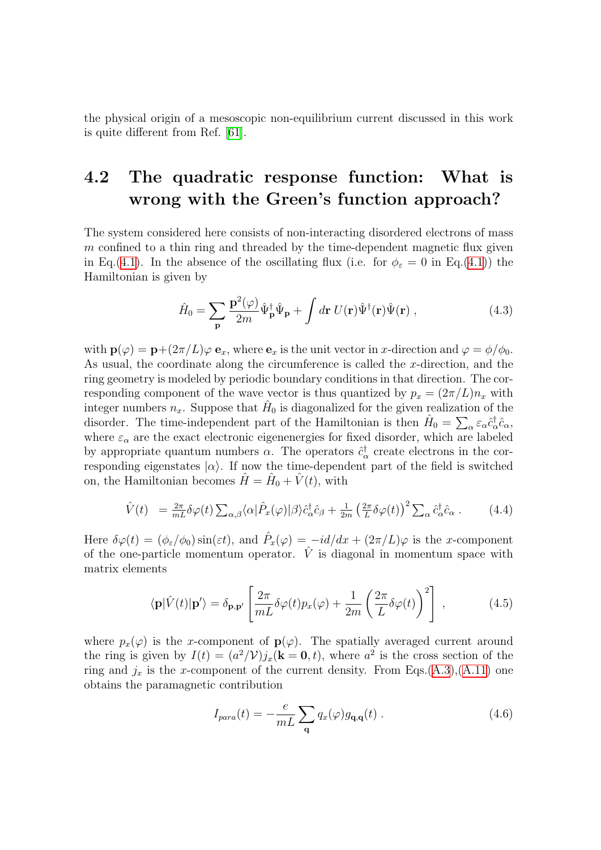the physical origin of a mesoscopic non-equilibrium current discussed in this work is quite different from Ref. [\[61](#page-136-7)].

# 4.2 The quadratic response function: What is wrong with the Green's function approach?

The system considered here consists of non-interacting disordered electrons of mass  $m$  confined to a thin ring and threaded by the time-dependent magnetic flux given in Eq.([4.1](#page-76-0)). In the absence of the oscillating flux (i.e. for  $\phi_{\varepsilon} = 0$  in Eq.([4.1\)](#page-76-0)) the Hamiltonian is given by

$$
\hat{H}_0 = \sum_{\mathbf{p}} \frac{\mathbf{p}^2(\varphi)}{2m} \hat{\Psi}_{\mathbf{p}}^\dagger \hat{\Psi}_{\mathbf{p}} + \int d\mathbf{r} \ U(\mathbf{r}) \hat{\Psi}^\dagger(\mathbf{r}) \hat{\Psi}(\mathbf{r}) \,, \tag{4.3}
$$

with  $p(\varphi) = p + (2\pi/L)\varphi e_x$ , where  $e_x$  is the unit vector in x-direction and  $\varphi = \phi/\phi_0$ . As usual, the coordinate along the circumference is called the x-direction, and the ring geometry is modeled by periodic boundary conditions in that direction. The corresponding component of the wave vector is thus quantized by  $p_x = (2\pi/L)n_x$  with integer numbers  $n_x$ . Suppose that  $\hat{H}_0$  is diagonalized for the given realization of the disorder. The time-independent part of the Hamiltonian is then  $\hat{H}_0 = \sum_{\alpha} \varepsilon_{\alpha} \hat{c}_{\alpha}^{\dagger}$  $\frac{1}{\alpha}\hat{c}_{\alpha},$ where  $\varepsilon_{\alpha}$  are the exact electronic eigenenergies for fixed disorder, which are labeled by appropriate quantum numbers  $\alpha$ . The operators  $\hat{c}_c^{\dagger}$  $\frac{1}{\alpha}$  create electrons in the corresponding eigenstates  $|\alpha\rangle$ . If now the time-dependent part of the field is switched on, the Hamiltonian becomes  $\hat{H} = \hat{H}_0 + \hat{V}(t)$ , with

<span id="page-79-0"></span>
$$
\hat{V}(t) = \frac{2\pi}{m} \delta \varphi(t) \sum_{\alpha,\beta} \langle \alpha | \hat{P}_x(\varphi) | \beta \rangle \hat{c}_{\alpha}^{\dagger} \hat{c}_{\beta} + \frac{1}{2m} \left( \frac{2\pi}{L} \delta \varphi(t) \right)^2 \sum_{\alpha} \hat{c}_{\alpha}^{\dagger} \hat{c}_{\alpha} \,. \tag{4.4}
$$

Here  $\delta\varphi(t) = (\phi_{\varepsilon}/\phi_0) \sin(\varepsilon t)$ , and  $\hat{P}_x(\varphi) = -id/dx + (2\pi/L)\varphi$  is the x-component of the one-particle momentum operator.  $\hat{V}$  is diagonal in momentum space with matrix elements

$$
\langle \mathbf{p} | \hat{V}(t) | \mathbf{p}' \rangle = \delta_{\mathbf{p}, \mathbf{p}'} \left[ \frac{2\pi}{m} \delta \varphi(t) p_x(\varphi) + \frac{1}{2m} \left( \frac{2\pi}{L} \delta \varphi(t) \right)^2 \right], \tag{4.5}
$$

where  $p_x(\varphi)$  is the x-component of  $\mathbf{p}(\varphi)$ . The spatially averaged current around the ring is given by  $I(t) = (a^2/\mathcal{V})j_x(\mathbf{k} = \mathbf{0}, t)$ , where  $a^2$  is the cross section of the ring and  $j_x$  is the x-component of the current density. From Eqs.[\(A.3\)](#page-123-0),[\(A.11](#page-124-0)) one obtains the paramagnetic contribution

$$
I_{para}(t) = -\frac{e}{mL} \sum_{\mathbf{q}} q_x(\varphi) g_{\mathbf{q},\mathbf{q}}(t) . \qquad (4.6)
$$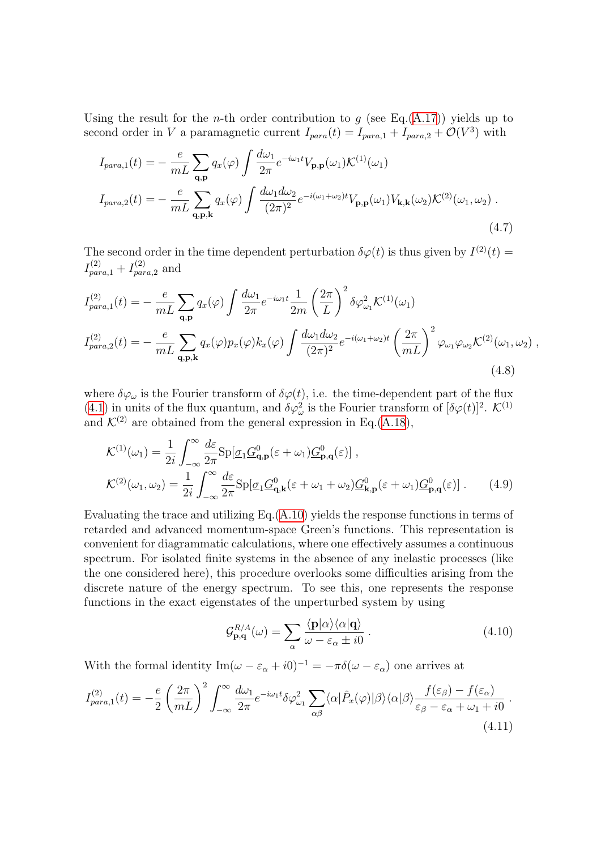Using the result for the *n*-th order contribution to  $g$  (see Eq.[\(A.17\)](#page-125-0)) yields up to second order in V a paramagnetic current  $I_{para}(t) = I_{para,1} + I_{para,2} + \mathcal{O}(V^3)$  with

$$
I_{para,1}(t) = -\frac{e}{mL} \sum_{\mathbf{q},\mathbf{p}} q_x(\varphi) \int \frac{d\omega_1}{2\pi} e^{-i\omega_1 t} V_{\mathbf{p},\mathbf{p}}(\omega_1) \mathcal{K}^{(1)}(\omega_1)
$$
  

$$
I_{para,2}(t) = -\frac{e}{mL} \sum_{\mathbf{q},\mathbf{p},\mathbf{k}} q_x(\varphi) \int \frac{d\omega_1 d\omega_2}{(2\pi)^2} e^{-i(\omega_1 + \omega_2)t} V_{\mathbf{p},\mathbf{p}}(\omega_1) V_{\mathbf{k},\mathbf{k}}(\omega_2) \mathcal{K}^{(2)}(\omega_1, \omega_2) .
$$
  
(4.7)

The second order in the time dependent perturbation  $\delta\varphi(t)$  is thus given by  $I^{(2)}(t)$  $I^{(2)}_{para,1}+I^{(2)}_{par}$  $\sum_{para,2}^{(2)}$  and

$$
I_{para,1}^{(2)}(t) = -\frac{e}{mL} \sum_{\mathbf{q},\mathbf{p}} q_x(\varphi) \int \frac{d\omega_1}{2\pi} e^{-i\omega_1 t} \frac{1}{2m} \left(\frac{2\pi}{L}\right)^2 \delta \varphi_{\omega_1}^2 \mathcal{K}^{(1)}(\omega_1)
$$
  

$$
I_{para,2}^{(2)}(t) = -\frac{e}{mL} \sum_{\mathbf{q},\mathbf{p},\mathbf{k}} q_x(\varphi) p_x(\varphi) k_x(\varphi) \int \frac{d\omega_1 d\omega_2}{(2\pi)^2} e^{-i(\omega_1 + \omega_2)t} \left(\frac{2\pi}{mL}\right)^2 \varphi_{\omega_1} \varphi_{\omega_2} \mathcal{K}^{(2)}(\omega_1, \omega_2) ,
$$
  
(4.8)

where  $\delta\varphi_\omega$  is the Fourier transform of  $\delta\varphi(t)$ , i.e. the time-dependent part of the flux ([4.1\)](#page-76-0) in units of the flux quantum, and  $\delta \varphi_{\omega}^2$  is the Fourier transform of  $[\delta \varphi(t)]^2$ .  $\mathcal{K}^{(1)}$ and  $\mathcal{K}^{(2)}$  are obtained from the general expression in Eq.[\(A.18](#page-125-1)),

$$
\mathcal{K}^{(1)}(\omega_1) = \frac{1}{2i} \int_{-\infty}^{\infty} \frac{d\varepsilon}{2\pi} \text{Sp}[\underline{\sigma}_1 \underline{G}_{\mathbf{q},\mathbf{p}}^0(\varepsilon + \omega_1) \underline{G}_{\mathbf{p},\mathbf{q}}^0(\varepsilon)] ,
$$
  

$$
\mathcal{K}^{(2)}(\omega_1, \omega_2) = \frac{1}{2i} \int_{-\infty}^{\infty} \frac{d\varepsilon}{2\pi} \text{Sp}[\underline{\sigma}_1 \underline{G}_{\mathbf{q},\mathbf{k}}^0(\varepsilon + \omega_1 + \omega_2) \underline{G}_{\mathbf{k},\mathbf{p}}^0(\varepsilon + \omega_1) \underline{G}_{\mathbf{p},\mathbf{q}}^0(\varepsilon)] .
$$
 (4.9)

Evaluating the trace and utilizing Eq.([A.10\)](#page-124-1) yields the response functions in terms of retarded and advanced momentum-space Green's functions. This representation is convenient for diagrammatic calculations, where one effectively assumes a continuous spectrum. For isolated finite systems in the absence of any inelastic processes (like the one considered here), this procedure overlooks some difficulties arising from the discrete nature of the energy spectrum. To see this, one represents the response functions in the exact eigenstates of the unperturbed system by using

<span id="page-80-0"></span>
$$
\mathcal{G}_{\mathbf{p},\mathbf{q}}^{R/A}(\omega) = \sum_{\alpha} \frac{\langle \mathbf{p} | \alpha \rangle \langle \alpha | \mathbf{q} \rangle}{\omega - \varepsilon_{\alpha} \pm i0} \,. \tag{4.10}
$$

With the formal identity  $\text{Im}(\omega - \varepsilon_{\alpha} + i0)^{-1} = -\pi \delta(\omega - \varepsilon_{\alpha})$  one arrives at

$$
I_{para,1}^{(2)}(t) = -\frac{e}{2} \left(\frac{2\pi}{mL}\right)^2 \int_{-\infty}^{\infty} \frac{d\omega_1}{2\pi} e^{-i\omega_1 t} \delta\varphi_{\omega_1}^2 \sum_{\alpha\beta} \langle \alpha | \hat{P}_x(\varphi) | \beta \rangle \langle \alpha | \beta \rangle \frac{f(\varepsilon_\beta) - f(\varepsilon_\alpha)}{\varepsilon_\beta - \varepsilon_\alpha + \omega_1 + i0} \,. \tag{4.11}
$$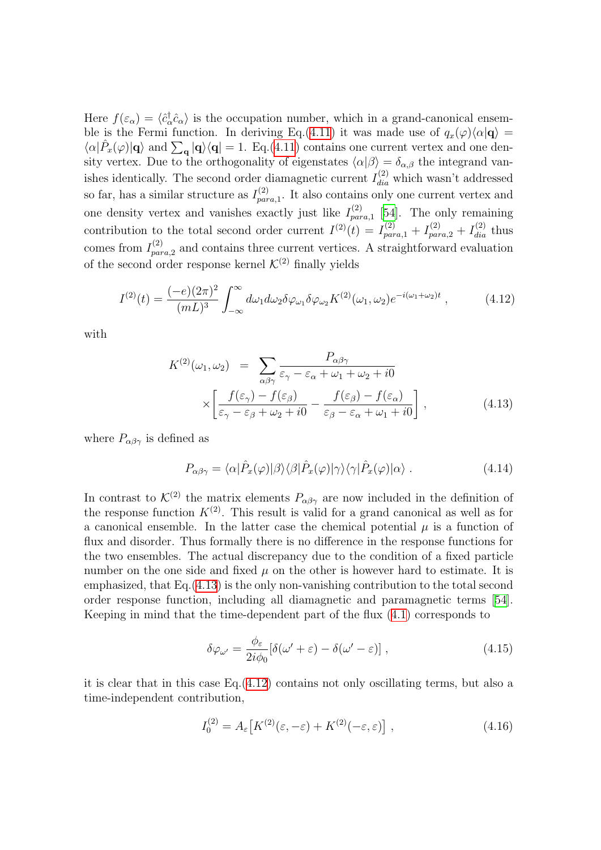Here  $f(\varepsilon_{\alpha}) = \langle \hat{c}_{\alpha}^{\dagger} \rangle$  $\langle \frac{\partial}{\partial \alpha} c_{\alpha} \rangle$  is the occupation number, which in a grand-canonical ensem-ble is the Fermi function. In deriving Eq.[\(4.11\)](#page-80-0) it was made use of  $q_x(\varphi)\langle\alpha|\mathbf{q}\rangle=$  $\langle \alpha | \hat{P}_x(\varphi) | \mathbf{q} \rangle$  and  $\sum_{\mathbf{q}} |\mathbf{q} \rangle \langle \mathbf{q} | = 1$ . Eq.([4.11\)](#page-80-0) contains one current vertex and one density vertex. Due to the orthogonality of eigenstates  $\langle \alpha | \beta \rangle = \delta_{\alpha,\beta}$  the integrand vanishes identically. The second order diamagnetic current  $I_{dia}^{(2)}$  which wasn't addressed so far, has a similar structure as  $I_{\textit{nat}}^{(2)}$  $p_{para,1}^{(2)}$ . It also contains only one current vertex and one density vertex and vanishes exactly just like  $I_{\text{nat}}^{(2)}$  $\sum_{para,1}^{(2)}$  [[54](#page-136-2)]. The only remaining contribution to the total second order current  $I^{(2)}(t) = I_{para,1}^{(2)} + I_{para,2}^{(2)} + I_{dia}^{(2)}$  thus comes from  $I_{par}^{(2)}$  $p_{para,2}^{(2)}$  and contains three current vertices. A straightforward evaluation of the second order response kernel  $\mathcal{K}^{(2)}$  finally yields

$$
I^{(2)}(t) = \frac{(-e)(2\pi)^2}{(mL)^3} \int_{-\infty}^{\infty} d\omega_1 d\omega_2 \delta \varphi_{\omega_1} \delta \varphi_{\omega_2} K^{(2)}(\omega_1, \omega_2) e^{-i(\omega_1 + \omega_2)t} , \qquad (4.12)
$$

with

<span id="page-81-1"></span><span id="page-81-0"></span>
$$
K^{(2)}(\omega_1, \omega_2) = \sum_{\alpha \beta \gamma} \frac{P_{\alpha \beta \gamma}}{\varepsilon_{\gamma} - \varepsilon_{\alpha} + \omega_1 + \omega_2 + i0}
$$

$$
\times \left[ \frac{f(\varepsilon_{\gamma}) - f(\varepsilon_{\beta})}{\varepsilon_{\gamma} - \varepsilon_{\beta} + \omega_2 + i0} - \frac{f(\varepsilon_{\beta}) - f(\varepsilon_{\alpha})}{\varepsilon_{\beta} - \varepsilon_{\alpha} + \omega_1 + i0} \right],
$$
(4.13)

where  $P_{\alpha\beta\gamma}$  is defined as

$$
P_{\alpha\beta\gamma} = \langle \alpha | \hat{P}_x(\varphi) | \beta \rangle \langle \beta | \hat{P}_x(\varphi) | \gamma \rangle \langle \gamma | \hat{P}_x(\varphi) | \alpha \rangle . \tag{4.14}
$$

In contrast to  $\mathcal{K}^{(2)}$  the matrix elements  $P_{\alpha\beta\gamma}$  are now included in the definition of the response function  $K^{(2)}$ . This result is valid for a grand canonical as well as for a canonical ensemble. In the latter case the chemical potential  $\mu$  is a function of flux and disorder. Thus formally there is no difference in the response functions for the two ensembles. The actual discrepancy due to the condition of a fixed particle number on the one side and fixed  $\mu$  on the other is however hard to estimate. It is emphasized, that Eq.[\(4.13](#page-81-0)) is the only non-vanishing contribution to the total second order response function, including all diamagnetic and paramagnetic terms [\[54](#page-136-2)]. Keeping in mind that the time-dependent part of the flux([4.1\)](#page-76-0) corresponds to

$$
\delta \varphi_{\omega'} = \frac{\phi_{\varepsilon}}{2i\phi_0} [\delta(\omega' + \varepsilon) - \delta(\omega' - \varepsilon)] , \qquad (4.15)
$$

it is clear that in this case Eq.[\(4.12\)](#page-81-1) contains not only oscillating terms, but also a time-independent contribution,

<span id="page-81-2"></span>
$$
I_0^{(2)} = A_{\varepsilon} \left[ K^{(2)}(\varepsilon, -\varepsilon) + K^{(2)}(-\varepsilon, \varepsilon) \right], \tag{4.16}
$$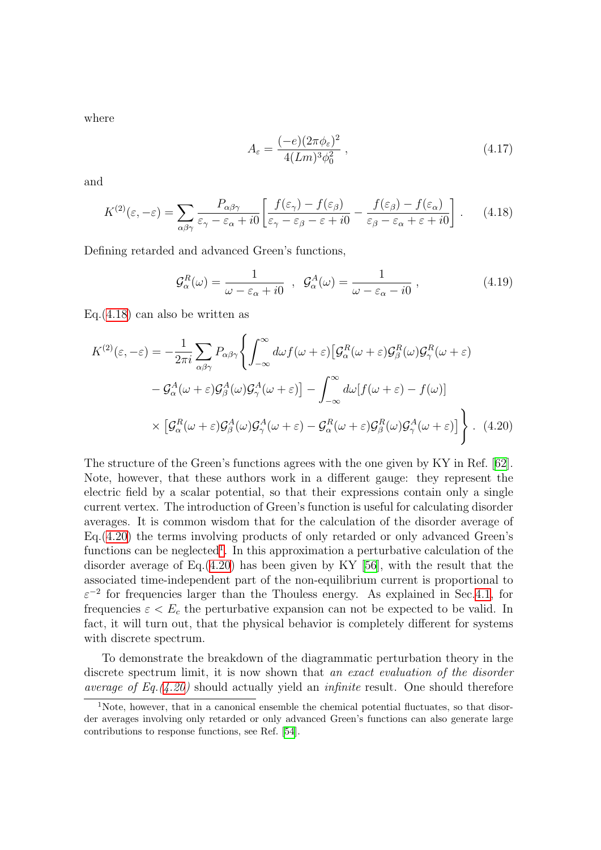where

<span id="page-82-0"></span>
$$
A_{\varepsilon} = \frac{(-e)(2\pi\phi_{\varepsilon})^2}{4(Lm)^3 \phi_0^2} , \qquad (4.17)
$$

and

$$
K^{(2)}(\varepsilon, -\varepsilon) = \sum_{\alpha\beta\gamma} \frac{P_{\alpha\beta\gamma}}{\varepsilon_{\gamma} - \varepsilon_{\alpha} + i0} \left[ \frac{f(\varepsilon_{\gamma}) - f(\varepsilon_{\beta})}{\varepsilon_{\gamma} - \varepsilon_{\beta} - \varepsilon + i0} - \frac{f(\varepsilon_{\beta}) - f(\varepsilon_{\alpha})}{\varepsilon_{\beta} - \varepsilon_{\alpha} + \varepsilon + i0} \right].
$$
 (4.18)

Defining retarded and advanced Green's functions,

<span id="page-82-1"></span>
$$
\mathcal{G}_{\alpha}^{R}(\omega) = \frac{1}{\omega - \varepsilon_{\alpha} + i0} \; , \; \mathcal{G}_{\alpha}^{A}(\omega) = \frac{1}{\omega - \varepsilon_{\alpha} - i0} \; , \tag{4.19}
$$

Eq.[\(4.18](#page-82-0)) can also be written as

$$
K^{(2)}(\varepsilon, -\varepsilon) = -\frac{1}{2\pi i} \sum_{\alpha\beta\gamma} P_{\alpha\beta\gamma} \left\{ \int_{-\infty}^{\infty} d\omega f(\omega + \varepsilon) \left[ \mathcal{G}_{\alpha}^{R}(\omega + \varepsilon) \mathcal{G}_{\beta}^{R}(\omega) \mathcal{G}_{\gamma}^{R}(\omega + \varepsilon) \right] - \mathcal{G}_{\alpha}^{A}(\omega + \varepsilon) \mathcal{G}_{\beta}^{A}(\omega) \mathcal{G}_{\gamma}^{A}(\omega + \varepsilon) \right\} - \int_{-\infty}^{\infty} d\omega [f(\omega + \varepsilon) - f(\omega)]
$$

$$
\times \left[ \mathcal{G}_{\alpha}^{R}(\omega + \varepsilon) \mathcal{G}_{\beta}^{A}(\omega) \mathcal{G}_{\gamma}^{A}(\omega + \varepsilon) - \mathcal{G}_{\alpha}^{R}(\omega + \varepsilon) \mathcal{G}_{\beta}^{R}(\omega) \mathcal{G}_{\gamma}^{A}(\omega + \varepsilon) \right] \right\} . \tag{4.20}
$$

The structure of the Green's functions agrees with the one given by KY in Ref. [\[62](#page-136-8)]. Note, however, that these authors work in a different gauge: they represent the electric field by a scalar potential, so that their expressions contain only a single current vertex. The introduction of Green's function is useful for calculating disorder averages. It is common wisdom that for the calculation of the disorder average of Eq.[\(4.20](#page-82-1)) the terms involving products of only retarded or only advanced Green's functions can be neglected<sup>[1](#page-82-2)</sup>. In this approximation a perturbative calculation of the disorder average of Eq.([4.20](#page-82-1)) has been given by KY[[56](#page-136-0)], with the result that the associated time-independent part of the non-equilibrium current is proportional to  $\varepsilon^{-2}$  for frequencies larger than the Thouless energy. As explained in Sec.[4.1,](#page-76-1) for frequencies  $\varepsilon < E_c$  the perturbative expansion can not be expected to be valid. In fact, it will turn out, that the physical behavior is completely different for systems with discrete spectrum.

To demonstrate the breakdown of the diagrammatic perturbation theory in the discrete spectrum limit, it is now shown that an exact evaluation of the disorder *average of Eq.*([4.20](#page-82-1)) should actually yield an *infinite* result. One should therefore

<span id="page-82-2"></span><sup>1</sup>Note, however, that in a canonical ensemble the chemical potential fluctuates, so that disorder averages involving only retarded or only advanced Green's functions can also generate large contributions to response functions, see Ref.[[54\]](#page-136-2).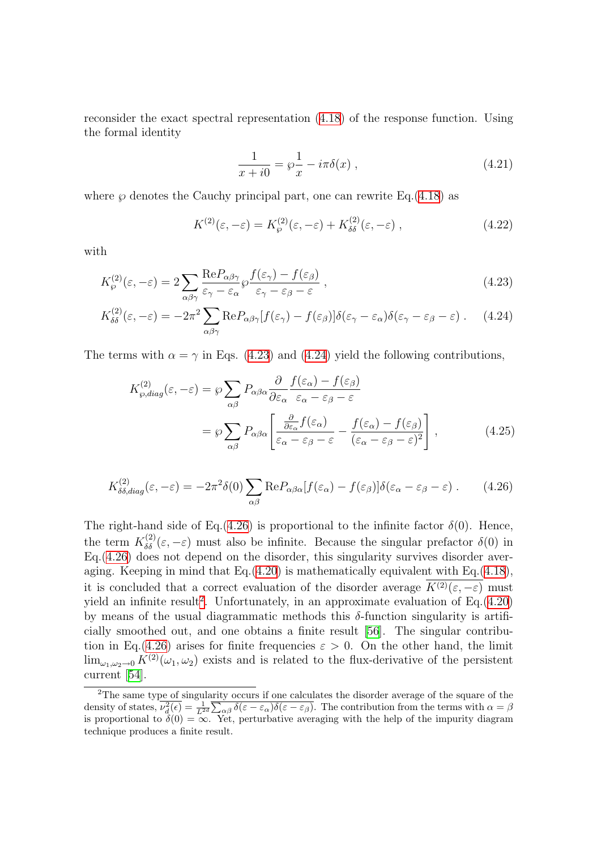reconsider the exact spectral representation([4.18](#page-82-0)) of the response function. Using the formal identity

<span id="page-83-4"></span><span id="page-83-1"></span><span id="page-83-0"></span>
$$
\frac{1}{x+i0} = \wp\frac{1}{x} - i\pi\delta(x) , \qquad (4.21)
$$

where  $\wp$  denotes the Cauchy principal part, one can rewrite Eq.([4.18\)](#page-82-0) as

$$
K^{(2)}(\varepsilon, -\varepsilon) = K^{(2)}_{\wp}(\varepsilon, -\varepsilon) + K^{(2)}_{\delta\delta}(\varepsilon, -\varepsilon) , \qquad (4.22)
$$

with

$$
K_{\wp}^{(2)}(\varepsilon, -\varepsilon) = 2 \sum_{\alpha\beta\gamma} \frac{\text{Re}P_{\alpha\beta\gamma}}{\varepsilon_{\gamma} - \varepsilon_{\alpha}} \wp \frac{f(\varepsilon_{\gamma}) - f(\varepsilon_{\beta})}{\varepsilon_{\gamma} - \varepsilon_{\beta} - \varepsilon} ,
$$
\n(4.23)

$$
K_{\delta\delta}^{(2)}(\varepsilon, -\varepsilon) = -2\pi^2 \sum_{\alpha\beta\gamma} \text{Re} P_{\alpha\beta\gamma} [f(\varepsilon_{\gamma}) - f(\varepsilon_{\beta})] \delta(\varepsilon_{\gamma} - \varepsilon_{\alpha}) \delta(\varepsilon_{\gamma} - \varepsilon_{\beta} - \varepsilon) \ . \tag{4.24}
$$

Theterms with  $\alpha = \gamma$  in Eqs. ([4.23\)](#page-83-0) and ([4.24](#page-83-1)) yield the following contributions,

<span id="page-83-5"></span><span id="page-83-2"></span>
$$
K_{\varrho,diag}^{(2)}(\varepsilon,-\varepsilon) = \varphi \sum_{\alpha\beta} P_{\alpha\beta\alpha} \frac{\partial}{\partial \varepsilon_{\alpha}} \frac{f(\varepsilon_{\alpha}) - f(\varepsilon_{\beta})}{\varepsilon_{\alpha} - \varepsilon_{\beta} - \varepsilon}
$$
  

$$
= \varphi \sum_{\alpha\beta} P_{\alpha\beta\alpha} \left[ \frac{\frac{\partial}{\partial \varepsilon_{\alpha}} f(\varepsilon_{\alpha})}{\varepsilon_{\alpha} - \varepsilon_{\beta} - \varepsilon} - \frac{f(\varepsilon_{\alpha}) - f(\varepsilon_{\beta})}{(\varepsilon_{\alpha} - \varepsilon_{\beta} - \varepsilon)^{2}} \right],
$$
(4.25)

$$
K_{\delta\delta,diag}^{(2)}(\varepsilon,-\varepsilon) = -2\pi^2 \delta(0) \sum_{\alpha\beta} \text{Re} P_{\alpha\beta\alpha} [f(\varepsilon_{\alpha}) - f(\varepsilon_{\beta})] \delta(\varepsilon_{\alpha} - \varepsilon_{\beta} - \varepsilon) \ . \tag{4.26}
$$

The right-hand side of Eq.[\(4.26](#page-83-2)) is proportional to the infinite factor  $\delta(0)$ . Hence, the term  $K_{\delta\delta}^{(2)}(\varepsilon,-\varepsilon)$  must also be infinite. Because the singular prefactor  $\delta(0)$  in Eq.[\(4.26](#page-83-2)) does not depend on the disorder, this singularity survives disorder averaging. Keeping in mind that  $Eq.(4.20)$  $Eq.(4.20)$  is mathematically equivalent with  $Eq.(4.18)$  $Eq.(4.18)$ , it is concluded that a correct evaluation of the disorder average  $K^{(2)}(\varepsilon, -\varepsilon)$  must yield an infinite result<sup>[2](#page-83-3)</sup>. Unfortunately, in an approximate evaluation of  $Eq.(4.20)$  $Eq.(4.20)$  $Eq.(4.20)$ by means of the usual diagrammatic methods this  $\delta$ -function singularity is artificially smoothed out, and one obtains a finite result[[56\]](#page-136-0). The singular contribu-tion in Eq.([4.26](#page-83-2)) arises for finite frequencies  $\varepsilon > 0$ . On the other hand, the limit  $\lim_{\omega_1,\omega_2\to 0} K^{(2)}(\omega_1,\omega_2)$  exists and is related to the flux-derivative of the persistent current [\[54\]](#page-136-2).

<span id="page-83-3"></span><sup>&</sup>lt;sup>2</sup>The same type of singularity occurs if one calculates the disorder average of the square of the density of states,  $\overline{\nu_d^2(\epsilon)} = \frac{1}{L^{2d}} \overline{\sum_{\alpha\beta} \delta(\epsilon - \epsilon_\alpha) \delta(\epsilon - \epsilon_\beta)}$ . The contribution from the terms with  $\alpha = \beta$ is proportional to  $\delta(0) = \infty$ . Yet, perturbative averaging with the help of the impurity diagram technique produces a finite result.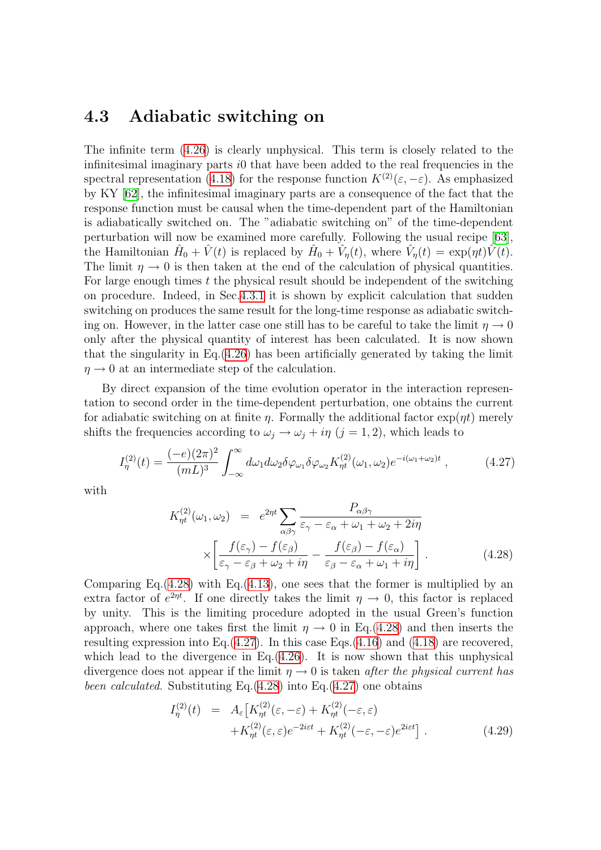### <span id="page-84-2"></span>4.3 Adiabatic switching on

The infinite term [\(4.26](#page-83-2)) is clearly unphysical. This term is closely related to the infinitesimal imaginary parts  $i0$  that have been added to the real frequencies in the spectral representation [\(4.18\)](#page-82-0) for the response function  $K^{(2)}(\varepsilon, -\varepsilon)$ . As emphasized by KY [\[62\]](#page-136-8), the infinitesimal imaginary parts are a consequence of the fact that the response function must be causal when the time-dependent part of the Hamiltonian is adiabatically switched on. The "adiabatic switching on" of the time-dependent perturbation will now be examined more carefully. Following the usual recipe [\[63](#page-136-9)], the Hamiltonian  $\hat{H}_0 + \hat{V}(t)$  is replaced by  $\hat{H}_0 + \hat{V}_\eta(t)$ , where  $\hat{V}_\eta(t) = \exp(\eta t)\hat{V}(t)$ . The limit  $\eta \to 0$  is then taken at the end of the calculation of physical quantities. For large enough times  $t$  the physical result should be independent of the switching on procedure. Indeed, in Sec.[4.3.1](#page-86-0) it is shown by explicit calculation that sudden switching on produces the same result for the long-time response as adiabatic switching on. However, in the latter case one still has to be careful to take the limit  $\eta \to 0$ only after the physical quantity of interest has been calculated. It is now shown that the singularity in Eq.[\(4.26](#page-83-2)) has been artificially generated by taking the limit  $\eta \rightarrow 0$  at an intermediate step of the calculation.

By direct expansion of the time evolution operator in the interaction representation to second order in the time-dependent perturbation, one obtains the current for adiabatic switching on at finite  $\eta$ . Formally the additional factor  $\exp(\eta t)$  merely shifts the frequencies according to  $\omega_j \to \omega_j + i\eta$   $(j = 1, 2)$ , which leads to

$$
I_{\eta}^{(2)}(t) = \frac{(-e)(2\pi)^2}{(mL)^3} \int_{-\infty}^{\infty} d\omega_1 d\omega_2 \delta \varphi_{\omega_1} \delta \varphi_{\omega_2} K_{\eta t}^{(2)}(\omega_1, \omega_2) e^{-i(\omega_1 + \omega_2)t} , \qquad (4.27)
$$

with

<span id="page-84-1"></span><span id="page-84-0"></span>
$$
K_{\eta t}^{(2)}(\omega_1, \omega_2) = e^{2\eta t} \sum_{\alpha\beta\gamma} \frac{P_{\alpha\beta\gamma}}{\varepsilon_{\gamma} - \varepsilon_{\alpha} + \omega_1 + \omega_2 + 2i\eta}
$$

$$
\times \left[ \frac{f(\varepsilon_{\gamma}) - f(\varepsilon_{\beta})}{\varepsilon_{\gamma} - \varepsilon_{\beta} + \omega_2 + i\eta} - \frac{f(\varepsilon_{\beta}) - f(\varepsilon_{\alpha})}{\varepsilon_{\beta} - \varepsilon_{\alpha} + \omega_1 + i\eta} \right]. \tag{4.28}
$$

Comparing Eq. $(4.28)$  $(4.28)$  with Eq. $(4.13)$  $(4.13)$ , one sees that the former is multiplied by an extra factor of  $e^{2\eta t}$ . If one directly takes the limit  $\eta \to 0$ , this factor is replaced by unity. This is the limiting procedure adopted in the usual Green's function approach, where one takes first the limit  $\eta \to 0$  in Eq.([4.28](#page-84-0)) and then inserts the resulting expression into Eq.  $(4.27)$  $(4.27)$ . In this case Eqs.  $(4.16)$  $(4.16)$  and  $(4.18)$  are recovered, which lead to the divergence in Eq.  $(4.26)$  $(4.26)$  $(4.26)$ . It is now shown that this unphysical divergence does not appear if the limit  $\eta \rightarrow 0$  is taken after the physical current has been calculated. Substituting Eq.([4.28](#page-84-0)) into Eq.[\(4.27](#page-84-1)) one obtains

$$
I_{\eta}^{(2)}(t) = A_{\varepsilon} \left[ K_{\eta t}^{(2)}(\varepsilon, -\varepsilon) + K_{\eta t}^{(2)}(-\varepsilon, \varepsilon) + K_{\eta t}^{(2)}(\varepsilon, \varepsilon) e^{-2i\varepsilon t} + K_{\eta t}^{(2)}(-\varepsilon, -\varepsilon) e^{2i\varepsilon t} \right].
$$
\n(4.29)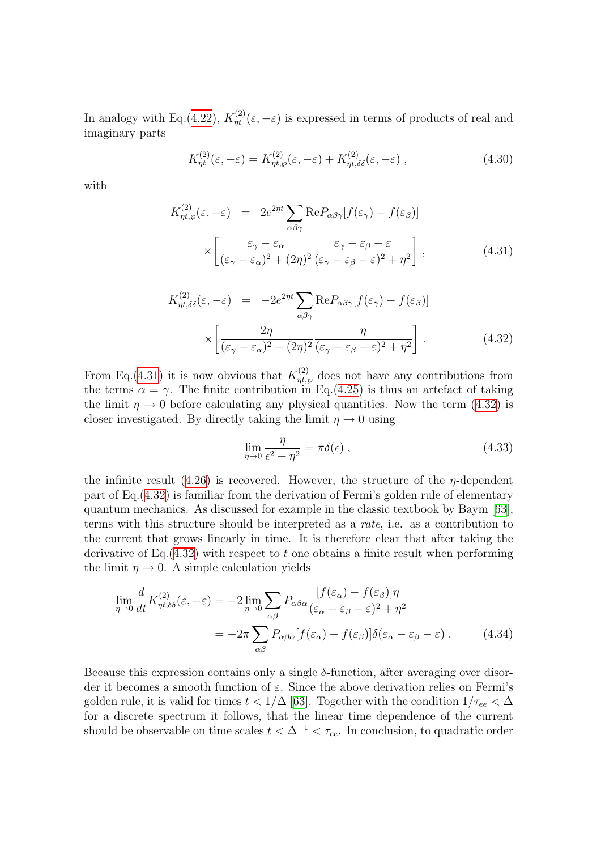In analogy with Eq.[\(4.22](#page-83-4)),  $K_{\eta t}^{(2)}(\varepsilon, -\varepsilon)$  is expressed in terms of products of real and imaginary parts

$$
K_{\eta t}^{(2)}(\varepsilon, -\varepsilon) = K_{\eta t, \wp}^{(2)}(\varepsilon, -\varepsilon) + K_{\eta t, \delta\delta}^{(2)}(\varepsilon, -\varepsilon) , \qquad (4.30)
$$

with

<span id="page-85-0"></span>
$$
K_{\eta t,\wp}^{(2)}(\varepsilon,-\varepsilon) = 2e^{2\eta t} \sum_{\alpha\beta\gamma} \text{Re}P_{\alpha\beta\gamma} [f(\varepsilon_{\gamma}) - f(\varepsilon_{\beta})]
$$

$$
\times \left[ \frac{\varepsilon_{\gamma} - \varepsilon_{\alpha}}{(\varepsilon_{\gamma} - \varepsilon_{\alpha})^2 + (2\eta)^2} \frac{\varepsilon_{\gamma} - \varepsilon_{\beta} - \varepsilon}{(\varepsilon_{\gamma} - \varepsilon_{\beta} - \varepsilon)^2 + \eta^2} \right],
$$
(4.31)

<span id="page-85-1"></span>
$$
K_{\eta t, \delta\delta}^{(2)}(\varepsilon, -\varepsilon) = -2e^{2\eta t} \sum_{\alpha\beta\gamma} \text{Re} P_{\alpha\beta\gamma} [f(\varepsilon_{\gamma}) - f(\varepsilon_{\beta})] \times \left[ \frac{2\eta}{(\varepsilon_{\gamma} - \varepsilon_{\alpha})^2 + (2\eta)^2} \frac{\eta}{(\varepsilon_{\gamma} - \varepsilon_{\beta} - \varepsilon)^2 + \eta^2} \right].
$$
 (4.32)

From Eq.([4.31](#page-85-0)) it is now obvious that  $K_{\eta t,\varphi}^{(2)}$  does not have any contributions from the terms  $\alpha = \gamma$ . The finite contribution in Eq.([4.25\)](#page-83-5) is thus an artefact of taking the limit  $\eta \rightarrow 0$  before calculating any physical quantities. Now the term [\(4.32\)](#page-85-1) is closer investigated. By directly taking the limit  $\eta \to 0$  using

$$
\lim_{\eta \to 0} \frac{\eta}{\epsilon^2 + \eta^2} = \pi \delta(\epsilon) ,
$$
\n(4.33)

the infinite result [\(4.26](#page-83-2)) is recovered. However, the structure of the  $\eta$ -dependent part of Eq.([4.32\)](#page-85-1) is familiar from the derivation of Fermi's golden rule of elementary quantum mechanics. As discussed for example in the classic textbook by Baym [\[63](#page-136-9)], terms with this structure should be interpreted as a rate, i.e. as a contribution to the current that grows linearly in time. It is therefore clear that after taking the derivative of Eq.  $(4.32)$  $(4.32)$  with respect to t one obtains a finite result when performing the limit  $\eta \rightarrow 0$ . A simple calculation yields

$$
\lim_{\eta \to 0} \frac{d}{dt} K_{\eta t, \delta \delta}^{(2)}(\varepsilon, -\varepsilon) = -2 \lim_{\eta \to 0} \sum_{\alpha \beta} P_{\alpha \beta \alpha} \frac{[f(\varepsilon_{\alpha}) - f(\varepsilon_{\beta})] \eta}{(\varepsilon_{\alpha} - \varepsilon_{\beta} - \varepsilon)^{2} + \eta^{2}}
$$

$$
= -2\pi \sum_{\alpha \beta} P_{\alpha \beta \alpha} [f(\varepsilon_{\alpha}) - f(\varepsilon_{\beta})] \delta(\varepsilon_{\alpha} - \varepsilon_{\beta} - \varepsilon) . \tag{4.34}
$$

Because this expression contains only a single δ-function, after averaging over disorder it becomes a smooth function of  $\varepsilon$ . Since the above derivation relies on Fermi's goldenrule, it is valid for times  $t < 1/\Delta$  [[63](#page-136-9)]. Together with the condition  $1/\tau_{ee} < \Delta$ for a discrete spectrum it follows, that the linear time dependence of the current should be observable on time scales  $t < \Delta^{-1} < \tau_{ee}$ . In conclusion, to quadratic order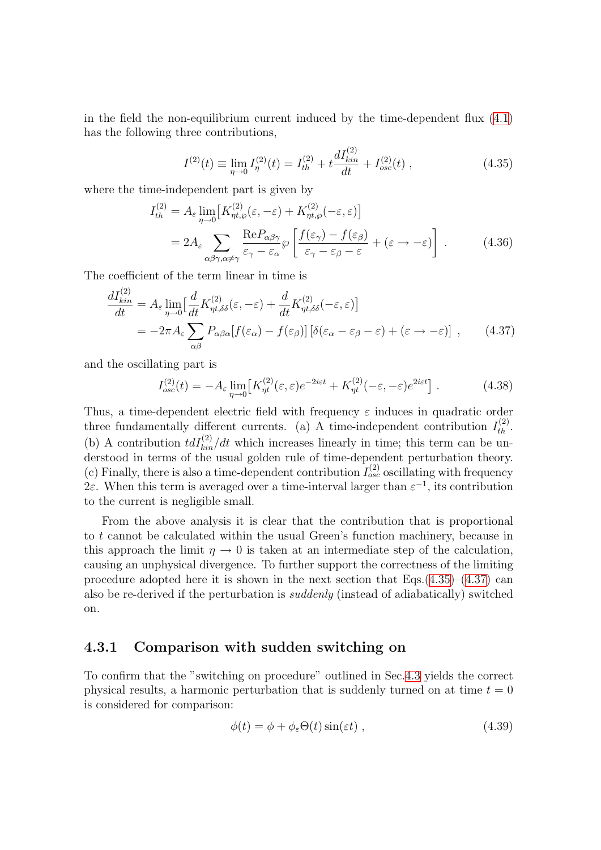in the field the non-equilibrium current induced by the time-dependent flux [\(4.1\)](#page-76-0) has the following three contributions,

<span id="page-86-3"></span><span id="page-86-1"></span>
$$
I^{(2)}(t) \equiv \lim_{\eta \to 0} I^{(2)}_{\eta}(t) = I^{(2)}_{th} + t \frac{dI^{(2)}_{kin}}{dt} + I^{(2)}_{osc}(t) , \qquad (4.35)
$$

where the time-independent part is given by

$$
I_{th}^{(2)} = A_{\varepsilon} \lim_{\eta \to 0} \left[ K_{\eta t, \wp}^{(2)}(\varepsilon, -\varepsilon) + K_{\eta t, \wp}^{(2)}(-\varepsilon, \varepsilon) \right]
$$
  
= 
$$
2A_{\varepsilon} \sum_{\alpha \beta \gamma, \alpha \neq \gamma} \frac{\text{Re} P_{\alpha \beta \gamma}}{\varepsilon_{\gamma} - \varepsilon_{\alpha}} \wp \left[ \frac{f(\varepsilon_{\gamma}) - f(\varepsilon_{\beta})}{\varepsilon_{\gamma} - \varepsilon_{\beta} - \varepsilon} + (\varepsilon \to -\varepsilon) \right].
$$
 (4.36)

The coefficient of the term linear in time is

$$
\frac{dI_{kin}^{(2)}}{dt} = A_{\varepsilon} \lim_{\eta \to 0} \left[ \frac{d}{dt} K_{\eta t, \delta \delta}^{(2)}(\varepsilon, -\varepsilon) + \frac{d}{dt} K_{\eta t, \delta \delta}^{(2)}(-\varepsilon, \varepsilon) \right]
$$
  
= 
$$
-2\pi A_{\varepsilon} \sum_{\alpha \beta} P_{\alpha \beta \alpha} [f(\varepsilon_{\alpha}) - f(\varepsilon_{\beta})] \left[ \delta(\varepsilon_{\alpha} - \varepsilon_{\beta} - \varepsilon) + (\varepsilon \to -\varepsilon) \right],
$$
 (4.37)

and the oscillating part is

<span id="page-86-2"></span>
$$
I_{osc}^{(2)}(t) = -A_{\varepsilon} \lim_{\eta \to 0} \left[ K_{\eta t}^{(2)}(\varepsilon, \varepsilon) e^{-2i\varepsilon t} + K_{\eta t}^{(2)}(-\varepsilon, -\varepsilon) e^{2i\varepsilon t} \right]. \tag{4.38}
$$

Thus, a time-dependent electric field with frequency  $\varepsilon$  induces in quadratic order three fundamentally different currents. (a) A time-independent contribution  $I_{th}^{(2)}$ . (b) A contribution  $tdI_{kin}^{(2)}/dt$  which increases linearly in time; this term can be understood in terms of the usual golden rule of time-dependent perturbation theory. (c) Finally, there is also a time-dependent contribution  $I_{osc}^{(2)}$  oscillating with frequency 2ε. When this term is averaged over a time-interval larger than  $\varepsilon^{-1}$ , its contribution to the current is negligible small.

From the above analysis it is clear that the contribution that is proportional to t cannot be calculated within the usual Green's function machinery, because in this approach the limit  $\eta \to 0$  is taken at an intermediate step of the calculation, causing an unphysical divergence. To further support the correctness of the limiting procedure adopted here it is shown in the next section that  $Eqs.(4.35)-(4.37)$  $Eqs.(4.35)-(4.37)$  $Eqs.(4.35)-(4.37)$  $Eqs.(4.35)-(4.37)$  can also be re-derived if the perturbation is suddenly (instead of adiabatically) switched on.

#### <span id="page-86-0"></span>4.3.1 Comparison with sudden switching on

To confirm that the "switching on procedure" outlined in Sec.[4.3](#page-84-2) yields the correct physical results, a harmonic perturbation that is suddenly turned on at time  $t = 0$ is considered for comparison:

$$
\phi(t) = \phi + \phi_{\varepsilon} \Theta(t) \sin(\varepsilon t) , \qquad (4.39)
$$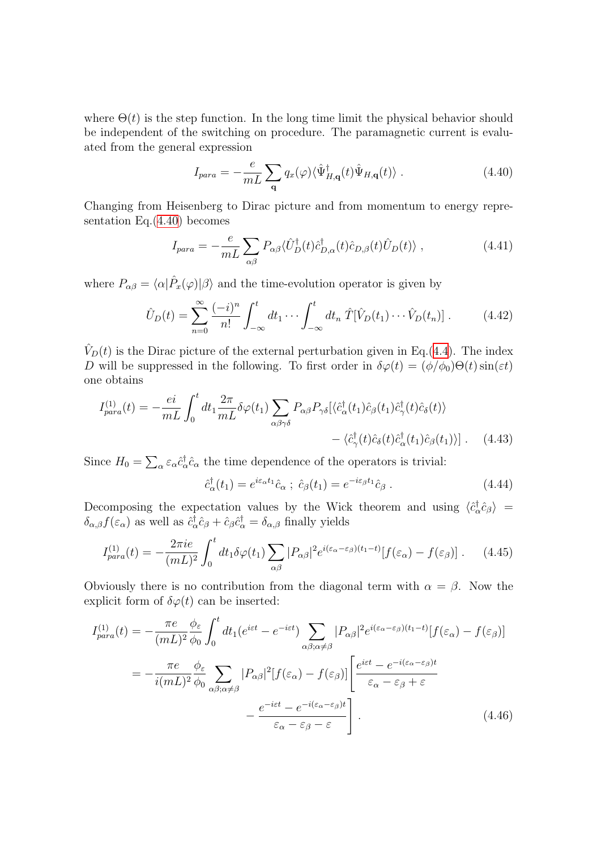where  $\Theta(t)$  is the step function. In the long time limit the physical behavior should be independent of the switching on procedure. The paramagnetic current is evaluated from the general expression

<span id="page-87-0"></span>
$$
I_{para} = -\frac{e}{mL} \sum_{\mathbf{q}} q_x(\varphi) \langle \hat{\Psi}^{\dagger}_{H,\mathbf{q}}(t) \hat{\Psi}_{H,\mathbf{q}}(t) \rangle . \qquad (4.40)
$$

Changing from Heisenberg to Dirac picture and from momentum to energy representation Eq.([4.40\)](#page-87-0) becomes

$$
I_{para} = -\frac{e}{mL} \sum_{\alpha\beta} P_{\alpha\beta} \langle \hat{U}_D^{\dagger}(t) \hat{c}_{D,\alpha}^{\dagger}(t) \hat{c}_{D,\beta}(t) \hat{U}_D(t) \rangle , \qquad (4.41)
$$

where  $P_{\alpha\beta} = \langle \alpha | \hat{P}_x(\varphi) | \beta \rangle$  and the time-evolution operator is given by

$$
\hat{U}_D(t) = \sum_{n=0}^{\infty} \frac{(-i)^n}{n!} \int_{-\infty}^t dt_1 \cdots \int_{-\infty}^t dt_n \hat{T}[\hat{V}_D(t_1) \cdots \hat{V}_D(t_n)] . \tag{4.42}
$$

 $\hat{V}_D(t)$  is the Dirac picture of the external perturbation given in Eq.[\(4.4](#page-79-0)). The index D will be suppressed in the following. To first order in  $\delta\varphi(t) = (\phi/\phi_0)\Theta(t)\sin(\varepsilon t)$ one obtains

$$
I_{para}^{(1)}(t) = -\frac{ei}{mL} \int_0^t dt_1 \frac{2\pi}{mL} \delta\varphi(t_1) \sum_{\alpha\beta\gamma\delta} P_{\alpha\beta} P_{\gamma\delta} [\langle \hat{c}^\dagger_{\alpha}(t_1) \hat{c}_{\beta}(t_1) \hat{c}^\dagger_{\gamma}(t) \hat{c}_{\delta}(t) \rangle - \langle \hat{c}^\dagger_{\gamma}(t) \hat{c}_{\delta}(t) \hat{c}^\dagger_{\alpha}(t_1) \hat{c}_{\beta}(t_1) \rangle]. \tag{4.43}
$$

Since  $H_0 = \sum_\alpha \varepsilon_\alpha \hat{c}_\alpha^\dagger$  $\phi_{\alpha}^{\dagger} \hat{c}_{\alpha}$  the time dependence of the operators is trivial:

$$
\hat{c}_{\alpha}^{\dagger}(t_1) = e^{i\varepsilon_{\alpha}t_1}\hat{c}_{\alpha} \; ; \; \hat{c}_{\beta}(t_1) = e^{-i\varepsilon_{\beta}t_1}\hat{c}_{\beta} \; . \tag{4.44}
$$

Decomposing the expectation values by the Wick theorem and using  $\langle \hat{c}^{\dagger}_{\epsilon} \rangle$  $\langle \hat{c}^{\dagger}_{\alpha} \hat{c}_{\beta} \rangle =$  $\delta_{\alpha,\beta} f(\varepsilon_\alpha)$  as well as  $\hat{c}_c^{\dagger}$  $\frac{1}{\alpha}\hat{c}_{\beta} + \hat{c}_{\beta}\hat{c}_{\alpha}^{\dagger} = \delta_{\alpha,\beta}$  finally yields

$$
I_{para}^{(1)}(t) = -\frac{2\pi i e}{(mL)^2} \int_0^t dt_1 \delta\varphi(t_1) \sum_{\alpha\beta} |P_{\alpha\beta}|^2 e^{i(\varepsilon_\alpha - \varepsilon_\beta)(t_1 - t)} [f(\varepsilon_\alpha) - f(\varepsilon_\beta)] . \tag{4.45}
$$

Obviously there is no contribution from the diagonal term with  $\alpha = \beta$ . Now the explicit form of  $\delta\varphi(t)$  can be inserted:

$$
I_{para}^{(1)}(t) = -\frac{\pi e}{(mL)^2} \frac{\phi_{\varepsilon}}{\phi_0} \int_0^t dt_1 (e^{i\varepsilon t} - e^{-i\varepsilon t}) \sum_{\alpha\beta;\alpha\neq\beta} |P_{\alpha\beta}|^2 e^{i(\varepsilon_{\alpha} - \varepsilon_{\beta})(t_1 - t)} [f(\varepsilon_{\alpha}) - f(\varepsilon_{\beta})]
$$
  

$$
= -\frac{\pi e}{i(mL)^2} \frac{\phi_{\varepsilon}}{\phi_0} \sum_{\alpha\beta;\alpha\neq\beta} |P_{\alpha\beta}|^2 [f(\varepsilon_{\alpha}) - f(\varepsilon_{\beta})] \left[ \frac{e^{i\varepsilon t} - e^{-i(\varepsilon_{\alpha} - \varepsilon_{\beta})t}}{\varepsilon_{\alpha} - \varepsilon_{\beta} + \varepsilon} - \frac{e^{-i\varepsilon t} - e^{-i(\varepsilon_{\alpha} - \varepsilon_{\beta})t}}{\varepsilon_{\alpha} - \varepsilon_{\beta} - \varepsilon} \right].
$$
 (4.46)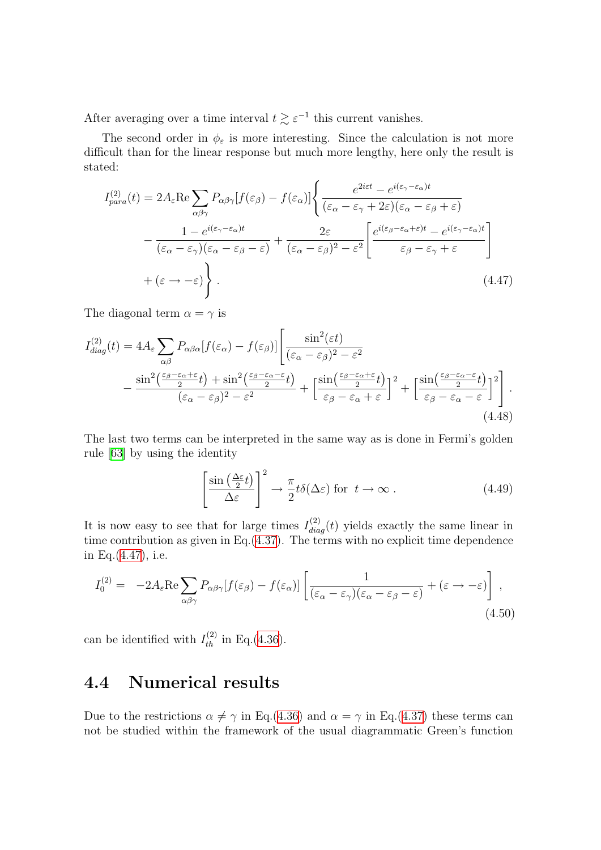After averaging over a time interval  $t \gtrsim \varepsilon^{-1}$  this current vanishes.

The second order in  $\phi_{\varepsilon}$  is more interesting. Since the calculation is not more difficult than for the linear response but much more lengthy, here only the result is stated:

$$
I_{para}^{(2)}(t) = 2A_{\varepsilon} \text{Re} \sum_{\alpha\beta\gamma} P_{\alpha\beta\gamma} [f(\varepsilon_{\beta}) - f(\varepsilon_{\alpha})] \left\{ \frac{e^{2i\varepsilon t} - e^{i(\varepsilon_{\gamma} - \varepsilon_{\alpha})t}}{(\varepsilon_{\alpha} - \varepsilon_{\gamma} + 2\varepsilon)(\varepsilon_{\alpha} - \varepsilon_{\beta} + \varepsilon)} - \frac{1 - e^{i(\varepsilon_{\gamma} - \varepsilon_{\alpha})t}}{(\varepsilon_{\alpha} - \varepsilon_{\gamma})(\varepsilon_{\alpha} - \varepsilon_{\beta} - \varepsilon)} + \frac{2\varepsilon}{(\varepsilon_{\alpha} - \varepsilon_{\beta})^2 - \varepsilon^2} \left[ \frac{e^{i(\varepsilon_{\beta} - \varepsilon_{\alpha} + \varepsilon)t} - e^{i(\varepsilon_{\gamma} - \varepsilon_{\alpha})t}}{\varepsilon_{\beta} - \varepsilon_{\gamma} + \varepsilon} \right] + (\varepsilon \to -\varepsilon) \right\}.
$$
\n(4.47)

The diagonal term  $\alpha = \gamma$  is

$$
I_{diag}^{(2)}(t) = 4A_{\varepsilon} \sum_{\alpha\beta} P_{\alpha\beta\alpha} [f(\varepsilon_{\alpha}) - f(\varepsilon_{\beta})] \left[ \frac{\sin^2(\varepsilon t)}{(\varepsilon_{\alpha} - \varepsilon_{\beta})^2 - \varepsilon^2} - \frac{\sin^2(\frac{\varepsilon_{\beta} - \varepsilon_{\alpha} + \varepsilon}{2}t) + \sin^2(\frac{\varepsilon_{\beta} - \varepsilon_{\alpha} - \varepsilon}{2}t)}{(\varepsilon_{\alpha} - \varepsilon_{\beta})^2 - \varepsilon^2} + \left[ \frac{\sin(\frac{\varepsilon_{\beta} - \varepsilon_{\alpha} + \varepsilon}{2}t)}{\varepsilon_{\beta} - \varepsilon_{\alpha} + \varepsilon} \right]^2 + \left[ \frac{\sin(\frac{\varepsilon_{\beta} - \varepsilon_{\alpha} - \varepsilon}{2}t)}{\varepsilon_{\beta} - \varepsilon_{\alpha} - \varepsilon} \right]^2 \right].
$$
\n(4.48)

The last two terms can be interpreted in the same way as is done in Fermi's golden rule[[63\]](#page-136-9) by using the identity

<span id="page-88-1"></span>
$$
\left[\frac{\sin\left(\frac{\Delta\varepsilon}{2}t\right)}{\Delta\varepsilon}\right]^2 \to \frac{\pi}{2}t\delta(\Delta\varepsilon) \text{ for } t \to \infty. \tag{4.49}
$$

It is now easy to see that for large times  $I_{diag}^{(2)}(t)$  yields exactly the same linear in time contribution as given in Eq.[\(4.37](#page-86-2)). The terms with no explicit time dependence in Eq.([4.47\)](#page-88-1), i.e.

$$
I_0^{(2)} = -2A_{\varepsilon} \text{Re} \sum_{\alpha \beta \gamma} P_{\alpha \beta \gamma} [f(\varepsilon_{\beta}) - f(\varepsilon_{\alpha})] \left[ \frac{1}{(\varepsilon_{\alpha} - \varepsilon_{\gamma})(\varepsilon_{\alpha} - \varepsilon_{\beta} - \varepsilon)} + (\varepsilon \to -\varepsilon) \right],
$$
\n(4.50)

can be identified with  $I_{th}^{(2)}$  in Eq.[\(4.36](#page-86-3)).

# <span id="page-88-0"></span>4.4 Numerical results

Due to the restrictions  $\alpha \neq \gamma$  in Eq.([4.36\)](#page-86-3) and  $\alpha = \gamma$  in Eq.[\(4.37](#page-86-2)) these terms can not be studied within the framework of the usual diagrammatic Green's function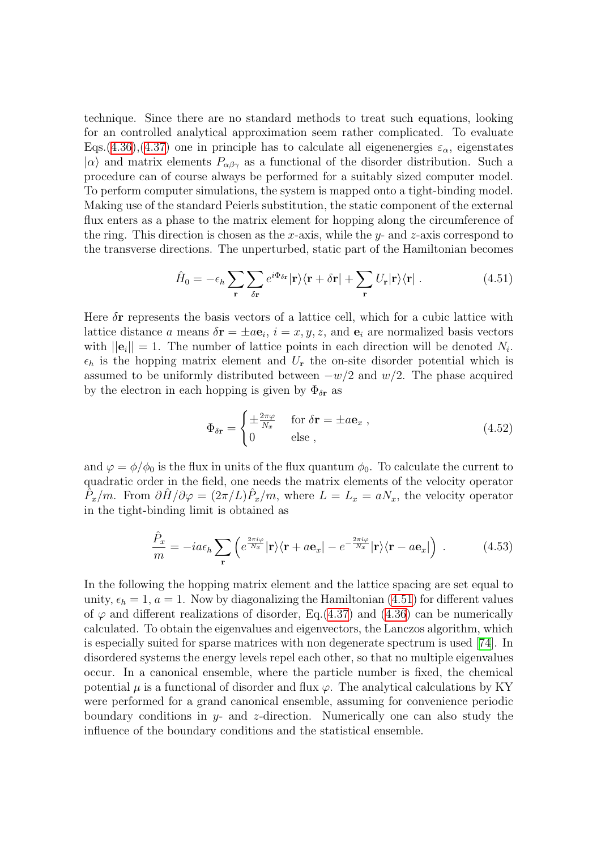technique. Since there are no standard methods to treat such equations, looking for an controlled analytical approximation seem rather complicated. To evaluate Eqs.([4.36\)](#page-86-3),[\(4.37\)](#page-86-2) one in principle has to calculate all eigenenergies  $\varepsilon_{\alpha}$ , eigenstates  $|\alpha\rangle$  and matrix elements  $P_{\alpha\beta\gamma}$  as a functional of the disorder distribution. Such a procedure can of course always be performed for a suitably sized computer model. To perform computer simulations, the system is mapped onto a tight-binding model. Making use of the standard Peierls substitution, the static component of the external flux enters as a phase to the matrix element for hopping along the circumference of the ring. This direction is chosen as the x-axis, while the y- and z-axis correspond to the transverse directions. The unperturbed, static part of the Hamiltonian becomes

$$
\hat{H}_0 = -\epsilon_h \sum_{\mathbf{r}} \sum_{\delta \mathbf{r}} e^{i\Phi_{\delta \mathbf{r}}} |\mathbf{r}\rangle \langle \mathbf{r} + \delta \mathbf{r}| + \sum_{\mathbf{r}} U_{\mathbf{r}} |\mathbf{r}\rangle \langle \mathbf{r}| \,. \tag{4.51}
$$

Here  $\delta r$  represents the basis vectors of a lattice cell, which for a cubic lattice with lattice distance a means  $\delta \mathbf{r} = \pm a \mathbf{e}_i$ ,  $i = x, y, z$ , and  $\mathbf{e}_i$  are normalized basis vectors with  $||\mathbf{e}_i|| = 1$ . The number of lattice points in each direction will be denoted  $N_i$ .  $\epsilon_h$  is the hopping matrix element and  $U_r$  the on-site disorder potential which is assumed to be uniformly distributed between  $-w/2$  and  $w/2$ . The phase acquired by the electron in each hopping is given by  $\Phi_{\delta r}$  as

<span id="page-89-0"></span>
$$
\Phi_{\delta \mathbf{r}} = \begin{cases} \pm \frac{2\pi\varphi}{N_x} & \text{for } \delta \mathbf{r} = \pm a\mathbf{e}_x \,, \\ 0 & \text{else } \,, \end{cases} \tag{4.52}
$$

and  $\varphi = \phi/\phi_0$  is the flux in units of the flux quantum  $\phi_0$ . To calculate the current to quadratic order in the field, one needs the matrix elements of the velocity operator  $\tilde{P}_x/m$ . From  $\partial \hat{H}/\partial \varphi = (2\pi/L)\hat{P}_x/m$ , where  $L = L_x = aN_x$ , the velocity operator in the tight-binding limit is obtained as

$$
\frac{\hat{P}_x}{m} = -ia\epsilon_h \sum_{\mathbf{r}} \left( e^{\frac{2\pi i \varphi}{N_x}} |\mathbf{r}\rangle \langle \mathbf{r} + a\mathbf{e}_x| - e^{-\frac{2\pi i \varphi}{N_x}} |\mathbf{r}\rangle \langle \mathbf{r} - a\mathbf{e}_x| \right) . \tag{4.53}
$$

In the following the hopping matrix element and the lattice spacing are set equal to unity,  $\epsilon_h = 1$ ,  $a = 1$ . Now by diagonalizing the Hamiltonian [\(4.51\)](#page-89-0) for different values of $\varphi$  and different realizations of disorder, Eq.([4.37](#page-86-2)) and ([4.36\)](#page-86-3) can be numerically calculated. To obtain the eigenvalues and eigenvectors, the Lanczos algorithm, which is especially suited for sparse matrices with non degenerate spectrum is used[[74](#page-136-10)]. In disordered systems the energy levels repel each other, so that no multiple eigenvalues occur. In a canonical ensemble, where the particle number is fixed, the chemical potential  $\mu$  is a functional of disorder and flux  $\varphi$ . The analytical calculations by KY were performed for a grand canonical ensemble, assuming for convenience periodic boundary conditions in  $y$ - and z-direction. Numerically one can also study the influence of the boundary conditions and the statistical ensemble.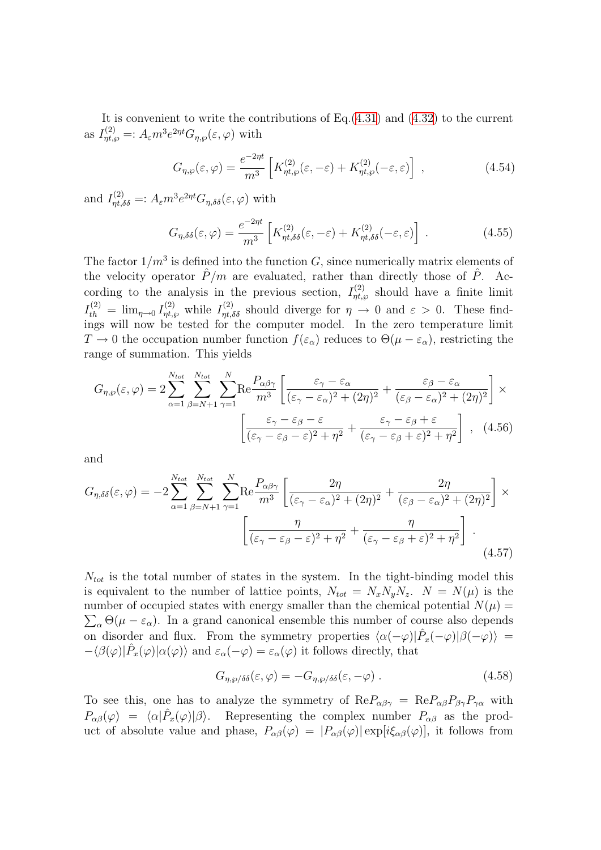Itis convenient to write the contributions of  $Eq.(4.31)$  $Eq.(4.31)$  $Eq.(4.31)$  and  $(4.32)$  $(4.32)$  $(4.32)$  to the current as  $I_{\eta t, \wp}^{(2)} =: A_{\varepsilon} m^3 e^{2\eta t} G_{\eta, \wp}(\varepsilon, \varphi)$  with

$$
G_{\eta,\wp}(\varepsilon,\varphi) = \frac{e^{-2\eta t}}{m^3} \left[ K_{\eta t,\varphi}^{(2)}(\varepsilon,-\varepsilon) + K_{\eta t,\varphi}^{(2)}(-\varepsilon,\varepsilon) \right] , \qquad (4.54)
$$

and  $I_{\eta t, \delta\delta}^{(2)} =: A_{\varepsilon} m^3 e^{2\eta t} G_{\eta, \delta\delta}(\varepsilon, \varphi)$  with

$$
G_{\eta,\delta\delta}(\varepsilon,\varphi) = \frac{e^{-2\eta t}}{m^3} \left[ K_{\eta t,\delta\delta}^{(2)}(\varepsilon,-\varepsilon) + K_{\eta t,\delta\delta}^{(2)}(-\varepsilon,\varepsilon) \right] . \tag{4.55}
$$

The factor  $1/m^3$  is defined into the function G, since numerically matrix elements of the velocity operator  $\hat{P}/m$  are evaluated, rather than directly those of  $\hat{P}$ . According to the analysis in the previous section,  $I_{\eta t, \wp}^{(2)}$  should have a finite limit  $I_{th}^{(2)} = \lim_{\eta \to 0} I_{\eta t, \wp}^{(2)}$  while  $I_{\eta t, \delta \delta}^{(2)}$  should diverge for  $\eta \to 0$  and  $\varepsilon > 0$ . These findings will now be tested for the computer model. In the zero temperature limit  $T \to 0$  the occupation number function  $f(\varepsilon_\alpha)$  reduces to  $\Theta(\mu - \varepsilon_\alpha)$ , restricting the range of summation. This yields

$$
G_{\eta,\wp}(\varepsilon,\varphi) = 2 \sum_{\alpha=1}^{N_{tot}} \sum_{\beta=N+1}^{N_{tot}} \sum_{\gamma=1}^{N} \text{Re} \frac{P_{\alpha\beta\gamma}}{m^3} \left[ \frac{\varepsilon_{\gamma} - \varepsilon_{\alpha}}{(\varepsilon_{\gamma} - \varepsilon_{\alpha})^2 + (2\eta)^2} + \frac{\varepsilon_{\beta} - \varepsilon_{\alpha}}{(\varepsilon_{\beta} - \varepsilon_{\alpha})^2 + (2\eta)^2} \right] \times \left[ \frac{\varepsilon_{\gamma} - \varepsilon_{\beta} - \varepsilon}{(\varepsilon_{\gamma} - \varepsilon_{\beta} - \varepsilon)^2 + \eta^2} + \frac{\varepsilon_{\gamma} - \varepsilon_{\beta} + \varepsilon}{(\varepsilon_{\gamma} - \varepsilon_{\beta} + \varepsilon)^2 + \eta^2} \right], \quad (4.56)
$$

and

$$
G_{\eta,\delta\delta}(\varepsilon,\varphi) = -2\sum_{\alpha=1}^{N_{tot}} \sum_{\beta=N+1}^{N_{tot}} \sum_{\gamma=1}^{N} \text{Re}\frac{P_{\alpha\beta\gamma}}{m^3} \left[ \frac{2\eta}{(\varepsilon_{\gamma}-\varepsilon_{\alpha})^2 + (2\eta)^2} + \frac{2\eta}{(\varepsilon_{\beta}-\varepsilon_{\alpha})^2 + (2\eta)^2} \right] \times \left[ \frac{\eta}{(\varepsilon_{\gamma}-\varepsilon_{\beta}-\varepsilon)^2 + \eta^2} + \frac{\eta}{(\varepsilon_{\gamma}-\varepsilon_{\beta}+\varepsilon)^2 + \eta^2} \right]. \tag{4.57}
$$

 $N_{tot}$  is the total number of states in the system. In the tight-binding model this is equivalent to the number of lattice points,  $N_{tot} = N_x N_y N_z$ .  $N = N(\mu)$  is the number of occupied states with energy smaller than the chemical potential  $N(\mu)$  $\sum_{\alpha} \Theta(\mu - \varepsilon_{\alpha})$ . In a grand canonical ensemble this number of course also depends on disorder and flux. From the symmetry properties  $\langle \alpha(-\varphi)|\hat{P}_x(-\varphi)|\beta(-\varphi)\rangle =$  $-\langle \beta(\varphi)|\hat{P}_x(\varphi)|\alpha(\varphi)\rangle$  and  $\varepsilon_\alpha(-\varphi)=\varepsilon_\alpha(\varphi)$  it follows directly, that

<span id="page-90-0"></span>
$$
G_{\eta,\wp/\delta\delta}(\varepsilon,\varphi) = -G_{\eta,\wp/\delta\delta}(\varepsilon,-\varphi) \ . \tag{4.58}
$$

To see this, one has to analyze the symmetry of  $\text{Re}P_{\alpha\beta\gamma} = \text{Re}P_{\alpha\beta}P_{\beta\gamma}P_{\gamma\alpha}$  with  $P_{\alpha\beta}(\varphi) = \langle \alpha | \hat{P}_x(\varphi) | \beta \rangle$ . Representing the complex number  $P_{\alpha\beta}$  as the product of absolute value and phase,  $P_{\alpha\beta}(\varphi) = |P_{\alpha\beta}(\varphi)| \exp[i\xi_{\alpha\beta}(\varphi)]$ , it follows from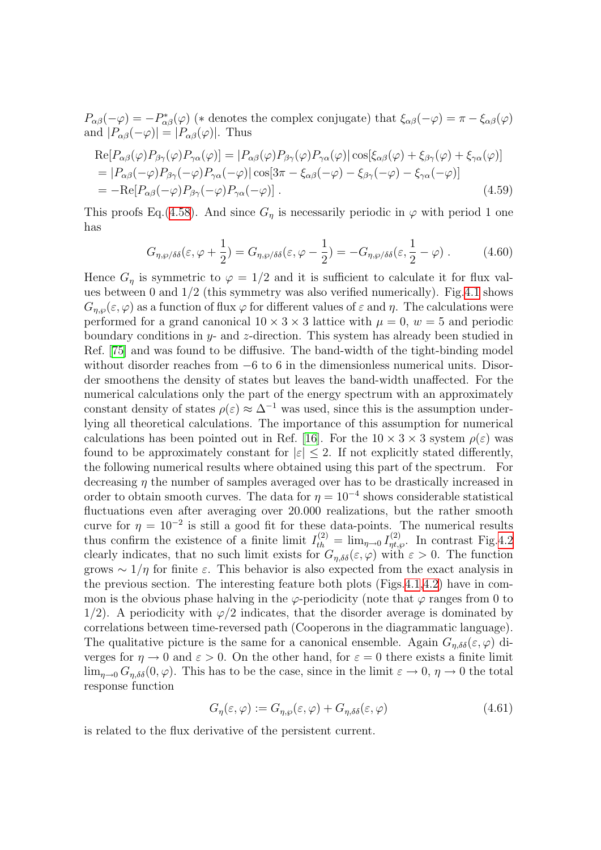$P_{\alpha\beta}(-\varphi) = -P_{\alpha\beta}^*(\varphi)$  (\* denotes the complex conjugate) that  $\xi_{\alpha\beta}(-\varphi) = \pi - \xi_{\alpha\beta}(\varphi)$ and  $|P_{\alpha\beta}(-\varphi)| = |P_{\alpha\beta}(\varphi)|$ . Thus

$$
Re[P_{\alpha\beta}(\varphi)P_{\beta\gamma}(\varphi)P_{\gamma\alpha}(\varphi)] = |P_{\alpha\beta}(\varphi)P_{\beta\gamma}(\varphi)P_{\gamma\alpha}(\varphi)|\cos[\xi_{\alpha\beta}(\varphi) + \xi_{\beta\gamma}(\varphi) + \xi_{\gamma\alpha}(\varphi)]
$$
  
\n=  $|P_{\alpha\beta}(-\varphi)P_{\beta\gamma}(-\varphi)P_{\gamma\alpha}(-\varphi)|\cos[3\pi - \xi_{\alpha\beta}(-\varphi) - \xi_{\beta\gamma}(-\varphi) - \xi_{\gamma\alpha}(-\varphi)]$   
\n=  $-Re[P_{\alpha\beta}(-\varphi)P_{\beta\gamma}(-\varphi)P_{\gamma\alpha}(-\varphi)].$  (4.59)

This proofs Eq.([4.58\)](#page-90-0). And since  $G_{\eta}$  is necessarily periodic in  $\varphi$  with period 1 one has

$$
G_{\eta,\wp/\delta\delta}(\varepsilon,\varphi+\frac{1}{2})=G_{\eta,\wp/\delta\delta}(\varepsilon,\varphi-\frac{1}{2})=-G_{\eta,\wp/\delta\delta}(\varepsilon,\frac{1}{2}-\varphi). \hspace{1cm} (4.60)
$$

Hence  $G_n$  is symmetric to  $\varphi = 1/2$  and it is sufficient to calculate it for flux values between 0 and 1/2 (this symmetry was also verified numerically). Fig[.4.1](#page-92-0) shows  $G_{n,\omega}(\varepsilon,\varphi)$  as a function of flux  $\varphi$  for different values of  $\varepsilon$  and  $\eta$ . The calculations were performed for a grand canonical  $10 \times 3 \times 3$  lattice with  $\mu = 0$ ,  $w = 5$  and periodic boundary conditions in  $y$ - and  $z$ -direction. This system has already been studied in Ref. [\[75\]](#page-137-0) and was found to be diffusive. The band-width of the tight-binding model without disorder reaches from  $-6$  to 6 in the dimensionless numerical units. Disorder smoothens the density of states but leaves the band-width unaffected. For the numerical calculations only the part of the energy spectrum with an approximately constant density of states  $\rho(\varepsilon) \approx \Delta^{-1}$  was used, since this is the assumption underlying all theoretical calculations. The importance of this assumption for numerical calculations has been pointed out in Ref. [\[16](#page-134-5)]. For the  $10 \times 3 \times 3$  system  $\rho(\varepsilon)$  was found to be approximately constant for  $|\varepsilon| \leq 2$ . If not explicitly stated differently, the following numerical results where obtained using this part of the spectrum. For decreasing  $\eta$  the number of samples averaged over has to be drastically increased in order to obtain smooth curves. The data for  $\eta = 10^{-4}$  shows considerable statistical fluctuations even after averaging over 20.000 realizations, but the rather smooth curve for  $\eta = 10^{-2}$  is still a good fit for these data-points. The numerical results thus confirm the existence of a finite limit  $I_{th}^{(2)} = \lim_{\eta \to 0} I_{\eta t, \varphi}^{(2)}$ . In contrast Fig.[4.2](#page-92-1) clearly indicates, that no such limit exists for  $G_{\eta,\delta\delta}(\varepsilon,\varphi)$  with  $\varepsilon > 0$ . The function grows  $\sim 1/\eta$  for finite  $\varepsilon$ . This behavior is also expected from the exact analysis in the previous section. The interesting feature both plots (Figs[.4.1](#page-92-0)[,4.2](#page-92-1)) have in common is the obvious phase halving in the  $\varphi$ -periodicity (note that  $\varphi$  ranges from 0 to 1/2). A periodicity with  $\varphi/2$  indicates, that the disorder average is dominated by correlations between time-reversed path (Cooperons in the diagrammatic language). The qualitative picture is the same for a canonical ensemble. Again  $G_{n,\delta\delta}(\varepsilon,\varphi)$  diverges for  $\eta \to 0$  and  $\varepsilon > 0$ . On the other hand, for  $\varepsilon = 0$  there exists a finite limit  $\lim_{\eta\to 0} G_{\eta,\delta\delta}(0,\varphi)$ . This has to be the case, since in the limit  $\varepsilon \to 0$ ,  $\eta \to 0$  the total response function

<span id="page-91-0"></span>
$$
G_{\eta}(\varepsilon,\varphi) := G_{\eta,\varphi}(\varepsilon,\varphi) + G_{\eta,\delta\delta}(\varepsilon,\varphi)
$$
\n(4.61)

is related to the flux derivative of the persistent current.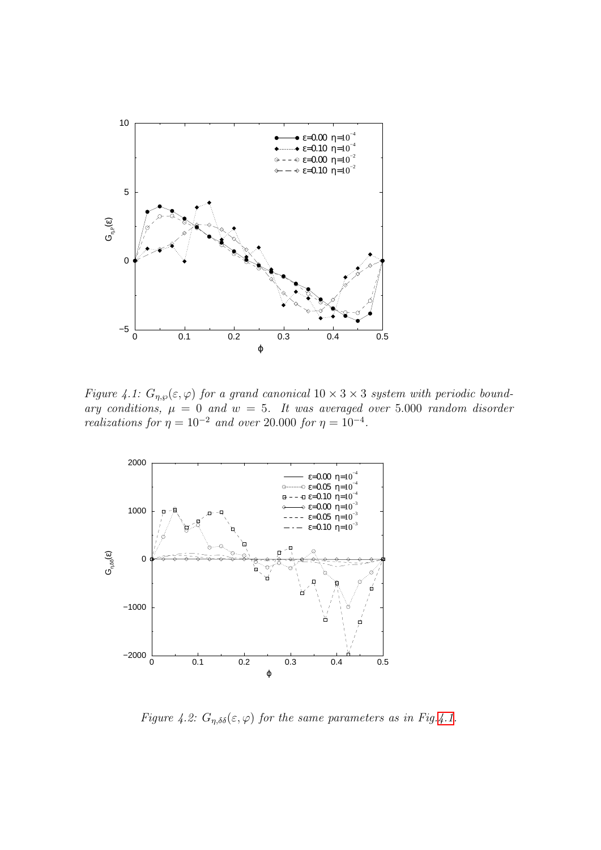

<span id="page-92-0"></span>Figure 4.1:  $G_{\eta,\wp}(\varepsilon,\varphi)$  for a grand canonical  $10 \times 3 \times 3$  system with periodic boundary conditions,  $\mu = 0$  and  $w = 5$ . It was averaged over 5.000 random disorder realizations for  $\eta = 10^{-2}$  and over 20.000 for  $\eta = 10^{-4}$ .



<span id="page-92-1"></span>Figure 4.2:  $G_{\eta,\delta\delta}(\varepsilon,\varphi)$  for the same parameters as in Fig.[4.1](#page-92-0).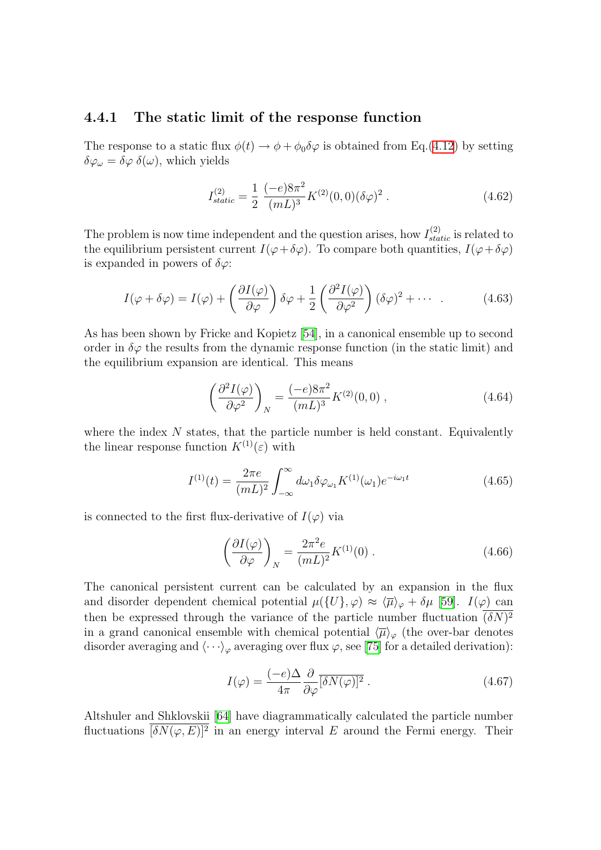### 4.4.1 The static limit of the response function

The response to a static flux  $\phi(t) \rightarrow \phi + \phi_0 \delta \varphi$  is obtained from Eq.([4.12\)](#page-81-1) by setting  $\delta\varphi_\omega = \delta\varphi \; \delta(\omega)$ , which yields

$$
I_{static}^{(2)} = \frac{1}{2} \frac{(-e)8\pi^2}{(mL)^3} K^{(2)}(0,0) (\delta\varphi)^2.
$$
 (4.62)

The problem is now time independent and the question arises, how  $I_{static}^{(2)}$  is related to the equilibrium persistent current  $I(\varphi + \delta \varphi)$ . To compare both quantities,  $I(\varphi + \delta \varphi)$ is expanded in powers of  $\delta\varphi$ :

$$
I(\varphi + \delta\varphi) = I(\varphi) + \left(\frac{\partial I(\varphi)}{\partial \varphi}\right) \delta\varphi + \frac{1}{2} \left(\frac{\partial^2 I(\varphi)}{\partial \varphi^2}\right) (\delta\varphi)^2 + \cdots \tag{4.63}
$$

As has been shown by Fricke and Kopietz [\[54](#page-136-2)], in a canonical ensemble up to second order in  $\delta\varphi$  the results from the dynamic response function (in the static limit) and the equilibrium expansion are identical. This means

<span id="page-93-1"></span>
$$
\left(\frac{\partial^2 I(\varphi)}{\partial \varphi^2}\right)_N = \frac{(-e)8\pi^2}{(mL)^3} K^{(2)}(0,0) ,\qquad (4.64)
$$

where the index  $N$  states, that the particle number is held constant. Equivalently the linear response function  $K^{(1)}(\varepsilon)$  with

$$
I^{(1)}(t) = \frac{2\pi e}{(mL)^2} \int_{-\infty}^{\infty} d\omega_1 \delta \varphi_{\omega_1} K^{(1)}(\omega_1) e^{-i\omega_1 t}
$$
 (4.65)

is connected to the first flux-derivative of  $I(\varphi)$  via

<span id="page-93-3"></span><span id="page-93-2"></span>
$$
\left(\frac{\partial I(\varphi)}{\partial \varphi}\right)_N = \frac{2\pi^2 e}{(mL)^2} K^{(1)}(0) \ . \tag{4.66}
$$

The canonical persistent current can be calculated by an expansion in the flux and disorder dependent chemical potential  $\mu({U}, \varphi) \approx \langle \overline{\mu} \rangle_{\varphi} + \delta \mu$  [\[59\]](#page-136-5).  $I(\varphi)$  can then be expressed through the variance of the particle number fluctuation  $(\delta N)^2$ in a grand canonical ensemble with chemical potential  $\langle \overline{\mu} \rangle_{\varphi}$  (the over-bar denotes disorderaveraging and  $\langle \cdots \rangle_{\varphi}$  averaging over flux  $\varphi$ , see [[75](#page-137-0)] for a detailed derivation):

<span id="page-93-0"></span>
$$
I(\varphi) = \frac{(-e)\Delta}{4\pi} \frac{\partial}{\partial \varphi} \overline{[\delta N(\varphi)]^2} . \tag{4.67}
$$

Altshuler and Shklovskii[[64\]](#page-136-11) have diagrammatically calculated the particle number fluctuations  $[\delta N(\varphi, E)]^2$  in an energy interval E around the Fermi energy. Their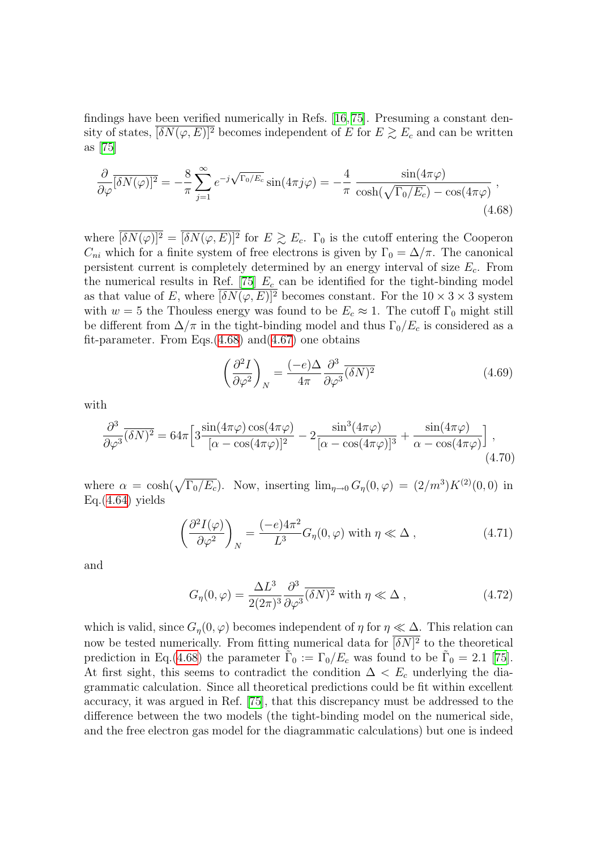findings have been verified numerically in Refs.[[16](#page-134-5), [75\]](#page-137-0). Presuming a constant density of states,  $[\delta N(\varphi, E)]^2$  becomes independent of E for  $E \gtrsim E_c$  and can be written as[[75\]](#page-137-0)

$$
\frac{\partial}{\partial \varphi} \overline{[\delta N(\varphi)]^2} = -\frac{8}{\pi} \sum_{j=1}^{\infty} e^{-j\sqrt{\Gamma_0/E_c}} \sin(4\pi j\varphi) = -\frac{4}{\pi} \frac{\sin(4\pi\varphi)}{\cosh(\sqrt{\Gamma_0/E_c}) - \cos(4\pi\varphi)},
$$
\n(4.68)

where  $\overline{\delta N(\varphi)}^2 = \overline{\delta N(\varphi, E)^2}$  for  $E \gtrsim E_c$ .  $\Gamma_0$  is the cutoff entering the Cooperon  $C_{ni}$  which for a finite system of free electrons is given by  $\Gamma_0 = \Delta/\pi$ . The canonical persistent current is completely determined by an energy interval of size  $E_c$ . From the numerical results in Ref. [\[75](#page-137-0)]  $E_c$  can be identified for the tight-binding model as that value of E, where  $\overline{[\delta N(\varphi, E)]^2}$  becomes constant. For the  $10 \times 3 \times 3$  system with  $w = 5$  the Thouless energy was found to be  $E_c \approx 1$ . The cutoff  $\Gamma_0$  might still be different from  $\Delta/\pi$  in the tight-binding model and thus  $\Gamma_0/E_c$  is considered as a fit-parameter. From Eqs. $(4.68)$  and $(4.67)$  $(4.67)$  one obtains

<span id="page-94-0"></span>
$$
\left(\frac{\partial^2 I}{\partial \varphi^2}\right)_N = \frac{(-e)\Delta}{4\pi} \frac{\partial^3}{\partial \varphi^3} \overline{(\delta N)^2} \tag{4.69}
$$

with

$$
\frac{\partial^3}{\partial \varphi^3} \overline{(\delta N)^2} = 64\pi \left[ 3 \frac{\sin(4\pi\varphi)\cos(4\pi\varphi)}{[\alpha - \cos(4\pi\varphi)]^2} - 2 \frac{\sin^3(4\pi\varphi)}{[\alpha - \cos(4\pi\varphi)]^3} + \frac{\sin(4\pi\varphi)}{\alpha - \cos(4\pi\varphi)} \right],
$$
\n(4.70)

where  $\alpha = \cosh(\sqrt{\Gamma_0/E_c})$ . Now, inserting  $\lim_{\eta \to 0} G_{\eta}(0, \varphi) = (2/m^3)K^{(2)}(0, 0)$  in  $Eq.(4.64)$  $Eq.(4.64)$  $Eq.(4.64)$  yields

$$
\left(\frac{\partial^2 I(\varphi)}{\partial \varphi^2}\right)_N = \frac{(-e)4\pi^2}{L^3} G_\eta(0,\varphi) \text{ with } \eta \ll \Delta ,\qquad (4.71)
$$

and

<span id="page-94-1"></span>
$$
G_{\eta}(0,\varphi) = \frac{\Delta L^3}{2(2\pi)^3} \frac{\partial^3}{\partial \varphi^3} \overline{(\delta N)^2} \text{ with } \eta \ll \Delta ,
$$
 (4.72)

which is valid, since  $G_n(0, \varphi)$  becomes independent of  $\eta$  for  $\eta \ll \Delta$ . This relation can now be tested numerically. From fitting numerical data for  $[\delta N]^2$  to the theoretical prediction in Eq.[\(4.68](#page-94-0)) the parameter  $\tilde{\Gamma}_0 := \Gamma_0/E_c$  was found to be  $\tilde{\Gamma}_0 = 2.1$  [\[75](#page-137-0)]. At first sight, this seems to contradict the condition  $\Delta < E_c$  underlying the diagrammatic calculation. Since all theoretical predictions could be fit within excellent accuracy, it was argued in Ref. [\[75\]](#page-137-0), that this discrepancy must be addressed to the difference between the two models (the tight-binding model on the numerical side, and the free electron gas model for the diagrammatic calculations) but one is indeed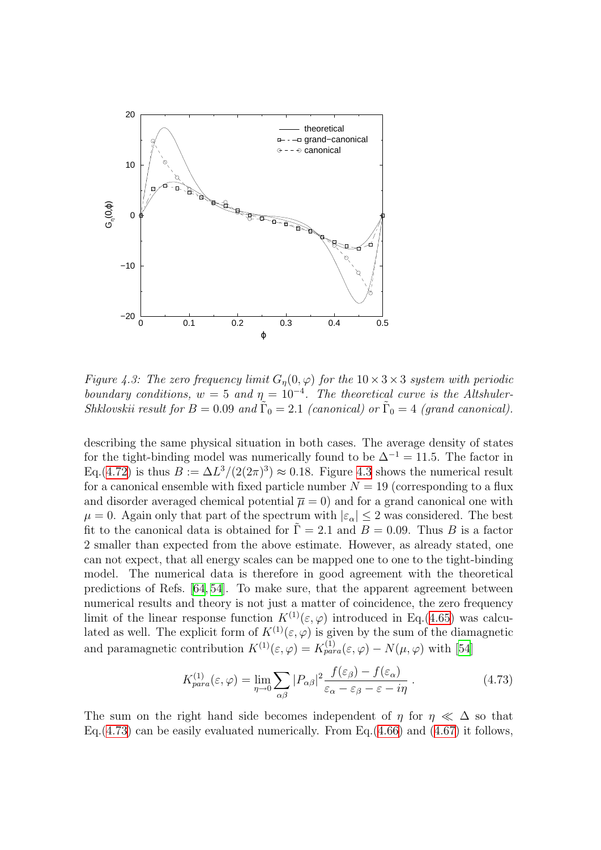

<span id="page-95-0"></span>Figure 4.3: The zero frequency limit  $G_{\eta}(0, \varphi)$  for the  $10 \times 3 \times 3$  system with periodic boundary conditions,  $w = 5$  and  $\eta = 10^{-4}$ . The theoretical curve is the Altshuler-Shklovskii result for  $B = 0.09$  and  $\tilde{\Gamma}_0 = 2.1$  (canonical) or  $\tilde{\Gamma}_0 = 4$  (grand canonical).

describing the same physical situation in both cases. The average density of states for the tight-binding model was numerically found to be  $\Delta^{-1} = 11.5$ . The factor in Eq.[\(4.72](#page-94-1)) is thus  $B := \Delta L^3/(2(2\pi)^3) \approx 0.18$ . Figure [4.3](#page-95-0) shows the numerical result for a canonical ensemble with fixed particle number  $N = 19$  (corresponding to a flux and disorder averaged chemical potential  $\bar{\mu} = 0$  and for a grand canonical one with  $\mu = 0$ . Again only that part of the spectrum with  $|\varepsilon_{\alpha}| \leq 2$  was considered. The best fit to the canonical data is obtained for  $\Gamma = 2.1$  and  $B = 0.09$ . Thus B is a factor 2 smaller than expected from the above estimate. However, as already stated, one can not expect, that all energy scales can be mapped one to one to the tight-binding model. The numerical data is therefore in good agreement with the theoretical predictions of Refs.[[64](#page-136-11), [54](#page-136-2)]. To make sure, that the apparent agreement between numerical results and theory is not just a matter of coincidence, the zero frequency limit of the linear response function  $K^{(1)}(\varepsilon,\varphi)$  introduced in Eq.[\(4.65](#page-93-2)) was calculated as well. The explicit form of  $K^{(1)}(\varepsilon, \varphi)$  is given by the sum of the diamagnetic and paramagnetic contribution  $K^{(1)}(\varepsilon,\varphi) = K^{(1)}_{para}(\varepsilon,\varphi) - N(\mu,\varphi)$  with [\[54](#page-136-2)]

<span id="page-95-1"></span>
$$
K_{para}^{(1)}(\varepsilon, \varphi) = \lim_{\eta \to 0} \sum_{\alpha \beta} |P_{\alpha \beta}|^2 \frac{f(\varepsilon_{\beta}) - f(\varepsilon_{\alpha})}{\varepsilon_{\alpha} - \varepsilon_{\beta} - \varepsilon - i\eta} \,. \tag{4.73}
$$

The sum on the right hand side becomes independent of  $\eta$  for  $\eta \ll \Delta$  so that Eq.  $(4.73)$  $(4.73)$  can be easily evaluated numerically. From Eq.  $(4.66)$  $(4.66)$  and  $(4.67)$  it follows,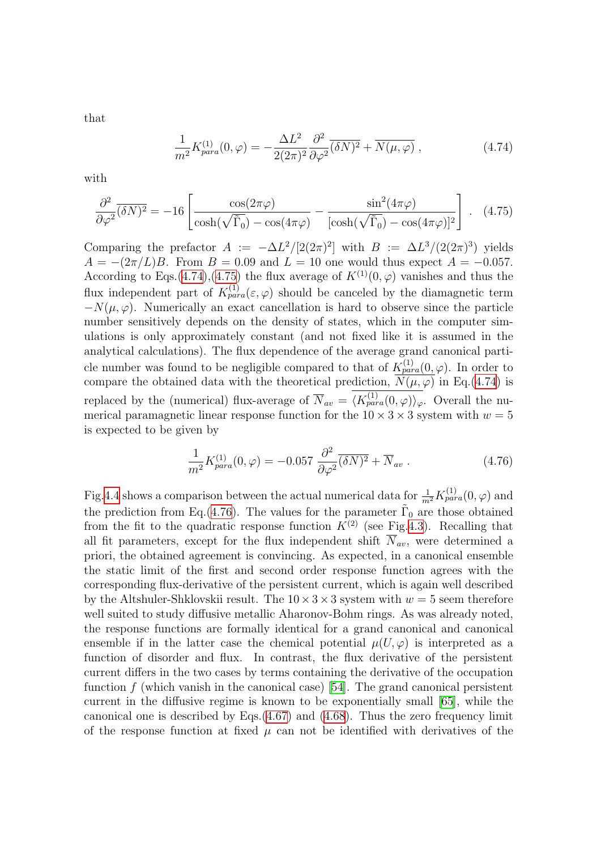that

<span id="page-96-1"></span><span id="page-96-0"></span>
$$
\frac{1}{m^2} K_{para}^{(1)}(0,\varphi) = -\frac{\Delta L^2}{2(2\pi)^2} \frac{\partial^2}{\partial \varphi^2} (\delta N)^2 + \overline{N(\mu,\varphi)} \,, \tag{4.74}
$$

with

$$
\frac{\partial^2}{\partial \varphi^2} \overline{(\delta N)^2} = -16 \left[ \frac{\cos(2\pi\varphi)}{\cosh(\sqrt{\tilde{\Gamma}_0}) - \cos(4\pi\varphi)} - \frac{\sin^2(4\pi\varphi)}{[\cosh(\sqrt{\tilde{\Gamma}_0}) - \cos(4\pi\varphi)]^2} \right].
$$
 (4.75)

Comparing the prefactor  $A := -\Delta L^2/[2(2\pi)^2]$  with  $B := \Delta L^3/(2(2\pi)^3)$  yields  $A = -(2\pi/L)B$ . From  $B = 0.09$  and  $L = 10$  one would thus expect  $A = -0.057$ . According to Eqs.[\(4.74](#page-96-0)),([4.75](#page-96-1)) the flux average of  $K^{(1)}(0, \varphi)$  vanishes and thus the flux independent part of  $K_{para}^{(1)}(\varepsilon,\varphi)$  should be canceled by the diamagnetic term  $-N(\mu, \varphi)$ . Numerically an exact cancellation is hard to observe since the particle number sensitively depends on the density of states, which in the computer simulations is only approximately constant (and not fixed like it is assumed in the analytical calculations). The flux dependence of the average grand canonical particle number was found to be negligible compared to that of  $K_{para}^{(1)}(0, \varphi)$ . In order to compare the obtained data with the theoretical prediction,  $\overline{N(\mu, \varphi)}$  in Eq.[\(4.74\)](#page-96-0) is replaced by the (numerical) flux-average of  $\overline{N}_{av} = \langle K_{para}^{(1)}(0,\varphi) \rangle_{\varphi}$ . Overall the numerical paramagnetic linear response function for the  $10 \times 3 \times 3$  system with  $w = 5$ is expected to be given by

<span id="page-96-2"></span>
$$
\frac{1}{m^2} K_{para}^{(1)}(0, \varphi) = -0.057 \frac{\partial^2}{\partial \varphi^2} (\delta N)^2 + \overline{N}_{av} . \qquad (4.76)
$$

Fig[.4.4](#page-97-0) shows a comparison between the actual numerical data for  $\frac{1}{m^2} K_{para}^{(1)}(0, \varphi)$  and the prediction from Eq.[\(4.76\)](#page-96-2). The values for the parameter  $\tilde{\Gamma}_0$  are those obtained from the fit to the quadratic response function  $K^{(2)}$  (see Fig.[4.3\)](#page-95-0). Recalling that all fit parameters, except for the flux independent shift  $\overline{N}_{av}$ , were determined a priori, the obtained agreement is convincing. As expected, in a canonical ensemble the static limit of the first and second order response function agrees with the corresponding flux-derivative of the persistent current, which is again well described by the Altshuler-Shklovskii result. The  $10 \times 3 \times 3$  system with  $w = 5$  seem therefore well suited to study diffusive metallic Aharonov-Bohm rings. As was already noted, the response functions are formally identical for a grand canonical and canonical ensemble if in the latter case the chemical potential  $\mu(U, \varphi)$  is interpreted as a function of disorder and flux. In contrast, the flux derivative of the persistent current differs in the two cases by terms containing the derivative of the occupation function  $f$  (which vanish in the canonical case) [\[54](#page-136-2)]. The grand canonical persistent current in the diffusive regime is known to be exponentially small [\[65](#page-136-12)], while the canonical one is described by Eqs. $(4.67)$  $(4.67)$  and  $(4.68)$ . Thus the zero frequency limit of the response function at fixed  $\mu$  can not be identified with derivatives of the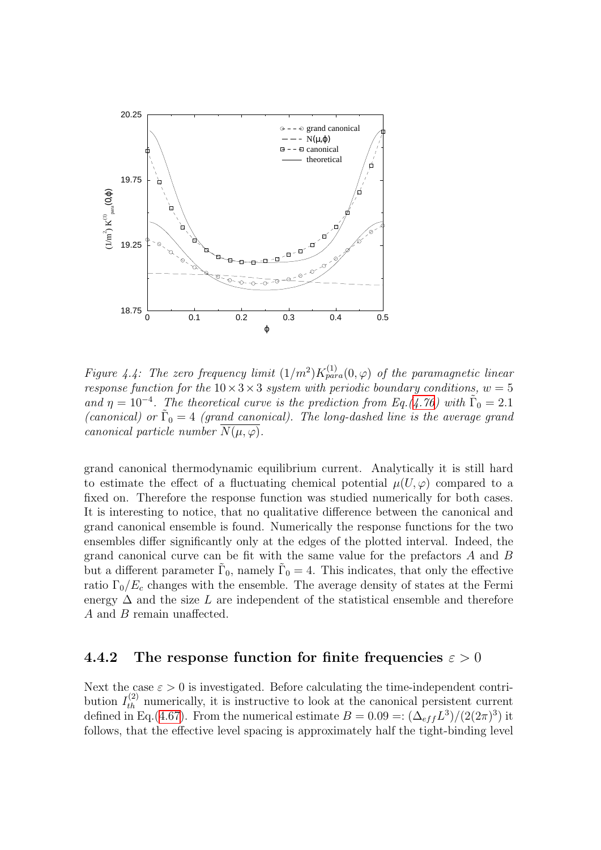

<span id="page-97-0"></span>Figure 4.4: The zero frequency limit  $(1/m^2)K_{para}^{(1)}(0,\varphi)$  of the paramagnetic linear response function for the  $10 \times 3 \times 3$  system with periodic boundary conditions,  $w = 5$ and  $\eta = 10^{-4}$ . The theoretical curve is the prediction from Eq.[\(4.76\)](#page-96-2) with  $\tilde{\Gamma}_0 = 2.1$ (canonical) or  $\tilde{\Gamma}_0 = 4$  (grand canonical). The long-dashed line is the average grand canonical particle number  $\overline{N(\mu,\varphi)}$ .

grand canonical thermodynamic equilibrium current. Analytically it is still hard to estimate the effect of a fluctuating chemical potential  $\mu(U, \varphi)$  compared to a fixed on. Therefore the response function was studied numerically for both cases. It is interesting to notice, that no qualitative difference between the canonical and grand canonical ensemble is found. Numerically the response functions for the two ensembles differ significantly only at the edges of the plotted interval. Indeed, the grand canonical curve can be fit with the same value for the prefactors A and B but a different parameter  $\tilde{\Gamma}_0$ , namely  $\tilde{\Gamma}_0 = 4$ . This indicates, that only the effective ratio  $\Gamma_0/E_c$  changes with the ensemble. The average density of states at the Fermi energy  $\Delta$  and the size L are independent of the statistical ensemble and therefore A and B remain unaffected.

### 4.4.2 The response function for finite frequencies  $\varepsilon > 0$

Next the case  $\varepsilon > 0$  is investigated. Before calculating the time-independent contribution  $I_{th}^{(2)}$  numerically, it is instructive to look at the canonical persistent current defined in Eq.([4.67](#page-93-0)). From the numerical estimate  $B = 0.09 =: (\Delta_{eff} L^3)/(2(2\pi)^3)$  it follows, that the effective level spacing is approximately half the tight-binding level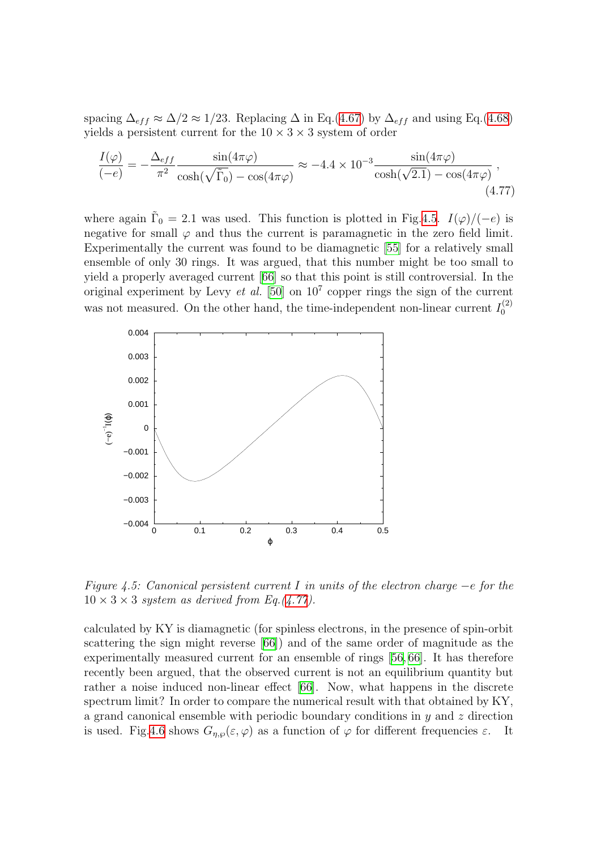spacing  $\Delta_{eff} \approx \Delta/2 \approx 1/23$ . Replacing  $\Delta$  in Eq.[\(4.67\)](#page-93-0) by  $\Delta_{eff}$  and using Eq.[\(4.68](#page-94-0)) yields a persistent current for the  $10 \times 3 \times 3$  system of order

<span id="page-98-1"></span>
$$
\frac{I(\varphi)}{(-e)} = -\frac{\Delta_{eff}}{\pi^2} \frac{\sin(4\pi\varphi)}{\cosh(\sqrt{\tilde{\Gamma}_0}) - \cos(4\pi\varphi)} \approx -4.4 \times 10^{-3} \frac{\sin(4\pi\varphi)}{\cosh(\sqrt{2.1}) - \cos(4\pi\varphi)},
$$
\n(4.77)

where again  $\tilde{\Gamma}_0 = 2.1$  was used. This function is plotted in Fig.[4.5.](#page-98-0)  $I(\varphi)/(-e)$  is negative for small  $\varphi$  and thus the current is paramagnetic in the zero field limit. Experimentally the current was found to be diamagnetic [\[55\]](#page-136-3) for a relatively small ensemble of only 30 rings. It was argued, that this number might be too small to yield a properly averaged current[[66](#page-136-13)] so that this point is still controversial. In the original experiment by Levy *et al.* [\[50](#page-135-4)] on  $10^7$  copper rings the sign of the current was not measured. On the other hand, the time-independent non-linear current  $I_0^{(2)}$  $\mathbf{0}$ 



<span id="page-98-0"></span>Figure 4.5: Canonical persistent current I in units of the electron charge  $-e$  for the  $10 \times 3 \times 3$  system as derived from Eq.([4.77](#page-98-1)).

calculated by KY is diamagnetic (for spinless electrons, in the presence of spin-orbit scattering the sign might reverse[[66\]](#page-136-13)) and of the same order of magnitude as the experimentally measured current for an ensemble of rings[[56](#page-136-0), [66](#page-136-13)]. It has therefore recently been argued, that the observed current is not an equilibrium quantity but rather a noise induced non-linear effect[[66](#page-136-13)]. Now, what happens in the discrete spectrum limit? In order to compare the numerical result with that obtained by KY, a grand canonical ensemble with periodic boundary conditions in  $y$  and  $z$  direction is used. Fig[.4.6](#page-99-0) shows  $G_{\eta,\varphi}(\varepsilon,\varphi)$  as a function of  $\varphi$  for different frequencies  $\varepsilon$ . It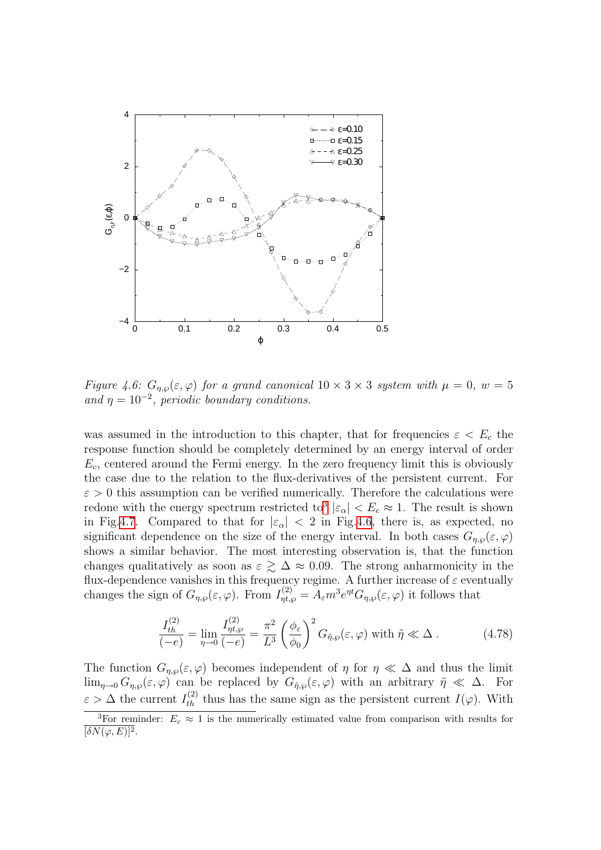

<span id="page-99-0"></span>Figure 4.6:  $G_{\eta,\wp}(\varepsilon,\varphi)$  for a grand canonical  $10 \times 3 \times 3$  system with  $\mu = 0$ ,  $w = 5$ and  $\eta = 10^{-2}$ , periodic boundary conditions.

was assumed in the introduction to this chapter, that for frequencies  $\varepsilon < E_c$  the response function should be completely determined by an energy interval of order  $E_c$ , centered around the Fermi energy. In the zero frequency limit this is obviously the case due to the relation to the flux-derivatives of the persistent current. For  $\varepsilon > 0$  this assumption can be verified numerically. Therefore the calculations were redone with the energy spectrum restricted to<sup>[3](#page-99-1)</sup>  $|\varepsilon_{\alpha}| < E_c \approx 1$ . The result is shown in Fig.[4.7.](#page-100-0) Compared to that for  $|\varepsilon_{\alpha}| < 2$  in Fig[.4.6](#page-99-0), there is, as expected, no significant dependence on the size of the energy interval. In both cases  $G_{n,\varphi}(\varepsilon,\varphi)$ shows a similar behavior. The most interesting observation is, that the function changes qualitatively as soon as  $\varepsilon \gtrsim \Delta \approx 0.09$ . The strong anharmonicity in the flux-dependence vanishes in this frequency regime. A further increase of  $\varepsilon$  eventually changes the sign of  $G_{\eta,\wp}(\varepsilon,\varphi)$ . From  $I_{\eta t,\varphi}^{(2)} = A_{\varepsilon} m^3 e^{\eta t} G_{\eta,\varphi}(\varepsilon,\varphi)$  it follows that

$$
\frac{I_{th}^{(2)}}{(-e)} = \lim_{\eta \to 0} \frac{I_{\eta t, \varphi}^{(2)}}{(-e)} = \frac{\pi^2}{L^3} \left(\frac{\phi_{\varepsilon}}{\phi_0}\right)^2 G_{\tilde{\eta}, \varphi}(\varepsilon, \varphi) \text{ with } \tilde{\eta} \ll \Delta . \tag{4.78}
$$

The function  $G_{\eta,\varphi}(\varepsilon,\varphi)$  becomes independent of  $\eta$  for  $\eta \ll \Delta$  and thus the limit  $\lim_{\eta\to 0} G_{\eta,\varphi}(\varepsilon,\varphi)$  can be replaced by  $G_{\tilde{\eta},\varphi}(\varepsilon,\varphi)$  with an arbitrary  $\tilde{\eta} \ll \Delta$ . For  $\varepsilon > \Delta$  the current  $I_{th}^{(2)}$  thus has the same sign as the persistent current  $I(\varphi)$ . With

<span id="page-99-1"></span><sup>&</sup>lt;sup>3</sup>For reminder:  $E_c \approx 1$  is the numerically estimated value from comparison with results for  $\overline{[\delta N(\varphi,E)]^2}.$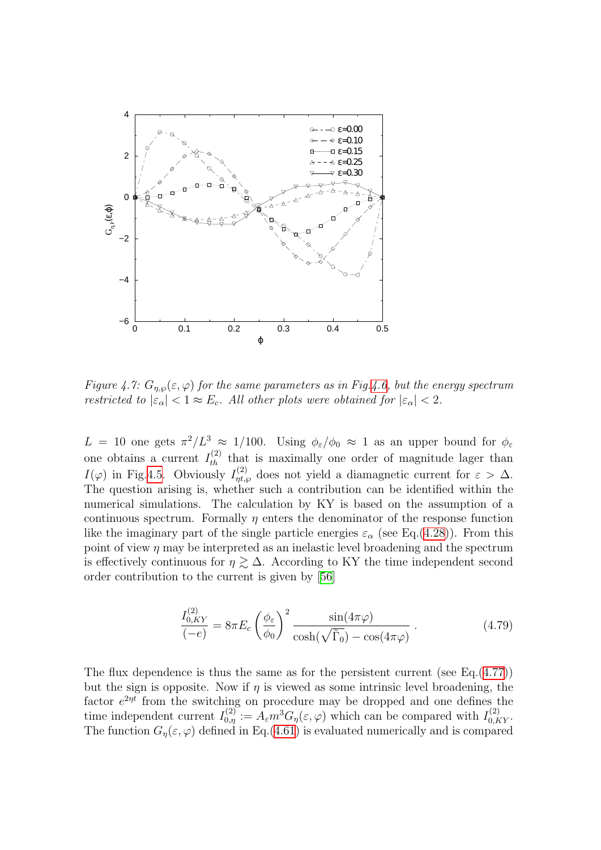

<span id="page-100-0"></span>Figure 4.7:  $G_{\eta,\wp}(\varepsilon,\varphi)$  for the same parameters as in Fig.[4.6](#page-99-0), but the energy spectrum restricted to  $|\varepsilon_{\alpha}| < 1 \approx E_c$ . All other plots were obtained for  $|\varepsilon_{\alpha}| < 2$ .

 $L = 10$  one gets  $\pi^2/L^3 \approx 1/100$ . Using  $\phi_{\varepsilon}/\phi_0 \approx 1$  as an upper bound for  $\phi_{\varepsilon}$ one obtains a current  $I_{th}^{(2)}$  that is maximally one order of magnitude lager than  $I(\varphi)$  in Fig.[4.5.](#page-98-0) Obviously  $I_{\eta t,\varphi}^{(2)}$  does not yield a diamagnetic current for  $\varepsilon > \Delta$ . The question arising is, whether such a contribution can be identified within the numerical simulations. The calculation by KY is based on the assumption of a continuous spectrum. Formally  $\eta$  enters the denominator of the response function like the imaginary part of the single particle energies  $\varepsilon_{\alpha}$  (see Eq.[\(4.28\)](#page-84-0)). From this point of view  $\eta$  may be interpreted as an inelastic level broadening and the spectrum is effectively continuous for  $\eta \gtrsim \Delta$ . According to KY the time independent second order contribution to the current is given by[[56](#page-136-0)]

<span id="page-100-1"></span>
$$
\frac{I_{0,KY}^{(2)}}{(-e)} = 8\pi E_c \left(\frac{\phi_\varepsilon}{\phi_0}\right)^2 \frac{\sin(4\pi\varphi)}{\cosh(\sqrt{\tilde{\Gamma}_0}) - \cos(4\pi\varphi)}.
$$
(4.79)

The flux dependence is thus the same as for the persistent current (see Eq.  $(4.77)$  $(4.77)$  $(4.77)$ ) but the sign is opposite. Now if  $\eta$  is viewed as some intrinsic level broadening, the factor  $e^{2\eta t}$  from the switching on procedure may be dropped and one defines the time independent current  $I_{0,\eta}^{(2)} := A_{\varepsilon} m^3 G_{\eta}(\varepsilon,\varphi)$  which can be compared with  $I_{0,KY}^{(2)}$ . The function  $G_n(\varepsilon, \varphi)$  defined in Eq.([4.61\)](#page-91-0) is evaluated numerically and is compared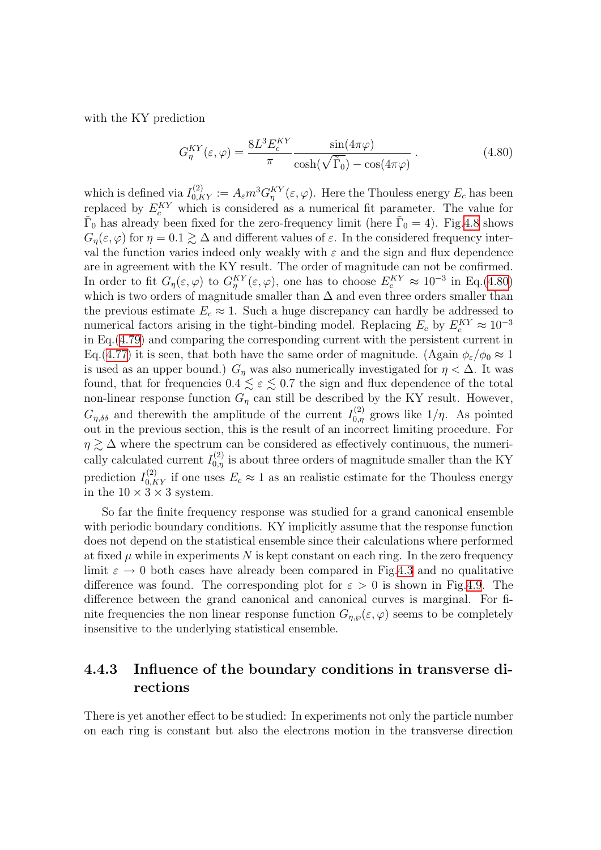with the KY prediction

<span id="page-101-0"></span>
$$
G_{\eta}^{KY}(\varepsilon,\varphi) = \frac{8L^3 E_c^{KY}}{\pi} \frac{\sin(4\pi\varphi)}{\cosh(\sqrt{\tilde{\Gamma}_0}) - \cos(4\pi\varphi)}.
$$
 (4.80)

which is defined via  $I_{0,KY}^{(2)} := A_{\varepsilon} m^3 G_{\eta}^{KY}(\varepsilon, \varphi)$ . Here the Thouless energy  $E_c$  has been replaced by  $E_c^{KY}$  which is considered as a numerical fit parameter. The value for  $\tilde{\Gamma}_0$  has already been fixed for the zero-frequency limit (here  $\tilde{\Gamma}_0 = 4$ ). Fig.[4.8](#page-102-0) shows  $G_n(\varepsilon, \varphi)$  for  $\eta = 0.1 \gtrsim \Delta$  and different values of  $\varepsilon$ . In the considered frequency interval the function varies indeed only weakly with  $\varepsilon$  and the sign and flux dependence are in agreement with the KY result. The order of magnitude can not be confirmed. In order to fit  $G_\eta(\varepsilon,\varphi)$  to  $G_\eta^{KY}(\varepsilon,\varphi)$ , one has to choose  $E_c^{KY} \approx 10^{-3}$  in Eq.[\(4.80\)](#page-101-0) which is two orders of magnitude smaller than  $\Delta$  and even three orders smaller than the previous estimate  $E_c \approx 1$ . Such a huge discrepancy can hardly be addressed to numerical factors arising in the tight-binding model. Replacing  $E_c$  by  $E_c^{KY} \approx 10^{-3}$ in Eq.[\(4.79](#page-100-1)) and comparing the corresponding current with the persistent current in Eq.[\(4.77](#page-98-1)) it is seen, that both have the same order of magnitude. (Again  $\phi_{\varepsilon}/\phi_0 \approx 1$ is used as an upper bound.)  $G_n$  was also numerically investigated for  $\eta < \Delta$ . It was found, that for frequencies  $0.4 \leq \varepsilon \leq 0.7$  the sign and flux dependence of the total non-linear response function  $G_{\eta}$  can still be described by the KY result. However,  $G_{\eta,\delta\delta}$  and therewith the amplitude of the current  $I_{0,\eta}^{(2)}$  grows like  $1/\eta$ . As pointed out in the previous section, this is the result of an incorrect limiting procedure. For  $\eta \gtrsim \Delta$  where the spectrum can be considered as effectively continuous, the numerically calculated current  $I_{0,\eta}^{(2)}$  is about three orders of magnitude smaller than the KY prediction  $I_{0,KY}^{(2)}$  if one uses  $E_c \approx 1$  as an realistic estimate for the Thouless energy in the  $10 \times 3 \times 3$  system.

So far the finite frequency response was studied for a grand canonical ensemble with periodic boundary conditions. KY implicitly assume that the response function does not depend on the statistical ensemble since their calculations where performed at fixed  $\mu$  while in experiments N is kept constant on each ring. In the zero frequency limit  $\varepsilon \to 0$  both cases have already been compared in Fig[.4.3](#page-95-0) and no qualitative difference was found. The corresponding plot for  $\varepsilon > 0$  is shown in Fig[.4.9](#page-103-0). The difference between the grand canonical and canonical curves is marginal. For finite frequencies the non linear response function  $G_{n,\varphi}(\varepsilon,\varphi)$  seems to be completely insensitive to the underlying statistical ensemble.

### 4.4.3 Influence of the boundary conditions in transverse directions

There is yet another effect to be studied: In experiments not only the particle number on each ring is constant but also the electrons motion in the transverse direction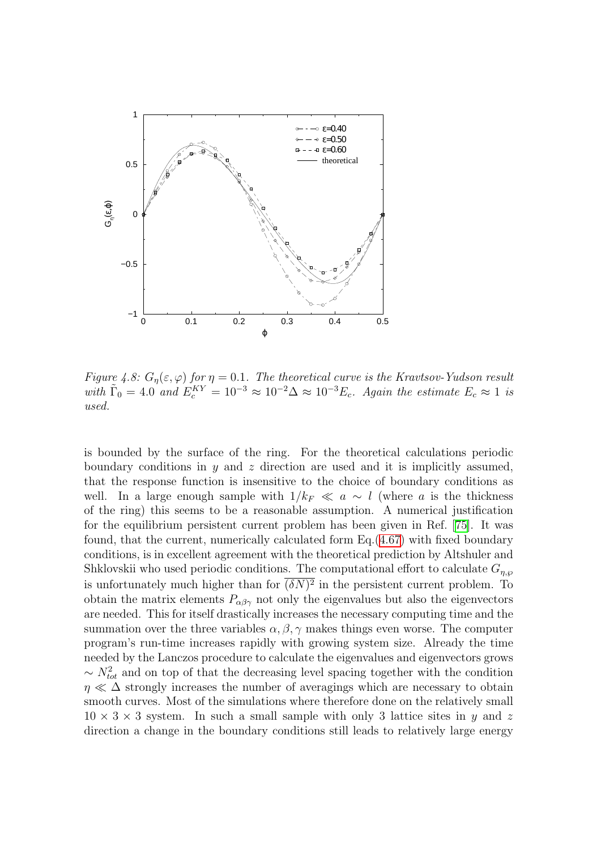

<span id="page-102-0"></span>Figure 4.8:  $G_{\eta}(\varepsilon,\varphi)$  for  $\eta=0.1$ . The theoretical curve is the Kravtsov-Yudson result with  $\tilde{\Gamma}_0 = 4.0$  and  $E_c^{KY} = 10^{-3} \approx 10^{-2} \Delta \approx 10^{-3} E_c$ . Again the estimate  $E_c \approx 1$  is used.

is bounded by the surface of the ring. For the theoretical calculations periodic boundary conditions in y and z direction are used and it is implicitly assumed, that the response function is insensitive to the choice of boundary conditions as well. In a large enough sample with  $1/k_F \ll a \sim l$  (where a is the thickness of the ring) this seems to be a reasonable assumption. A numerical justification for the equilibrium persistent current problem has been given in Ref. [\[75\]](#page-137-0). It was found, that the current, numerically calculated form Eq.([4.67\)](#page-93-0) with fixed boundary conditions, is in excellent agreement with the theoretical prediction by Altshuler and Shklovskii who used periodic conditions. The computational effort to calculate  $G_{n,\varphi}$ is unfortunately much higher than for  $(\delta N)^2$  in the persistent current problem. To obtain the matrix elements  $P_{\alpha\beta\gamma}$  not only the eigenvalues but also the eigenvectors are needed. This for itself drastically increases the necessary computing time and the summation over the three variables  $\alpha, \beta, \gamma$  makes things even worse. The computer program's run-time increases rapidly with growing system size. Already the time needed by the Lanczos procedure to calculate the eigenvalues and eigenvectors grows  $\sim N_{tot}^2$  and on top of that the decreasing level spacing together with the condition  $\eta \ll \Delta$  strongly increases the number of averagings which are necessary to obtain smooth curves. Most of the simulations where therefore done on the relatively small  $10 \times 3 \times 3$  system. In such a small sample with only 3 lattice sites in y and z direction a change in the boundary conditions still leads to relatively large energy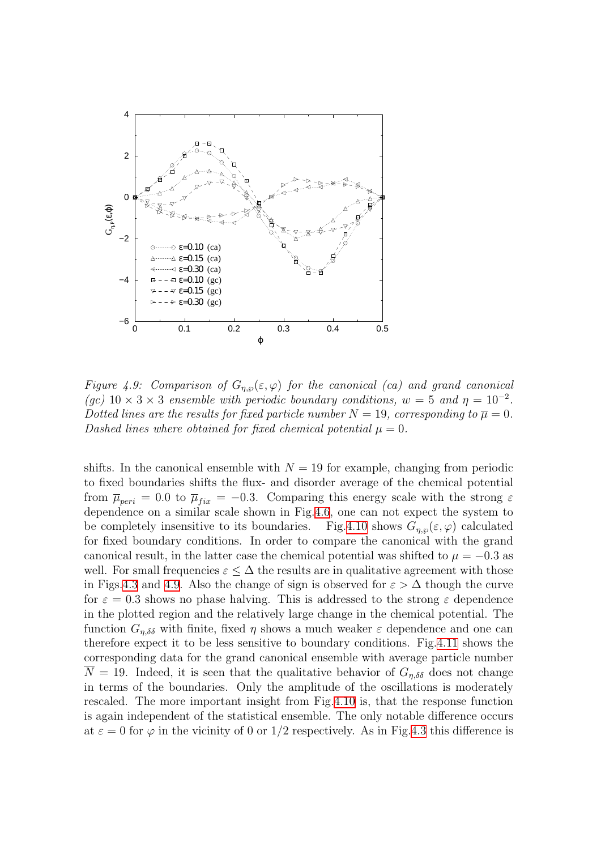

<span id="page-103-0"></span>Figure 4.9: Comparison of  $G_{\eta,\wp}(\varepsilon,\varphi)$  for the canonical (ca) and grand canonical (gc)  $10 \times 3 \times 3$  ensemble with periodic boundary conditions,  $w = 5$  and  $\eta = 10^{-2}$ . Dotted lines are the results for fixed particle number  $N = 19$ , corresponding to  $\overline{\mu} = 0$ . Dashed lines where obtained for fixed chemical potential  $\mu = 0$ .

shifts. In the canonical ensemble with  $N = 19$  for example, changing from periodic to fixed boundaries shifts the flux- and disorder average of the chemical potential from  $\bar{\mu}_{peri} = 0.0$  to  $\bar{\mu}_{fix} = -0.3$ . Comparing this energy scale with the strong  $\varepsilon$ dependence on a similar scale shown in Fig.[4.6,](#page-99-0) one can not expect the system to be completely insensitive to its boundaries. Fig[.4.10](#page-104-0) shows  $G_{n,\varphi}(\varepsilon,\varphi)$  calculated for fixed boundary conditions. In order to compare the canonical with the grand canonical result, in the latter case the chemical potential was shifted to  $\mu = -0.3$  as well. For small frequencies  $\varepsilon \leq \Delta$  the results are in qualitative agreement with those in Figs.[4.3](#page-95-0) and [4.9](#page-103-0). Also the change of sign is observed for  $\varepsilon > \Delta$  though the curve for  $\varepsilon = 0.3$  shows no phase halving. This is addressed to the strong  $\varepsilon$  dependence in the plotted region and the relatively large change in the chemical potential. The function  $G_{n,\delta\delta}$  with finite, fixed  $\eta$  shows a much weaker  $\varepsilon$  dependence and one can therefore expect it to be less sensitive to boundary conditions. Fig[.4.11](#page-105-0) shows the corresponding data for the grand canonical ensemble with average particle number  $\overline{N} = 19$ . Indeed, it is seen that the qualitative behavior of  $G_{\eta,\delta\delta}$  does not change in terms of the boundaries. Only the amplitude of the oscillations is moderately rescaled. The more important insight from Fig[.4.10](#page-104-0) is, that the response function is again independent of the statistical ensemble. The only notable difference occurs at  $\varepsilon = 0$  for  $\varphi$  in the vicinity of 0 or 1/2 respectively. As in Fig[.4.3](#page-95-0) this difference is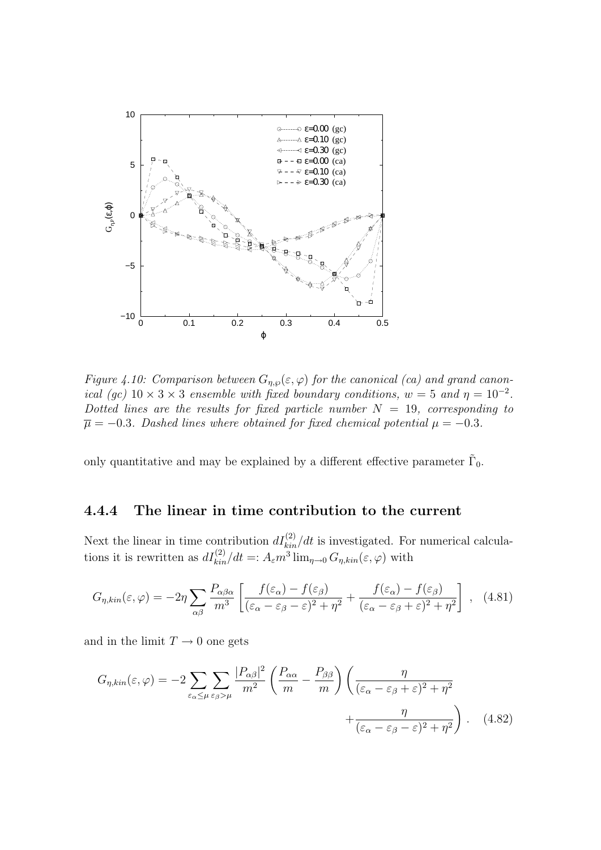

<span id="page-104-0"></span>Figure 4.10: Comparison between  $G_{n,\varphi}(\varepsilon,\varphi)$  for the canonical (ca) and grand canonical (gc)  $10 \times 3 \times 3$  ensemble with fixed boundary conditions,  $w = 5$  and  $\eta = 10^{-2}$ . Dotted lines are the results for fixed particle number  $N = 19$ , corresponding to  $\overline{\mu} = -0.3$ . Dashed lines where obtained for fixed chemical potential  $\mu = -0.3$ .

only quantitative and may be explained by a different effective parameter  $\tilde{\Gamma}_0$ .

#### 4.4.4 The linear in time contribution to the current

Next the linear in time contribution  $dI_{kin}^{(2)}/dt$  is investigated. For numerical calculations it is rewritten as  $dI_{kin}^{(2)}/dt =: A_{\varepsilon}m^3 \lim_{\eta \to 0} G_{\eta,kin}(\varepsilon,\varphi)$  with

$$
G_{\eta,kin}(\varepsilon,\varphi) = -2\eta \sum_{\alpha\beta} \frac{P_{\alpha\beta\alpha}}{m^3} \left[ \frac{f(\varepsilon_{\alpha}) - f(\varepsilon_{\beta})}{(\varepsilon_{\alpha} - \varepsilon_{\beta} - \varepsilon)^2 + \eta^2} + \frac{f(\varepsilon_{\alpha}) - f(\varepsilon_{\beta})}{(\varepsilon_{\alpha} - \varepsilon_{\beta} + \varepsilon)^2 + \eta^2} \right], \quad (4.81)
$$

and in the limit  $T \to 0$  one gets

$$
G_{\eta,kin}(\varepsilon,\varphi) = -2\sum_{\varepsilon_{\alpha}\leq\mu}\sum_{\varepsilon_{\beta}>\mu}\frac{|P_{\alpha\beta}|^2}{m^2}\left(\frac{P_{\alpha\alpha}}{m}-\frac{P_{\beta\beta}}{m}\right)\left(\frac{\eta}{(\varepsilon_{\alpha}-\varepsilon_{\beta}+\varepsilon)^2+\eta^2}+\frac{\eta}{(\varepsilon_{\alpha}-\varepsilon_{\beta}-\varepsilon)^2+\eta^2}\right). \tag{4.82}
$$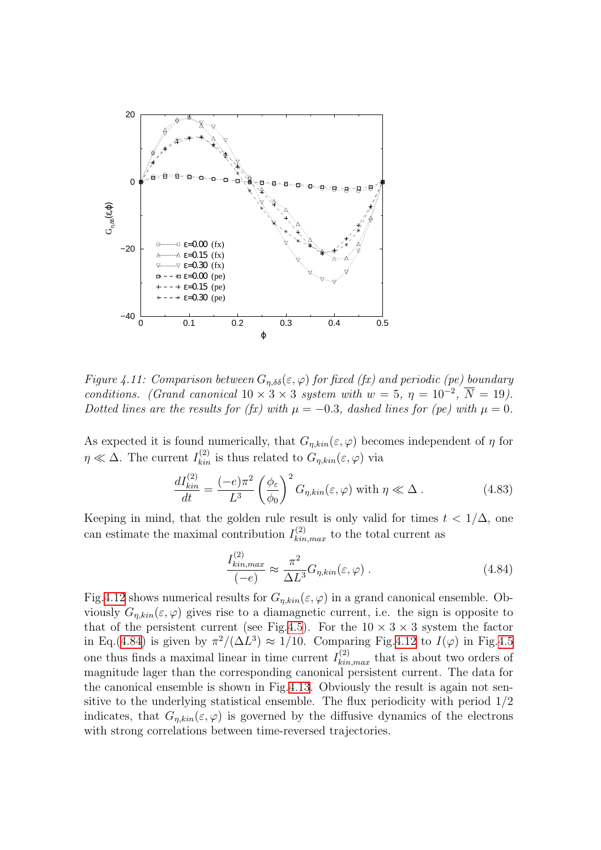

<span id="page-105-0"></span>Figure 4.11: Comparison between  $G_{n,\delta\delta}(\varepsilon,\varphi)$  for fixed (fx) and periodic (pe) boundary conditions. (Grand canonical  $10 \times 3 \times 3$  system with  $w = 5$ ,  $\eta = 10^{-2}$ ,  $\overline{N} = 19$ ). Dotted lines are the results for (fx) with  $\mu = -0.3$ , dashed lines for (pe) with  $\mu = 0$ .

As expected it is found numerically, that  $G_{\eta,kin}(\varepsilon,\varphi)$  becomes independent of  $\eta$  for  $\eta \ll \Delta$ . The current  $I_{kin}^{(2)}$  is thus related to  $G_{\eta,kin}(\varepsilon,\varphi)$  via

$$
\frac{dI_{kin}^{(2)}}{dt} = \frac{(-e)\pi^2}{L^3} \left(\frac{\phi_{\varepsilon}}{\phi_0}\right)^2 G_{\eta,kin}(\varepsilon,\varphi) \text{ with } \eta \ll \Delta. \tag{4.83}
$$

Keeping in mind, that the golden rule result is only valid for times  $t < 1/\Delta$ , one can estimate the maximal contribution  $I_{kin,max}^{(2)}$  to the total current as

<span id="page-105-1"></span>
$$
\frac{I_{kin,max}^{(2)}}{(-e)} \approx \frac{\pi^2}{\Delta L^3} G_{\eta, kin}(\varepsilon, \varphi) . \tag{4.84}
$$

Fig[.4.12](#page-106-0) shows numerical results for  $G_{n,kin}(\varepsilon,\varphi)$  in a grand canonical ensemble. Obviously  $G_{n,kin}(\varepsilon,\varphi)$  gives rise to a diamagnetic current, i.e. the sign is opposite to that of the persistent current (see Fig.[4.5\)](#page-98-0). For the  $10 \times 3 \times 3$  system the factor in Eq.([4.84](#page-105-1)) is given by  $\pi^2/(\Delta L^3) \approx 1/10$ . Comparing Fig.[4.12](#page-106-0) to  $I(\varphi)$  in Fig.[4.5](#page-98-0) one thus finds a maximal linear in time current  $I_{kin,max}^{(2)}$  that is about two orders of magnitude lager than the corresponding canonical persistent current. The data for the canonical ensemble is shown in Fig[.4.13](#page-107-0). Obviously the result is again not sensitive to the underlying statistical ensemble. The flux periodicity with period 1/2 indicates, that  $G_{\eta,kin}(\varepsilon,\varphi)$  is governed by the diffusive dynamics of the electrons with strong correlations between time-reversed trajectories.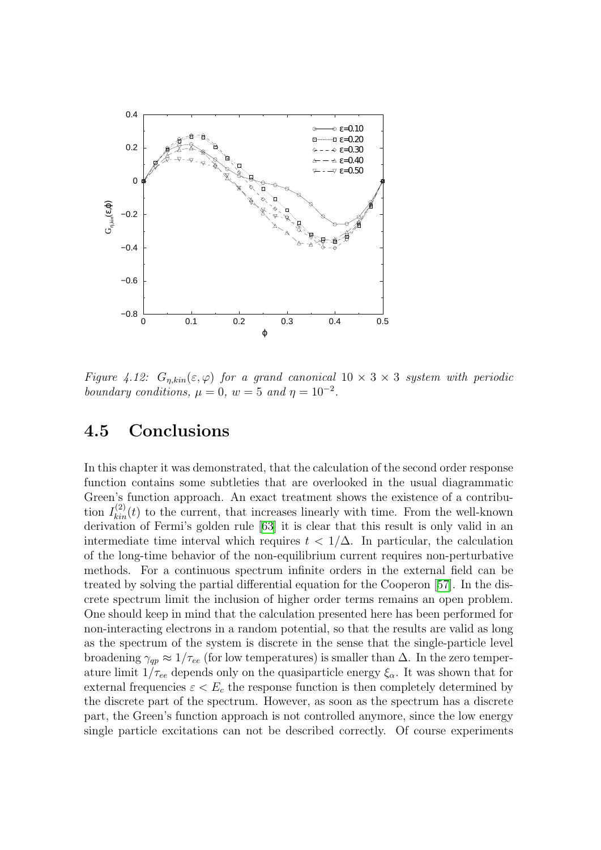

<span id="page-106-0"></span>Figure 4.12:  $G_{n,kin}(\varepsilon,\varphi)$  for a grand canonical  $10 \times 3 \times 3$  system with periodic boundary conditions,  $\mu = 0$ ,  $w = 5$  and  $\eta = 10^{-2}$ .

## 4.5 Conclusions

In this chapter it was demonstrated, that the calculation of the second order response function contains some subtleties that are overlooked in the usual diagrammatic Green's function approach. An exact treatment shows the existence of a contribution  $I_{kin}^{(2)}(t)$  to the current, that increases linearly with time. From the well-known derivation of Fermi's golden rule [\[63](#page-136-9)] it is clear that this result is only valid in an intermediate time interval which requires  $t < 1/\Delta$ . In particular, the calculation of the long-time behavior of the non-equilibrium current requires non-perturbative methods. For a continuous spectrum infinite orders in the external field can be treated by solving the partial differential equation for the Cooperon [\[57\]](#page-136-1). In the discrete spectrum limit the inclusion of higher order terms remains an open problem. One should keep in mind that the calculation presented here has been performed for non-interacting electrons in a random potential, so that the results are valid as long as the spectrum of the system is discrete in the sense that the single-particle level broadening  $\gamma_{qp} \approx 1/\tau_{ee}$  (for low temperatures) is smaller than  $\Delta$ . In the zero temperature limit  $1/\tau_{ee}$  depends only on the quasiparticle energy  $\xi_{\alpha}$ . It was shown that for external frequencies  $\varepsilon < E_c$  the response function is then completely determined by the discrete part of the spectrum. However, as soon as the spectrum has a discrete part, the Green's function approach is not controlled anymore, since the low energy single particle excitations can not be described correctly. Of course experiments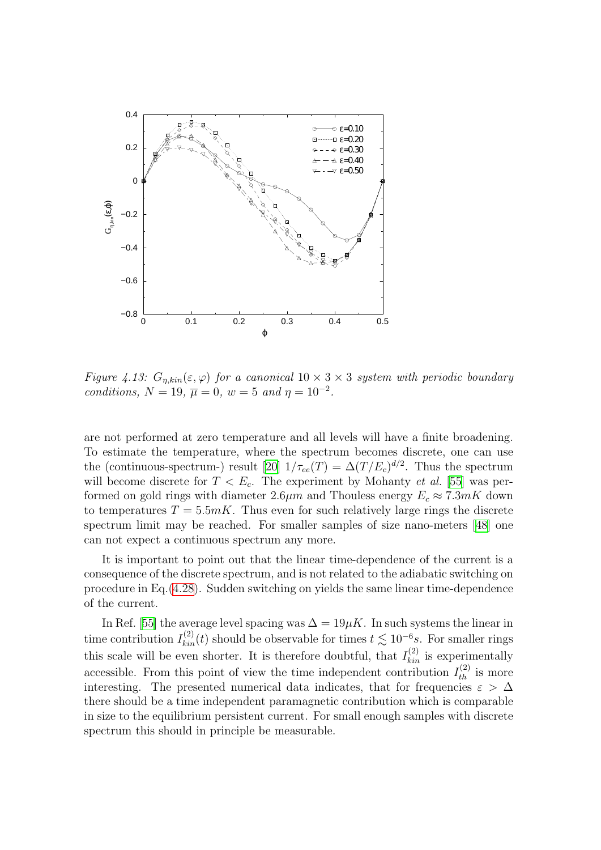

<span id="page-107-0"></span>Figure 4.13:  $G_{n,kin}(\varepsilon,\varphi)$  for a canonical  $10 \times 3 \times 3$  system with periodic boundary conditions,  $N = 19$ ,  $\overline{\mu} = 0$ ,  $w = 5$  and  $\eta = 10^{-2}$ .

are not performed at zero temperature and all levels will have a finite broadening. To estimate the temperature, where the spectrum becomes discrete, one can use the (continuous-spectrum-) result [\[20\]](#page-134-4)  $1/\tau_{ee}(T) = \Delta(T/E_c)^{d/2}$ . Thus the spectrum will become discrete for  $T < E_c$ . The experiment by Mohanty *et al.* [[55](#page-136-3)] was performed on gold rings with diameter 2.6 $\mu$ m and Thouless energy  $E_c \approx 7.3 mK$  down to temperatures  $T = 5.5mK$ . Thus even for such relatively large rings the discrete spectrum limit may be reached. For smaller samples of size nano-meters [\[48](#page-135-5)] one can not expect a continuous spectrum any more.

It is important to point out that the linear time-dependence of the current is a consequence of the discrete spectrum, and is not related to the adiabatic switching on procedure in Eq.[\(4.28](#page-84-0)). Sudden switching on yields the same linear time-dependence of the current.

InRef. [[55](#page-136-3)] the average level spacing was  $\Delta = 19 \mu K$ . In such systems the linear in time contribution  $I_{kin}^{(2)}(t)$  should be observable for times  $t \lesssim 10^{-6}s$ . For smaller rings this scale will be even shorter. It is therefore doubtful, that  $I_{kin}^{(2)}$  is experimentally accessible. From this point of view the time independent contribution  $I_{th}^{(2)}$  is more interesting. The presented numerical data indicates, that for frequencies  $\varepsilon > \Delta$ there should be a time independent paramagnetic contribution which is comparable in size to the equilibrium persistent current. For small enough samples with discrete spectrum this should in principle be measurable.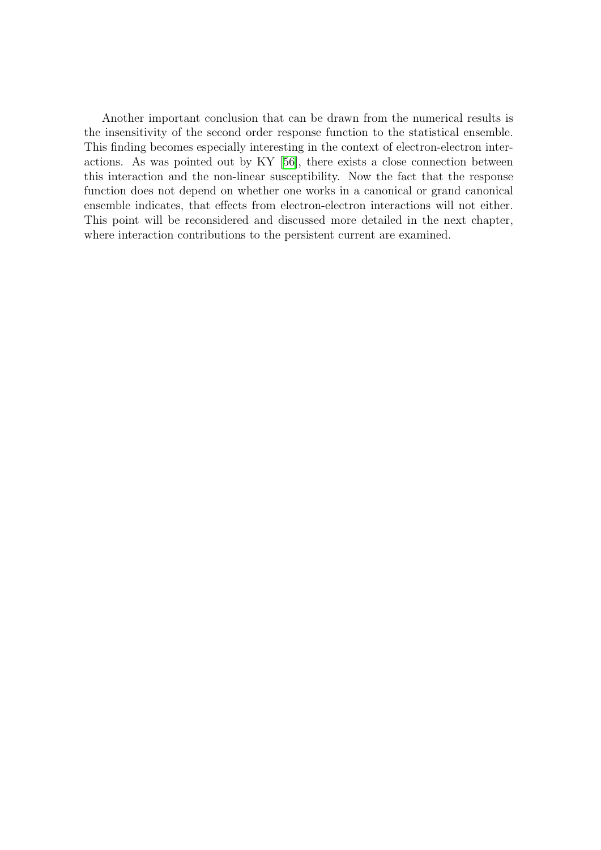Another important conclusion that can be drawn from the numerical results is the insensitivity of the second order response function to the statistical ensemble. This finding becomes especially interesting in the context of electron-electron interactions. As was pointed out by KY[[56](#page-136-0)], there exists a close connection between this interaction and the non-linear susceptibility. Now the fact that the response function does not depend on whether one works in a canonical or grand canonical ensemble indicates, that effects from electron-electron interactions will not either. This point will be reconsidered and discussed more detailed in the next chapter, where interaction contributions to the persistent current are examined.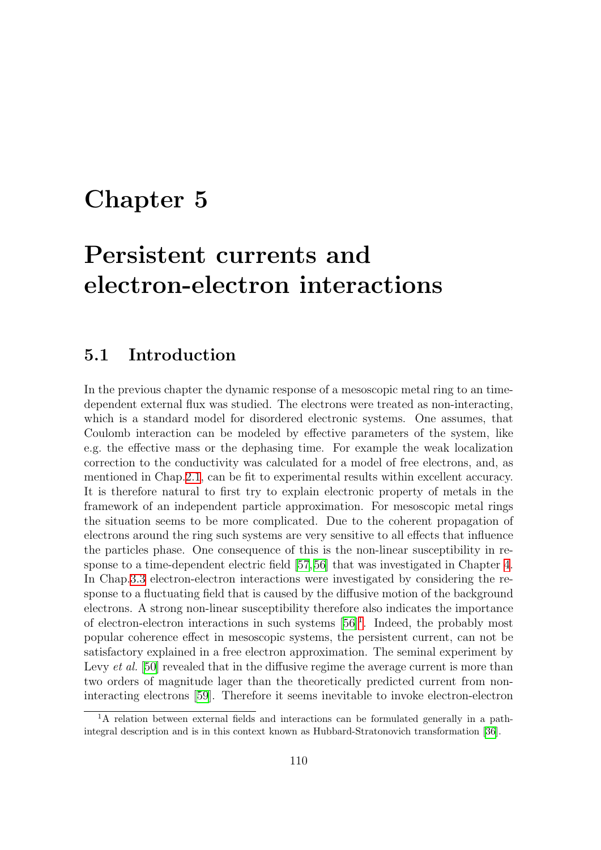## <span id="page-109-1"></span>Chapter 5

# Persistent currents and electron-electron interactions

#### 5.1 Introduction

In the previous chapter the dynamic response of a mesoscopic metal ring to an timedependent external flux was studied. The electrons were treated as non-interacting, which is a standard model for disordered electronic systems. One assumes, that Coulomb interaction can be modeled by effective parameters of the system, like e.g. the effective mass or the dephasing time. For example the weak localization correction to the conductivity was calculated for a model of free electrons, and, as mentioned in Chap.[2.1,](#page-7-0) can be fit to experimental results within excellent accuracy. It is therefore natural to first try to explain electronic property of metals in the framework of an independent particle approximation. For mesoscopic metal rings the situation seems to be more complicated. Due to the coherent propagation of electrons around the ring such systems are very sensitive to all effects that influence the particles phase. One consequence of this is the non-linear susceptibility in response to a time-dependent electric field[[57,](#page-136-1)[56\]](#page-136-0) that was investigated in Chapter [4](#page-76-0). In Chap[.3.3](#page-39-0) electron-electron interactions were investigated by considering the response to a fluctuating field that is caused by the diffusive motion of the background electrons. A strong non-linear susceptibility therefore also indicates the importance of electron-electron interactions in such systems [\[56\]](#page-136-0)[1](#page-109-0) . Indeed, the probably most popular coherence effect in mesoscopic systems, the persistent current, can not be satisfactory explained in a free electron approximation. The seminal experiment by Levy *et al.* [\[50\]](#page-135-0) revealed that in the diffusive regime the average current is more than two orders of magnitude lager than the theoretically predicted current from noninteracting electrons [\[59\]](#page-136-2). Therefore it seems inevitable to invoke electron-electron

<span id="page-109-0"></span> $1<sup>1</sup>A$  relation between external fields and interactions can be formulated generally in a pathintegral description and is in this context known as Hubbard-Stratonovich transformation [\[36](#page-135-1)].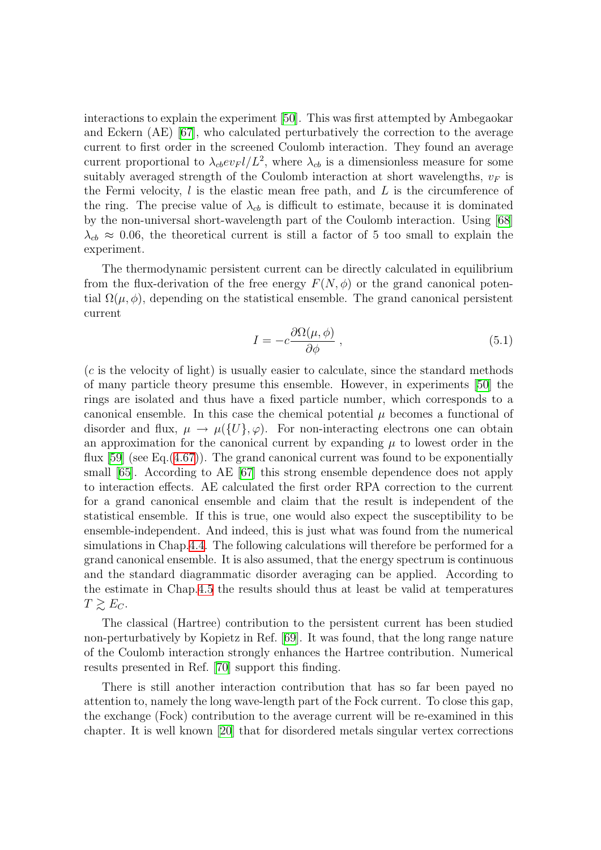interactions to explain the experiment[[50](#page-135-0)]. This was first attempted by Ambegaokar and Eckern (AE) [\[67\]](#page-136-3), who calculated perturbatively the correction to the average current to first order in the screened Coulomb interaction. They found an average current proportional to  $\lambda_{cb} ev_F l/L^2$ , where  $\lambda_{cb}$  is a dimensionless measure for some suitably averaged strength of the Coulomb interaction at short wavelengths,  $v_F$  is the Fermi velocity,  $l$  is the elastic mean free path, and  $L$  is the circumference of the ring. The precise value of  $\lambda_{cb}$  is difficult to estimate, because it is dominated by the non-universal short-wavelength part of the Coulomb interaction. Using[[68](#page-136-4)]  $\lambda_{cb} \approx 0.06$ , the theoretical current is still a factor of 5 too small to explain the experiment.

The thermodynamic persistent current can be directly calculated in equilibrium from the flux-derivation of the free energy  $F(N, \phi)$  or the grand canonical potential  $\Omega(\mu, \phi)$ , depending on the statistical ensemble. The grand canonical persistent current

<span id="page-110-0"></span>
$$
I = -c \frac{\partial \Omega(\mu, \phi)}{\partial \phi} , \qquad (5.1)
$$

(c is the velocity of light) is usually easier to calculate, since the standard methods of many particle theory presume this ensemble. However, in experiments[[50](#page-135-0)] the rings are isolated and thus have a fixed particle number, which corresponds to a canonical ensemble. In this case the chemical potential  $\mu$  becomes a functional of disorder and flux,  $\mu \to \mu({U}, \varphi)$ . For non-interacting electrons one can obtain an approximation for the canonical current by expanding  $\mu$  to lowest order in the flux  $[59]$  (see Eq.  $(4.67)$ ). The grand canonical current was found to be exponentially small[[65\]](#page-136-5). According to AE[[67](#page-136-3)] this strong ensemble dependence does not apply to interaction effects. AE calculated the first order RPA correction to the current for a grand canonical ensemble and claim that the result is independent of the statistical ensemble. If this is true, one would also expect the susceptibility to be ensemble-independent. And indeed, this is just what was found from the numerical simulations in Chap.[4.4.](#page-88-0) The following calculations will therefore be performed for a grand canonical ensemble. It is also assumed, that the energy spectrum is continuous and the standard diagrammatic disorder averaging can be applied. According to the estimate in Chap[.4.5](#page-106-0) the results should thus at least be valid at temperatures  $T \gtrsim E_C$ .

The classical (Hartree) contribution to the persistent current has been studied non-perturbatively by Kopietz in Ref.[[69](#page-136-6)]. It was found, that the long range nature of the Coulomb interaction strongly enhances the Hartree contribution. Numerical results presented in Ref. [\[70](#page-136-7)] support this finding.

There is still another interaction contribution that has so far been payed no attention to, namely the long wave-length part of the Fock current. To close this gap, the exchange (Fock) contribution to the average current will be re-examined in this chapter. It is well known [\[20\]](#page-134-0) that for disordered metals singular vertex corrections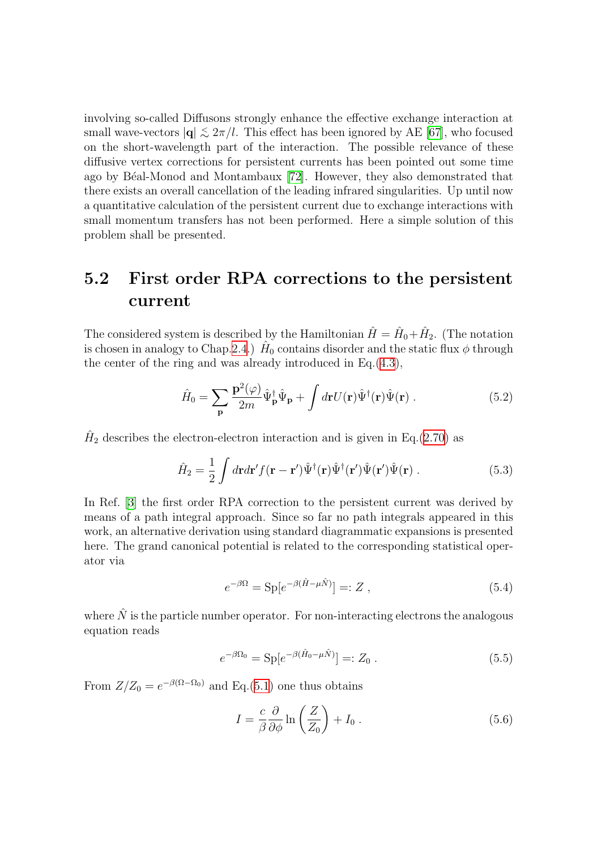involving so-called Diffusons strongly enhance the effective exchange interaction at small wave-vectors  $|\mathbf{q}| \lesssim 2\pi/l$ . This effect has been ignored by AE [\[67\]](#page-136-3), who focused on the short-wavelength part of the interaction. The possible relevance of these diffusive vertex corrections for persistent currents has been pointed out some time ago by B´eal-Monod and Montambaux[[72\]](#page-136-8). However, they also demonstrated that there exists an overall cancellation of the leading infrared singularities. Up until now a quantitative calculation of the persistent current due to exchange interactions with small momentum transfers has not been performed. Here a simple solution of this problem shall be presented.

### 5.2 First order RPA corrections to the persistent current

The considered system is described by the Hamiltonian  $\hat{H} = \hat{H}_0 + \hat{H}_2$ . (The notation is chosen in analogy to Chap.[2.4.](#page-26-0))  $\hat{H}_0$  contains disorder and the static flux  $\phi$  through the center of the ring and was already introduced in Eq.([4.3](#page-79-0)),

$$
\hat{H}_0 = \sum_{\mathbf{p}} \frac{\mathbf{p}^2(\varphi)}{2m} \hat{\Psi}_{\mathbf{p}}^{\dagger} \hat{\Psi}_{\mathbf{p}} + \int d\mathbf{r} U(\mathbf{r}) \hat{\Psi}^{\dagger}(\mathbf{r}) \hat{\Psi}(\mathbf{r}) . \tag{5.2}
$$

 $\hat{H}_2$  describes the electron-electron interaction and is given in Eq.([2.70\)](#page-26-1) as

$$
\hat{H}_2 = \frac{1}{2} \int d\mathbf{r} d\mathbf{r}' f(\mathbf{r} - \mathbf{r}') \hat{\Psi}^\dagger(\mathbf{r}) \hat{\Psi}^\dagger(\mathbf{r}') \hat{\Psi}(\mathbf{r}') \cdot (5.3)
$$

In Ref.[[3\]](#page-133-0) the first order RPA correction to the persistent current was derived by means of a path integral approach. Since so far no path integrals appeared in this work, an alternative derivation using standard diagrammatic expansions is presented here. The grand canonical potential is related to the corresponding statistical operator via

<span id="page-111-0"></span>
$$
e^{-\beta \Omega} = \text{Sp}[e^{-\beta(\hat{H} - \mu \hat{N})}] =: Z \tag{5.4}
$$

where  $\hat{N}$  is the particle number operator. For non-interacting electrons the analogous equation reads

$$
e^{-\beta \Omega_0} = \text{Sp}[e^{-\beta (\hat{H}_0 - \mu \hat{N})}] =: Z_0 . \tag{5.5}
$$

From  $Z/Z_0 = e^{-\beta(\Omega - \Omega_0)}$  and Eq.([5.1\)](#page-110-0) one thus obtains

<span id="page-111-1"></span>
$$
I = \frac{c}{\beta} \frac{\partial}{\partial \phi} \ln \left( \frac{Z}{Z_0} \right) + I_0 \,. \tag{5.6}
$$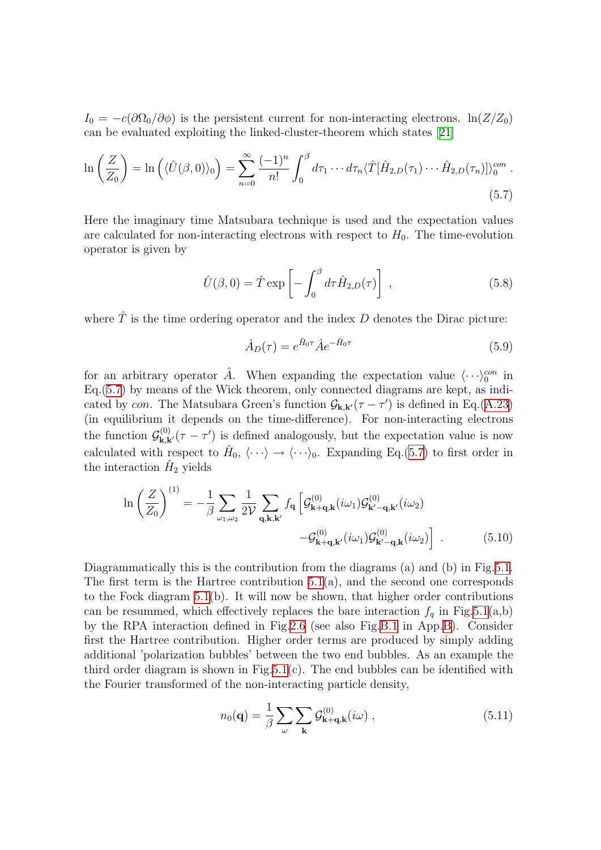$I_0 = -c(\partial \Omega_0/\partial \phi)$  is the persistent current for non-interacting electrons.  $\ln(Z/Z_0)$ can be evaluated exploiting the linked-cluster-theorem which states [\[21](#page-134-1)]

$$
\ln\left(\frac{Z}{Z_0}\right) = \ln\left(\langle \hat{U}(\beta,0)\rangle_0\right) = \sum_{n=0}^{\infty} \frac{(-1)^n}{n!} \int_0^{\beta} d\tau_1 \cdots d\tau_n \langle \hat{T}[\hat{H}_{2,D}(\tau_1)\cdots\hat{H}_{2,D}(\tau_n)]\rangle_0^{con}.
$$
\n(5.7)

Here the imaginary time Matsubara technique is used and the expectation values are calculated for non-interacting electrons with respect to  $H_0$ . The time-evolution operator is given by

$$
\hat{U}(\beta,0) = \hat{T} \exp\left[-\int_0^\beta d\tau \hat{H}_{2,D}(\tau)\right],\qquad(5.8)
$$

where  $\hat{T}$  is the time ordering operator and the index D denotes the Dirac picture:

<span id="page-112-0"></span>
$$
\hat{A}_D(\tau) = e^{\hat{H}_0 \tau} \hat{A} e^{-\hat{H}_0 \tau} \tag{5.9}
$$

for an arbitrary operator  $\hat{A}$ . When expanding the expectation value  $\langle \cdots \rangle_0^{con}$  in Eq.[\(5.7](#page-112-0)) by means of the Wick theorem, only connected diagrams are kept, as indicated by con. The Matsubara Green's function  $\mathcal{G}_{\mathbf{k},\mathbf{k'}}(\tau - \tau')$  is defined in Eq.[\(A.23\)](#page-126-0) (in equilibrium it depends on the time-difference). For non-interacting electrons the function  $\mathcal{G}_{\mathbf{k},\mathbf{k'}}^{(0)}(\tau-\tau')$  is defined analogously, but the expectation value is now calculated with respect to  $\hat{H}_0, \langle \cdots \rangle \rightarrow \langle \cdots \rangle_0$ . Expanding Eq.([5.7\)](#page-112-0) to first order in the interaction  $\hat{H}_2$  yields

$$
\ln\left(\frac{Z}{Z_0}\right)^{(1)} = -\frac{1}{\beta} \sum_{\omega_1,\omega_2} \frac{1}{2\mathcal{V}} \sum_{\mathbf{q},\mathbf{k},\mathbf{k'}} f_{\mathbf{q}} \left[ \mathcal{G}_{\mathbf{k}+\mathbf{q},\mathbf{k}}^{(0)}(i\omega_1) \mathcal{G}_{\mathbf{k}'-\mathbf{q},\mathbf{k'}}^{(0)}(i\omega_2) - \mathcal{G}_{\mathbf{k}+\mathbf{q},\mathbf{k'}}^{(0)}(i\omega_1) \mathcal{G}_{\mathbf{k}'-\mathbf{q},\mathbf{k}}^{(0)}(i\omega_2) \right] .
$$
 (5.10)

Diagrammatically this is the contribution from the diagrams (a) and (b) in Fig[.5.1](#page-113-0). The first term is the Hartree contribution  $5.1(a)$ , and the second one corresponds to the Fock diagram [5.1\(](#page-113-0)b). It will now be shown, that higher order contributions can be resummed, which effectively replaces the bare interaction  $f_q$  in Fig.[5.1\(](#page-113-0)a,b) by the RPA interaction defined in Fig.[2.6](#page-28-0) (see also Fig.[B.1](#page-132-0) in App.[B](#page-130-0)). Consider first the Hartree contribution. Higher order terms are produced by simply adding additional 'polarization bubbles' between the two end bubbles. As an example the third order diagram is shown in Fig.[5.1\(](#page-113-0)c). The end bubbles can be identified with the Fourier transformed of the non-interacting particle density,

$$
n_0(\mathbf{q}) = \frac{1}{\beta} \sum_{\omega} \sum_{\mathbf{k}} \mathcal{G}_{\mathbf{k}+\mathbf{q},\mathbf{k}}^{(0)}(i\omega) ,
$$
 (5.11)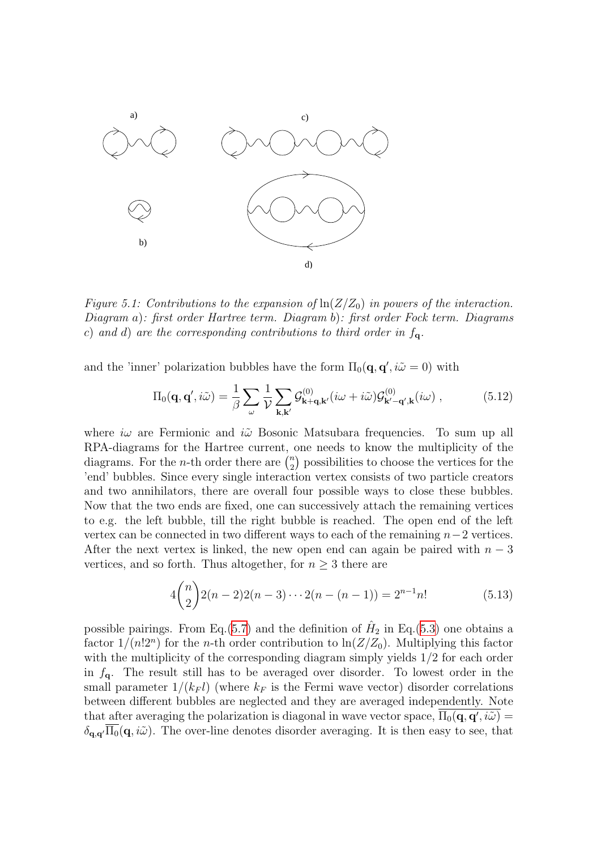

<span id="page-113-0"></span>Figure 5.1: Contributions to the expansion of  $\ln(Z/Z_0)$  in powers of the interaction. Diagram a): first order Hartree term. Diagram b): first order Fock term. Diagrams c) and d) are the corresponding contributions to third order in  $f_{\mathbf{q}}$ .

and the 'inner' polarization bubbles have the form  $\Pi_0(\mathbf{q}, \mathbf{q}', i\tilde{\omega} = 0)$  with

$$
\Pi_0(\mathbf{q}, \mathbf{q}', i\tilde{\omega}) = \frac{1}{\beta} \sum_{\omega} \frac{1}{\mathcal{V}} \sum_{\mathbf{k}, \mathbf{k}'} \mathcal{G}_{\mathbf{k}+\mathbf{q}, \mathbf{k}'}^{(0)}(i\omega + i\tilde{\omega}) \mathcal{G}_{\mathbf{k}'-\mathbf{q}', \mathbf{k}}^{(0)}(i\omega) ,
$$
 (5.12)

where  $i\omega$  are Fermionic and  $i\tilde{\omega}$  Bosonic Matsubara frequencies. To sum up all RPA-diagrams for the Hartree current, one needs to know the multiplicity of the diagrams. For the *n*-th order there are  $\binom{n}{2}$  $n \choose 2$  possibilities to choose the vertices for the 'end' bubbles. Since every single interaction vertex consists of two particle creators and two annihilators, there are overall four possible ways to close these bubbles. Now that the two ends are fixed, one can successively attach the remaining vertices to e.g. the left bubble, till the right bubble is reached. The open end of the left vertex can be connected in two different ways to each of the remaining  $n-2$  vertices. After the next vertex is linked, the new open end can again be paired with  $n-3$ vertices, and so forth. Thus altogether, for  $n \geq 3$  there are

$$
4\binom{n}{2}2(n-2)2(n-3)\cdots 2(n-(n-1)) = 2^{n-1}n!\tag{5.13}
$$

possible pairings. From Eq.([5.7\)](#page-112-0) and the definition of  $\hat{H}_2$  in Eq.[\(5.3](#page-111-0)) one obtains a factor  $1/(n!2^n)$  for the *n*-th order contribution to  $\ln(Z/Z_0)$ . Multiplying this factor with the multiplicity of the corresponding diagram simply yields  $1/2$  for each order in  $f_{q}$ . The result still has to be averaged over disorder. To lowest order in the small parameter  $1/(k_F l)$  (where  $k_F$  is the Fermi wave vector) disorder correlations between different bubbles are neglected and they are averaged independently. Note that after averaging the polarization is diagonal in wave vector space,  $\overline{\Pi_0(q,q',i\tilde{\omega})}$  $\delta_{\mathbf{q},\mathbf{q}'}\overline{\Pi_0}(\mathbf{q}, i\tilde{\omega})$ . The over-line denotes disorder averaging. It is then easy to see, that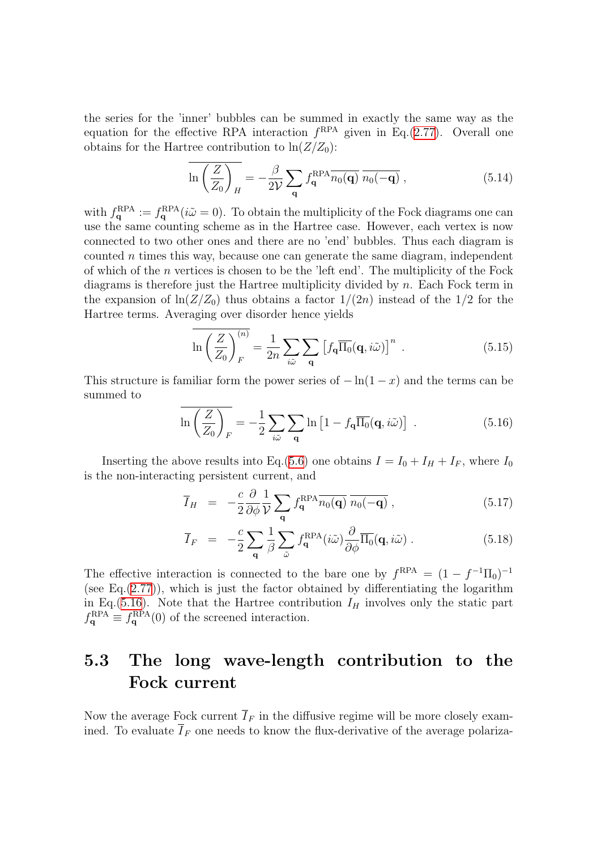the series for the 'inner' bubbles can be summed in exactly the same way as the equation for the effective RPA interaction  $f^{RPA}$  given in Eq.[\(2.77](#page-27-0)). Overall one obtains for the Hartree contribution to  $\ln(Z/Z_0)$ :

$$
\overline{\ln\left(\frac{Z}{Z_0}\right)_H} = -\frac{\beta}{2\mathcal{V}} \sum_{\mathbf{q}} f_{\mathbf{q}}^{\text{RPA}} \overline{n_0(\mathbf{q})} \overline{n_0(-\mathbf{q})} ,\qquad (5.14)
$$

with  $f_{\mathbf{q}}^{\text{RPA}} := f_{\mathbf{q}}^{\text{RPA}}(i\tilde{\omega} = 0)$ . To obtain the multiplicity of the Fock diagrams one can use the same counting scheme as in the Hartree case. However, each vertex is now connected to two other ones and there are no 'end' bubbles. Thus each diagram is counted  $n$  times this way, because one can generate the same diagram, independent of which of the  $n$  vertices is chosen to be the 'left end'. The multiplicity of the Fock diagrams is therefore just the Hartree multiplicity divided by n. Each Fock term in the expansion of  $\ln(Z/Z_0)$  thus obtains a factor  $1/(2n)$  instead of the 1/2 for the Hartree terms. Averaging over disorder hence yields

$$
\ln\left(\frac{Z}{Z_0}\right)_F^{(n)} = \frac{1}{2n} \sum_{i\tilde{\omega}} \sum_{\mathbf{q}} \left[f_{\mathbf{q}} \overline{\Pi_0}(\mathbf{q}, i\tilde{\omega})\right]^n . \tag{5.15}
$$

This structure is familiar form the power series of  $-\ln(1-x)$  and the terms can be summed to

<span id="page-114-0"></span>
$$
\ln\left(\frac{Z}{Z_0}\right)_F = -\frac{1}{2}\sum_{i\tilde{\omega}}\sum_{\mathbf{q}}\ln\left[1 - f_{\mathbf{q}}\overline{\Pi_0}(\mathbf{q}, i\tilde{\omega})\right] \ . \tag{5.16}
$$

Inserting the above results into Eq.[\(5.6](#page-111-1)) one obtains  $I = I_0 + I_H + I_F$ , where  $I_0$ is the non-interacting persistent current, and

<span id="page-114-1"></span>
$$
\overline{I}_H = -\frac{c}{2} \frac{\partial}{\partial \phi} \frac{1}{\mathcal{V}} \sum_{\mathbf{q}} f_{\mathbf{q}}^{RPA} \overline{n_0(\mathbf{q})} \overline{n_0(-\mathbf{q})} , \qquad (5.17)
$$

$$
\overline{I}_F = -\frac{c}{2} \sum_{\mathbf{q}} \frac{1}{\beta} \sum_{\tilde{\omega}} f_{\mathbf{q}}^{\text{RPA}}(i\tilde{\omega}) \frac{\partial}{\partial \phi} \overline{\Pi_0}(\mathbf{q}, i\tilde{\omega}) . \tag{5.18}
$$

The effective interaction is connected to the bare one by  $f^{RPA} = (1 - f^{-1}\Pi_0)^{-1}$ (see Eq. $(2.77)$  $(2.77)$ ), which is just the factor obtained by differentiating the logarithm in Eq.([5.16\)](#page-114-0). Note that the Hartree contribution  $I_H$  involves only the static part  $f_{\mathbf{q}}^{\text{RPA}} \equiv f_{\mathbf{q}}^{\text{RPA}}(0)$  of the screened interaction.

### 5.3 The long wave-length contribution to the Fock current

Now the average Fock current  $\overline{I}_F$  in the diffusive regime will be more closely examined. To evaluate  $\overline{I}_F$  one needs to know the flux-derivative of the average polariza-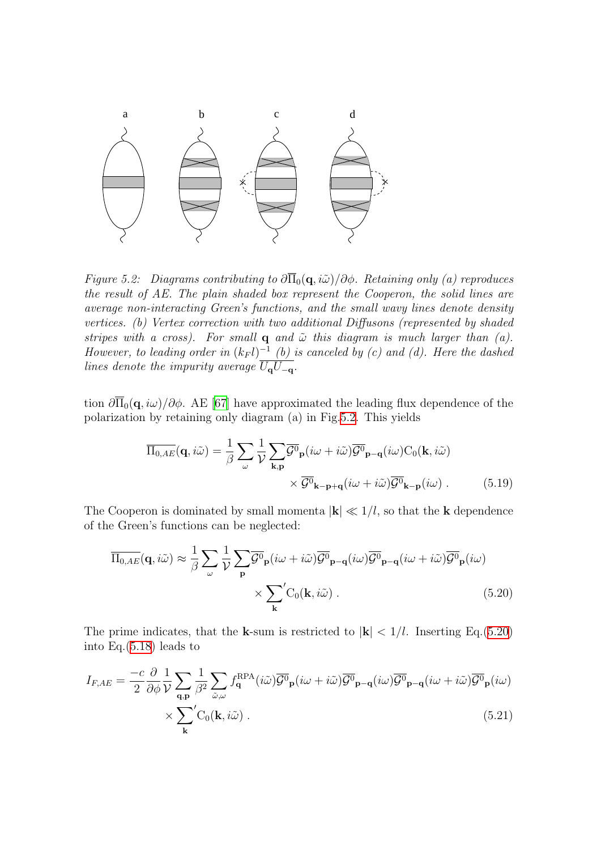

<span id="page-115-0"></span>Figure 5.2: Diagrams contributing to  $\partial \overline{\Pi}_0(q, i\tilde{\omega})/\partial \phi$ . Retaining only (a) reproduces the result of AE. The plain shaded box represent the Cooperon, the solid lines are average non-interacting Green's functions, and the small wavy lines denote density vertices. (b) Vertex correction with two additional Diffusons (represented by shaded stripes with a cross). For small  $q$  and  $\tilde{\omega}$  this diagram is much larger than (a). However, to leading order in  $(k_F l)^{-1}$  (b) is canceled by (c) and (d). Here the dashed lines denote the impurity average  $\overline{U_qU_{-q}}$ .

tion $\partial \overline{\Pi}_0(q, i\omega)/\partial \phi$ . AE [[67\]](#page-136-3) have approximated the leading flux dependence of the polarization by retaining only diagram (a) in Fig[.5.2](#page-115-0). This yields

<span id="page-115-1"></span>
$$
\overline{\Pi_{0,AE}}(\mathbf{q}, i\tilde{\omega}) = \frac{1}{\beta} \sum_{\omega} \frac{1}{\mathcal{V}} \sum_{\mathbf{k}, \mathbf{p}} \overline{\mathcal{G}^0}_{\mathbf{p}}(i\omega + i\tilde{\omega}) \overline{\mathcal{G}^0}_{\mathbf{p} - \mathbf{q}}(i\omega) C_0(\mathbf{k}, i\tilde{\omega})
$$

$$
\times \overline{\mathcal{G}^0}_{\mathbf{k} - \mathbf{p} + \mathbf{q}}(i\omega + i\tilde{\omega}) \overline{\mathcal{G}^0}_{\mathbf{k} - \mathbf{p}}(i\omega) .
$$
(5.19)

The Cooperon is dominated by small momenta  $|\mathbf{k}| \ll 1/l$ , so that the **k** dependence of the Green's functions can be neglected:

$$
\overline{\Pi}_{0,AE}(\mathbf{q}, i\tilde{\omega}) \approx \frac{1}{\beta} \sum_{\omega} \frac{1}{\mathcal{V}} \sum_{\mathbf{p}} \overline{\mathcal{G}^0}_{\mathbf{p}}(i\omega + i\tilde{\omega}) \overline{\mathcal{G}^0}_{\mathbf{p}-\mathbf{q}}(i\omega) \overline{\mathcal{G}^0}_{\mathbf{p}-\mathbf{q}}(i\omega + i\tilde{\omega}) \overline{\mathcal{G}^0}_{\mathbf{p}}(i\omega)
$$

$$
\times \sum_{\mathbf{k}} C_0(\mathbf{k}, i\tilde{\omega}). \tag{5.20}
$$

The prime indicates, that the k-sum is restricted to  $|\mathbf{k}| < 1/l$ . Inserting Eq.[\(5.20](#page-115-1)) into Eq.[\(5.18\)](#page-114-1) leads to

$$
I_{F,AE} = \frac{-c}{2} \frac{\partial}{\partial \phi} \frac{1}{\mathcal{V}} \sum_{\mathbf{q}, \mathbf{p}} \frac{1}{\beta^2} \sum_{\tilde{\omega}, \omega} f_{\mathbf{q}}^{RPA}(i\tilde{\omega}) \overline{\mathcal{G}^0}_{\mathbf{p}}(i\omega + i\tilde{\omega}) \overline{\mathcal{G}^0}_{\mathbf{p}-\mathbf{q}}(i\omega) \overline{\mathcal{G}^0}_{\mathbf{p}-\mathbf{q}}(i\omega + i\tilde{\omega}) \overline{\mathcal{G}^0}_{\mathbf{p}}(i\omega)
$$

$$
\times \sum_{\mathbf{k}}' C_0(\mathbf{k}, i\tilde{\omega}). \tag{5.21}
$$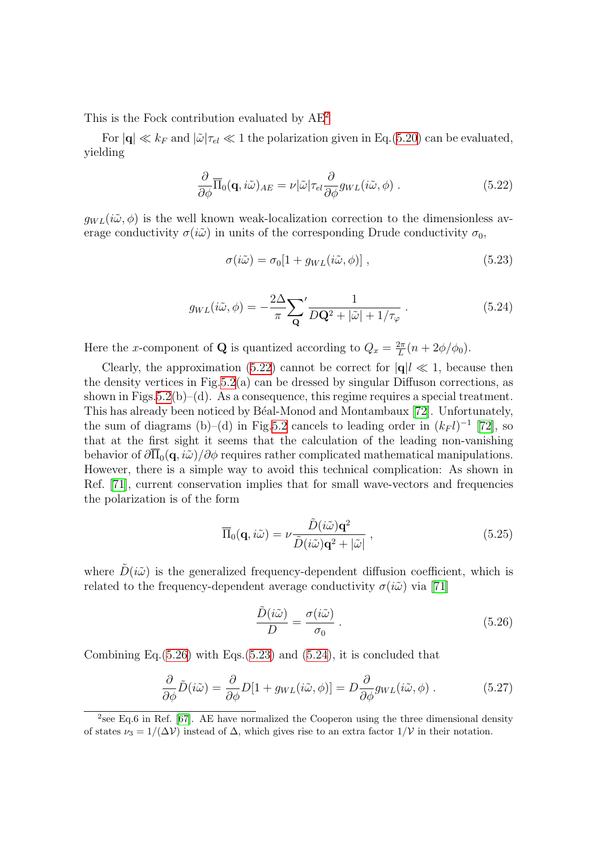This is the Fock contribution evaluated by AE[2](#page-116-0)

For  $|\mathbf{q}| \ll k_F$  and  $|\tilde{\omega}|\tau_{el} \ll 1$  the polarization given in Eq.([5.20\)](#page-115-1) can be evaluated, yielding

$$
\frac{\partial}{\partial \phi} \overline{\Pi}_0(\mathbf{q}, i\tilde{\omega})_{AE} = \nu |\tilde{\omega}| \tau_{el} \frac{\partial}{\partial \phi} g_{WL}(i\tilde{\omega}, \phi) . \qquad (5.22)
$$

 $g_{WL}(i\tilde{\omega}, \phi)$  is the well known weak-localization correction to the dimensionless average conductivity  $\sigma(i\tilde{\omega})$  in units of the corresponding Drude conductivity  $\sigma_0$ ,

<span id="page-116-4"></span><span id="page-116-3"></span><span id="page-116-1"></span>
$$
\sigma(i\tilde{\omega}) = \sigma_0[1 + g_{WL}(i\tilde{\omega}, \phi)], \qquad (5.23)
$$

$$
g_{WL}(i\tilde{\omega}, \phi) = -\frac{2\Delta}{\pi} \sum_{\mathbf{Q}}' \frac{1}{D\mathbf{Q}^2 + |\tilde{\omega}| + 1/\tau_{\varphi}}.
$$
(5.24)

Here the x-component of **Q** is quantized according to  $Q_x = \frac{2\pi}{L}$  $\frac{2\pi}{L}(n+2\phi/\phi_0).$ 

Clearly, the approximation [\(5.22\)](#page-116-1) cannot be correct for  $|\mathbf{q}| \ll 1$ , because then the density vertices in Fig.  $5.2(a)$  $5.2(a)$  can be dressed by singular Diffuson corrections, as shown in Figs.[5.2\(](#page-115-0)b)–(d). As a consequence, this regime requires a special treatment. This has already been noticed by Béal-Monod and Montambaux [\[72](#page-136-8)]. Unfortunately, the sum of diagrams (b)–(d) in Fig.[5.2](#page-115-0) cancels to leading order in  $(k_F l)^{-1}$  [\[72\]](#page-136-8), so that at the first sight it seems that the calculation of the leading non-vanishing behavior of  $\partial\Pi_0(\mathbf{q}, i\tilde{\omega})/\partial\phi$  requires rather complicated mathematical manipulations. However, there is a simple way to avoid this technical complication: As shown in Ref.[[71](#page-136-9)], current conservation implies that for small wave-vectors and frequencies the polarization is of the form

$$
\overline{\Pi}_0(\mathbf{q}, i\tilde{\omega}) = \nu \frac{\tilde{D}(i\tilde{\omega})\mathbf{q}^2}{\tilde{D}(i\tilde{\omega})\mathbf{q}^2 + |\tilde{\omega}|},
$$
\n(5.25)

where  $\tilde{D}(i\tilde{\omega})$  is the generalized frequency-dependent diffusion coefficient, which is relatedto the frequency-dependent average conductivity  $\sigma(i\tilde{\omega})$  via [[71\]](#page-136-9)

<span id="page-116-6"></span><span id="page-116-5"></span><span id="page-116-2"></span>
$$
\frac{\tilde{D}(i\tilde{\omega})}{D} = \frac{\sigma(i\tilde{\omega})}{\sigma_0} \,. \tag{5.26}
$$

CombiningEq. $(5.26)$  $(5.26)$  with Eqs. $(5.23)$  $(5.23)$  and  $(5.24)$  $(5.24)$ , it is concluded that

$$
\frac{\partial}{\partial \phi} \tilde{D}(i\tilde{\omega}) = \frac{\partial}{\partial \phi} D[1 + g_{WL}(i\tilde{\omega}, \phi)] = D \frac{\partial}{\partial \phi} g_{WL}(i\tilde{\omega}, \phi) . \tag{5.27}
$$

<span id="page-116-0"></span><sup>&</sup>lt;sup>2</sup>see Eq.6 in Ref. [[67\]](#page-136-3). AE have normalized the Cooperon using the three dimensional density of states  $\nu_3 = 1/(\Delta \mathcal{V})$  instead of  $\Delta$ , which gives rise to an extra factor  $1/\mathcal{V}$  in their notation.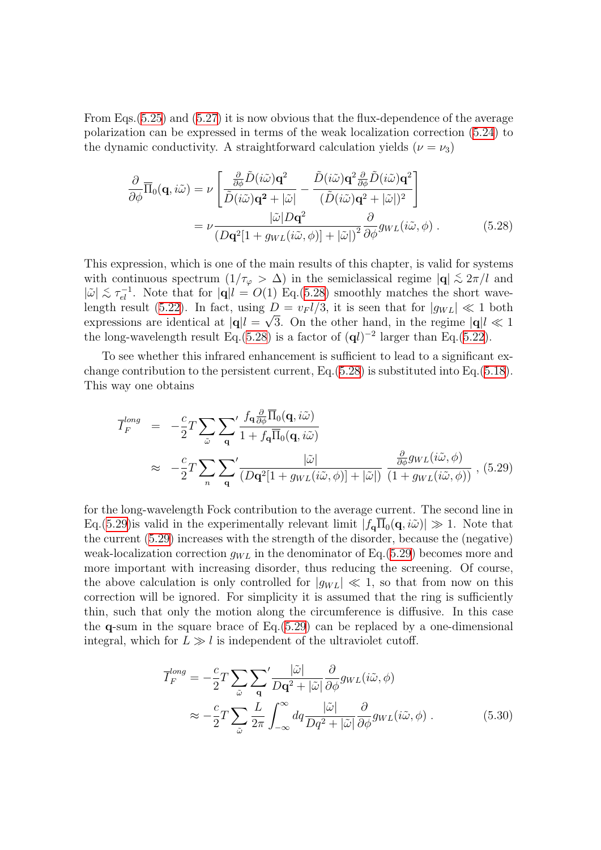From Eqs.([5.25\)](#page-116-5) and([5.27](#page-116-6)) it is now obvious that the flux-dependence of the average polarization can be expressed in terms of the weak localization correction([5.24\)](#page-116-4) to the dynamic conductivity. A straightforward calculation yields  $(\nu = \nu_3)$ 

<span id="page-117-0"></span>
$$
\frac{\partial}{\partial \phi} \overline{\Pi}_0(\mathbf{q}, i\tilde{\omega}) = \nu \left[ \frac{\frac{\partial}{\partial \phi} \tilde{D}(i\tilde{\omega}) \mathbf{q}^2}{\tilde{D}(i\tilde{\omega}) \mathbf{q}^2 + |\tilde{\omega}|} - \frac{\tilde{D}(i\tilde{\omega}) \mathbf{q}^2 \frac{\partial}{\partial \phi} \tilde{D}(i\tilde{\omega}) \mathbf{q}^2}{(\tilde{D}(i\tilde{\omega}) \mathbf{q}^2 + |\tilde{\omega}|)^2} \right]
$$
\n
$$
= \nu \frac{|\tilde{\omega}| D \mathbf{q}^2}{\left( D \mathbf{q}^2 [1 + g_{WL}(i\tilde{\omega}, \phi)] + |\tilde{\omega}| \right)^2} \frac{\partial}{\partial \phi} g_{WL}(i\tilde{\omega}, \phi) . \tag{5.28}
$$

This expression, which is one of the main results of this chapter, is valid for systems with continuous spectrum  $(1/\tau_{\varphi} > \Delta)$  in the semiclassical regime  $|\mathbf{q}| \lesssim 2\pi/l$  and  $|\tilde{\omega}| \lesssim \tau_{el}^{-1}$ . Note that for  $|\mathbf{q}| l = O(1)$  Eq.[\(5.28](#page-117-0)) smoothly matches the short wave-length result [\(5.22](#page-116-1)). In fact, using  $D = v_F l/3$ , it is seen that for  $|g_{WL}| \ll 1$  both expressions are identical at  $|\mathbf{q}|l = \sqrt{3}$ . On the other hand, in the regime  $|\mathbf{q}|l \ll 1$ the long-wavelength result Eq.([5.28\)](#page-117-0) is a factor of  $(\mathbf{q}l)^{-2}$  larger than Eq.[\(5.22\)](#page-116-1).

To see whether this infrared enhancement is sufficient to lead to a significant exchange contribution to the persistent current, Eq.[\(5.28](#page-117-0)) is substituted into Eq.([5.18\)](#page-114-1). This way one obtains

<span id="page-117-1"></span>
$$
\overline{I}_{F}^{long} = -\frac{c}{2}T \sum_{\tilde{\omega}} \sum_{\mathbf{q}}' \frac{f_{\mathbf{q}} \frac{\partial}{\partial \phi} \overline{\Pi}_{0}(\mathbf{q}, i\tilde{\omega})}{1 + f_{\mathbf{q}} \overline{\Pi}_{0}(\mathbf{q}, i\tilde{\omega})}
$$
\n
$$
\approx -\frac{c}{2}T \sum_{n} \sum_{\mathbf{q}}' \frac{|\tilde{\omega}|}{(D\mathbf{q}^{2}[1 + g_{WL}(i\tilde{\omega}, \phi)] + |\tilde{\omega}|)} \frac{\frac{\partial}{\partial \phi} g_{WL}(i\tilde{\omega}, \phi)}{(1 + g_{WL}(i\tilde{\omega}, \phi))}, (5.29)
$$

for the long-wavelength Fock contribution to the average current. The second line in Eq.[\(5.29](#page-117-1)) is valid in the experimentally relevant limit  $|f_{\mathbf{q}}\overline{\Pi}_0(\mathbf{q}, i\tilde{\omega})| \gg 1$ . Note that the current [\(5.29](#page-117-1)) increases with the strength of the disorder, because the (negative) weak-localization correction  $g_{WL}$  in the denominator of Eq.([5.29\)](#page-117-1) becomes more and more important with increasing disorder, thus reducing the screening. Of course, the above calculation is only controlled for  $|q_{WL}| \ll 1$ , so that from now on this correction will be ignored. For simplicity it is assumed that the ring is sufficiently thin, such that only the motion along the circumference is diffusive. In this case the  $q$ -sum in the square brace of Eq. $(5.29)$  $(5.29)$  can be replaced by a one-dimensional integral, which for  $L \gg l$  is independent of the ultraviolet cutoff.

$$
\overline{I}_{F}^{long} = -\frac{c}{2}T \sum_{\tilde{\omega}} \sum_{\mathbf{q}}' \frac{|\tilde{\omega}|}{D\mathbf{q}^{2} + |\tilde{\omega}|} \frac{\partial}{\partial \phi} g_{WL}(i\tilde{\omega}, \phi)
$$

$$
\approx -\frac{c}{2}T \sum_{\tilde{\omega}} \frac{L}{2\pi} \int_{-\infty}^{\infty} dq \frac{|\tilde{\omega}|}{Dq^{2} + |\tilde{\omega}|} \frac{\partial}{\partial \phi} g_{WL}(i\tilde{\omega}, \phi) . \tag{5.30}
$$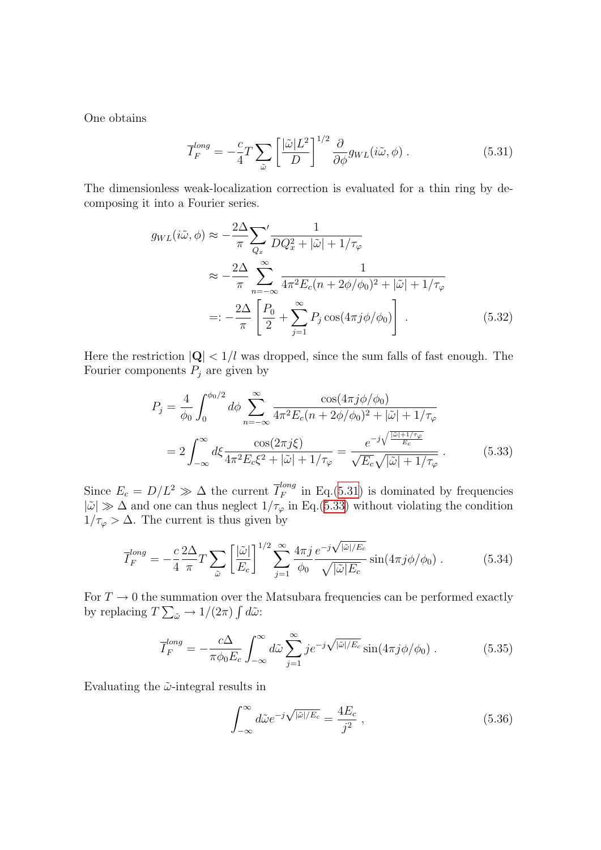One obtains

<span id="page-118-0"></span>
$$
\overline{I}_{F}^{long} = -\frac{c}{4}T\sum_{\tilde{\omega}}\left[\frac{|\tilde{\omega}|L^{2}}{D}\right]^{1/2}\frac{\partial}{\partial\phi}g_{WL}(i\tilde{\omega},\phi) .
$$
 (5.31)

The dimensionless weak-localization correction is evaluated for a thin ring by decomposing it into a Fourier series.

$$
g_{WL}(i\tilde{\omega}, \phi) \approx -\frac{2\Delta}{\pi} \sum_{Q_x}^{\prime} \frac{1}{DQ_x^2 + |\tilde{\omega}| + 1/\tau_{\varphi}}
$$
  

$$
\approx -\frac{2\Delta}{\pi} \sum_{n=-\infty}^{\infty} \frac{1}{4\pi^2 E_c(n + 2\phi/\phi_0)^2 + |\tilde{\omega}| + 1/\tau_{\varphi}}
$$
  

$$
= -\frac{2\Delta}{\pi} \left[ \frac{P_0}{2} + \sum_{j=1}^{\infty} P_j \cos(4\pi j\phi/\phi_0) \right]. \tag{5.32}
$$

Here the restriction  $|Q|$  <  $1/l$  was dropped, since the sum falls of fast enough. The Fourier components  $P_j$  are given by

<span id="page-118-1"></span>
$$
P_j = \frac{4}{\phi_0} \int_0^{\phi_0/2} d\phi \sum_{n=-\infty}^{\infty} \frac{\cos(4\pi j\phi/\phi_0)}{4\pi^2 E_c(n + 2\phi/\phi_0)^2 + |\tilde{\omega}| + 1/\tau_\varphi}
$$
  
= 
$$
2 \int_{-\infty}^{\infty} d\xi \frac{\cos(2\pi j\xi)}{4\pi^2 E_c \xi^2 + |\tilde{\omega}| + 1/\tau_\varphi} = \frac{e^{-j\sqrt{\frac{|\tilde{\omega}| + 1/\tau_\varphi}{E_c}}}}{\sqrt{E_c}\sqrt{|\tilde{\omega}| + 1/\tau_\varphi}}.
$$
(5.33)

Since  $E_c = D/L^2 \gg \Delta$  the current  $\overline{I}_F^{long}$  $\frac{F}{F}$  in Eq.([5.31\)](#page-118-0) is dominated by frequencies  $|\tilde{\omega}| \gg \Delta$  and one can thus neglect  $1/\tau_{\varphi}$  in Eq.([5.33\)](#page-118-1) without violating the condition  $1/\tau_{\varphi} > \Delta$ . The current is thus given by

$$
\overline{I}_{F}^{long} = -\frac{c}{4} \frac{2\Delta}{\pi} T \sum_{\tilde{\omega}} \left[ \frac{|\tilde{\omega}|}{E_c} \right]^{1/2} \sum_{j=1}^{\infty} \frac{4\pi j}{\phi_0} \frac{e^{-j\sqrt{|\tilde{\omega}|/E_c}}}{\sqrt{|\tilde{\omega}|E_c}} \sin(4\pi j\phi/\phi_0) \,. \tag{5.34}
$$

For  $T \to 0$  the summation over the Matsubara frequencies can be performed exactly by replacing  $T \sum_{\tilde{\omega}} \rightarrow 1/(2\pi) \int d\tilde{\omega}$ :

$$
\overline{I}_{F}^{long} = -\frac{c\Delta}{\pi\phi_{0}E_{c}} \int_{-\infty}^{\infty} d\tilde{\omega} \sum_{j=1}^{\infty} je^{-j\sqrt{|\tilde{\omega}|/E_{c}}} \sin(4\pi j\phi/\phi_{0}) . \tag{5.35}
$$

Evaluating the  $\tilde{\omega}$ -integral results in

$$
\int_{-\infty}^{\infty} d\tilde{\omega} e^{-j\sqrt{|\tilde{\omega}|/E_c}} = \frac{4E_c}{j^2},\qquad(5.36)
$$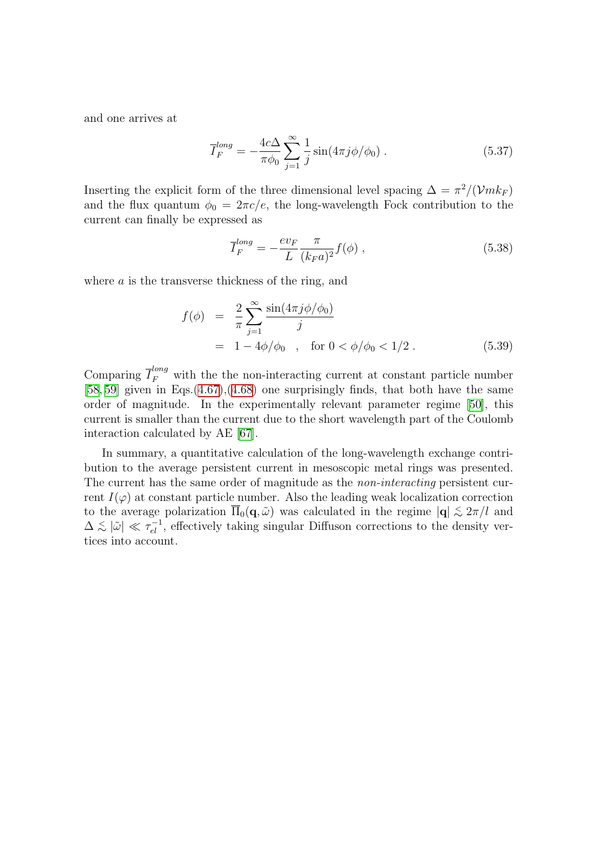and one arrives at

$$
\overline{I}_{F}^{long} = -\frac{4c\Delta}{\pi\phi_0} \sum_{j=1}^{\infty} \frac{1}{j} \sin(4\pi j\phi/\phi_0) . \qquad (5.37)
$$

Inserting the explicit form of the three dimensional level spacing  $\Delta = \pi^2/(\mathcal{V}m k_F)$ and the flux quantum  $\phi_0 = 2\pi c/e$ , the long-wavelength Fock contribution to the current can finally be expressed as

$$
\overline{I}_F^{long} = -\frac{ev_F}{L} \frac{\pi}{(k_F a)^2} f(\phi) , \qquad (5.38)
$$

where  $a$  is the transverse thickness of the ring, and

$$
f(\phi) = \frac{2}{\pi} \sum_{j=1}^{\infty} \frac{\sin(4\pi j \phi/\phi_0)}{j}
$$
  
= 1 - 4\phi/\phi\_0 , for  $0 < \phi/\phi_0 < 1/2$ . (5.39)

Comparing  $\overline{I}_F^{long}$  with the the non-interacting current at constant particle number [[58](#page-136-10), [59](#page-136-2)] given in Eqs. $(4.67)$  $(4.67)$ , $(4.68)$  $(4.68)$  one surprisingly finds, that both have the same order of magnitude. In the experimentally relevant parameter regime [\[50\]](#page-135-0), this current is smaller than the current due to the short wavelength part of the Coulomb interaction calculated by AE[[67](#page-136-3)].

In summary, a quantitative calculation of the long-wavelength exchange contribution to the average persistent current in mesoscopic metal rings was presented. The current has the same order of magnitude as the *non-interacting* persistent current  $I(\varphi)$  at constant particle number. Also the leading weak localization correction to the average polarization  $\overline{\Pi}_0(q,\tilde{\omega})$  was calculated in the regime  $|\mathbf{q}| \lesssim 2\pi/l$  and  $\Delta \lesssim |\tilde{\omega}| \ll \tau_{el}^{-1}$ , effectively taking singular Diffuson corrections to the density vertices into account.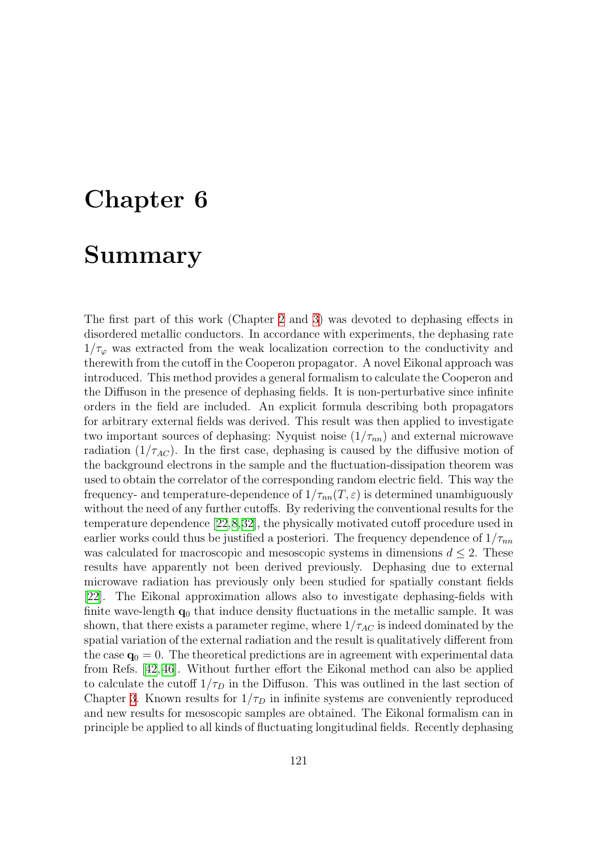# Chapter 6

### Summary

The first part of this work (Chapter [2](#page-7-1) and [3\)](#page-35-0) was devoted to dephasing effects in disordered metallic conductors. In accordance with experiments, the dephasing rate  $1/\tau_{\varphi}$  was extracted from the weak localization correction to the conductivity and therewith from the cutoff in the Cooperon propagator. A novel Eikonal approach was introduced. This method provides a general formalism to calculate the Cooperon and the Diffuson in the presence of dephasing fields. It is non-perturbative since infinite orders in the field are included. An explicit formula describing both propagators for arbitrary external fields was derived. This result was then applied to investigate two important sources of dephasing: Nyquist noise  $(1/\tau_{nn})$  and external microwave radiation  $(1/\tau_{AC})$ . In the first case, dephasing is caused by the diffusive motion of the background electrons in the sample and the fluctuation-dissipation theorem was used to obtain the correlator of the corresponding random electric field. This way the frequency- and temperature-dependence of  $1/\tau_{nn}(T,\varepsilon)$  is determined unambiguously without the need of any further cutoffs. By rederiving the conventional results for the temperature dependence [\[22,](#page-134-2)[8,](#page-133-1)[32](#page-134-3)], the physically motivated cutoff procedure used in earlier works could thus be justified a posteriori. The frequency dependence of  $1/\tau_{nn}$ was calculated for macroscopic and mesoscopic systems in dimensions  $d \leq 2$ . These results have apparently not been derived previously. Dephasing due to external microwave radiation has previously only been studied for spatially constant fields [[22](#page-134-2)]. The Eikonal approximation allows also to investigate dephasing-fields with finite wave-length  $q_0$  that induce density fluctuations in the metallic sample. It was shown, that there exists a parameter regime, where  $1/\tau_{AC}$  is indeed dominated by the spatial variation of the external radiation and the result is qualitatively different from the case  $\mathbf{q}_0 = 0$ . The theoretical predictions are in agreement with experimental data from Refs. [\[42,](#page-135-2) [46](#page-135-3)]. Without further effort the Eikonal method can also be applied to calculate the cutoff  $1/\tau_D$  in the Diffuson. This was outlined in the last section of Chapter [3.](#page-35-0) Known results for  $1/\tau_D$  in infinite systems are conveniently reproduced and new results for mesoscopic samples are obtained. The Eikonal formalism can in principle be applied to all kinds of fluctuating longitudinal fields. Recently dephasing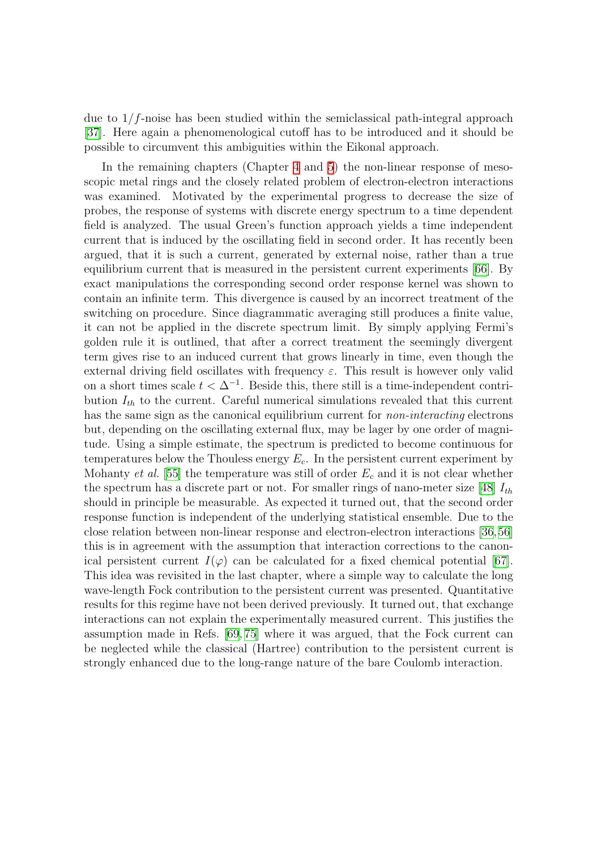due to  $1/f$ -noise has been studied within the semiclassical path-integral approach [[37](#page-135-4)]. Here again a phenomenological cutoff has to be introduced and it should be possible to circumvent this ambiguities within the Eikonal approach.

In the remaining chapters (Chapter [4](#page-76-0) and [5\)](#page-109-1) the non-linear response of mesoscopic metal rings and the closely related problem of electron-electron interactions was examined. Motivated by the experimental progress to decrease the size of probes, the response of systems with discrete energy spectrum to a time dependent field is analyzed. The usual Green's function approach yields a time independent current that is induced by the oscillating field in second order. It has recently been argued, that it is such a current, generated by external noise, rather than a true equilibrium current that is measured in the persistent current experiments[[66](#page-136-11)]. By exact manipulations the corresponding second order response kernel was shown to contain an infinite term. This divergence is caused by an incorrect treatment of the switching on procedure. Since diagrammatic averaging still produces a finite value, it can not be applied in the discrete spectrum limit. By simply applying Fermi's golden rule it is outlined, that after a correct treatment the seemingly divergent term gives rise to an induced current that grows linearly in time, even though the external driving field oscillates with frequency  $\varepsilon$ . This result is however only valid on a short times scale  $t < \Delta^{-1}$ . Beside this, there still is a time-independent contribution  $I_{th}$  to the current. Careful numerical simulations revealed that this current has the same sign as the canonical equilibrium current for *non-interacting* electrons but, depending on the oscillating external flux, may be lager by one order of magnitude. Using a simple estimate, the spectrum is predicted to become continuous for temperatures below the Thouless energy  $E_c$ . In the persistent current experiment by Mohanty *et al.* [[55\]](#page-136-12) the temperature was still of order  $E_c$  and it is not clear whether thespectrum has a discrete part or not. For smaller rings of nano-meter size [[48](#page-135-5)]  $I_{th}$ should in principle be measurable. As expected it turned out, that the second order response function is independent of the underlying statistical ensemble. Due to the close relation between non-linear response and electron-electron interactions [\[36](#page-135-1),[56](#page-136-0)] this is in agreement with the assumption that interaction corrections to the canonical persistent current  $I(\varphi)$  can be calculated for a fixed chemical potential [\[67](#page-136-3)]. This idea was revisited in the last chapter, where a simple way to calculate the long wave-length Fock contribution to the persistent current was presented. Quantitative results for this regime have not been derived previously. It turned out, that exchange interactions can not explain the experimentally measured current. This justifies the assumption made in Refs. [\[69,](#page-136-6) [75\]](#page-137-0) where it was argued, that the Fock current can be neglected while the classical (Hartree) contribution to the persistent current is strongly enhanced due to the long-range nature of the bare Coulomb interaction.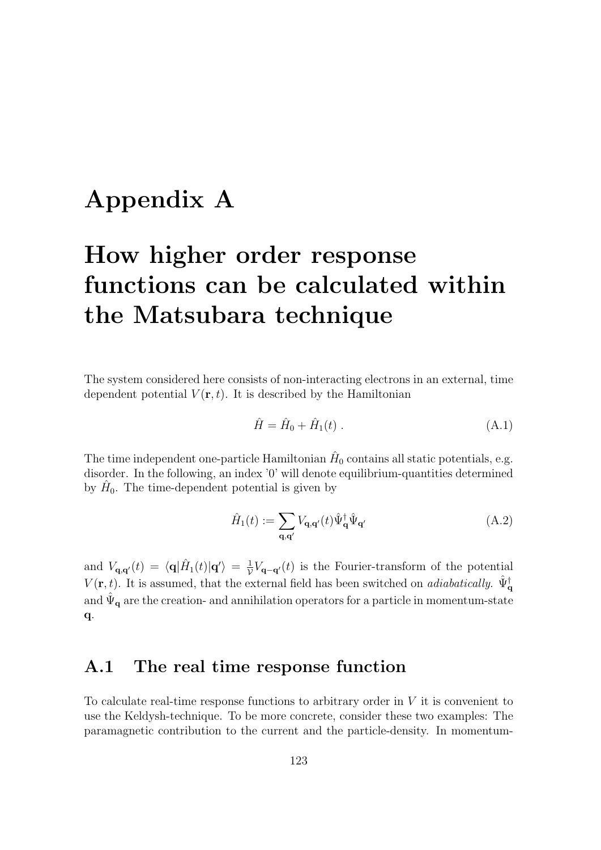## Appendix A

# How higher order response functions can be calculated within the Matsubara technique

The system considered here consists of non-interacting electrons in an external, time dependent potential  $V(\mathbf{r},t)$ . It is described by the Hamiltonian

$$
\hat{H} = \hat{H}_0 + \hat{H}_1(t) \tag{A.1}
$$

The time independent one-particle Hamiltonian  $\hat{H}_0$  contains all static potentials, e.g. disorder. In the following, an index '0' will denote equilibrium-quantities determined by  $\hat{H}_0$ . The time-dependent potential is given by

$$
\hat{H}_1(t) := \sum_{\mathbf{q}, \mathbf{q}'} V_{\mathbf{q}, \mathbf{q}'}(t) \hat{\Psi}_{\mathbf{q}}^\dagger \hat{\Psi}_{\mathbf{q}'} \tag{A.2}
$$

and  $V_{\mathbf{q},\mathbf{q}'}(t) = \langle \mathbf{q} | \hat{H}_1(t) | \mathbf{q}' \rangle = \frac{1}{\mathcal{V}} V_{\mathbf{q}-\mathbf{q}'}(t)$  is the Fourier-transform of the potential  $V(\mathbf{r}, t)$ . It is assumed, that the external field has been switched on *adiabatically*.  $\hat{\Psi}_{\mathbf{q}}^{\dagger}$ and  $\hat{\Psi}_{q}$  are the creation- and annihilation operators for a particle in momentum-state q.

#### A.1 The real time response function

To calculate real-time response functions to arbitrary order in  $V$  it is convenient to use the Keldysh-technique. To be more concrete, consider these two examples: The paramagnetic contribution to the current and the particle-density. In momentum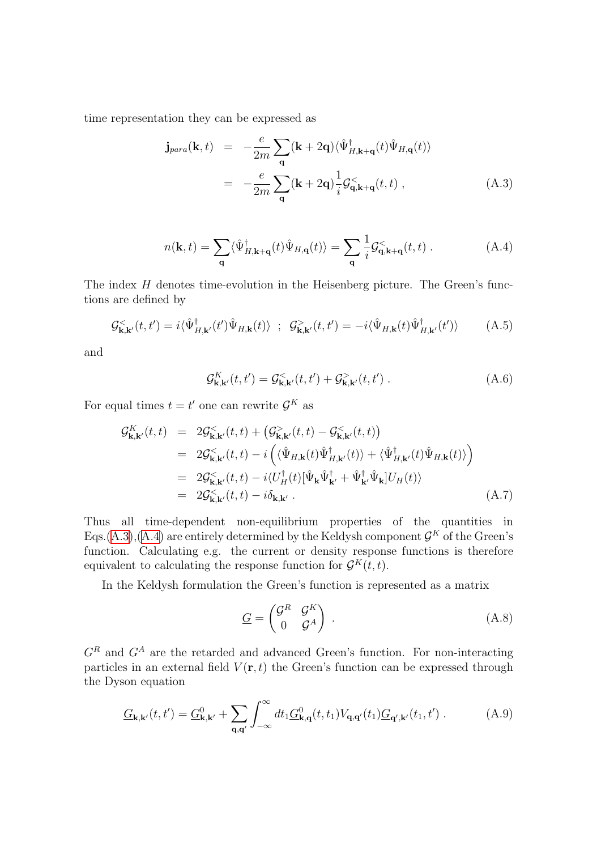time representation they can be expressed as

<span id="page-123-0"></span>
$$
\mathbf{j}_{para}(\mathbf{k}, t) = -\frac{e}{2m} \sum_{\mathbf{q}} (\mathbf{k} + 2\mathbf{q}) \langle \hat{\Psi}_{H, \mathbf{k} + \mathbf{q}}^{\dagger}(t) \hat{\Psi}_{H, \mathbf{q}}(t) \rangle
$$

$$
= -\frac{e}{2m} \sum_{\mathbf{q}} (\mathbf{k} + 2\mathbf{q}) \frac{1}{i} \mathcal{G}_{\mathbf{q}, \mathbf{k} + \mathbf{q}}^{<}(t, t) , \qquad (A.3)
$$

$$
n(\mathbf{k},t) = \sum_{\mathbf{q}} \langle \hat{\Psi}_{H,\mathbf{k}+\mathbf{q}}^{\dagger}(t)\hat{\Psi}_{H,\mathbf{q}}(t) \rangle = \sum_{\mathbf{q}} \frac{1}{i} \mathcal{G}_{\mathbf{q},\mathbf{k}+\mathbf{q}}^{<}(t,t) . \tag{A.4}
$$

The index  $H$  denotes time-evolution in the Heisenberg picture. The Green's functions are defined by

$$
\mathcal{G}_{\mathbf{k},\mathbf{k}'}^{<}(t,t') = i\langle \hat{\Psi}_{H,\mathbf{k}'}^{\dagger}(t')\hat{\Psi}_{H,\mathbf{k}}(t) \rangle \ ; \ \ \mathcal{G}_{\mathbf{k},\mathbf{k}'}^{>}(t,t') = -i\langle \hat{\Psi}_{H,\mathbf{k}}(t)\hat{\Psi}_{H,\mathbf{k}'}^{\dagger}(t') \rangle \tag{A.5}
$$

and

<span id="page-123-3"></span><span id="page-123-1"></span>
$$
\mathcal{G}_{\mathbf{k},\mathbf{k}'}^{K}(t,t') = \mathcal{G}_{\mathbf{k},\mathbf{k}'}^{<}(t,t') + \mathcal{G}_{\mathbf{k},\mathbf{k}'}^{>}(t,t') .
$$
 (A.6)

For equal times  $t = t'$  one can rewrite  $\mathcal{G}^K$  as

<span id="page-123-2"></span>
$$
\mathcal{G}_{\mathbf{k},\mathbf{k}'}^{K}(t,t) = 2\mathcal{G}_{\mathbf{k},\mathbf{k}'}^{<}(t,t) + (\mathcal{G}_{\mathbf{k},\mathbf{k}'}^{>}(t,t) - \mathcal{G}_{\mathbf{k},\mathbf{k}'}^{<}(t,t))
$$
\n
$$
= 2\mathcal{G}_{\mathbf{k},\mathbf{k}'}^{<}(t,t) - i\left(\langle \hat{\Psi}_{H,\mathbf{k}}(t)\hat{\Psi}_{H,\mathbf{k}'}^{\dagger}(t)\rangle + \langle \hat{\Psi}_{H,\mathbf{k}'}^{\dagger}(t)\hat{\Psi}_{H,\mathbf{k}}(t)\rangle \right)
$$
\n
$$
= 2\mathcal{G}_{\mathbf{k},\mathbf{k}'}^{<}(t,t) - i\langle U_{H}^{\dagger}(t)[\hat{\Psi}_{\mathbf{k}}\hat{\Psi}_{\mathbf{k}'}^{\dagger} + \hat{\Psi}_{\mathbf{k}'}^{\dagger}\hat{\Psi}_{\mathbf{k}}]U_{H}(t)\rangle
$$
\n
$$
= 2\mathcal{G}_{\mathbf{k},\mathbf{k}'}^{<}(t,t) - i\delta_{\mathbf{k},\mathbf{k}'} .
$$
\n(A.7)

Thus all time-dependent non-equilibrium properties of the quantities in Eqs.([A.3\)](#page-123-0),[\(A.4](#page-123-1)) are entirely determined by the Keldysh component  $\mathcal{G}^K$  of the Green's function. Calculating e.g. the current or density response functions is therefore equivalent to calculating the response function for  $\mathcal{G}^K(t,t)$ .

In the Keldysh formulation the Green's function is represented as a matrix

$$
\underline{G} = \begin{pmatrix} \mathcal{G}^R & \mathcal{G}^K \\ 0 & \mathcal{G}^A \end{pmatrix} .
$$
 (A.8)

 $G<sup>R</sup>$  and  $G<sup>A</sup>$  are the retarded and advanced Green's function. For non-interacting particles in an external field  $V(\mathbf{r},t)$  the Green's function can be expressed through the Dyson equation

$$
\underline{G}_{\mathbf{k},\mathbf{k}'}(t,t') = \underline{G}_{\mathbf{k},\mathbf{k}'}^0 + \sum_{\mathbf{q},\mathbf{q}'} \int_{-\infty}^{\infty} dt_1 \underline{G}_{\mathbf{k},\mathbf{q}}^0(t,t_1) V_{\mathbf{q},\mathbf{q}'}(t_1) \underline{G}_{\mathbf{q}',\mathbf{k}'}(t_1,t') . \tag{A.9}
$$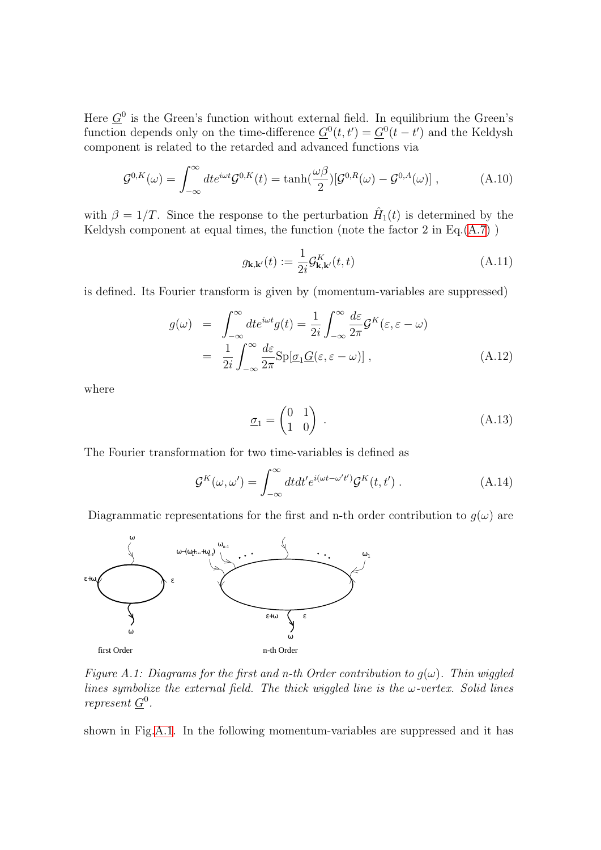Here  $\underline{G}^0$  is the Green's function without external field. In equilibrium the Green's function depends only on the time-difference  $\underline{G}^0(t,t') = \underline{G}^0(t-t')$  and the Keldysh component is related to the retarded and advanced functions via

$$
\mathcal{G}^{0,K}(\omega) = \int_{-\infty}^{\infty} dt e^{i\omega t} \mathcal{G}^{0,K}(t) = \tanh(\frac{\omega\beta}{2}) [\mathcal{G}^{0,R}(\omega) - \mathcal{G}^{0,A}(\omega)] , \qquad (A.10)
$$

with  $\beta = 1/T$ . Since the response to the perturbation  $\hat{H}_1(t)$  is determined by the Keldysh component at equal times, the function (note the factor  $2$  in Eq. $(A.7)$  $(A.7)$ )

<span id="page-124-1"></span>
$$
g_{\mathbf{k},\mathbf{k}'}(t) := \frac{1}{2i} \mathcal{G}_{\mathbf{k},\mathbf{k}'}^{K}(t,t)
$$
\n(A.11)

is defined. Its Fourier transform is given by (momentum-variables are suppressed)

$$
g(\omega) = \int_{-\infty}^{\infty} dt e^{i\omega t} g(t) = \frac{1}{2i} \int_{-\infty}^{\infty} \frac{d\varepsilon}{2\pi} \mathcal{G}^{K}(\varepsilon, \varepsilon - \omega)
$$
  

$$
= \frac{1}{2i} \int_{-\infty}^{\infty} \frac{d\varepsilon}{2\pi} \text{Sp}[\underline{\sigma}_{1} \underline{G}(\varepsilon, \varepsilon - \omega)], \qquad (A.12)
$$

where

$$
\underline{\sigma}_1 = \begin{pmatrix} 0 & 1 \\ 1 & 0 \end{pmatrix} . \tag{A.13}
$$

The Fourier transformation for two time-variables is defined as

$$
\mathcal{G}^{K}(\omega,\omega') = \int_{-\infty}^{\infty} dt dt' e^{i(\omega t - \omega' t')} \mathcal{G}^{K}(t,t') . \qquad (A.14)
$$

Diagrammatic representations for the first and n-th order contribution to  $g(\omega)$  are



<span id="page-124-0"></span>Figure A.1: Diagrams for the first and n-th Order contribution to  $g(\omega)$ . Thin wiggled lines symbolize the external field. The thick wiggled line is the  $\omega$ -vertex. Solid lines represent  $\underline{G}^0$ .

shown in Fig[.A.1](#page-124-0). In the following momentum-variables are suppressed and it has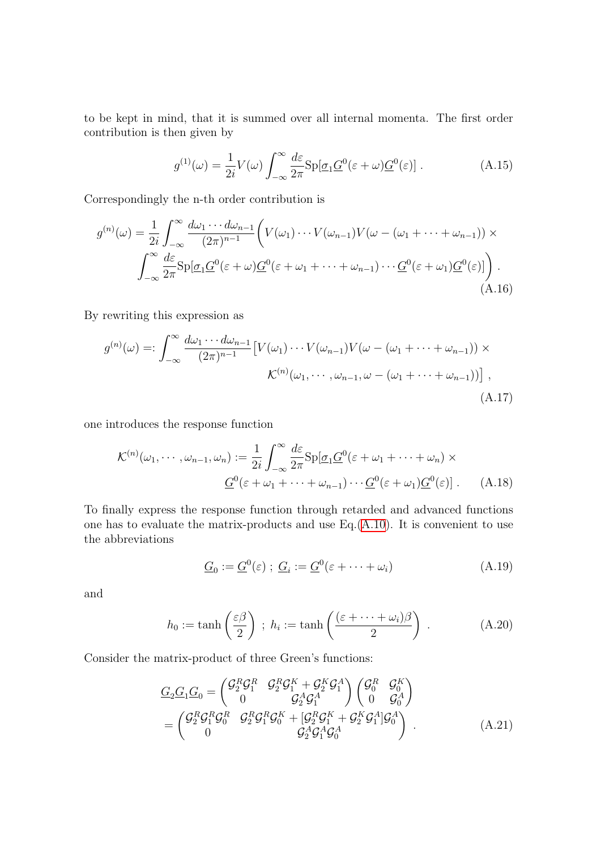to be kept in mind, that it is summed over all internal momenta. The first order contribution is then given by

$$
g^{(1)}(\omega) = \frac{1}{2i} V(\omega) \int_{-\infty}^{\infty} \frac{d\varepsilon}{2\pi} \text{Sp}[\underline{\sigma}_1 \underline{G}^0(\varepsilon + \omega) \underline{G}^0(\varepsilon)]. \tag{A.15}
$$

Correspondingly the n-th order contribution is

$$
g^{(n)}(\omega) = \frac{1}{2i} \int_{-\infty}^{\infty} \frac{d\omega_1 \cdots d\omega_{n-1}}{(2\pi)^{n-1}} \bigg( V(\omega_1) \cdots V(\omega_{n-1}) V(\omega - (\omega_1 + \cdots + \omega_{n-1})) \times \int_{-\infty}^{\infty} \frac{d\varepsilon}{2\pi} \text{Sp}[\underline{\sigma}_1 \underline{G}^0(\varepsilon + \omega) \underline{G}^0(\varepsilon + \omega_1 + \cdots + \omega_{n-1}) \cdots \underline{G}^0(\varepsilon + \omega_1) \underline{G}^0(\varepsilon)] \bigg). \tag{A.16}
$$

By rewriting this expression as

$$
g^{(n)}(\omega) =: \int_{-\infty}^{\infty} \frac{d\omega_1 \cdots d\omega_{n-1}}{(2\pi)^{n-1}} \left[ V(\omega_1) \cdots V(\omega_{n-1}) V(\omega - (\omega_1 + \cdots + \omega_{n-1})) \times \mathcal{K}^{(n)}(\omega_1, \cdots, \omega_{n-1}, \omega - (\omega_1 + \cdots + \omega_{n-1})) \right],
$$
\n(A.17)

one introduces the response function

$$
\mathcal{K}^{(n)}(\omega_1, \cdots, \omega_{n-1}, \omega_n) := \frac{1}{2i} \int_{-\infty}^{\infty} \frac{d\varepsilon}{2\pi} \mathrm{Sp}[\underline{\sigma}_1 \underline{G}^0(\varepsilon + \omega_1 + \cdots + \omega_n) \times
$$

$$
\underline{G}^0(\varepsilon + \omega_1 + \cdots + \omega_{n-1}) \cdots \underline{G}^0(\varepsilon + \omega_1) \underline{G}^0(\varepsilon)]. \tag{A.18}
$$

To finally express the response function through retarded and advanced functions one has to evaluate the matrix-products and use Eq.[\(A.10\)](#page-124-1). It is convenient to use the abbreviations

<span id="page-125-0"></span>
$$
\underline{G}_0 := \underline{G}^0(\varepsilon) \; ; \; \underline{G}_i := \underline{G}^0(\varepsilon + \dots + \omega_i) \tag{A.19}
$$

and

$$
h_0 := \tanh\left(\frac{\varepsilon\beta}{2}\right) \; ; \; h_i := \tanh\left(\frac{(\varepsilon + \dots + \omega_i)\beta}{2}\right) \; . \tag{A.20}
$$

Consider the matrix-product of three Green's functions:

$$
\frac{G_2 G_1 G_0}{G_2 G_1 G_0} = \begin{pmatrix} \mathcal{G}_2^R \mathcal{G}_1^R & \mathcal{G}_2^R \mathcal{G}_1^K + \mathcal{G}_2^K \mathcal{G}_1^A \\ 0 & \mathcal{G}_2^A \mathcal{G}_1^A \end{pmatrix} \begin{pmatrix} \mathcal{G}_0^R & \mathcal{G}_0^K \\ 0 & \mathcal{G}_0^A \end{pmatrix}
$$
\n
$$
= \begin{pmatrix} \mathcal{G}_2^R \mathcal{G}_1^R \mathcal{G}_0^R & \mathcal{G}_2^R \mathcal{G}_1^R \mathcal{G}_0^K + [\mathcal{G}_2^R \mathcal{G}_1^K + \mathcal{G}_2^K \mathcal{G}_1^A] \mathcal{G}_0^A \\ 0 & \mathcal{G}_2^A \mathcal{G}_1^A \mathcal{G}_0^A \end{pmatrix} .
$$
\n(A.21)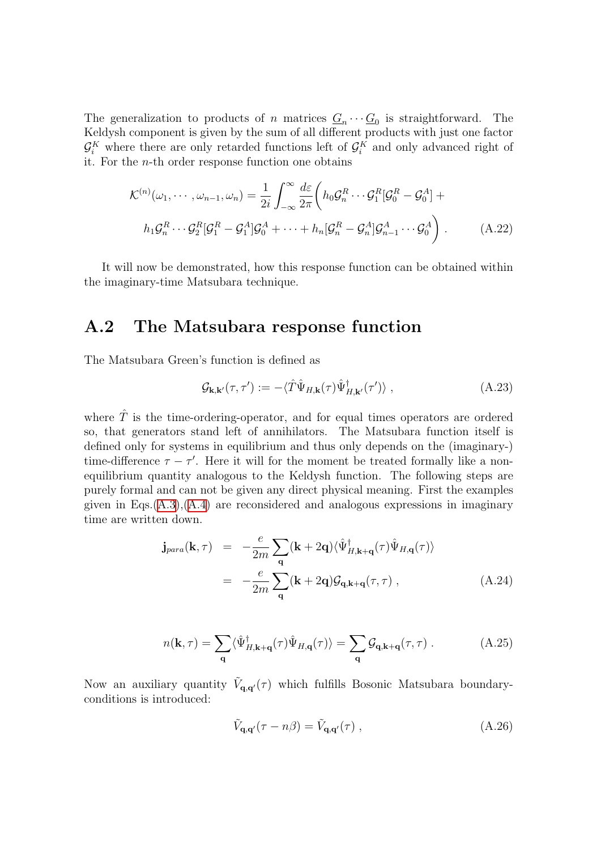The generalization to products of n matrices  $\underline{G}_n \cdots \underline{G}_0$  is straightforward. The Keldysh component is given by the sum of all different products with just one factor  $\mathcal{G}_i^K$  where there are only retarded functions left of  $\mathcal{G}_i^K$  and only advanced right of it. For the n-th order response function one obtains

<span id="page-126-1"></span>
$$
\mathcal{K}^{(n)}(\omega_1, \cdots, \omega_{n-1}, \omega_n) = \frac{1}{2i} \int_{-\infty}^{\infty} \frac{d\varepsilon}{2\pi} \left( h_0 \mathcal{G}_n^R \cdots \mathcal{G}_1^R [\mathcal{G}_0^R - \mathcal{G}_0^A] + h_1 \mathcal{G}_n^R \cdots \mathcal{G}_2^R [\mathcal{G}_1^R - \mathcal{G}_1^A] \mathcal{G}_0^A + \cdots + h_n [\mathcal{G}_n^R - \mathcal{G}_n^A] \mathcal{G}_{n-1}^A \cdots \mathcal{G}_0^A \right).
$$
\n(A.22)

It will now be demonstrated, how this response function can be obtained within the imaginary-time Matsubara technique.

#### A.2 The Matsubara response function

The Matsubara Green's function is defined as

<span id="page-126-0"></span>
$$
\mathcal{G}_{\mathbf{k},\mathbf{k}'}(\tau,\tau') := -\langle \hat{T}\hat{\Psi}_{H,\mathbf{k}}(\tau)\hat{\Psi}_{H,\mathbf{k}'}^{\dagger}(\tau')\rangle ,\qquad (A.23)
$$

where  $\hat{T}$  is the time-ordering-operator, and for equal times operators are ordered so, that generators stand left of annihilators. The Matsubara function itself is defined only for systems in equilibrium and thus only depends on the (imaginary-) time-difference  $\tau - \tau'$ . Here it will for the moment be treated formally like a nonequilibrium quantity analogous to the Keldysh function. The following steps are purely formal and can not be given any direct physical meaning. First the examples given in Eqs. $(A.3)$ , $(A.4)$  $(A.4)$  are reconsidered and analogous expressions in imaginary time are written down.

$$
\mathbf{j}_{para}(\mathbf{k}, \tau) = -\frac{e}{2m} \sum_{\mathbf{q}} (\mathbf{k} + 2\mathbf{q}) \langle \hat{\Psi}_{H, \mathbf{k} + \mathbf{q}}^{+}(\tau) \hat{\Psi}_{H, \mathbf{q}}(\tau) \rangle
$$
\n
$$
= -\frac{e}{2m} \sum_{\mathbf{q}} (\mathbf{k} + 2\mathbf{q}) \mathcal{G}_{\mathbf{q}, \mathbf{k} + \mathbf{q}}(\tau, \tau) , \qquad (A.24)
$$

$$
n(\mathbf{k},\tau) = \sum_{\mathbf{q}} \langle \hat{\Psi}_{H,\mathbf{k}+\mathbf{q}}^{\dagger}(\tau) \hat{\Psi}_{H,\mathbf{q}}(\tau) \rangle = \sum_{\mathbf{q}} \mathcal{G}_{\mathbf{q},\mathbf{k}+\mathbf{q}}(\tau,\tau) . \tag{A.25}
$$

Now an auxiliary quantity  $\tilde{V}_{\mathbf{q},\mathbf{q}'}(\tau)$  which fulfills Bosonic Matsubara boundaryconditions is introduced:

$$
\tilde{V}_{\mathbf{q},\mathbf{q}'}(\tau - n\beta) = \tilde{V}_{\mathbf{q},\mathbf{q}'}(\tau) ,\qquad (A.26)
$$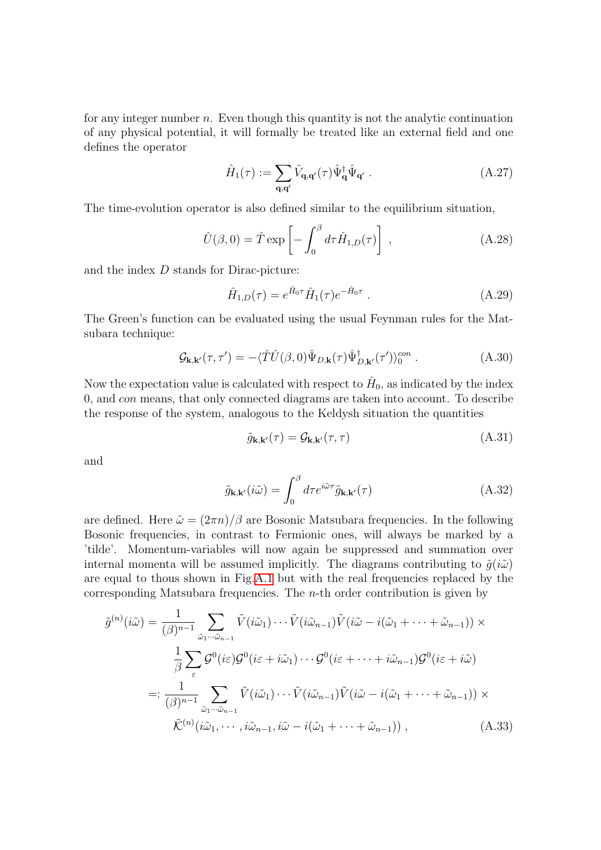for any integer number  $n$ . Even though this quantity is not the analytic continuation of any physical potential, it will formally be treated like an external field and one defines the operator

$$
\hat{H}_{1}(\tau) := \sum_{\mathbf{q}, \mathbf{q}'} \tilde{V}_{\mathbf{q}, \mathbf{q}'}(\tau) \hat{\Psi}_{\mathbf{q}}^{\dagger} \hat{\Psi}_{\mathbf{q}'} .
$$
\n(A.27)

The time-evolution operator is also defined similar to the equilibrium situation,

$$
\hat{U}(\beta,0) = \hat{T} \exp\left[-\int_0^\beta d\tau \hat{H}_{1,D}(\tau)\right],\tag{A.28}
$$

and the index D stands for Dirac-picture:

$$
\hat{H}_{1,D}(\tau) = e^{\hat{H}_0 \tau} \hat{H}_1(\tau) e^{-\hat{H}_0 \tau} . \tag{A.29}
$$

The Green's function can be evaluated using the usual Feynman rules for the Matsubara technique:

$$
\mathcal{G}_{\mathbf{k},\mathbf{k}'}(\tau,\tau') = -\langle \hat{T}\hat{U}(\beta,0)\hat{\Psi}_{D,\mathbf{k}}(\tau)\hat{\Psi}_{D,\mathbf{k}'}^{\dagger}(\tau')\rangle_0^{con}.
$$
 (A.30)

Now the expectation value is calculated with respect to  $\hat{H}_0$ , as indicated by the index 0, and con means, that only connected diagrams are taken into account. To describe the response of the system, analogous to the Keldysh situation the quantities

$$
\tilde{g}_{\mathbf{k},\mathbf{k}'}(\tau) = \mathcal{G}_{\mathbf{k},\mathbf{k}'}(\tau,\tau) \tag{A.31}
$$

and

$$
\tilde{g}_{\mathbf{k},\mathbf{k}'}(i\tilde{\omega}) = \int_0^\beta d\tau e^{i\tilde{\omega}\tau} \tilde{g}_{\mathbf{k},\mathbf{k}'}(\tau) \tag{A.32}
$$

are defined. Here  $\tilde{\omega} = (2\pi n)/\beta$  are Bosonic Matsubara frequencies. In the following Bosonic frequencies, in contrast to Fermionic ones, will always be marked by a 'tilde'. Momentum-variables will now again be suppressed and summation over internal momenta will be assumed implicitly. The diagrams contributing to  $\tilde{g}(i\tilde{\omega})$ are equal to thous shown in Fig.[A.1](#page-124-0) but with the real frequencies replaced by the corresponding Matsubara frequencies. The  $n$ -th order contribution is given by

$$
\tilde{g}^{(n)}(i\tilde{\omega}) = \frac{1}{(\beta)^{n-1}} \sum_{\tilde{\omega}_1 \cdots \tilde{\omega}_{n-1}} \tilde{V}(i\tilde{\omega}_1) \cdots \tilde{V}(i\tilde{\omega}_{n-1}) \tilde{V}(i\tilde{\omega} - i(\tilde{\omega}_1 + \cdots + \tilde{\omega}_{n-1})) \times \n\frac{1}{\beta} \sum_{\varepsilon} \mathcal{G}^0(i\varepsilon) \mathcal{G}^0(i\varepsilon + i\tilde{\omega}_1) \cdots \mathcal{G}^0(i\varepsilon + \cdots + i\tilde{\omega}_{n-1}) \mathcal{G}^0(i\varepsilon + i\tilde{\omega}) \n=: \frac{1}{(\beta)^{n-1}} \sum_{\tilde{\omega}_1 \cdots \tilde{\omega}_{n-1}} \tilde{V}(i\tilde{\omega}_1) \cdots \tilde{V}(i\tilde{\omega}_{n-1}) \tilde{V}(i\tilde{\omega} - i(\tilde{\omega}_1 + \cdots + \tilde{\omega}_{n-1})) \times \n\tilde{\mathcal{K}}^{(n)}(i\tilde{\omega}_1, \cdots, i\tilde{\omega}_{n-1}, i\tilde{\omega} - i(\tilde{\omega}_1 + \cdots + \tilde{\omega}_{n-1})) ,
$$
\n(A.33)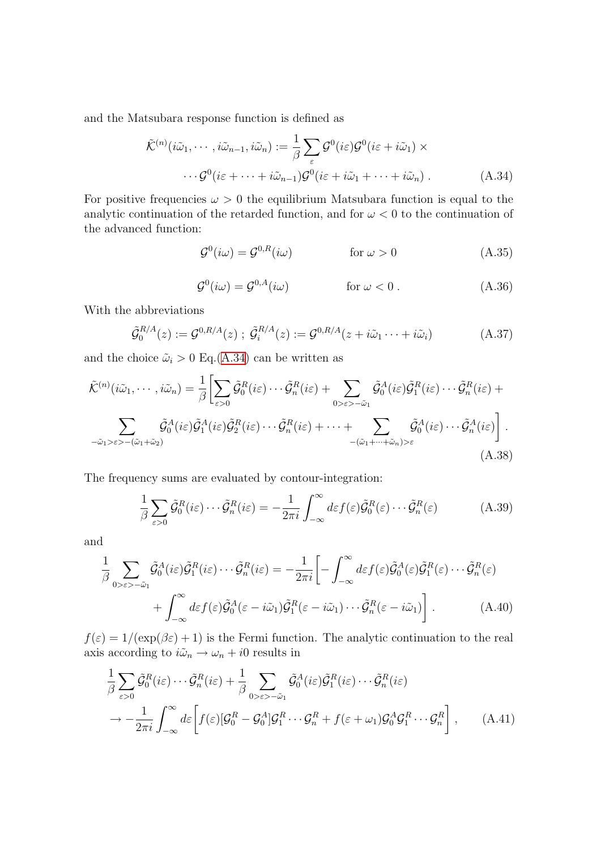and the Matsubara response function is defined as

<span id="page-128-0"></span>
$$
\tilde{\mathcal{K}}^{(n)}(i\tilde{\omega}_1, \cdots, i\tilde{\omega}_{n-1}, i\tilde{\omega}_n) := \frac{1}{\beta} \sum_{\varepsilon} \mathcal{G}^0(i\varepsilon) \mathcal{G}^0(i\varepsilon + i\tilde{\omega}_1) \times \cdots \mathcal{G}^0(i\varepsilon + \cdots + i\tilde{\omega}_{n-1}) \mathcal{G}^0(i\varepsilon + i\tilde{\omega}_1 + \cdots + i\tilde{\omega}_n) .
$$
\n(A.34)

For positive frequencies  $\omega > 0$  the equilibrium Matsubara function is equal to the analytic continuation of the retarded function, and for  $\omega < 0$  to the continuation of the advanced function:

$$
\mathcal{G}^0(i\omega) = \mathcal{G}^{0,R}(i\omega) \qquad \text{for } \omega > 0 \qquad (A.35)
$$

$$
\mathcal{G}^0(i\omega) = \mathcal{G}^{0, A}(i\omega) \qquad \text{for } \omega < 0. \tag{A.36}
$$

With the abbreviations

$$
\tilde{\mathcal{G}}_0^{R/A}(z) := \mathcal{G}^{0,R/A}(z) \; ; \; \tilde{\mathcal{G}}_i^{R/A}(z) := \mathcal{G}^{0,R/A}(z + i\tilde{\omega}_1 \cdots + i\tilde{\omega}_i) \tag{A.37}
$$

and the choice  $\tilde{\omega}_i > 0$  Eq.[\(A.34\)](#page-128-0) can be written as

$$
\tilde{\mathcal{K}}^{(n)}(i\tilde{\omega}_{1},\cdots,i\tilde{\omega}_{n}) = \frac{1}{\beta} \Biggl[ \sum_{\varepsilon>0} \tilde{\mathcal{G}}_{0}^{R}(i\varepsilon)\cdots\tilde{\mathcal{G}}_{n}^{R}(i\varepsilon) + \sum_{0>\varepsilon>-\tilde{\omega}_{1}} \tilde{\mathcal{G}}_{0}^{A}(i\varepsilon)\tilde{\mathcal{G}}_{1}^{R}(i\varepsilon)\cdots\tilde{\mathcal{G}}_{n}^{R}(i\varepsilon) + \sum_{-\tilde{\omega}_{1}>\varepsilon>-(\tilde{\omega}_{1}+\tilde{\omega}_{2})} \tilde{\mathcal{G}}_{0}^{A}(i\varepsilon)\tilde{\mathcal{G}}_{1}^{A}(i\varepsilon)\tilde{\mathcal{G}}_{2}^{R}(i\varepsilon)\cdots\tilde{\mathcal{G}}_{n}^{R}(i\varepsilon) + \cdots + \sum_{-(\tilde{\omega}_{1}+\cdots+\tilde{\omega}_{n})>\varepsilon} \tilde{\mathcal{G}}_{0}^{A}(i\varepsilon)\cdots\tilde{\mathcal{G}}_{n}^{A}(i\varepsilon) \Biggr].
$$
\n(A.38)

The frequency sums are evaluated by contour-integration:

$$
\frac{1}{\beta} \sum_{\varepsilon > 0} \tilde{\mathcal{G}}_0^R(i\varepsilon) \cdots \tilde{\mathcal{G}}_n^R(i\varepsilon) = -\frac{1}{2\pi i} \int_{-\infty}^{\infty} d\varepsilon f(\varepsilon) \tilde{\mathcal{G}}_0^R(\varepsilon) \cdots \tilde{\mathcal{G}}_n^R(\varepsilon) \tag{A.39}
$$

and

$$
\frac{1}{\beta} \sum_{0 \ge \varepsilon > -\tilde{\omega}_1} \tilde{\mathcal{G}}_0^A(i\varepsilon) \tilde{\mathcal{G}}_1^R(i\varepsilon) \cdots \tilde{\mathcal{G}}_n^R(i\varepsilon) = -\frac{1}{2\pi i} \bigg[ -\int_{-\infty}^{\infty} d\varepsilon f(\varepsilon) \tilde{\mathcal{G}}_0^A(\varepsilon) \tilde{\mathcal{G}}_1^R(\varepsilon) \cdots \tilde{\mathcal{G}}_n^R(\varepsilon) + \int_{-\infty}^{\infty} d\varepsilon f(\varepsilon) \tilde{\mathcal{G}}_0^A(\varepsilon - i\tilde{\omega}_1) \tilde{\mathcal{G}}_1^R(\varepsilon - i\tilde{\omega}_1) \cdots \tilde{\mathcal{G}}_n^R(\varepsilon - i\tilde{\omega}_1) \bigg]. \tag{A.40}
$$

 $f(\varepsilon) = 1/(\exp(\beta \varepsilon) + 1)$  is the Fermi function. The analytic continuation to the real axis according to  $i\tilde{\omega}_n \rightarrow \omega_n + i0$  results in

$$
\frac{1}{\beta} \sum_{\varepsilon>0} \tilde{\mathcal{G}}_0^R(i\varepsilon) \cdots \tilde{\mathcal{G}}_n^R(i\varepsilon) + \frac{1}{\beta} \sum_{0>\varepsilon>-\tilde{\omega}_1} \tilde{\mathcal{G}}_0^A(i\varepsilon) \tilde{\mathcal{G}}_1^R(i\varepsilon) \cdots \tilde{\mathcal{G}}_n^R(i\varepsilon)
$$
\n
$$
\rightarrow -\frac{1}{2\pi i} \int_{-\infty}^{\infty} d\varepsilon \left[ f(\varepsilon) [\mathcal{G}_0^R - \mathcal{G}_0^A] \mathcal{G}_1^R \cdots \mathcal{G}_n^R + f(\varepsilon + \omega_1) \mathcal{G}_0^A \mathcal{G}_1^R \cdots \mathcal{G}_n^R \right], \qquad (A.41)
$$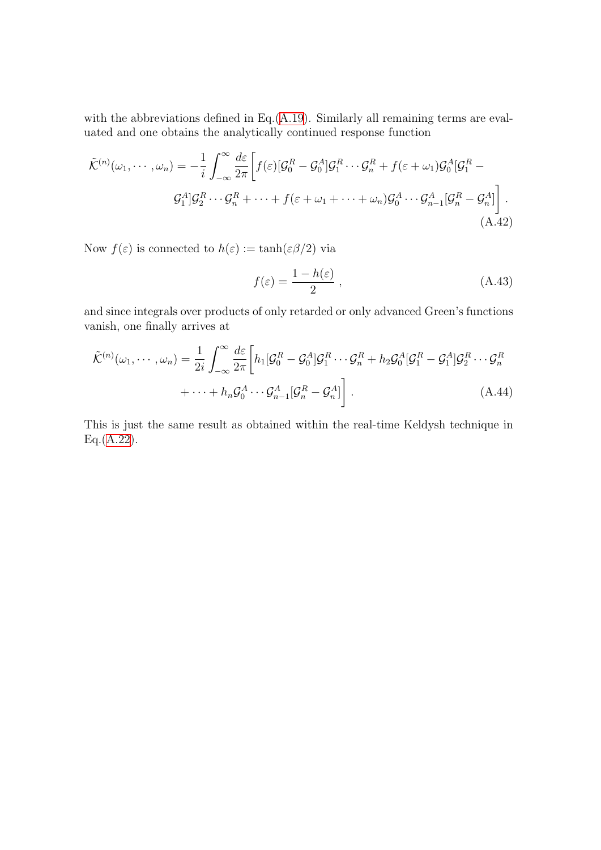with the abbreviations defined in Eq.[\(A.19\)](#page-125-0). Similarly all remaining terms are evaluated and one obtains the analytically continued response function

$$
\tilde{\mathcal{K}}^{(n)}(\omega_1, \cdots, \omega_n) = -\frac{1}{i} \int_{-\infty}^{\infty} \frac{d\varepsilon}{2\pi} \bigg[ f(\varepsilon) [\mathcal{G}_0^R - \mathcal{G}_0^A] \mathcal{G}_1^R \cdots \mathcal{G}_n^R + f(\varepsilon + \omega_1) \mathcal{G}_0^A [\mathcal{G}_1^R - \mathcal{G}_1^A] \mathcal{G}_2^R \cdots \mathcal{G}_n^R + \cdots + f(\varepsilon + \omega_1 + \cdots + \omega_n) \mathcal{G}_0^A \cdots \mathcal{G}_{n-1}^A [\mathcal{G}_n^R - \mathcal{G}_n^A] \bigg].
$$
\n(A.42)

Now  $f(\varepsilon)$  is connected to  $h(\varepsilon) := \tanh(\varepsilon \beta/2)$  via

$$
f(\varepsilon) = \frac{1 - h(\varepsilon)}{2} \,,\tag{A.43}
$$

and since integrals over products of only retarded or only advanced Green's functions vanish, one finally arrives at

$$
\tilde{\mathcal{K}}^{(n)}(\omega_1, \cdots, \omega_n) = \frac{1}{2i} \int_{-\infty}^{\infty} \frac{d\varepsilon}{2\pi} \left[ h_1[\mathcal{G}_0^R - \mathcal{G}_0^A] \mathcal{G}_1^R \cdots \mathcal{G}_n^R + h_2 \mathcal{G}_0^A [\mathcal{G}_1^R - \mathcal{G}_1^A] \mathcal{G}_2^R \cdots \mathcal{G}_n^R \right. \\
\left. + \cdots + h_n \mathcal{G}_0^A \cdots \mathcal{G}_{n-1}^A [\mathcal{G}_n^R - \mathcal{G}_n^A] \right].
$$
\n(A.44)

This is just the same result as obtained within the real-time Keldysh technique in Eq.[\(A.22](#page-126-1)).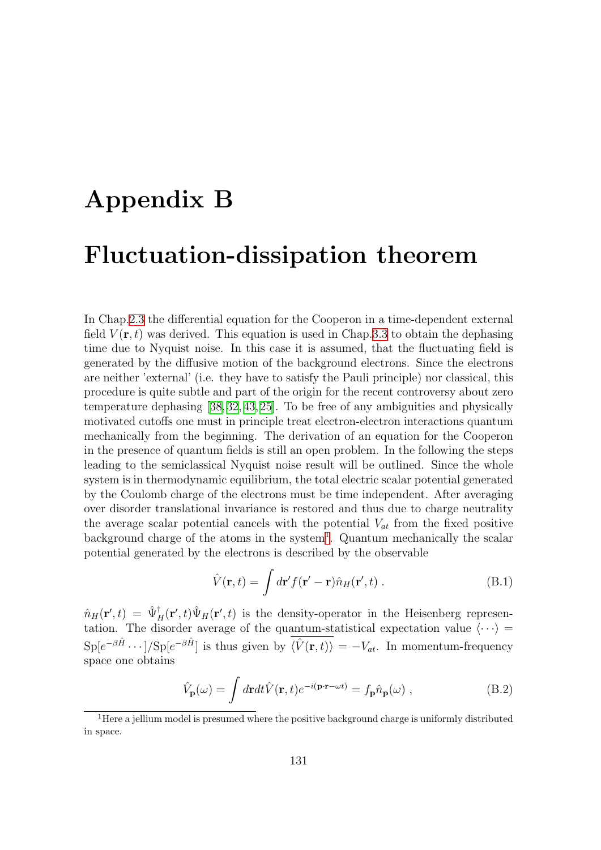# <span id="page-130-0"></span>Appendix B

## Fluctuation-dissipation theorem

In Chap[.2.3](#page-17-0) the differential equation for the Cooperon in a time-dependent external field  $V(\mathbf{r},t)$  was derived. This equation is used in Chap[.3.3](#page-39-0) to obtain the dephasing time due to Nyquist noise. In this case it is assumed, that the fluctuating field is generated by the diffusive motion of the background electrons. Since the electrons are neither 'external' (i.e. they have to satisfy the Pauli principle) nor classical, this procedure is quite subtle and part of the origin for the recent controversy about zero temperature dephasing [\[38,](#page-135-6) [32](#page-134-3), [43,](#page-135-7) [25](#page-134-4)]. To be free of any ambiguities and physically motivated cutoffs one must in principle treat electron-electron interactions quantum mechanically from the beginning. The derivation of an equation for the Cooperon in the presence of quantum fields is still an open problem. In the following the steps leading to the semiclassical Nyquist noise result will be outlined. Since the whole system is in thermodynamic equilibrium, the total electric scalar potential generated by the Coulomb charge of the electrons must be time independent. After averaging over disorder translational invariance is restored and thus due to charge neutrality the average scalar potential cancels with the potential  $V_{at}$  from the fixed positive background charge of the atoms in the system<sup>[1](#page-130-1)</sup>. Quantum mechanically the scalar potential generated by the electrons is described by the observable

$$
\hat{V}(\mathbf{r},t) = \int d\mathbf{r}' f(\mathbf{r}' - \mathbf{r}) \hat{n}_H(\mathbf{r}',t) .
$$
\n(B.1)

 $\hat{n}_H(\mathbf{r}',t) = \hat{\Psi}_H^{\dagger}(\mathbf{r}',t)\hat{\Psi}_H(\mathbf{r}',t)$  is the density-operator in the Heisenberg representation. The disorder average of the quantum-statistical expectation value  $\langle \cdots \rangle$  =  $\text{Sp}[e^{-\beta \hat{H}} \cdots]/\text{Sp}[e^{-\beta \hat{H}}]$  is thus given by  $\langle \hat{V}(\mathbf{r}, t) \rangle = -V_{at}$ . In momentum-frequency space one obtains

$$
\hat{V}_{\mathbf{p}}(\omega) = \int d\mathbf{r} dt \hat{V}(\mathbf{r}, t) e^{-i(\mathbf{p}\cdot\mathbf{r}-\omega t)} = f_{\mathbf{p}} \hat{n}_{\mathbf{p}}(\omega) ,
$$
\n(B.2)

<span id="page-130-1"></span><sup>&</sup>lt;sup>1</sup> Here a jellium model is presumed where the positive background charge is uniformly distributed in space.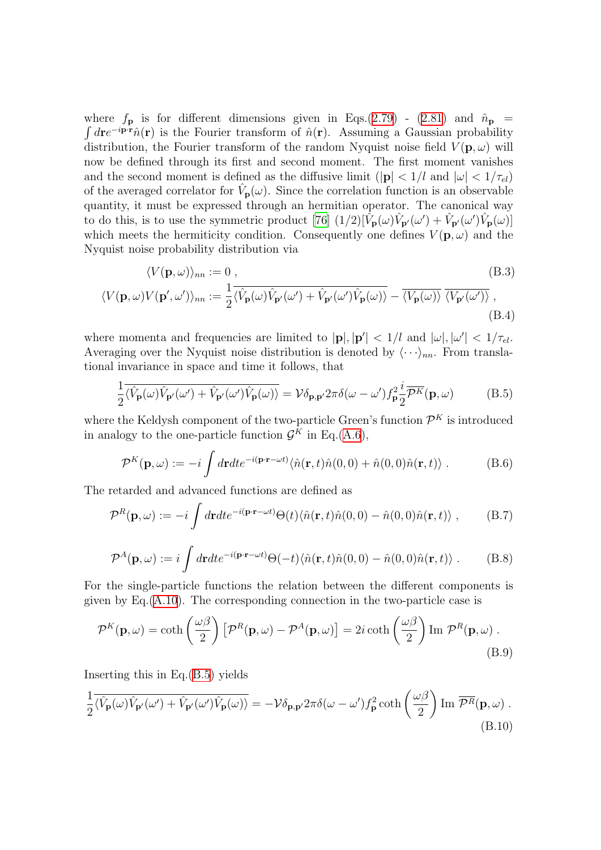where $f_{\mathbf{p}}$  is for different dimensions given in Eqs.([2.79](#page-28-1)) - ([2.81](#page-28-2)) and  $\hat{n}_{\mathbf{p}}$  =  $\int d\mathbf{r} e^{-i\mathbf{p}\cdot\mathbf{r}} \hat{n}(\mathbf{r})$  is the Fourier transform of  $\hat{n}(\mathbf{r})$ . Assuming a Gaussian probability distribution, the Fourier transform of the random Nyquist noise field  $V(\mathbf{p}, \omega)$  will now be defined through its first and second moment. The first moment vanishes and the second moment is defined as the diffusive limit  $(|\mathbf{p}| < 1/l$  and  $|\omega| < 1/\tau_{el}$ of the averaged correlator for  $\hat{V}_{\bf p}(\omega)$ . Since the correlation function is an observable quantity, it must be expressed through an hermitian operator. The canonical way to do this, is to use the symmetric product [\[76](#page-137-1)]  $(1/2) [\tilde{V}_{\mathbf{p}}(\omega) \hat{V}_{\mathbf{p}'}(\omega') + \hat{V}_{\mathbf{p}'}(\omega') \hat{V}_{\mathbf{p}}(\omega)]$ which meets the hermiticity condition. Consequently one defines  $V(\mathbf{p}, \omega)$  and the Nyquist noise probability distribution via

$$
\langle V(\mathbf{p}, \omega) \rangle_{nn} := 0, \qquad (B.3)
$$
  

$$
\langle V(\mathbf{p}, \omega) V(\mathbf{p}', \omega') \rangle_{nn} := \frac{1}{2} \overline{\langle \hat{V}_{\mathbf{p}}(\omega) \hat{V}_{\mathbf{p}'}(\omega') + \hat{V}_{\mathbf{p}'}(\omega') \hat{V}_{\mathbf{p}}(\omega) \rangle} - \overline{\langle V_{\mathbf{p}}(\omega) \rangle} \overline{\langle V_{\mathbf{p}'}(\omega') \rangle} , \qquad (B.4)
$$

where momenta and frequencies are limited to  $|\mathbf{p}|, |\mathbf{p}'| < 1/l$  and  $|\omega|, |\omega'| < 1/\tau_{el}$ . Averaging over the Nyquist noise distribution is denoted by  $\langle \cdots \rangle_{nn}$ . From translational invariance in space and time it follows, that

<span id="page-131-1"></span><span id="page-131-0"></span>
$$
\frac{1}{2}\overline{\langle \hat{V}_{\mathbf{p}}(\omega)\hat{V}_{\mathbf{p}'}(\omega') + \hat{V}_{\mathbf{p}'}(\omega')\hat{V}_{\mathbf{p}}(\omega)\rangle} = \mathcal{V}\delta_{\mathbf{p},\mathbf{p}'}2\pi\delta(\omega-\omega')f_{\mathbf{p}}^2\frac{i}{2}\overline{\mathcal{P}^K}(\mathbf{p},\omega)
$$
(B.5)

where the Keldysh component of the two-particle Green's function  $\mathcal{P}^K$  is introduced in analogy to the one-particle function  $\mathcal{G}^K$  in Eq.([A.6\)](#page-123-3),

$$
\mathcal{P}^{K}(\mathbf{p},\omega) := -i \int d\mathbf{r}dte^{-i(\mathbf{p}\cdot\mathbf{r}-\omega t)} \langle \hat{n}(\mathbf{r},t)\hat{n}(0,0) + \hat{n}(0,0)\hat{n}(\mathbf{r},t) \rangle . \tag{B.6}
$$

The retarded and advanced functions are defined as

$$
\mathcal{P}^{R}(\mathbf{p},\omega) := -i \int d\mathbf{r} dt e^{-i(\mathbf{p}\cdot\mathbf{r}-\omega t)} \Theta(t) \langle \hat{n}(\mathbf{r},t)\hat{n}(0,0) - \hat{n}(0,0)\hat{n}(\mathbf{r},t) \rangle , \qquad (B.7)
$$

$$
\mathcal{P}^A(\mathbf{p},\omega) := i \int d\mathbf{r} dt e^{-i(\mathbf{p}\cdot\mathbf{r}-\omega t)} \Theta(-t) \langle \hat{n}(\mathbf{r},t)\hat{n}(0,0) - \hat{n}(0,0)\hat{n}(\mathbf{r},t) \rangle . \tag{B.8}
$$

For the single-particle functions the relation between the different components is given by Eq.[\(A.10\)](#page-124-1). The corresponding connection in the two-particle case is

$$
\mathcal{P}^{K}(\mathbf{p},\omega) = \coth\left(\frac{\omega\beta}{2}\right) \left[\mathcal{P}^{R}(\mathbf{p},\omega) - \mathcal{P}^{A}(\mathbf{p},\omega)\right] = 2i \coth\left(\frac{\omega\beta}{2}\right) \operatorname{Im} \mathcal{P}^{R}(\mathbf{p},\omega) .
$$
\n(B.9)

Inserting this in Eq.([B.5](#page-131-0)) yields

<span id="page-131-2"></span>
$$
\frac{1}{2}\overline{\langle \hat{V}_{\mathbf{p}}(\omega)\hat{V}_{\mathbf{p}'}(\omega') + \hat{V}_{\mathbf{p}'}(\omega')\hat{V}_{\mathbf{p}}(\omega)\rangle} = -\mathcal{V}\delta_{\mathbf{p},\mathbf{p}'}2\pi\delta(\omega-\omega')f_{\mathbf{p}}^2\coth\left(\frac{\omega\beta}{2}\right)\operatorname{Im}\overline{\mathcal{P}^R}(\mathbf{p},\omega) .
$$
\n(B.10)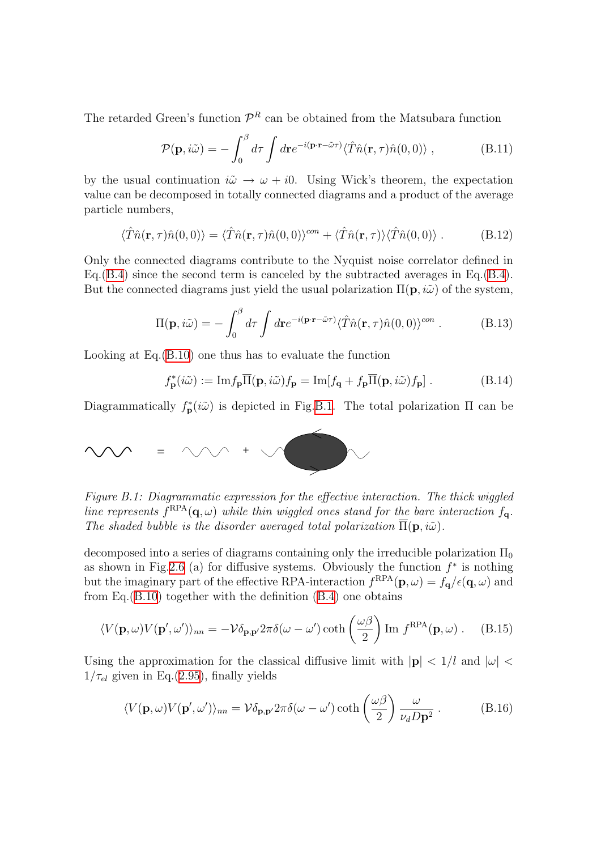The retarded Green's function  $\mathcal{P}^R$  can be obtained from the Matsubara function

$$
\mathcal{P}(\mathbf{p}, i\tilde{\omega}) = -\int_0^\beta d\tau \int d\mathbf{r} e^{-i(\mathbf{p}\cdot\mathbf{r} - \tilde{\omega}\tau)} \langle \hat{T}\hat{n}(\mathbf{r}, \tau)\hat{n}(0, 0) \rangle , \qquad (B.11)
$$

by the usual continuation  $i\tilde{\omega} \rightarrow \omega + i0$ . Using Wick's theorem, the expectation value can be decomposed in totally connected diagrams and a product of the average particle numbers,

$$
\langle \hat{T}\hat{n}(\mathbf{r},\tau)\hat{n}(0,0)\rangle = \langle \hat{T}\hat{n}(\mathbf{r},\tau)\hat{n}(0,0)\rangle^{con} + \langle \hat{T}\hat{n}(\mathbf{r},\tau)\rangle \langle \hat{T}\hat{n}(0,0)\rangle . \tag{B.12}
$$

Only the connected diagrams contribute to the Nyquist noise correlator defined in Eq.[\(B.4\)](#page-131-1) since the second term is canceled by the subtracted averages in Eq.(B.4). But the connected diagrams just yield the usual polarization  $\Pi(\mathbf{p}, i\tilde{\omega})$  of the system,

$$
\Pi(\mathbf{p}, i\tilde{\omega}) = -\int_0^\beta d\tau \int d\mathbf{r} e^{-i(\mathbf{p}\cdot\mathbf{r} - \tilde{\omega}\tau)} \langle \hat{T}\hat{n}(\mathbf{r}, \tau)\hat{n}(0, 0) \rangle^{con} .
$$
 (B.13)

Looking at Eq.([B.10\)](#page-131-2) one thus has to evaluate the function

$$
f_{\mathbf{p}}^*(i\tilde{\omega}) := \mathrm{Im} f_{\mathbf{p}} \overline{\Pi}(\mathbf{p}, i\tilde{\omega}) f_{\mathbf{p}} = \mathrm{Im} [f_{\mathbf{q}} + f_{\mathbf{p}} \overline{\Pi}(\mathbf{p}, i\tilde{\omega}) f_{\mathbf{p}}]. \tag{B.14}
$$

Diagrammatically  $f_{\mathbf{p}}^*$  $p_{\mathbf{p}}^*(i\tilde{\omega})$  is depicted in Fig[.B.1](#page-132-0). The total polarization  $\Pi$  can be



<span id="page-132-0"></span>Figure B.1: Diagrammatic expression for the effective interaction. The thick wiggled line represents  $f^{RPA}(\mathbf{q}, \omega)$  while thin wiggled ones stand for the bare interaction  $f_{\mathbf{q}}$ . The shaded bubble is the disorder averaged total polarization  $\overline{\Pi}(\mathbf{p}, i\tilde{\omega})$ .

decomposed into a series of diagrams containing only the irreducible polarization  $\Pi_0$ as shown in Fig.[2.6](#page-28-0) (a) for diffusive systems. Obviously the function  $f^*$  is nothing but the imaginary part of the effective RPA-interaction  $f^{RPA}(\mathbf{p}, \omega) = f_{\mathbf{q}}/\epsilon(\mathbf{q}, \omega)$  and from Eq. $(B.10)$  $(B.10)$  $(B.10)$  together with the definition  $(B.4)$  one obtains

$$
\langle V(\mathbf{p}, \omega)V(\mathbf{p}', \omega') \rangle_{nn} = -\mathcal{V}\delta_{\mathbf{p}, \mathbf{p}'}2\pi\delta(\omega - \omega')\coth\left(\frac{\omega\beta}{2}\right) \text{Im } f^{\text{RPA}}(\mathbf{p}, \omega) .
$$
 (B.15)

Using the approximation for the classical diffusive limit with  $|\mathbf{p}| < 1/l$  and  $|\omega| <$  $1/\tau_{el}$  given in Eq.[\(2.95](#page-33-0)), finally yields

$$
\langle V(\mathbf{p}, \omega)V(\mathbf{p}', \omega') \rangle_{nn} = \mathcal{V} \delta_{\mathbf{p}, \mathbf{p}'} 2\pi \delta(\omega - \omega') \coth\left(\frac{\omega\beta}{2}\right) \frac{\omega}{\nu_d D \mathbf{p}^2} . \tag{B.16}
$$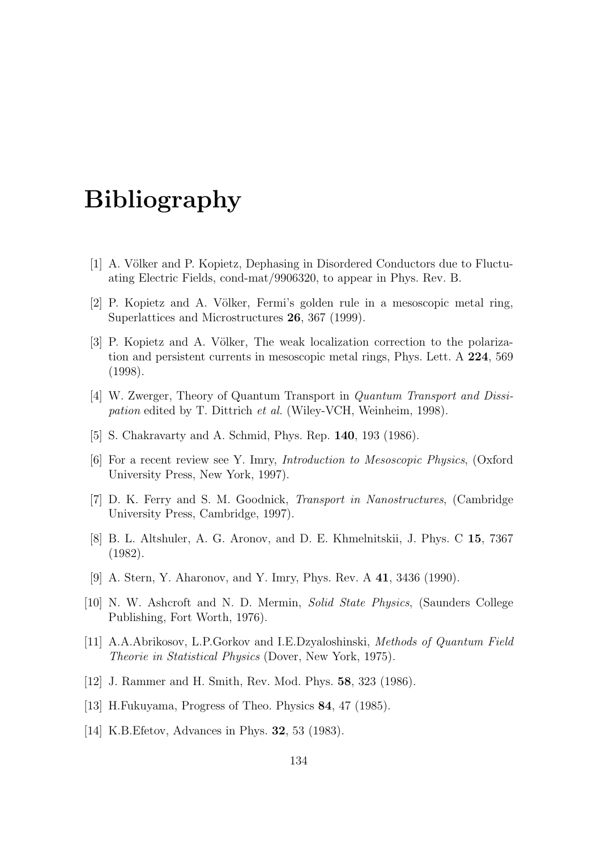# Bibliography

- [1] A. Völker and P. Kopietz, Dephasing in Disordered Conductors due to Fluctuating Electric Fields, cond-mat/9906320, to appear in Phys. Rev. B.
- [2] P. Kopietz and A. Völker, Fermi's golden rule in a mesoscopic metal ring, Superlattices and Microstructures 26, 367 (1999).
- <span id="page-133-0"></span>[3] P. Kopietz and A. Völker, The weak localization correction to the polarization and persistent currents in mesoscopic metal rings, Phys. Lett. A 224, 569 (1998).
- [4] W. Zwerger, Theory of Quantum Transport in Quantum Transport and Dissipation edited by T. Dittrich et al. (Wiley-VCH, Weinheim, 1998).
- [5] S. Chakravarty and A. Schmid, Phys. Rep. 140, 193 (1986).
- [6] For a recent review see Y. Imry, Introduction to Mesoscopic Physics, (Oxford University Press, New York, 1997).
- [7] D. K. Ferry and S. M. Goodnick, Transport in Nanostructures, (Cambridge University Press, Cambridge, 1997).
- <span id="page-133-1"></span>[8] B. L. Altshuler, A. G. Aronov, and D. E. Khmelnitskii, J. Phys. C 15, 7367 (1982).
- [9] A. Stern, Y. Aharonov, and Y. Imry, Phys. Rev. A 41, 3436 (1990).
- [10] N. W. Ashcroft and N. D. Mermin, Solid State Physics, (Saunders College Publishing, Fort Worth, 1976).
- [11] A.A.Abrikosov, L.P.Gorkov and I.E.Dzyaloshinski, Methods of Quantum Field Theorie in Statistical Physics (Dover, New York, 1975).
- [12] J. Rammer and H. Smith, Rev. Mod. Phys. 58, 323 (1986).
- [13] H.Fukuyama, Progress of Theo. Physics 84, 47 (1985).
- [14] K.B. Efetov, Advances in Phys. **32**, 53 (1983).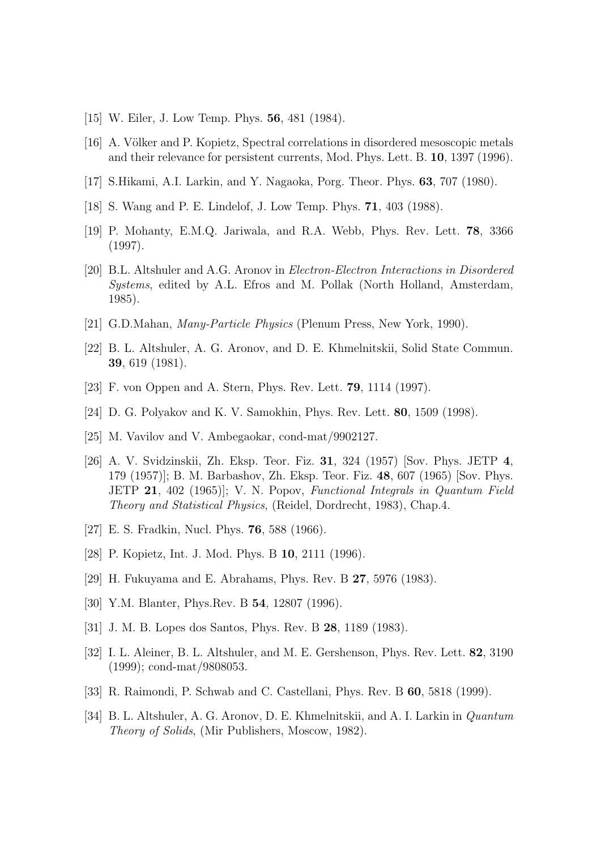- [15] W. Eiler, J. Low Temp. Phys. **56**, 481 (1984).
- [16] A. Völker and P. Kopietz, Spectral correlations in disordered mesoscopic metals and their relevance for persistent currents, Mod. Phys. Lett. B. 10, 1397 (1996).
- [17] S.Hikami, A.I. Larkin, and Y. Nagaoka, Porg. Theor. Phys. 63, 707 (1980).
- [18] S. Wang and P. E. Lindelof, J. Low Temp. Phys. 71, 403 (1988).
- [19] P. Mohanty, E.M.Q. Jariwala, and R.A. Webb, Phys. Rev. Lett. 78, 3366 (1997).
- <span id="page-134-0"></span>[20] B.L. Altshuler and A.G. Aronov in Electron-Electron Interactions in Disordered Systems, edited by A.L. Efros and M. Pollak (North Holland, Amsterdam, 1985).
- <span id="page-134-1"></span>[21] G.D.Mahan, Many-Particle Physics (Plenum Press, New York, 1990).
- <span id="page-134-2"></span>[22] B. L. Altshuler, A. G. Aronov, and D. E. Khmelnitskii, Solid State Commun. 39, 619 (1981).
- [23] F. von Oppen and A. Stern, Phys. Rev. Lett. 79, 1114 (1997).
- [24] D. G. Polyakov and K. V. Samokhin, Phys. Rev. Lett. 80, 1509 (1998).
- <span id="page-134-4"></span>[25] M. Vavilov and V. Ambegaokar, cond-mat/9902127.
- [26] A. V. Svidzinskii, Zh. Eksp. Teor. Fiz. 31, 324 (1957) [Sov. Phys. JETP 4, 179 (1957)]; B. M. Barbashov, Zh. Eksp. Teor. Fiz. 48, 607 (1965) [Sov. Phys. JETP 21, 402 (1965)]; V. N. Popov, Functional Integrals in Quantum Field Theory and Statistical Physics, (Reidel, Dordrecht, 1983), Chap.4.
- [27] E. S. Fradkin, Nucl. Phys. 76, 588 (1966).
- [28] P. Kopietz, Int. J. Mod. Phys. B 10, 2111 (1996).
- [29] H. Fukuyama and E. Abrahams, Phys. Rev. B 27, 5976 (1983).
- [30] Y.M. Blanter, Phys.Rev. B **54**, 12807 (1996).
- [31] J. M. B. Lopes dos Santos, Phys. Rev. B 28, 1189 (1983).
- <span id="page-134-3"></span>[32] I. L. Aleiner, B. L. Altshuler, and M. E. Gershenson, Phys. Rev. Lett. 82, 3190 (1999); cond-mat/9808053.
- [33] R. Raimondi, P. Schwab and C. Castellani, Phys. Rev. B 60, 5818 (1999).
- [34] B. L. Altshuler, A. G. Aronov, D. E. Khmelnitskii, and A. I. Larkin in Quantum Theory of Solids, (Mir Publishers, Moscow, 1982).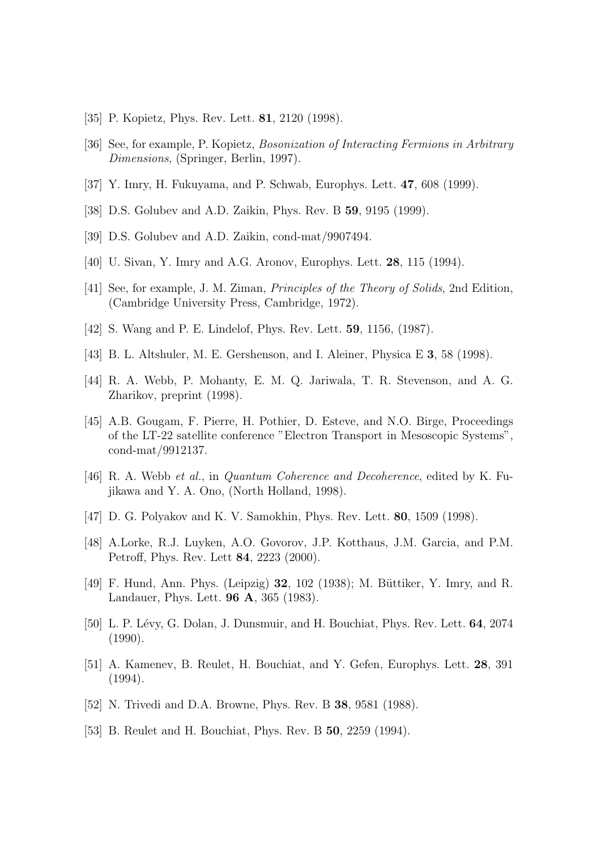- [35] P. Kopietz, Phys. Rev. Lett. **81**, 2120 (1998).
- <span id="page-135-1"></span>[36] See, for example, P. Kopietz, Bosonization of Interacting Fermions in Arbitrary Dimensions, (Springer, Berlin, 1997).
- <span id="page-135-4"></span>[37] Y. Imry, H. Fukuyama, and P. Schwab, Europhys. Lett. 47, 608 (1999).
- <span id="page-135-6"></span>[38] D.S. Golubev and A.D. Zaikin, Phys. Rev. B 59, 9195 (1999).
- [39] D.S. Golubev and A.D. Zaikin, cond-mat/9907494.
- [40] U. Sivan, Y. Imry and A.G. Aronov, Europhys. Lett. 28, 115 (1994).
- [41] See, for example, J. M. Ziman, Principles of the Theory of Solids, 2nd Edition, (Cambridge University Press, Cambridge, 1972).
- <span id="page-135-2"></span>[42] S. Wang and P. E. Lindelof, Phys. Rev. Lett. 59, 1156, (1987).
- <span id="page-135-7"></span>[43] B. L. Altshuler, M. E. Gershenson, and I. Aleiner, Physica E 3, 58 (1998).
- [44] R. A. Webb, P. Mohanty, E. M. Q. Jariwala, T. R. Stevenson, and A. G. Zharikov, preprint (1998).
- [45] A.B. Gougam, F. Pierre, H. Pothier, D. Esteve, and N.O. Birge, Proceedings of the LT-22 satellite conference "Electron Transport in Mesoscopic Systems", cond-mat/9912137.
- <span id="page-135-3"></span>[46] R. A. Webb et al., in Quantum Coherence and Decoherence, edited by K. Fujikawa and Y. A. Ono, (North Holland, 1998).
- [47] D. G. Polyakov and K. V. Samokhin, Phys. Rev. Lett. 80, 1509 (1998).
- <span id="page-135-5"></span>[48] A.Lorke, R.J. Luyken, A.O. Govorov, J.P. Kotthaus, J.M. Garcia, and P.M. Petroff, Phys. Rev. Lett 84, 2223 (2000).
- [49] F. Hund, Ann. Phys. (Leipzig)  $32$ , 102 (1938); M. Büttiker, Y. Imry, and R. Landauer, Phys. Lett. 96 A, 365 (1983).
- <span id="page-135-0"></span>[50] L. P. Lévy, G. Dolan, J. Dunsmuir, and H. Bouchiat, Phys. Rev. Lett. 64, 2074 (1990).
- [51] A. Kamenev, B. Reulet, H. Bouchiat, and Y. Gefen, Europhys. Lett. 28, 391 (1994).
- [52] N. Trivedi and D.A. Browne, Phys. Rev. B 38, 9581 (1988).
- [53] B. Reulet and H. Bouchiat, Phys. Rev. B 50, 2259 (1994).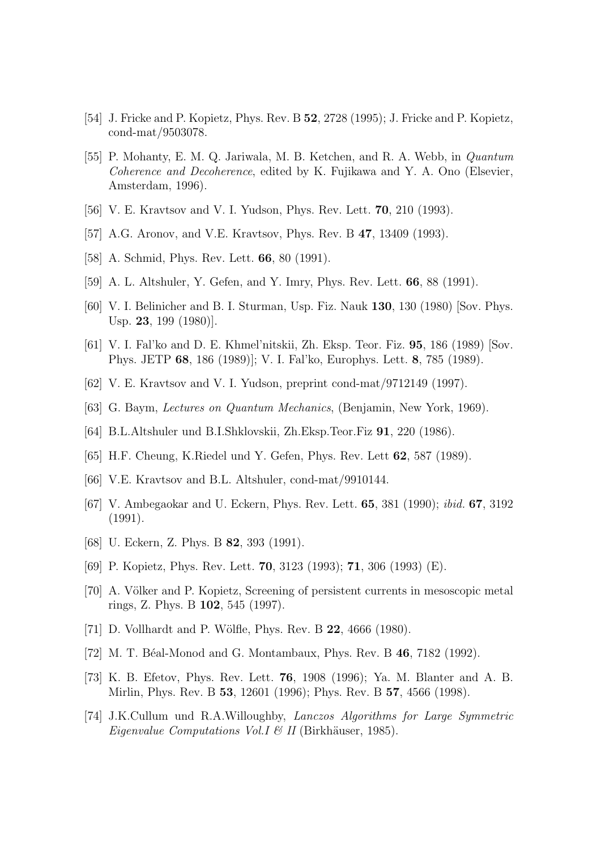- [54] J. Fricke and P. Kopietz, Phys. Rev. B 52, 2728 (1995); J. Fricke and P. Kopietz, cond-mat/9503078.
- <span id="page-136-12"></span>[55] P. Mohanty, E. M. Q. Jariwala, M. B. Ketchen, and R. A. Webb, in Quantum Coherence and Decoherence, edited by K. Fujikawa and Y. A. Ono (Elsevier, Amsterdam, 1996).
- <span id="page-136-0"></span>[56] V. E. Kravtsov and V. I. Yudson, Phys. Rev. Lett. 70, 210 (1993).
- <span id="page-136-1"></span>[57] A.G. Aronov, and V.E. Kravtsov, Phys. Rev. B 47, 13409 (1993).
- <span id="page-136-10"></span>[58] A. Schmid, Phys. Rev. Lett. **66**, 80 (1991).
- <span id="page-136-2"></span>[59] A. L. Altshuler, Y. Gefen, and Y. Imry, Phys. Rev. Lett. 66, 88 (1991).
- [60] V. I. Belinicher and B. I. Sturman, Usp. Fiz. Nauk 130, 130 (1980) [Sov. Phys. Usp. 23, 199 (1980)].
- [61] V. I. Fal'ko and D. E. Khmel'nitskii, Zh. Eksp. Teor. Fiz. 95, 186 (1989) [Sov. Phys. JETP 68, 186 (1989)]; V. I. Fal'ko, Europhys. Lett. 8, 785 (1989).
- [62] V. E. Kravtsov and V. I. Yudson, preprint cond-mat/9712149 (1997).
- [63] G. Baym, Lectures on Quantum Mechanics, (Benjamin, New York, 1969).
- [64] B.L.Altshuler und B.I.Shklovskii, Zh.Eksp.Teor.Fiz 91, 220 (1986).
- <span id="page-136-5"></span>[65] H.F. Cheung, K.Riedel und Y. Gefen, Phys. Rev. Lett 62, 587 (1989).
- <span id="page-136-11"></span>[66] V.E. Kravtsov and B.L. Altshuler, cond-mat/9910144.
- <span id="page-136-3"></span>[67] V. Ambegaokar and U. Eckern, Phys. Rev. Lett. 65, 381 (1990); ibid. 67, 3192 (1991).
- <span id="page-136-4"></span>[68] U. Eckern, Z. Phys. B **82**, 393 (1991).
- <span id="page-136-6"></span>[69] P. Kopietz, Phys. Rev. Lett. 70, 3123 (1993); 71, 306 (1993) (E).
- <span id="page-136-7"></span>[70] A. Völker and P. Kopietz, Screening of persistent currents in mesoscopic metal rings, Z. Phys. B 102, 545 (1997).
- <span id="page-136-9"></span>[71] D. Vollhardt and P. Wölfle, Phys. Rev. B 22, 4666 (1980).
- <span id="page-136-8"></span>[72] M. T. Béal-Monod and G. Montambaux, Phys. Rev. B 46, 7182 (1992).
- [73] K. B. Efetov, Phys. Rev. Lett. 76, 1908 (1996); Ya. M. Blanter and A. B. Mirlin, Phys. Rev. B 53, 12601 (1996); Phys. Rev. B 57, 4566 (1998).
- [74] J.K.Cullum und R.A.Willoughby, Lanczos Algorithms for Large Symmetric Eigenvalue Computations Vol. I & II (Birkhäuser, 1985).